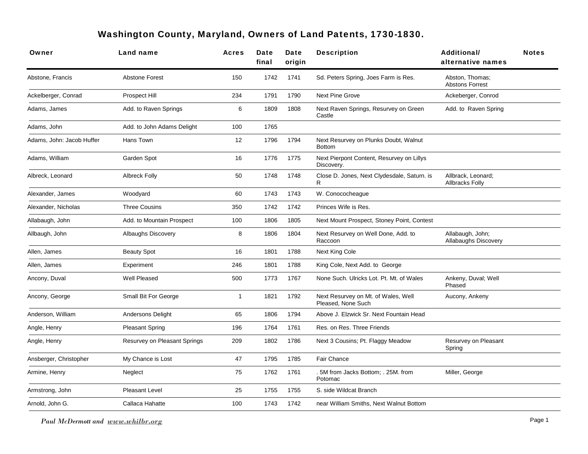## Washington County, Maryland, Owners of Land Patents, 1730-1830.

| Owner                     | Land name                    | Acres | Date<br>final | Date<br>origin | <b>Description</b>                                        | Additional/<br>alternative names             | <b>Notes</b> |
|---------------------------|------------------------------|-------|---------------|----------------|-----------------------------------------------------------|----------------------------------------------|--------------|
| Abstone, Francis          | <b>Abstone Forest</b>        | 150   | 1742          | 1741           | Sd. Peters Spring, Joes Farm is Res.                      | Abston, Thomas;<br><b>Abstons Forrest</b>    |              |
| Ackelberger, Conrad       | Prospect Hill                | 234   | 1791          | 1790           | <b>Next Pine Grove</b>                                    | Ackeberger, Conrod                           |              |
| Adams, James              | Add. to Raven Springs        | 6     | 1809          | 1808           | Next Raven Springs, Resurvey on Green<br>Castle           | Add. to Raven Spring                         |              |
| Adams, John               | Add. to John Adams Delight   | 100   | 1765          |                |                                                           |                                              |              |
| Adams, John: Jacob Huffer | Hans Town                    | 12    | 1796          | 1794           | Next Resurvey on Plunks Doubt, Walnut<br><b>Bottom</b>    |                                              |              |
| Adams, William            | Garden Spot                  | 16    | 1776          | 1775           | Next Pierpont Content, Resurvey on Lillys<br>Discovery.   |                                              |              |
| Albreck, Leonard          | <b>Albreck Folly</b>         | 50    | 1748          | 1748           | Close D. Jones, Next Clydesdale, Saturn. is<br>R.         | Allbrack, Leonard;<br><b>Allbracks Folly</b> |              |
| Alexander, James          | Woodyard                     | 60    | 1743          | 1743           | W. Conococheague                                          |                                              |              |
| Alexander, Nicholas       | <b>Three Cousins</b>         | 350   | 1742          | 1742           | Princes Wife is Res.                                      |                                              |              |
| Allabaugh, John           | Add. to Mountain Prospect    | 100   | 1806          | 1805           | Next Mount Prospect, Stoney Point, Contest                |                                              |              |
| Allbaugh, John            | Albaughs Discovery           | 8     | 1806          | 1804           | Next Resurvey on Well Done, Add. to<br>Raccoon            | Allabaugh, John;<br>Allabaughs Discovery     |              |
| Allen, James              | <b>Beauty Spot</b>           | 16    | 1801          | 1788           | Next King Cole                                            |                                              |              |
| Allen, James              | Experiment                   | 246   | 1801          | 1788           | King Cole, Next Add. to George                            |                                              |              |
| Ancony, Duval             | Well Pleased                 | 500   | 1773          | 1767           | None Such. Ulricks Lot. Pt. Mt. of Wales                  | Ankeny, Duval; Well<br>Phased                |              |
| Ancony, George            | Small Bit For George         | -1    | 1821          | 1792           | Next Resurvey on Mt. of Wales, Well<br>Pleased. None Such | Aucony, Ankeny                               |              |
| Anderson, William         | Andersons Delight            | 65    | 1806          | 1794           | Above J. Elzwick Sr. Next Fountain Head                   |                                              |              |
| Angle, Henry              | <b>Pleasant Spring</b>       | 196   | 1764          | 1761           | Res. on Res. Three Friends                                |                                              |              |
| Angle, Henry              | Resurvey on Pleasant Springs | 209   | 1802          | 1786           | Next 3 Cousins; Pt. Flaggy Meadow                         | Resurvey on Pleasant<br>Spring               |              |
| Ansberger, Christopher    | My Chance is Lost            | 47    | 1795          | 1785           | Fair Chance                                               |                                              |              |
| Armine, Henry             | Neglect                      | 75    | 1762          | 1761           | .5M from Jacks Bottom; .25M. from<br>Potomac              | Miller, George                               |              |
| Armstrong, John           | <b>Pleasant Level</b>        | 25    | 1755          | 1755           | S. side Wildcat Branch                                    |                                              |              |
| Arnold, John G.           | Callaca Hahatte              | 100   | 1743          | 1742           | near William Smiths, Next Walnut Bottom                   |                                              |              |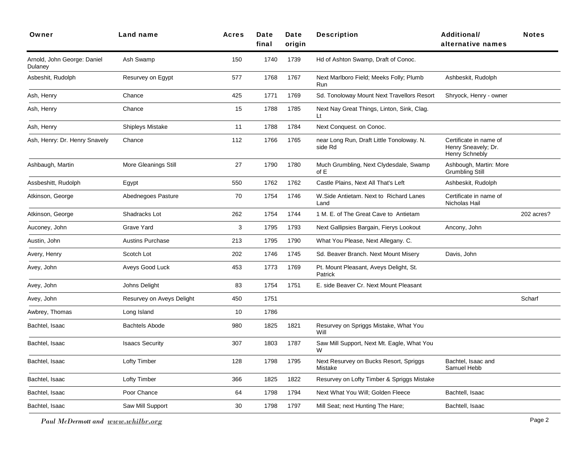| Owner                                  | Land name                 | <b>Acres</b> | Date<br>final | Date<br>origin | <b>Description</b>                                   | <b>Additional/</b><br>alternative names                         | <b>Notes</b> |
|----------------------------------------|---------------------------|--------------|---------------|----------------|------------------------------------------------------|-----------------------------------------------------------------|--------------|
| Arnold, John George: Daniel<br>Dulaney | Ash Swamp                 | 150          | 1740          | 1739           | Hd of Ashton Swamp, Draft of Conoc.                  |                                                                 |              |
| Asbeshit, Rudolph                      | Resurvey on Egypt         | 577          | 1768          | 1767           | Next Marlboro Field; Meeks Folly; Plumb<br>Run       | Ashbeskit, Rudolph                                              |              |
| Ash, Henry                             | Chance                    | 425          | 1771          | 1769           | Sd. Tonoloway Mount Next Travellors Resort           | Shryock, Henry - owner                                          |              |
| Ash, Henry                             | Chance                    | 15           | 1788          | 1785           | Next Nay Great Things, Linton, Sink, Clag.<br>Lt     |                                                                 |              |
| Ash, Henry                             | Shipleys Mistake          | 11           | 1788          | 1784           | Next Conquest. on Conoc.                             |                                                                 |              |
| Ash, Henry: Dr. Henry Snavely          | Chance                    | 112          | 1766          | 1765           | near Long Run, Draft Little Tonoloway. N.<br>side Rd | Certificate in name of<br>Henry Sneavely; Dr.<br>Henry Schnebly |              |
| Ashbaugh, Martin                       | More Gleanings Still      | 27           | 1790          | 1780           | Much Grumbling, Next Clydesdale, Swamp<br>of E       | Ashbough, Martin: More<br><b>Grumbling Still</b>                |              |
| Assbeshitt, Rudolph                    | Egypt                     | 550          | 1762          | 1762           | Castle Plains, Next All That's Left                  | Ashbeskit, Rudolph                                              |              |
| Atkinson, George                       | Abednegoes Pasture        | 70           | 1754          | 1746           | W. Side Antietam. Next to Richard Lanes<br>Land      | Certificate in name of<br>Nicholas Hail                         |              |
| Atkinson, George                       | Shadracks Lot             | 262          | 1754          | 1744           | 1 M. E. of The Great Cave to Antietam                |                                                                 | 202 acres?   |
| Auconey, John                          | Grave Yard                | 3            | 1795          | 1793           | Next Gallipsies Bargain, Fierys Lookout              | Ancony, John                                                    |              |
| Austin, John                           | <b>Austins Purchase</b>   | 213          | 1795          | 1790           | What You Please, Next Allegany. C.                   |                                                                 |              |
| Avery, Henry                           | Scotch Lot                | 202          | 1746          | 1745           | Sd. Beaver Branch. Next Mount Misery                 | Davis, John                                                     |              |
| Avey, John                             | Aveys Good Luck           | 453          | 1773          | 1769           | Pt. Mount Pleasant, Aveys Delight, St.<br>Patrick    |                                                                 |              |
| Avey, John                             | Johns Delight             | 83           | 1754          | 1751           | E. side Beaver Cr. Next Mount Pleasant               |                                                                 |              |
| Avey, John                             | Resurvey on Aveys Delight | 450          | 1751          |                |                                                      |                                                                 | Scharf       |
| Awbrey, Thomas                         | Long Island               | 10           | 1786          |                |                                                      |                                                                 |              |
| Bachtel, Isaac                         | <b>Bachtels Abode</b>     | 980          | 1825          | 1821           | Resurvey on Spriggs Mistake, What You<br>Will        |                                                                 |              |
| Bachtel, Isaac                         | <b>Isaacs Security</b>    | 307          | 1803          | 1787           | Saw Mill Support, Next Mt. Eagle, What You<br>W      |                                                                 |              |
| Bachtel, Isaac                         | <b>Lofty Timber</b>       | 128          | 1798          | 1795           | Next Resurvey on Bucks Resort, Spriggs<br>Mistake    | Bachtel, Isaac and<br>Samuel Hebb                               |              |
| Bachtel, Isaac                         | <b>Lofty Timber</b>       | 366          | 1825          | 1822           | Resurvey on Lofty Timber & Spriggs Mistake           |                                                                 |              |
| Bachtel, Isaac                         | Poor Chance               | 64           | 1798          | 1794           | Next What You Will; Golden Fleece                    | Bachtell, Isaac                                                 |              |
| Bachtel, Isaac                         | Saw Mill Support          | 30           | 1798          | 1797           | Mill Seat; next Hunting The Hare;                    | Bachtell, Isaac                                                 |              |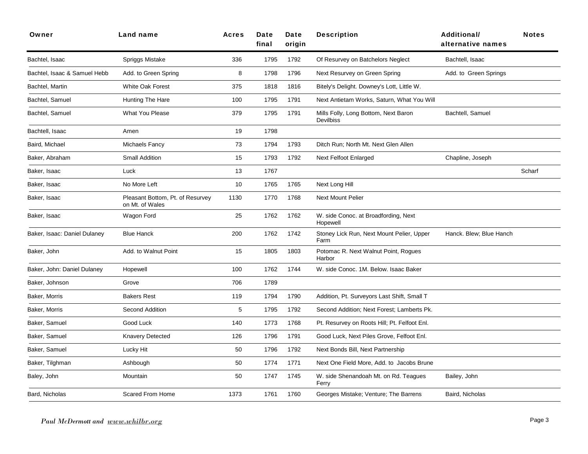| Owner                        | Land name                                           | <b>Acres</b> | Date<br>final | Date<br>origin | <b>Description</b>                                       | <b>Additional/</b><br>alternative names | <b>Notes</b> |
|------------------------------|-----------------------------------------------------|--------------|---------------|----------------|----------------------------------------------------------|-----------------------------------------|--------------|
| Bachtel, Isaac               | Spriggs Mistake                                     | 336          | 1795          | 1792           | Of Resurvey on Batchelors Neglect                        | Bachtell, Isaac                         |              |
| Bachtel, Isaac & Samuel Hebb | Add. to Green Spring                                | 8            | 1798          | 1796           | Next Resurvey on Green Spring                            | Add. to Green Springs                   |              |
| Bachtel, Martin              | White Oak Forest                                    | 375          | 1818          | 1816           | Bitely's Delight. Downey's Lott, Little W.               |                                         |              |
| Bachtel, Samuel              | Hunting The Hare                                    | 100          | 1795          | 1791           | Next Antietam Works, Saturn, What You Will               |                                         |              |
| Bachtel, Samuel              | <b>What You Please</b>                              | 379          | 1795          | 1791           | Mills Folly, Long Bottom, Next Baron<br><b>Devilbiss</b> | Bachtell, Samuel                        |              |
| Bachtell, Isaac              | Amen                                                | 19           | 1798          |                |                                                          |                                         |              |
| Baird, Michael               | Michaels Fancy                                      | 73           | 1794          | 1793           | Ditch Run; North Mt. Next Glen Allen                     |                                         |              |
| Baker, Abraham               | Small Addition                                      | 15           | 1793          | 1792           | Next Felfoot Enlarged                                    | Chapline, Joseph                        |              |
| Baker, Isaac                 | Luck                                                | 13           | 1767          |                |                                                          |                                         | Scharf       |
| Baker, Isaac                 | No More Left                                        | 10           | 1765          | 1765           | Next Long Hill                                           |                                         |              |
| Baker, Isaac                 | Pleasant Bottom, Pt. of Resurvey<br>on Mt. of Wales | 1130         | 1770          | 1768           | <b>Next Mount Pelier</b>                                 |                                         |              |
| Baker, Isaac                 | Wagon Ford                                          | 25           | 1762          | 1762           | W. side Conoc. at Broadfording, Next<br>Hopewell         |                                         |              |
| Baker, Isaac: Daniel Dulaney | <b>Blue Hanck</b>                                   | 200          | 1762          | 1742           | Stoney Lick Run, Next Mount Pelier, Upper<br>Farm        | Hanck. Blew; Blue Hanch                 |              |
| Baker, John                  | Add. to Walnut Point                                | 15           | 1805          | 1803           | Potomac R. Next Walnut Point, Rogues<br>Harbor           |                                         |              |
| Baker, John: Daniel Dulaney  | Hopewell                                            | 100          | 1762          | 1744           | W. side Conoc. 1M. Below. Isaac Baker                    |                                         |              |
| Baker, Johnson               | Grove                                               | 706          | 1789          |                |                                                          |                                         |              |
| Baker, Morris                | <b>Bakers Rest</b>                                  | 119          | 1794          | 1790           | Addition, Pt. Surveyors Last Shift, Small T              |                                         |              |
| Baker, Morris                | Second Addition                                     | 5            | 1795          | 1792           | Second Addition; Next Forest; Lamberts Pk.               |                                         |              |
| Baker, Samuel                | Good Luck                                           | 140          | 1773          | 1768           | Pt. Resurvey on Roots Hill; Pt. Felfoot Enl.             |                                         |              |
| Baker, Samuel                | <b>Knavery Detected</b>                             | 126          | 1796          | 1791           | Good Luck, Next Piles Grove, Felfoot Enl.                |                                         |              |
| Baker, Samuel                | Lucky Hit                                           | 50           | 1796          | 1792           | Next Bonds Bill, Next Partnership                        |                                         |              |
| Baker, Tilghman              | Ashbough                                            | 50           | 1774          | 1771           | Next One Field More, Add. to Jacobs Brune                |                                         |              |
| Baley, John                  | Mountain                                            | 50           | 1747          | 1745           | W. side Shenandoah Mt. on Rd. Teagues<br>Ferry           | Bailey, John                            |              |
| Bard, Nicholas               | Scared From Home                                    | 1373         | 1761          | 1760           | Georges Mistake; Venture; The Barrens                    | Baird, Nicholas                         |              |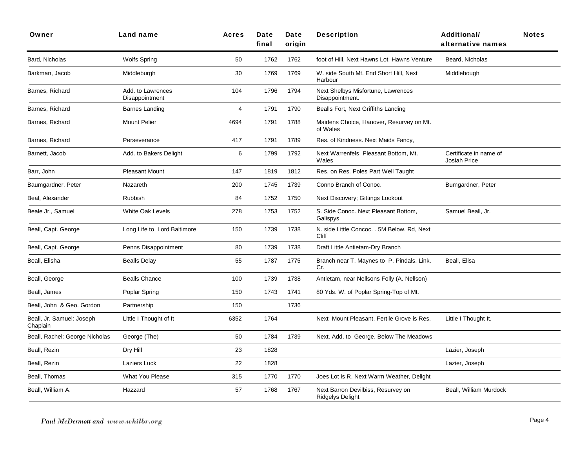| Owner                                 | Land name                           | <b>Acres</b> | Date<br>final | Date<br>origin | <b>Description</b>                                     | <b>Additional/</b><br>alternative names       | <b>Notes</b> |
|---------------------------------------|-------------------------------------|--------------|---------------|----------------|--------------------------------------------------------|-----------------------------------------------|--------------|
| Bard, Nicholas                        | <b>Wolfs Spring</b>                 | 50           | 1762          | 1762           | foot of Hill. Next Hawns Lot, Hawns Venture            | Beard, Nicholas                               |              |
| Barkman, Jacob                        | Middleburgh                         | 30           | 1769          | 1769           | W. side South Mt. End Short Hill, Next<br>Harbour      | Middlebough                                   |              |
| Barnes, Richard                       | Add. to Lawrences<br>Disappointment | 104          | 1796          | 1794           | Next Shelbys Misfortune, Lawrences<br>Disappointment.  |                                               |              |
| Barnes, Richard                       | Barnes Landing                      | 4            | 1791          | 1790           | Bealls Fort, Next Griffiths Landing                    |                                               |              |
| Barnes, Richard                       | <b>Mount Pelier</b>                 | 4694         | 1791          | 1788           | Maidens Choice, Hanover, Resurvey on Mt.<br>of Wales   |                                               |              |
| Barnes, Richard                       | Perseverance                        | 417          | 1791          | 1789           | Res. of Kindness. Next Maids Fancy,                    |                                               |              |
| Barnett, Jacob                        | Add. to Bakers Delight              | 6            | 1799          | 1792           | Next Warrenfels, Pleasant Bottom, Mt.<br>Wales         | Certificate in name of<br><b>Josiah Price</b> |              |
| Barr, John                            | <b>Pleasant Mount</b>               | 147          | 1819          | 1812           | Res. on Res. Poles Part Well Taught                    |                                               |              |
| Baumgardner, Peter                    | Nazareth                            | 200          | 1745          | 1739           | Conno Branch of Conoc.                                 | Bumgardner, Peter                             |              |
| Beal, Alexander                       | <b>Rubbish</b>                      | 84           | 1752          | 1750           | Next Discovery; Gittings Lookout                       |                                               |              |
| Beale Jr., Samuel                     | White Oak Levels                    | 278          | 1753          | 1752           | S. Side Conoc. Next Pleasant Bottom,<br>Galispys       | Samuel Beall, Jr.                             |              |
| Beall, Capt. George                   | Long Life to Lord Baltimore         | 150          | 1739          | 1738           | N. side Little Concoc. . 5M Below. Rd, Next<br>Cliff   |                                               |              |
| Beall, Capt. George                   | Penns Disappointment                | 80           | 1739          | 1738           | Draft Little Antietam-Dry Branch                       |                                               |              |
| Beall, Elisha                         | <b>Bealls Delay</b>                 | 55           | 1787          | 1775           | Branch near T. Maynes to P. Pindals. Link.<br>Cr.      | Beall, Elisa                                  |              |
| Beall, George                         | <b>Bealls Chance</b>                | 100          | 1739          | 1738           | Antietam, near Nellsons Folly (A. Nellson)             |                                               |              |
| Beall, James                          | Poplar Spring                       | 150          | 1743          | 1741           | 80 Yds. W. of Poplar Spring-Top of Mt.                 |                                               |              |
| Beall, John & Geo. Gordon             | Partnership                         | 150          |               | 1736           |                                                        |                                               |              |
| Beall, Jr. Samuel: Joseph<br>Chaplain | Little I Thought of It              | 6352         | 1764          |                | Next Mount Pleasant, Fertile Grove is Res.             | Little I Thought It,                          |              |
| Beall, Rachel: George Nicholas        | George (The)                        | 50           | 1784          | 1739           | Next. Add. to George, Below The Meadows                |                                               |              |
| Beall, Rezin                          | Dry Hill                            | 23           | 1828          |                |                                                        | Lazier, Joseph                                |              |
| Beall, Rezin                          | Laziers Luck                        | 22           | 1828          |                |                                                        | Lazier, Joseph                                |              |
| Beall, Thomas                         | What You Please                     | 315          | 1770          | 1770           | Joes Lot is R. Next Warm Weather, Delight              |                                               |              |
| Beall, William A.                     | Hazzard                             | 57           | 1768          | 1767           | Next Barron Devilbiss, Resurvey on<br>Ridgelys Delight | Beall, William Murdock                        |              |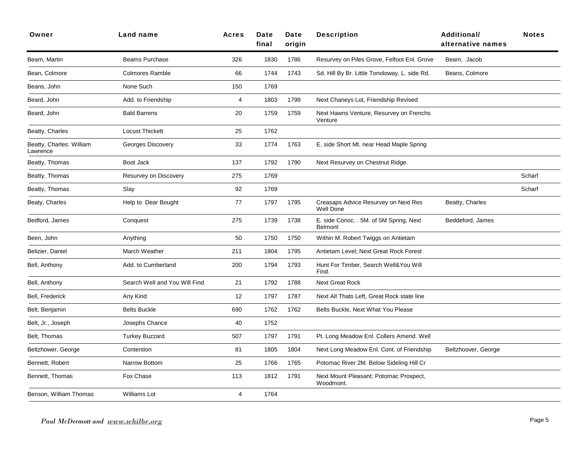| Owner                                | <b>Land name</b>              | <b>Acres</b> | Date<br>final | Date<br>origin | <b>Description</b>                                        | Additional/<br>alternative names | <b>Notes</b> |
|--------------------------------------|-------------------------------|--------------|---------------|----------------|-----------------------------------------------------------|----------------------------------|--------------|
| Beam, Martin                         | Beams Purchase                | 326          | 1830          | 1786           | Resurvey on Piles Grove, Felfoot Enl. Grove               | Beam, Jacob                      |              |
| Bean, Colmore                        | <b>Colmores Ramble</b>        | 66           | 1744          | 1743           | Sd. Hill By Br. Little Tonoloway, L. side Rd.             | Beans, Colmore                   |              |
| Beans, John                          | None Such                     | 150          | 1769          |                |                                                           |                                  |              |
| Beard, John                          | Add. to Friendship            | 4            | 1803          | 1799           | Next Chaneys Lot, Friendship Revised                      |                                  |              |
| Beard, John                          | <b>Bald Barrens</b>           | 20           | 1759          | 1759           | Next Hawns Venture, Resurvey on Frenchs<br>Venture        |                                  |              |
| Beatty, Charles                      | <b>Locust Thickett</b>        | 25           | 1762          |                |                                                           |                                  |              |
| Beatty, Charles: William<br>Lawrence | Georges Discovery             | 33           | 1774          | 1763           | E. side Short Mt. near Head Maple Spring                  |                                  |              |
| Beatty, Thomas                       | Boot Jack                     | 137          | 1792          | 1790           | Next Resurvey on Chestnut Ridge.                          |                                  |              |
| Beatty, Thomas                       | Resurvey on Discovery         | 275          | 1769          |                |                                                           |                                  | Scharf       |
| Beatty, Thomas                       | Slay                          | 92           | 1769          |                |                                                           |                                  | Scharf       |
| Beaty, Charles                       | Help to Dear Bought           | 77           | 1797          | 1795           | Creasaps Advice Resurvey on Next Res<br><b>Well Done</b>  | Beatty, Charles                  |              |
| Bedford, James                       | Conquest                      | 275          | 1739          | 1738           | E. side Conoc. . 5M. of 5M Spring, Next<br><b>Belmont</b> | Beddeford, James                 |              |
| Been, John                           | Anything                      | 50           | 1750          | 1750           | Within M. Robert Twiggs on Antietam                       |                                  |              |
| Belizier, Daniel                     | March Weather                 | 211          | 1804          | 1795           | Antietam Level; Next Great Rock Forest                    |                                  |              |
| Bell, Anthony                        | Add. to Cumberland            | 200          | 1794          | 1793           | Hunt For Timber, Search Well&You Will<br>Find.            |                                  |              |
| Bell, Anthony                        | Search Well and You Will Find | 21           | 1792          | 1788           | <b>Next Great Rock</b>                                    |                                  |              |
| Bell, Frederick                      | Any Kind                      | 12           | 1797          | 1787           | Next All Thats Left, Great Rock state line                |                                  |              |
| Belt, Benjamin                       | <b>Belts Buckle</b>           | 690          | 1762          | 1762           | Belts Buckle, Next What You Please                        |                                  |              |
| Belt, Jr., Joseph                    | Josephs Chance                | 40           | 1752          |                |                                                           |                                  |              |
| Belt, Thomas                         | <b>Turkey Buzzard</b>         | 507          | 1797          | 1791           | Pt. Long Meadow Enl. Collers Amend. Well                  |                                  |              |
| Beltzhower, George                   | Contention                    | 81           | 1805          | 1804           | Next Long Meadow Enl. Cont. of Friendship                 | Beltzhoover, George              |              |
| Bennett, Robert                      | Narrow Bottom                 | 25           | 1766          | 1765           | Potomac River 2M. Below Sideling Hill Cr                  |                                  |              |
| Bennett, Thomas                      | Fox Chase                     | 113          | 1812          | 1791           | Next Mount Pleasant; Potomac Prospect,<br>Woodmont.       |                                  |              |
| Benson, William Thomas               | <b>Williams Lot</b>           | 4            | 1764          |                |                                                           |                                  |              |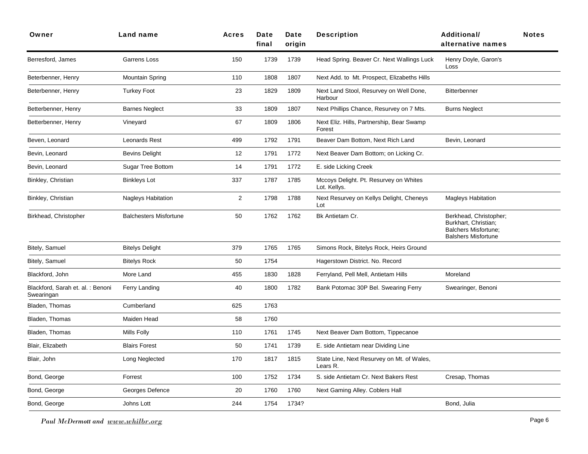| Owner                                           | Land name                     | <b>Acres</b>   | Date<br>final | Date<br>origin | <b>Description</b>                                     | <b>Additional/</b><br>alternative names                                                                     | <b>Notes</b> |
|-------------------------------------------------|-------------------------------|----------------|---------------|----------------|--------------------------------------------------------|-------------------------------------------------------------------------------------------------------------|--------------|
| Berresford, James                               | Garrens Loss                  | 150            | 1739          | 1739           | Head Spring. Beaver Cr. Next Wallings Luck             | Henry Doyle, Garon's<br>Loss                                                                                |              |
| Beterbenner, Henry                              | <b>Mountain Spring</b>        | 110            | 1808          | 1807           | Next Add. to Mt. Prospect, Elizabeths Hills            |                                                                                                             |              |
| Beterbenner, Henry                              | <b>Turkey Foot</b>            | 23             | 1829          | 1809           | Next Land Stool, Resurvey on Well Done,<br>Harbour     | <b>Bitterbenner</b>                                                                                         |              |
| Betterbenner, Henry                             | <b>Barnes Neglect</b>         | 33             | 1809          | 1807           | Next Phillips Chance, Resurvey on 7 Mts.               | <b>Burns Neglect</b>                                                                                        |              |
| Betterbenner, Henry                             | Vineyard                      | 67             | 1809          | 1806           | Next Eliz. Hills, Partnership, Bear Swamp<br>Forest    |                                                                                                             |              |
| Beven, Leonard                                  | <b>Leonards Rest</b>          | 499            | 1792          | 1791           | Beaver Dam Bottom, Next Rich Land                      | Bevin, Leonard                                                                                              |              |
| Bevin, Leonard                                  | <b>Bevins Delight</b>         | 12             | 1791          | 1772           | Next Beaver Dam Bottom; on Licking Cr.                 |                                                                                                             |              |
| Bevin, Leonard                                  | Sugar Tree Bottom             | 14             | 1791          | 1772           | E. side Licking Creek                                  |                                                                                                             |              |
| Binkley, Christian                              | Binkleys Lot                  | 337            | 1787          | 1785           | Mccoys Delight. Pt. Resurvey on Whites<br>Lot. Kellys. |                                                                                                             |              |
| Binkley, Christian                              | <b>Nagleys Habitation</b>     | $\overline{2}$ | 1798          | 1788           | Next Resurvey on Kellys Delight, Cheneys<br>Lot        | <b>Magleys Habitation</b>                                                                                   |              |
| Birkhead, Christopher                           | <b>Balchesters Misfortune</b> | 50             | 1762          | 1762           | Bk Antietam Cr.                                        | Berkhead, Christopher;<br>Burkhart, Christian;<br><b>Balchers Misfortune:</b><br><b>Balshers Misfortune</b> |              |
| Bitely, Samuel                                  | <b>Bitelys Delight</b>        | 379            | 1765          | 1765           | Simons Rock, Bitelys Rock, Heirs Ground                |                                                                                                             |              |
| Bitely, Samuel                                  | <b>Bitelys Rock</b>           | 50             | 1754          |                | Hagerstown District. No. Record                        |                                                                                                             |              |
| Blackford, John                                 | More Land                     | 455            | 1830          | 1828           | Ferryland, Pell Mell, Antietam Hills                   | Moreland                                                                                                    |              |
| Blackford, Sarah et. al. : Benoni<br>Swearingan | Ferry Landing                 | 40             | 1800          | 1782           | Bank Potomac 30P Bel. Swearing Ferry                   | Swearinger, Benoni                                                                                          |              |
| Bladen, Thomas                                  | Cumberland                    | 625            | 1763          |                |                                                        |                                                                                                             |              |
| Bladen, Thomas                                  | Maiden Head                   | 58             | 1760          |                |                                                        |                                                                                                             |              |
| Bladen, Thomas                                  | Mills Folly                   | 110            | 1761          | 1745           | Next Beaver Dam Bottom, Tippecanoe                     |                                                                                                             |              |
| Blair, Elizabeth                                | <b>Blairs Forest</b>          | 50             | 1741          | 1739           | E. side Antietam near Dividing Line                    |                                                                                                             |              |
| Blair, John                                     | Long Neglected                | 170            | 1817          | 1815           | State Line, Next Resurvey on Mt. of Wales,<br>Lears R. |                                                                                                             |              |
| Bond, George                                    | Forrest                       | 100            | 1752          | 1734           | S. side Antietam Cr. Next Bakers Rest                  | Cresap, Thomas                                                                                              |              |
| Bond, George                                    | Georges Defence               | 20             | 1760          | 1760           | Next Gaming Alley. Coblers Hall                        |                                                                                                             |              |
| Bond, George                                    | Johns Lott                    | 244            | 1754          | 1734?          |                                                        | Bond, Julia                                                                                                 |              |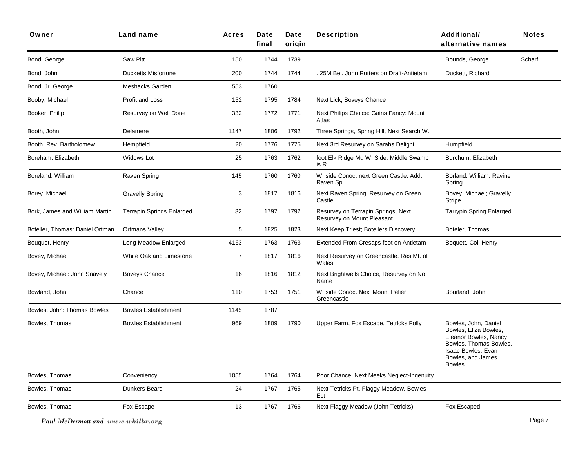| Owner                           | <b>Land name</b>                 | <b>Acres</b>   | Date<br>final | Date<br>origin | <b>Description</b>                                               | <b>Additional/</b><br>alternative names                                                                                                                      | <b>Notes</b> |
|---------------------------------|----------------------------------|----------------|---------------|----------------|------------------------------------------------------------------|--------------------------------------------------------------------------------------------------------------------------------------------------------------|--------------|
| Bond, George                    | Saw Pitt                         | 150            | 1744          | 1739           |                                                                  | Bounds, George                                                                                                                                               | Scharf       |
| Bond, John                      | <b>Ducketts Misfortune</b>       | 200            | 1744          | 1744           | 25M Bel. John Rutters on Draft-Antietam                          | Duckett, Richard                                                                                                                                             |              |
| Bond, Jr. George                | Meshacks Garden                  | 553            | 1760          |                |                                                                  |                                                                                                                                                              |              |
| Booby, Michael                  | Profit and Loss                  | 152            | 1795          | 1784           | Next Lick, Boveys Chance                                         |                                                                                                                                                              |              |
| Booker, Philip                  | Resurvey on Well Done            | 332            | 1772          | 1771           | Next Philips Choice: Gains Fancy: Mount<br>Atlas                 |                                                                                                                                                              |              |
| Booth, John                     | Delamere                         | 1147           | 1806          | 1792           | Three Springs, Spring Hill, Next Search W.                       |                                                                                                                                                              |              |
| Booth, Rev. Bartholomew         | Hempfield                        | 20             | 1776          | 1775           | Next 3rd Resurvey on Sarahs Delight                              | Humpfield                                                                                                                                                    |              |
| Boreham, Elizabeth              | Widows Lot                       | 25             | 1763          | 1762           | foot Elk Ridge Mt. W. Side; Middle Swamp<br>is R                 | Burchum, Elizabeth                                                                                                                                           |              |
| Boreland, William               | Raven Spring                     | 145            | 1760          | 1760           | W. side Conoc. next Green Castle; Add.<br>Raven Sp               | Borland, William; Ravine<br>Spring                                                                                                                           |              |
| Borey, Michael                  | <b>Gravelly Spring</b>           | 3              | 1817          | 1816           | Next Raven Spring, Resurvey on Green<br>Castle                   | Bovey, Michael; Gravelly<br>Stripe                                                                                                                           |              |
| Bork, James and William Martin  | <b>Terrapin Springs Enlarged</b> | 32             | 1797          | 1792           | Resurvey on Terrapin Springs, Next<br>Resurvey on Mount Pleasant | <b>Tarrypin Spring Enlarged</b>                                                                                                                              |              |
| Boteller, Thomas: Daniel Ortman | <b>Ortmans Valley</b>            | 5              | 1825          | 1823           | Next Keep Triest; Botellers Discovery                            | Boteler, Thomas                                                                                                                                              |              |
| Bouquet, Henry                  | Long Meadow Enlarged             | 4163           | 1763          | 1763           | Extended From Cresaps foot on Antietam                           | Boquett, Col. Henry                                                                                                                                          |              |
| Bovey, Michael                  | White Oak and Limestone          | $\overline{7}$ | 1817          | 1816           | Next Resurvey on Greencastle. Res Mt. of<br>Wales                |                                                                                                                                                              |              |
| Bovey, Michael: John Snavely    | <b>Boveys Chance</b>             | 16             | 1816          | 1812           | Next Brightwells Choice, Resurvey on No<br>Name                  |                                                                                                                                                              |              |
| Bowland, John                   | Chance                           | 110            | 1753          | 1751           | W. side Conoc. Next Mount Pelier,<br>Greencastle                 | Bourland, John                                                                                                                                               |              |
| Bowles, John: Thomas Bowles     | <b>Bowles Establishment</b>      | 1145           | 1787          |                |                                                                  |                                                                                                                                                              |              |
| Bowles, Thomas                  | <b>Bowles Establishment</b>      | 969            | 1809          | 1790           | Upper Farm, Fox Escape, Tetricks Folly                           | Bowles, John, Daniel<br>Bowles, Eliza Bowles,<br>Eleanor Bowles, Nancy<br>Bowles, Thomas Bowles,<br>Isaac Bowles, Evan<br>Bowles, and James<br><b>Bowles</b> |              |
| Bowles, Thomas                  | Conveniency                      | 1055           | 1764          | 1764           | Poor Chance, Next Meeks Neglect-Ingenuity                        |                                                                                                                                                              |              |
| Bowles, Thomas                  | Dunkers Beard                    | 24             | 1767          | 1765           | Next Tetricks Pt. Flaggy Meadow, Bowles<br>Est                   |                                                                                                                                                              |              |
| Bowles, Thomas                  | Fox Escape                       | 13             | 1767          | 1766           | Next Flaggy Meadow (John Tetricks)                               | Fox Escaped                                                                                                                                                  |              |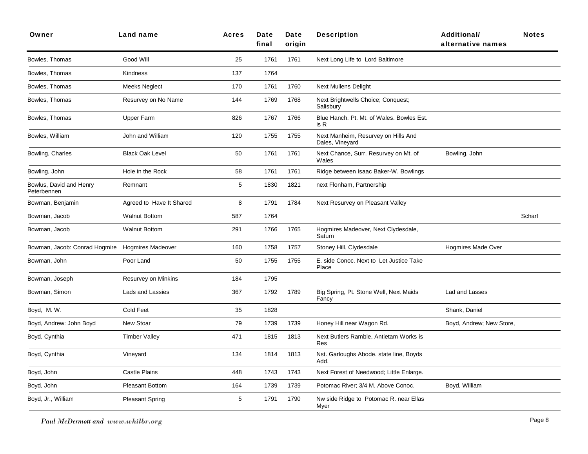| Owner                                  | Land name                  | <b>Acres</b> | Date<br>final | Date<br>origin | <b>Description</b>                                     | <b>Additional/</b><br>alternative names | <b>Notes</b> |
|----------------------------------------|----------------------------|--------------|---------------|----------------|--------------------------------------------------------|-----------------------------------------|--------------|
| Bowles, Thomas                         | Good Will                  | 25           | 1761          | 1761           | Next Long Life to Lord Baltimore                       |                                         |              |
| Bowles, Thomas                         | Kindness                   | 137          | 1764          |                |                                                        |                                         |              |
| Bowles, Thomas                         | Meeks Neglect              | 170          | 1761          | 1760           | <b>Next Mullens Delight</b>                            |                                         |              |
| Bowles, Thomas                         | Resurvey on No Name        | 144          | 1769          | 1768           | Next Brightwells Choice; Conquest;<br>Salisbury        |                                         |              |
| Bowles, Thomas                         | <b>Upper Farm</b>          | 826          | 1767          | 1766           | Blue Hanch. Pt. Mt. of Wales. Bowles Est.<br>is R      |                                         |              |
| Bowles, William                        | John and William           | 120          | 1755          | 1755           | Next Manheim, Resurvey on Hills And<br>Dales, Vineyard |                                         |              |
| Bowling, Charles                       | <b>Black Oak Level</b>     | 50           | 1761          | 1761           | Next Chance, Surr. Resurvey on Mt. of<br>Wales         | Bowling, John                           |              |
| Bowling, John                          | Hole in the Rock           | 58           | 1761          | 1761           | Ridge between Isaac Baker-W. Bowlings                  |                                         |              |
| Bowlus, David and Henry<br>Peterbennen | Remnant                    | 5            | 1830          | 1821           | next Flonham, Partnership                              |                                         |              |
| Bowman, Benjamin                       | Agreed to Have It Shared   | 8            | 1791          | 1784           | Next Resurvey on Pleasant Valley                       |                                         |              |
| Bowman, Jacob                          | <b>Walnut Bottom</b>       | 587          | 1764          |                |                                                        |                                         | Scharf       |
| Bowman, Jacob                          | <b>Walnut Bottom</b>       | 291          | 1766          | 1765           | Hogmires Madeover, Next Clydesdale,<br>Saturn          |                                         |              |
| Bowman, Jacob: Conrad Hogmire          | <b>Hogmires Madeover</b>   | 160          | 1758          | 1757           | Stoney Hill, Clydesdale                                | <b>Hogmires Made Over</b>               |              |
| Bowman, John                           | Poor Land                  | 50           | 1755          | 1755           | E. side Conoc. Next to Let Justice Take<br>Place       |                                         |              |
| Bowman, Joseph                         | <b>Resurvey on Minkins</b> | 184          | 1795          |                |                                                        |                                         |              |
| Bowman, Simon                          | Lads and Lassies           | 367          | 1792          | 1789           | Big Spring, Pt. Stone Well, Next Maids<br>Fancy        | Lad and Lasses                          |              |
| Boyd, M.W.                             | Cold Feet                  | 35           | 1828          |                |                                                        | Shank, Daniel                           |              |
| Boyd, Andrew: John Boyd                | New Stoar                  | 79           | 1739          | 1739           | Honey Hill near Wagon Rd.                              | Boyd, Andrew; New Store,                |              |
| Boyd, Cynthia                          | <b>Timber Valley</b>       | 471          | 1815          | 1813           | Next Butlers Ramble, Antietam Works is<br>Res          |                                         |              |
| Boyd, Cynthia                          | Vineyard                   | 134          | 1814          | 1813           | Nst. Garloughs Abode. state line, Boyds<br>Add.        |                                         |              |
| Boyd, John                             | <b>Castle Plains</b>       | 448          | 1743          | 1743           | Next Forest of Needwood; Little Enlarge.               |                                         |              |
| Boyd, John                             | <b>Pleasant Bottom</b>     | 164          | 1739          | 1739           | Potomac River; 3/4 M. Above Conoc.                     | Boyd, William                           |              |
| Boyd, Jr., William                     | <b>Pleasant Spring</b>     | 5            | 1791          | 1790           | Nw side Ridge to Potomac R. near Ellas<br>Myer         |                                         |              |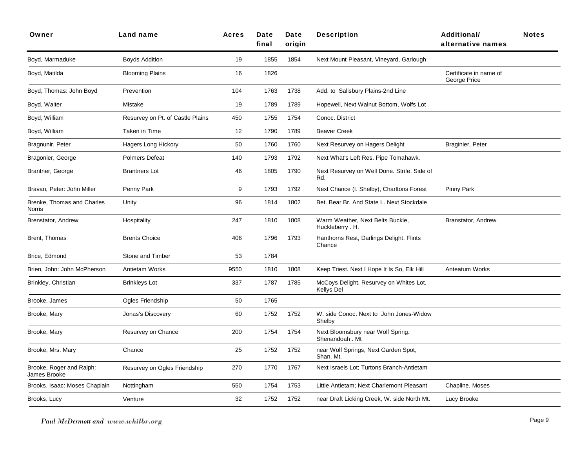| Owner                                    | <b>Land name</b>                 | <b>Acres</b> | Date<br>final | Date<br>origin | <b>Description</b>                                           | <b>Additional/</b><br>alternative names | <b>Notes</b> |
|------------------------------------------|----------------------------------|--------------|---------------|----------------|--------------------------------------------------------------|-----------------------------------------|--------------|
| Boyd, Marmaduke                          | <b>Boyds Addition</b>            | 19           | 1855          | 1854           | Next Mount Pleasant, Vineyard, Garlough                      |                                         |              |
| Boyd, Matilda                            | <b>Blooming Plains</b>           | 16           | 1826          |                |                                                              | Certificate in name of<br>George Price  |              |
| Boyd, Thomas: John Boyd                  | Prevention                       | 104          | 1763          | 1738           | Add. to Salisbury Plains-2nd Line                            |                                         |              |
| Boyd, Walter                             | Mistake                          | 19           | 1789          | 1789           | Hopewell, Next Walnut Bottom, Wolfs Lot                      |                                         |              |
| Boyd, William                            | Resurvey on Pt. of Castle Plains | 450          | 1755          | 1754           | Conoc. District                                              |                                         |              |
| Boyd, William                            | Taken in Time                    | 12           | 1790          | 1789           | <b>Beaver Creek</b>                                          |                                         |              |
| Bragnunir, Peter                         | Hagers Long Hickory              | 50           | 1760          | 1760           | Next Resurvey on Hagers Delight                              | Braginier, Peter                        |              |
| Bragonier, George                        | <b>Polmers Defeat</b>            | 140          | 1793          | 1792           | Next What's Left Res. Pipe Tomahawk.                         |                                         |              |
| Brantner, George                         | <b>Brantners Lot</b>             | 46           | 1805          | 1790           | Next Resurvey on Well Done. Strife. Side of<br>Rd.           |                                         |              |
| Bravan, Peter: John Miller               | Penny Park                       | 9            | 1793          | 1792           | Next Chance (I. Shelby), Charltons Forest                    | Pinny Park                              |              |
| Brenke, Thomas and Charles<br>Norris     | Unity                            | 96           | 1814          | 1802           | Bet. Bear Br. And State L. Next Stockdale                    |                                         |              |
| Brenstator, Andrew                       | Hospitality                      | 247          | 1810          | 1808           | Warm Weather, Next Belts Buckle,<br>Huckleberry . H.         | Branstator, Andrew                      |              |
| Brent, Thomas                            | <b>Brents Choice</b>             | 406          | 1796          | 1793           | Hanthorns Rest, Darlings Delight, Flints<br>Chance           |                                         |              |
| Brice, Edmond                            | Stone and Timber                 | 53           | 1784          |                |                                                              |                                         |              |
| Brien, John: John McPherson              | Antietam Works                   | 9550         | 1810          | 1808           | Keep Triest. Next I Hope It Is So, Elk Hill                  | Anteatum Works                          |              |
| Brinkley, Christian                      | <b>Brinkleys Lot</b>             | 337          | 1787          | 1785           | McCoys Delight, Resurvey on Whites Lot.<br><b>Kellys Del</b> |                                         |              |
| Brooke, James                            | Ogles Friendship                 | 50           | 1765          |                |                                                              |                                         |              |
| Brooke, Mary                             | Jonas's Discovery                | 60           | 1752          | 1752           | W. side Conoc. Next to John Jones-Widow<br>Shelby            |                                         |              |
| Brooke, Mary                             | Resurvey on Chance               | 200          | 1754          | 1754           | Next Bloomsbury near Wolf Spring.<br>Shenandoah . Mt         |                                         |              |
| Brooke, Mrs. Mary                        | Chance                           | 25           | 1752          | 1752           | near Wolf Springs, Next Garden Spot,<br>Shan. Mt.            |                                         |              |
| Brooke, Roger and Ralph:<br>James Brooke | Resurvey on Ogles Friendship     | 270          | 1770          | 1767           | Next Israels Lot; Turtons Branch-Antietam                    |                                         |              |
| Brooks, Isaac: Moses Chaplain            | Nottingham                       | 550          | 1754          | 1753           | Little Antietam; Next Charlemont Pleasant                    | Chapline, Moses                         |              |
| Brooks, Lucy                             | Venture                          | 32           | 1752          | 1752           | near Draft Licking Creek, W. side North Mt.                  | Lucy Brooke                             |              |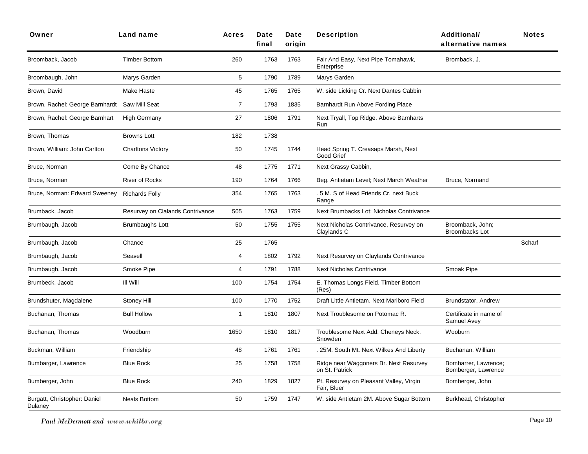| Owner                                   | Land name                        | <b>Acres</b>   | Date<br>final | Date<br>origin | <b>Description</b>                                       | <b>Additional/</b><br>alternative names     | <b>Notes</b> |
|-----------------------------------------|----------------------------------|----------------|---------------|----------------|----------------------------------------------------------|---------------------------------------------|--------------|
| Broomback, Jacob                        | <b>Timber Bottom</b>             | 260            | 1763          | 1763           | Fair And Easy, Next Pipe Tomahawk,<br>Enterprise         | Bromback, J.                                |              |
| Broombaugh, John                        | Marys Garden                     | 5              | 1790          | 1789           | Marys Garden                                             |                                             |              |
| Brown, David                            | Make Haste                       | 45             | 1765          | 1765           | W. side Licking Cr. Next Dantes Cabbin                   |                                             |              |
| Brown, Rachel: George Barnhardt         | Saw Mill Seat                    | $\overline{7}$ | 1793          | 1835           | Barnhardt Run Above Fording Place                        |                                             |              |
| Brown, Rachel: George Barnhart          | <b>High Germany</b>              | 27             | 1806          | 1791           | Next Tryall, Top Ridge. Above Barnharts<br>Run           |                                             |              |
| Brown, Thomas                           | <b>Browns Lott</b>               | 182            | 1738          |                |                                                          |                                             |              |
| Brown, William: John Carlton            | <b>Charltons Victory</b>         | 50             | 1745          | 1744           | Head Spring T. Creasaps Marsh, Next<br>Good Grief        |                                             |              |
| Bruce, Norman                           | Come By Chance                   | 48             | 1775          | 1771           | Next Grassy Cabbin,                                      |                                             |              |
| Bruce, Norman                           | <b>River of Rocks</b>            | 190            | 1764          | 1766           | Beg. Antietam Level; Next March Weather                  | Bruce, Normand                              |              |
| Bruce, Norman: Edward Sweeney           | <b>Richards Folly</b>            | 354            | 1765          | 1763           | . 5 M. S of Head Friends Cr. next Buck<br>Range          |                                             |              |
| Brumback, Jacob                         | Resurvey on Clalands Contrivance | 505            | 1763          | 1759           | Next Brumbacks Lot: Nicholas Contrivance                 |                                             |              |
| Brumbaugh, Jacob                        | <b>Brumbaughs Lott</b>           | 50             | 1755          | 1755           | Next Nicholas Contrivance, Resurvey on<br>Claylands C    | Broomback, John;<br><b>Broombacks Lot</b>   |              |
| Brumbaugh, Jacob                        | Chance                           | 25             | 1765          |                |                                                          |                                             | Scharf       |
| Brumbaugh, Jacob                        | Seavell                          | $\overline{4}$ | 1802          | 1792           | Next Resurvey on Claylands Contrivance                   |                                             |              |
| Brumbaugh, Jacob                        | Smoke Pipe                       | 4              | 1791          | 1788           | <b>Next Nicholas Contrivance</b>                         | Smoak Pipe                                  |              |
| Brumbeck, Jacob                         | III Will                         | 100            | 1754          | 1754           | E. Thomas Longs Field. Timber Bottom<br>(Res)            |                                             |              |
| Brundshuter, Magdalene                  | Stoney Hill                      | 100            | 1770          | 1752           | Draft Little Antietam. Next Marlboro Field               | <b>Brundstator, Andrew</b>                  |              |
| Buchanan, Thomas                        | <b>Bull Hollow</b>               | $\mathbf{1}$   | 1810          | 1807           | Next Troublesome on Potomac R.                           | Certificate in name of<br>Samuel Avey       |              |
| Buchanan, Thomas                        | Woodburn                         | 1650           | 1810          | 1817           | Troublesome Next Add. Cheneys Neck,<br>Snowden           | Wooburn                                     |              |
| Buckman, William                        | Friendship                       | 48             | 1761          | 1761           | . 25M. South Mt. Next Wilkes And Liberty                 | Buchanan, William                           |              |
| Bumbarger, Lawrence                     | <b>Blue Rock</b>                 | 25             | 1758          | 1758           | Ridge near Waggoners Br. Next Resurvey<br>on St. Patrick | Bombarrer, Lawrence;<br>Bomberger, Lawrence |              |
| Bumberger, John                         | <b>Blue Rock</b>                 | 240            | 1829          | 1827           | Pt. Resurvey on Pleasant Valley, Virgin<br>Fair, Bluer   | Bomberger, John                             |              |
| Burgatt, Christopher: Daniel<br>Dulaney | <b>Neals Bottom</b>              | 50             | 1759          | 1747           | W. side Antietam 2M. Above Sugar Bottom                  | Burkhead, Christopher                       |              |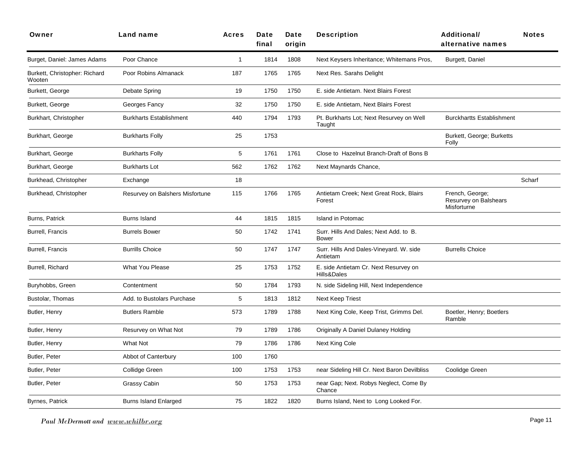| Owner                                   | Land name                       | <b>Acres</b> | Date<br>final | Date<br>origin | <b>Description</b>                                     | <b>Additional/</b><br>alternative names                 | <b>Notes</b> |
|-----------------------------------------|---------------------------------|--------------|---------------|----------------|--------------------------------------------------------|---------------------------------------------------------|--------------|
| Burget, Daniel: James Adams             | Poor Chance                     | $\mathbf{1}$ | 1814          | 1808           | Next Keysers Inheritance; Whitemans Pros,              | Burgett, Daniel                                         |              |
| Burkett, Christopher: Richard<br>Wooten | Poor Robins Almanack            | 187          | 1765          | 1765           | Next Res. Sarahs Delight                               |                                                         |              |
| Burkett, George                         | Debate Spring                   | 19           | 1750          | 1750           | E. side Antietam. Next Blairs Forest                   |                                                         |              |
| Burkett, George                         | Georges Fancy                   | 32           | 1750          | 1750           | E. side Antietam, Next Blairs Forest                   |                                                         |              |
| Burkhart, Christopher                   | <b>Burkharts Establishment</b>  | 440          | 1794          | 1793           | Pt. Burkharts Lot; Next Resurvey on Well<br>Taught     | <b>Burckhartts Establishment</b>                        |              |
| Burkhart, George                        | <b>Burkharts Folly</b>          | 25           | 1753          |                |                                                        | Burkett, George; Burketts<br>Folly                      |              |
| Burkhart, George                        | <b>Burkharts Folly</b>          | 5            | 1761          | 1761           | Close to Hazelnut Branch-Draft of Bons B               |                                                         |              |
| Burkhart, George                        | <b>Burkharts Lot</b>            | 562          | 1762          | 1762           | Next Maynards Chance,                                  |                                                         |              |
| Burkhead, Christopher                   | Exchange                        | 18           |               |                |                                                        |                                                         | Scharf       |
| Burkhead, Christopher                   | Resurvey on Balshers Misfortune | 115          | 1766          | 1765           | Antietam Creek; Next Great Rock, Blairs<br>Forest      | French, George;<br>Resurvey on Balshears<br>Misforturne |              |
| Burns, Patrick                          | <b>Burns Island</b>             | 44           | 1815          | 1815           | Island in Potomac                                      |                                                         |              |
| Burrell, Francis                        | <b>Burrels Bower</b>            | 50           | 1742          | 1741           | Surr. Hills And Dales; Next Add. to B.<br><b>Bower</b> |                                                         |              |
| Burrell, Francis                        | <b>Burrills Choice</b>          | 50           | 1747          | 1747           | Surr. Hills And Dales-Vineyard. W. side<br>Antietam    | <b>Burrells Choice</b>                                  |              |
| Burrell, Richard                        | What You Please                 | 25           | 1753          | 1752           | E. side Antietam Cr. Next Resurvey on<br>Hills&Dales   |                                                         |              |
| Buryhobbs, Green                        | Contentment                     | 50           | 1784          | 1793           | N. side Sideling Hill, Next Independence               |                                                         |              |
| Bustolar, Thomas                        | Add. to Bustolars Purchase      | 5            | 1813          | 1812           | <b>Next Keep Triest</b>                                |                                                         |              |
| Butler, Henry                           | <b>Butlers Ramble</b>           | 573          | 1789          | 1788           | Next King Cole, Keep Trist, Grimms Del.                | Boetler, Henry; Boetlers<br>Ramble                      |              |
| Butler, Henry                           | Resurvey on What Not            | 79           | 1789          | 1786           | Originally A Daniel Dulaney Holding                    |                                                         |              |
| Butler, Henry                           | <b>What Not</b>                 | 79           | 1786          | 1786           | Next King Cole                                         |                                                         |              |
| Butler, Peter                           | Abbot of Canterbury             | 100          | 1760          |                |                                                        |                                                         |              |
| Butler, Peter                           | Collidge Green                  | 100          | 1753          | 1753           | near Sideling Hill Cr. Next Baron Devilbliss           | Coolidge Green                                          |              |
| Butler, Peter                           | Grassy Cabin                    | 50           | 1753          | 1753           | near Gap; Next. Robys Neglect, Come By<br>Chance       |                                                         |              |
| Byrnes, Patrick                         | Burns Island Enlarged           | 75           | 1822          | 1820           | Burns Island, Next to Long Looked For.                 |                                                         |              |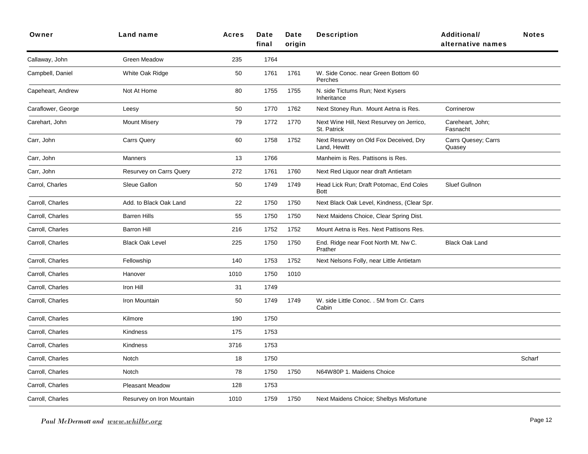| Owner              | Land name                 | <b>Acres</b> | Date<br>final | Date<br>origin | <b>Description</b>                                       | <b>Additional/</b><br>alternative names | <b>Notes</b> |
|--------------------|---------------------------|--------------|---------------|----------------|----------------------------------------------------------|-----------------------------------------|--------------|
| Callaway, John     | Green Meadow              | 235          | 1764          |                |                                                          |                                         |              |
| Campbell, Daniel   | White Oak Ridge           | 50           | 1761          | 1761           | W. Side Conoc. near Green Bottom 60<br>Perches           |                                         |              |
| Capeheart, Andrew  | Not At Home               | 80           | 1755          | 1755           | N. side Tictums Run; Next Kysers<br>Inheritance          |                                         |              |
| Caraflower, George | Leesy                     | 50           | 1770          | 1762           | Next Stoney Run. Mount Aetna is Res.                     | Corrinerow                              |              |
| Carehart, John     | <b>Mount Misery</b>       | 79           | 1772          | 1770           | Next Wine Hill, Next Resurvey on Jerrico,<br>St. Patrick | Careheart, John;<br>Fasnacht            |              |
| Carr, John         | <b>Carrs Query</b>        | 60           | 1758          | 1752           | Next Resurvey on Old Fox Deceived, Dry<br>Land, Hewitt   | Carrs Quesey; Carrs<br>Quasey           |              |
| Carr, John         | Manners                   | 13           | 1766          |                | Manheim is Res. Pattisons is Res.                        |                                         |              |
| Carr, John         | Resurvey on Carrs Query   | 272          | 1761          | 1760           | Next Red Liquor near draft Antietam                      |                                         |              |
| Carrol, Charles    | Sleue Gallon              | 50           | 1749          | 1749           | Head Lick Run; Draft Potomac, End Coles<br><b>Bott</b>   | Sluef Gullnon                           |              |
| Carroll, Charles   | Add. to Black Oak Land    | 22           | 1750          | 1750           | Next Black Oak Level, Kindness, (Clear Spr.              |                                         |              |
| Carroll, Charles   | <b>Barren Hills</b>       | 55           | 1750          | 1750           | Next Maidens Choice, Clear Spring Dist.                  |                                         |              |
| Carroll, Charles   | <b>Barron Hill</b>        | 216          | 1752          | 1752           | Mount Aetna is Res. Next Pattisons Res.                  |                                         |              |
| Carroll, Charles   | <b>Black Oak Level</b>    | 225          | 1750          | 1750           | End. Ridge near Foot North Mt. Nw C.<br>Prather          | <b>Black Oak Land</b>                   |              |
| Carroll, Charles   | Fellowship                | 140          | 1753          | 1752           | Next Nelsons Folly, near Little Antietam                 |                                         |              |
| Carroll, Charles   | Hanover                   | 1010         | 1750          | 1010           |                                                          |                                         |              |
| Carroll, Charles   | Iron Hill                 | 31           | 1749          |                |                                                          |                                         |              |
| Carroll, Charles   | Iron Mountain             | 50           | 1749          | 1749           | W. side Little Conoc. . 5M from Cr. Carrs<br>Cabin       |                                         |              |
| Carroll, Charles   | Kilmore                   | 190          | 1750          |                |                                                          |                                         |              |
| Carroll, Charles   | Kindness                  | 175          | 1753          |                |                                                          |                                         |              |
| Carroll, Charles   | Kindness                  | 3716         | 1753          |                |                                                          |                                         |              |
| Carroll, Charles   | Notch                     | 18           | 1750          |                |                                                          |                                         | Scharf       |
| Carroll, Charles   | Notch                     | 78           | 1750          | 1750           | N64W80P 1. Maidens Choice                                |                                         |              |
| Carroll, Charles   | <b>Pleasant Meadow</b>    | 128          | 1753          |                |                                                          |                                         |              |
| Carroll, Charles   | Resurvey on Iron Mountain | 1010         | 1759          | 1750           | Next Maidens Choice; Shelbys Misfortune                  |                                         |              |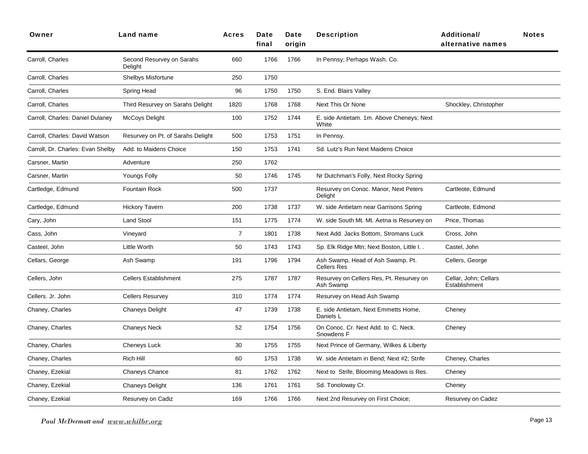| Owner                             | Land name                            | <b>Acres</b>   | Date<br>final | Date<br>origin | <b>Description</b>                                      | <b>Additional/</b><br>alternative names | <b>Notes</b> |
|-----------------------------------|--------------------------------------|----------------|---------------|----------------|---------------------------------------------------------|-----------------------------------------|--------------|
| Carroll, Charles                  | Second Resurvey on Sarahs<br>Delight | 660            | 1766          | 1766           | In Pennsy; Perhaps Wash. Co.                            |                                         |              |
| Carroll, Charles                  | <b>Shelbys Misfortune</b>            | 250            | 1750          |                |                                                         |                                         |              |
| Carroll, Charles                  | Spring Head                          | 96             | 1750          | 1750           | S. End. Blairs Valley                                   |                                         |              |
| Carroll, Charles                  | Third Resurvey on Sarahs Delight     | 1820           | 1768          | 1768           | Next This Or None                                       | Shockley, Christopher                   |              |
| Carroll, Charles: Daniel Dulaney  | <b>McCoys Delight</b>                | 100            | 1752          | 1744           | E. side Antietam. 1m. Above Cheneys; Next<br>White      |                                         |              |
| Carroll, Charles: David Watson    | Resurvey on Pt. of Sarahs Delight    | 500            | 1753          | 1751           | In Pennsy.                                              |                                         |              |
| Carroll, Dr. Charles: Evan Shelby | Add. to Maidens Choice               | 150            | 1753          | 1741           | Sd. Lutz's Run Next Maidens Choice                      |                                         |              |
| Carsner, Martin                   | Adventure                            | 250            | 1762          |                |                                                         |                                         |              |
| Carsner, Martin                   | <b>Youngs Folly</b>                  | 50             | 1746          | 1745           | Nr Dutchman's Folly, Next Rocky Spring                  |                                         |              |
| Cartledge, Edmund                 | <b>Fountain Rock</b>                 | 500            | 1737          |                | Resurvey on Conoc. Manor, Next Peters<br>Delight        | Cartleote, Edmund                       |              |
| Cartledge, Edmund                 | <b>Hickory Tavern</b>                | 200            | 1738          | 1737           | W. side Antietam near Garrisons Spring                  | Cartleote, Edmond                       |              |
| Cary, John                        | <b>Land Stool</b>                    | 151            | 1775          | 1774           | W. side South Mt. Mt. Aetna is Resurvey on              | Price, Thomas                           |              |
| Cass, John                        | Vineyard                             | $\overline{7}$ | 1801          | 1738           | Next Add. Jacks Bottom, Stromans Luck                   | Cross, John                             |              |
| Casteel, John                     | Little Worth                         | 50             | 1743          | 1743           | Sp. Elk Ridge Mtn; Next Boston, Little I. .             | Castel, John                            |              |
| Cellars, George                   | Ash Swamp                            | 191            | 1796          | 1794           | Ash Swamp, Head of Ash Swamp. Pt.<br><b>Cellers Res</b> | Cellers, George                         |              |
| Cellers, John                     | <b>Cellers Establishment</b>         | 275            | 1787          | 1787           | Resurvey on Cellers Res, Pt. Resurvey on<br>Ash Swamp   | Cellar, John; Cellars<br>Establishment  |              |
| Cellers. Jr. John                 | <b>Cellers Resurvey</b>              | 310            | 1774          | 1774           | Resurvey on Head Ash Swamp                              |                                         |              |
| Chaney, Charles                   | <b>Chaneys Delight</b>               | 47             | 1739          | 1738           | E. side Antietam, Next Emmetts Home,<br>Daniels L       | Cheney                                  |              |
| Chaney, Charles                   | <b>Chaneys Neck</b>                  | 52             | 1754          | 1756           | On Conoc. Cr. Next Add. to C. Neck.<br>Snowdens F       | Cheney                                  |              |
| Chaney, Charles                   | Cheneys Luck                         | 30             | 1755          | 1755           | Next Prince of Germany, Wilkes & Liberty                |                                         |              |
| Chaney, Charles                   | Rich Hill                            | 60             | 1753          | 1738           | W. side Antietam in Bend; Next #2; Strife               | Cheney, Charles                         |              |
| Chaney, Ezekial                   | <b>Chaneys Chance</b>                | 81             | 1762          | 1762           | Next to Strife, Blooming Meadows is Res.                | Cheney                                  |              |
| Chaney, Ezekial                   | <b>Chaneys Delight</b>               | 136            | 1761          | 1761           | Sd. Tonoloway Cr.                                       | Cheney                                  |              |
| Chaney, Ezekial                   | Resurvey on Cadiz                    | 169            | 1766          | 1766           | Next 2nd Resurvey on First Choice;                      | Resurvey on Cadez                       |              |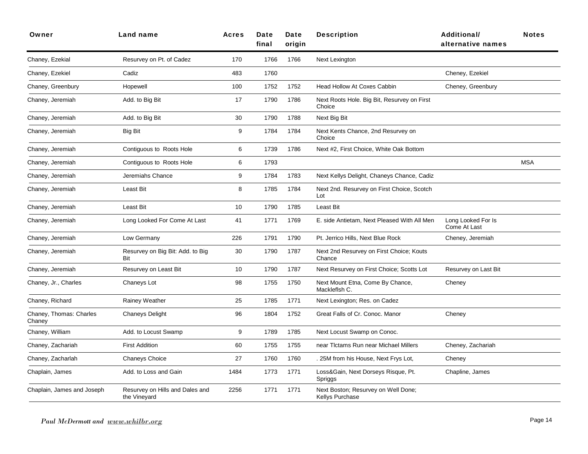| Owner                             | Land name                                       | <b>Acres</b> | <b>Date</b><br>final | Date<br>origin | <b>Description</b>                                     | Additional/<br>alternative names   | <b>Notes</b> |
|-----------------------------------|-------------------------------------------------|--------------|----------------------|----------------|--------------------------------------------------------|------------------------------------|--------------|
| Chaney, Ezekial                   | Resurvey on Pt. of Cadez                        | 170          | 1766                 | 1766           | Next Lexington                                         |                                    |              |
| Chaney, Ezekiel                   | Cadiz                                           | 483          | 1760                 |                |                                                        | Cheney, Ezekiel                    |              |
| Chaney, Greenbury                 | Hopewell                                        | 100          | 1752                 | 1752           | Head Hollow At Coxes Cabbin                            | Cheney, Greenbury                  |              |
| Chaney, Jeremiah                  | Add. to Big Bit                                 | 17           | 1790                 | 1786           | Next Roots Hole. Big Bit, Resurvey on First<br>Choice  |                                    |              |
| Chaney, Jeremiah                  | Add. to Big Bit                                 | 30           | 1790                 | 1788           | Next Big Bit                                           |                                    |              |
| Chaney, Jeremiah                  | Big Bit                                         | 9            | 1784                 | 1784           | Next Kents Chance, 2nd Resurvey on<br>Choice           |                                    |              |
| Chaney, Jeremiah                  | Contiguous to Roots Hole                        | 6            | 1739                 | 1786           | Next #2, First Choice, White Oak Bottom                |                                    |              |
| Chaney, Jeremiah                  | Contiguous to Roots Hole                        | 6            | 1793                 |                |                                                        |                                    | <b>MSA</b>   |
| Chaney, Jeremiah                  | Jeremiahs Chance                                | 9            | 1784                 | 1783           | Next Kellys Delight, Chaneys Chance, Cadiz             |                                    |              |
| Chaney, Jeremiah                  | Least Bit                                       | 8            | 1785                 | 1784           | Next 2nd. Resurvey on First Choice, Scotch<br>Lot      |                                    |              |
| Chaney, Jeremiah                  | <b>Least Bit</b>                                | 10           | 1790                 | 1785           | Least Bit                                              |                                    |              |
| Chaney, Jeremiah                  | Long Looked For Come At Last                    | 41           | 1771                 | 1769           | E. side Antietam, Next Pleased With All Men            | Long Looked For Is<br>Come At Last |              |
| Chaney, Jeremiah                  | Low Germany                                     | 226          | 1791                 | 1790           | Pt. Jerrico Hills, Next Blue Rock                      | Cheney, Jeremiah                   |              |
| Chaney, Jeremiah                  | Resurvey on Big Bit: Add. to Big<br>Bit         | 30           | 1790                 | 1787           | Next 2nd Resurvey on First Choice; Kouts<br>Chance     |                                    |              |
| Chaney, Jeremiah                  | Resurvey on Least Bit                           | 10           | 1790                 | 1787           | Next Resurvey on First Choice; Scotts Lot              | Resurvey on Last Bit               |              |
| Chaney, Jr., Charles              | Chaneys Lot                                     | 98           | 1755                 | 1750           | Next Mount Etna, Come By Chance,<br>Mackleflsh C.      | Cheney                             |              |
| Chaney, Richard                   | Rainey Weather                                  | 25           | 1785                 | 1771           | Next Lexington; Res. on Cadez                          |                                    |              |
| Chaney, Thomas: Charles<br>Chaney | <b>Chaneys Delight</b>                          | 96           | 1804                 | 1752           | Great Falls of Cr. Conoc. Manor                        | Cheney                             |              |
| Chaney, William                   | Add. to Locust Swamp                            | 9            | 1789                 | 1785           | Next Locust Swamp on Conoc.                            |                                    |              |
| Chaney, Zachariah                 | <b>First Addition</b>                           | 60           | 1755                 | 1755           | near Tictams Run near Michael Millers                  | Cheney, Zachariah                  |              |
| Chaney, Zacharlah                 | <b>Chaneys Choice</b>                           | 27           | 1760                 | 1760           | . 25M from his House, Next Frys Lot,                   | Cheney                             |              |
| Chaplain, James                   | Add. to Loss and Gain                           | 1484         | 1773                 | 1771           | Loss&Gain, Next Dorseys Risque, Pt.<br>Spriggs         | Chapline, James                    |              |
| Chaplain, James and Joseph        | Resurvey on Hills and Dales and<br>the Vineyard | 2256         | 1771                 | 1771           | Next Boston; Resurvey on Well Done;<br>Kellys Purchase |                                    |              |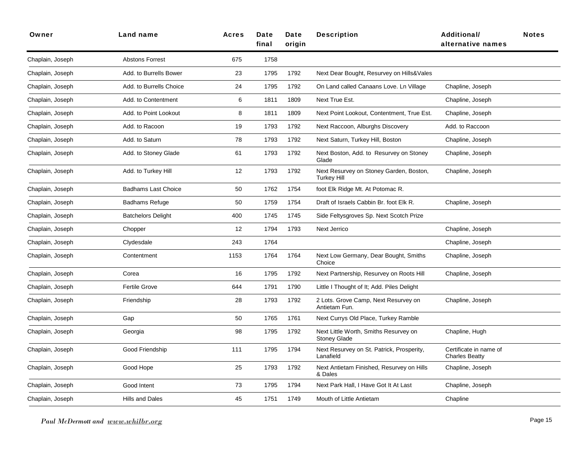| Owner            | <b>Land name</b>           | Acres | Date<br>final | <b>Date</b><br>oriain | <b>Description</b>                                            | Additional/<br>alternative names                | <b>Notes</b> |
|------------------|----------------------------|-------|---------------|-----------------------|---------------------------------------------------------------|-------------------------------------------------|--------------|
| Chaplain, Joseph | <b>Abstons Forrest</b>     | 675   | 1758          |                       |                                                               |                                                 |              |
| Chaplain, Joseph | Add. to Burrells Bower     | 23    | 1795          | 1792                  | Next Dear Bought, Resurvey on Hills&Vales                     |                                                 |              |
| Chaplain, Joseph | Add, to Burrells Choice    | 24    | 1795          | 1792                  | On Land called Canaans Love. Ln Village                       | Chapline, Joseph                                |              |
| Chaplain, Joseph | Add. to Contentment        | 6     | 1811          | 1809                  | Next True Est.                                                | Chapline, Joseph                                |              |
| Chaplain, Joseph | Add. to Point Lookout      | 8     | 1811          | 1809                  | Next Point Lookout, Contentment, True Est.                    | Chapline, Joseph                                |              |
| Chaplain, Joseph | Add. to Racoon             | 19    | 1793          | 1792                  | Next Raccoon, Alburghs Discovery                              | Add. to Raccoon                                 |              |
| Chaplain, Joseph | Add. to Saturn             | 78    | 1793          | 1792                  | Next Saturn, Turkey Hill, Boston                              | Chapline, Joseph                                |              |
| Chaplain, Joseph | Add. to Stoney Glade       | 61    | 1793          | 1792                  | Next Boston, Add. to Resurvey on Stoney<br>Glade              | Chapline, Joseph                                |              |
| Chaplain, Joseph | Add. to Turkey Hill        | 12    | 1793          | 1792                  | Next Resurvey on Stoney Garden, Boston,<br><b>Turkey Hill</b> | Chapline, Joseph                                |              |
| Chaplain, Joseph | <b>Badhams Last Choice</b> | 50    | 1762          | 1754                  | foot Elk Ridge Mt. At Potomac R.                              |                                                 |              |
| Chaplain, Joseph | <b>Badhams Refuge</b>      | 50    | 1759          | 1754                  | Draft of Israels Cabbin Br. foot Elk R.                       | Chapline, Joseph                                |              |
| Chaplain, Joseph | <b>Batchelors Delight</b>  | 400   | 1745          | 1745                  | Side Feltysgroves Sp. Next Scotch Prize                       |                                                 |              |
| Chaplain, Joseph | Chopper                    | 12    | 1794          | 1793                  | Next Jerrico                                                  | Chapline, Joseph                                |              |
| Chaplain, Joseph | Clydesdale                 | 243   | 1764          |                       |                                                               | Chapline, Joseph                                |              |
| Chaplain, Joseph | Contentment                | 1153  | 1764          | 1764                  | Next Low Germany, Dear Bought, Smiths<br>Choice               | Chapline, Joseph                                |              |
| Chaplain, Joseph | Corea                      | 16    | 1795          | 1792                  | Next Partnership, Resurvey on Roots Hill                      | Chapline, Joseph                                |              |
| Chaplain, Joseph | <b>Fertile Grove</b>       | 644   | 1791          | 1790                  | Little I Thought of It; Add. Piles Delight                    |                                                 |              |
| Chaplain, Joseph | Friendship                 | 28    | 1793          | 1792                  | 2 Lots. Grove Camp, Next Resurvey on<br>Antietam Fun.         | Chapline, Joseph                                |              |
| Chaplain, Joseph | Gap                        | 50    | 1765          | 1761                  | Next Currys Old Place, Turkey Ramble                          |                                                 |              |
| Chaplain, Joseph | Georgia                    | 98    | 1795          | 1792                  | Next Little Worth, Smiths Resurvey on<br>Stoney Glade         | Chapline, Hugh                                  |              |
| Chaplain, Joseph | Good Friendship            | 111   | 1795          | 1794                  | Next Resurvey on St. Patrick, Prosperity,<br>Lanafield        | Certificate in name of<br><b>Charles Beatty</b> |              |
| Chaplain, Joseph | Good Hope                  | 25    | 1793          | 1792                  | Next Antietam Finished, Resurvey on Hills<br>& Dales          | Chapline, Joseph                                |              |
| Chaplain, Joseph | Good Intent                | 73    | 1795          | 1794                  | Next Park Hall. I Have Got It At Last                         | Chapline, Joseph                                |              |
| Chaplain, Joseph | <b>Hills and Dales</b>     | 45    | 1751          | 1749                  | Mouth of Little Antietam                                      | Chapline                                        |              |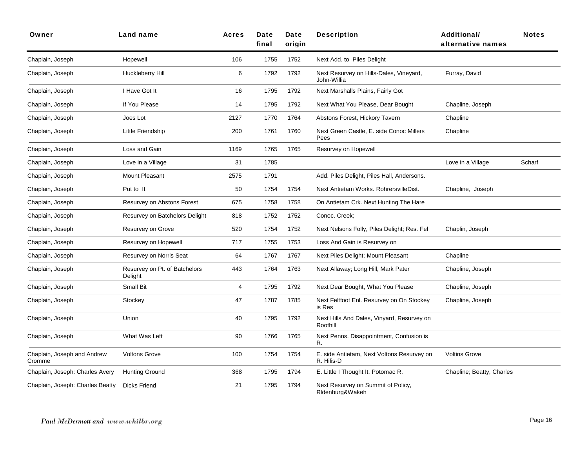| Owner                                 | Land name                                | Acres          | Date<br>final | Date<br>origin | <b>Description</b>                                       | Additional/<br>alternative names | <b>Notes</b> |
|---------------------------------------|------------------------------------------|----------------|---------------|----------------|----------------------------------------------------------|----------------------------------|--------------|
| Chaplain, Joseph                      | Hopewell                                 | 106            | 1755          | 1752           | Next Add. to Piles Delight                               |                                  |              |
| Chaplain, Joseph                      | Huckleberry Hill                         | 6              | 1792          | 1792           | Next Resurvey on Hills-Dales, Vineyard,<br>John-Willia   | Furray, David                    |              |
| Chaplain, Joseph                      | I Have Got It                            | 16             | 1795          | 1792           | Next Marshalls Plains, Fairly Got                        |                                  |              |
| Chaplain, Joseph                      | If You Please                            | 14             | 1795          | 1792           | Next What You Please, Dear Bought                        | Chapline, Joseph                 |              |
| Chaplain, Joseph                      | Joes Lot                                 | 2127           | 1770          | 1764           | Abstons Forest, Hickory Tavern                           | Chapline                         |              |
| Chaplain, Joseph                      | Little Friendship                        | 200            | 1761          | 1760           | Next Green Castle, E. side Conoc Millers<br>Pees         | Chapline                         |              |
| Chaplain, Joseph                      | Loss and Gain                            | 1169           | 1765          | 1765           | Resurvey on Hopewell                                     |                                  |              |
| Chaplain, Joseph                      | Love in a Village                        | 31             | 1785          |                |                                                          | Love in a Village                | Scharf       |
| Chaplain, Joseph                      | <b>Mount Pleasant</b>                    | 2575           | 1791          |                | Add. Piles Delight, Piles Hall, Andersons.               |                                  |              |
| Chaplain, Joseph                      | Put to It                                | 50             | 1754          | 1754           | Next Antietam Works. RohrersvilleDist.                   | Chapline, Joseph                 |              |
| Chaplain, Joseph                      | Resurvey on Abstons Forest               | 675            | 1758          | 1758           | On Antietam Crk. Next Hunting The Hare                   |                                  |              |
| Chaplain, Joseph                      | Resurvey on Batchelors Delight           | 818            | 1752          | 1752           | Conoc. Creek:                                            |                                  |              |
| Chaplain, Joseph                      | Resurvey on Grove                        | 520            | 1754          | 1752           | Next Nelsons Folly, Piles Delight; Res. Fel              | Chaplin, Joseph                  |              |
| Chaplain, Joseph                      | Resurvey on Hopewell                     | 717            | 1755          | 1753           | Loss And Gain is Resurvey on                             |                                  |              |
| Chaplain, Joseph                      | Resurvey on Norris Seat                  | 64             | 1767          | 1767           | Next Piles Delight; Mount Pleasant                       | Chapline                         |              |
| Chaplain, Joseph                      | Resurvey on Pt. of Batchelors<br>Delight | 443            | 1764          | 1763           | Next Allaway; Long Hill, Mark Pater                      | Chapline, Joseph                 |              |
| Chaplain, Joseph                      | Small Bit                                | $\overline{4}$ | 1795          | 1792           | Next Dear Bought, What You Please                        | Chapline, Joseph                 |              |
| Chaplain, Joseph                      | Stockey                                  | 47             | 1787          | 1785           | Next Feltfoot Enl. Resurvey on On Stockey<br>is Res      | Chapline, Joseph                 |              |
| Chaplain, Joseph                      | Union                                    | 40             | 1795          | 1792           | Next Hills And Dales, Vinyard, Resurvey on<br>Roothill   |                                  |              |
| Chaplain, Joseph                      | What Was Left                            | 90             | 1766          | 1765           | Next Penns. Disappointment, Confusion is<br>R.           |                                  |              |
| Chaplain, Joseph and Andrew<br>Cromme | <b>Voltons Grove</b>                     | 100            | 1754          | 1754           | E. side Antietam, Next Voltons Resurvey on<br>R. Hilis-D | <b>Voltins Grove</b>             |              |
| Chaplain, Joseph: Charles Avery       | <b>Hunting Ground</b>                    | 368            | 1795          | 1794           | E. Little I Thought It. Potomac R.                       | Chapline; Beatty, Charles        |              |
| Chaplain, Joseph: Charles Beatty      | <b>Dicks Friend</b>                      | 21             | 1795          | 1794           | Next Resurvey on Summit of Policy,<br>Ridenburg&Wakeh    |                                  |              |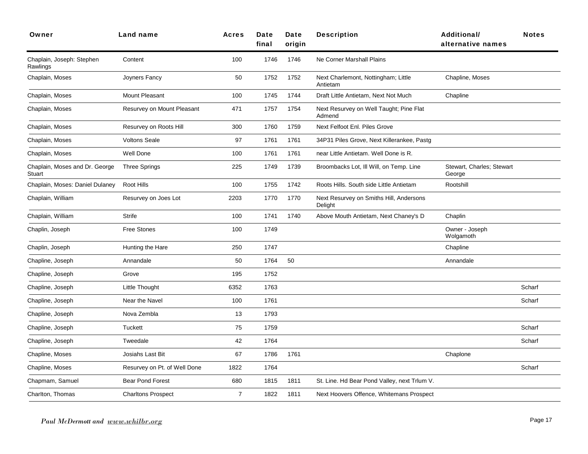| Owner                                    | Land name                    | <b>Acres</b>   | Date<br>final | Date<br>origin | <b>Description</b>                                 | <b>Additional/</b><br>alternative names | <b>Notes</b> |
|------------------------------------------|------------------------------|----------------|---------------|----------------|----------------------------------------------------|-----------------------------------------|--------------|
| Chaplain, Joseph: Stephen<br>Rawlings    | Content                      | 100            | 1746          | 1746           | Ne Corner Marshall Plains                          |                                         |              |
| Chaplain, Moses                          | Joyners Fancy                | 50             | 1752          | 1752           | Next Charlemont, Nottingham; Little<br>Antietam    | Chapline, Moses                         |              |
| Chaplain, Moses                          | Mount Pleasant               | 100            | 1745          | 1744           | Draft Little Antietam, Next Not Much               | Chapline                                |              |
| Chaplain, Moses                          | Resurvey on Mount Pleasant   | 471            | 1757          | 1754           | Next Resurvey on Well Taught; Pine Flat<br>Admend  |                                         |              |
| Chaplain, Moses                          | Resurvey on Roots Hill       | 300            | 1760          | 1759           | Next Felfoot Enl. Piles Grove                      |                                         |              |
| Chaplain, Moses                          | <b>Voltons Seale</b>         | 97             | 1761          | 1761           | 34P31 Piles Grove, Next Killerankee, Pastg         |                                         |              |
| Chaplain, Moses                          | Well Done                    | 100            | 1761          | 1761           | near Little Antietam. Well Done is R.              |                                         |              |
| Chaplain, Moses and Dr. George<br>Stuart | <b>Three Springs</b>         | 225            | 1749          | 1739           | Broombacks Lot, Ill Will, on Temp. Line            | Stewart, Charles; Stewart<br>George     |              |
| Chaplain, Moses: Daniel Dulaney          | Root Hills                   | 100            | 1755          | 1742           | Roots Hills. South side Little Antietam            | Rootshill                               |              |
| Chaplain, William                        | Resurvey on Joes Lot         | 2203           | 1770          | 1770           | Next Resurvey on Smiths Hill, Andersons<br>Delight |                                         |              |
| Chaplain, William                        | <b>Strife</b>                | 100            | 1741          | 1740           | Above Mouth Antietam, Next Chaney's D              | Chaplin                                 |              |
| Chaplin, Joseph                          | Free Stones                  | 100            | 1749          |                |                                                    | Owner - Joseph<br>Wolgamoth             |              |
| Chaplin, Joseph                          | Hunting the Hare             | 250            | 1747          |                |                                                    | Chapline                                |              |
| Chapline, Joseph                         | Annandale                    | 50             | 1764          | 50             |                                                    | Annandale                               |              |
| Chapline, Joseph                         | Grove                        | 195            | 1752          |                |                                                    |                                         |              |
| Chapline, Joseph                         | Little Thought               | 6352           | 1763          |                |                                                    |                                         | Scharf       |
| Chapline, Joseph                         | Near the Navel               | 100            | 1761          |                |                                                    |                                         | Scharf       |
| Chapline, Joseph                         | Nova Zembla                  | 13             | 1793          |                |                                                    |                                         |              |
| Chapline, Joseph                         | <b>Tuckett</b>               | 75             | 1759          |                |                                                    |                                         | Scharf       |
| Chapline, Joseph                         | Tweedale                     | 42             | 1764          |                |                                                    |                                         | Scharf       |
| Chapline, Moses                          | Josiahs Last Bit             | 67             | 1786          | 1761           |                                                    | Chaplone                                |              |
| Chapline, Moses                          | Resurvey on Pt. of Well Done | 1822           | 1764          |                |                                                    |                                         | Scharf       |
| Chapmam, Samuel                          | Bear Pond Forest             | 680            | 1815          | 1811           | St. Line. Hd Bear Pond Valley, next Trlum V.       |                                         |              |
| Charlton, Thomas                         | <b>Charltons Prospect</b>    | $\overline{7}$ | 1822          | 1811           | Next Hoovers Offence, Whitemans Prospect           |                                         |              |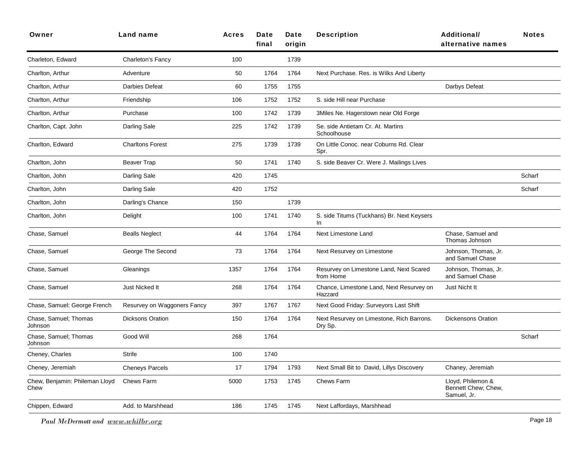| Owner                                  | Land name                   | <b>Acres</b> | Date<br>final | Date<br>origin | <b>Description</b>                                   | <b>Additional/</b><br>alternative names                 | <b>Notes</b> |
|----------------------------------------|-----------------------------|--------------|---------------|----------------|------------------------------------------------------|---------------------------------------------------------|--------------|
| Charleton, Edward                      | Charleton's Fancy           | 100          |               | 1739           |                                                      |                                                         |              |
| Charlton, Arthur                       | Adventure                   | 50           | 1764          | 1764           | Next Purchase. Res. is Wilks And Liberty             |                                                         |              |
| Charlton, Arthur                       | Darbies Defeat              | 60           | 1755          | 1755           |                                                      | Darbys Defeat                                           |              |
| Charlton, Arthur                       | Friendship                  | 106          | 1752          | 1752           | S. side Hill near Purchase                           |                                                         |              |
| Charlton, Arthur                       | Purchase                    | 100          | 1742          | 1739           | 3Miles Ne. Hagerstown near Old Forge                 |                                                         |              |
| Charlton, Capt. John                   | Darling Sale                | 225          | 1742          | 1739           | Se. side Antietam Cr. At. Martins<br>Schoolhouse     |                                                         |              |
| Charlton, Edward                       | <b>Charltons Forest</b>     | 275          | 1739          | 1739           | On Little Conoc. near Coburns Rd. Clear<br>Spr.      |                                                         |              |
| Charlton, John                         | <b>Beaver Trap</b>          | 50           | 1741          | 1740           | S. side Beaver Cr. Were J. Mailings Lives            |                                                         |              |
| Charlton, John                         | Darling Sale                | 420          | 1745          |                |                                                      |                                                         | Scharf       |
| Charlton, John                         | Darling Sale                | 420          | 1752          |                |                                                      |                                                         | Scharf       |
| Charlton, John                         | Darling's Chance            | 150          |               | 1739           |                                                      |                                                         |              |
| Charlton, John                         | Delight                     | 100          | 1741          | 1740           | S. side Titums (Tuckhans) Br. Next Keysers<br>In.    |                                                         |              |
| Chase, Samuel                          | <b>Bealls Neglect</b>       | 44           | 1764          | 1764           | Next Limestone Land                                  | Chase, Samuel and<br>Thomas Johnson                     |              |
| Chase, Samuel                          | George The Second           | 73           | 1764          | 1764           | Next Resurvey on Limestone                           | Johnson, Thomas, Jr.<br>and Samuel Chase                |              |
| Chase, Samuel                          | Gleanings                   | 1357         | 1764          | 1764           | Resurvey on Limestone Land, Next Scared<br>from Home | Johnson, Thomas, Jr.<br>and Samuel Chase                |              |
| Chase, Samuel                          | Just Nicked It              | 268          | 1764          | 1764           | Chance, Limestone Land, Next Resurvey on<br>Hazzard  | Just Nicht It                                           |              |
| Chase, Samuel: George French           | Resurvey on Waggoners Fancy | 397          | 1767          | 1767           | Next Good Friday: Surveyors Last Shift               |                                                         |              |
| Chase, Samuel; Thomas<br>Johnson       | <b>Dicksons Oration</b>     | 150          | 1764          | 1764           | Next Resurvey on Limestone, Rich Barrons.<br>Dry Sp. | <b>Dickensons Oration</b>                               |              |
| Chase, Samuel; Thomas<br>Johnson       | Good Will                   | 268          | 1764          |                |                                                      |                                                         | Scharf       |
| Cheney, Charles                        | <b>Strife</b>               | 100          | 1740          |                |                                                      |                                                         |              |
| Cheney, Jeremiah                       | <b>Cheneys Parcels</b>      | 17           | 1794          | 1793           | Next Small Bit to David, Lillys Discovery            | Chaney, Jeremiah                                        |              |
| Chew, Benjamin: Phileman Lloyd<br>Chew | Chews Farm                  | 5000         | 1753          | 1745           | Chews Farm                                           | Lloyd, Philemon &<br>Bennett Chew; Chew,<br>Samuel, Jr. |              |
| Chippen, Edward                        | Add. to Marshhead           | 186          | 1745          | 1745           | Next Laffordays, Marshhead                           |                                                         |              |
|                                        |                             |              |               |                |                                                      |                                                         |              |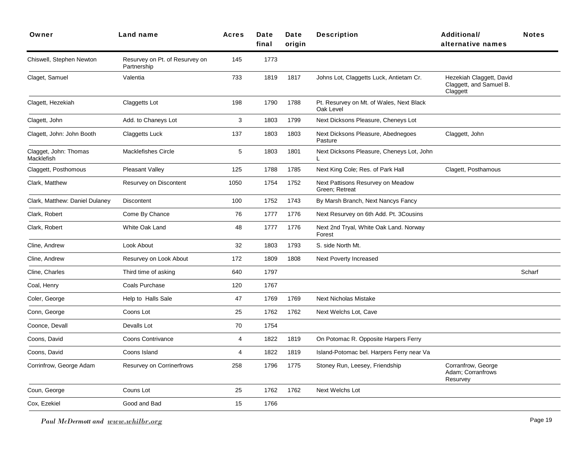| Owner                               | Land name                                     | <b>Acres</b>   | Date<br>final | Date<br>origin | <b>Description</b>                                    | Additional/<br>alternative names                                | <b>Notes</b> |
|-------------------------------------|-----------------------------------------------|----------------|---------------|----------------|-------------------------------------------------------|-----------------------------------------------------------------|--------------|
| Chiswell, Stephen Newton            | Resurvey on Pt. of Resurvey on<br>Partnership | 145            | 1773          |                |                                                       |                                                                 |              |
| Claget, Samuel                      | Valentia                                      | 733            | 1819          | 1817           | Johns Lot, Claggetts Luck, Antietam Cr.               | Hezekiah Claggett, David<br>Claggett, and Samuel B.<br>Claggett |              |
| Clagett, Hezekiah                   | Claggetts Lot                                 | 198            | 1790          | 1788           | Pt. Resurvey on Mt. of Wales, Next Black<br>Oak Level |                                                                 |              |
| Clagett, John                       | Add. to Chaneys Lot                           | 3              | 1803          | 1799           | Next Dicksons Pleasure, Cheneys Lot                   |                                                                 |              |
| Clagett, John: John Booth           | <b>Claggetts Luck</b>                         | 137            | 1803          | 1803           | Next Dicksons Pleasure, Abednegoes<br>Pasture         | Claggett, John                                                  |              |
| Clagget, John: Thomas<br>Macklefish | Macklefishes Circle                           | 5              | 1803          | 1801           | Next Dicksons Pleasure, Cheneys Lot, John<br>L        |                                                                 |              |
| Claggett, Posthomous                | Pleasant Valley                               | 125            | 1788          | 1785           | Next King Cole; Res. of Park Hall                     | Clagett, Posthamous                                             |              |
| Clark, Matthew                      | Resurvey on Discontent                        | 1050           | 1754          | 1752           | Next Pattisons Resurvey on Meadow<br>Green; Retreat   |                                                                 |              |
| Clark, Matthew: Daniel Dulaney      | <b>Discontent</b>                             | 100            | 1752          | 1743           | By Marsh Branch, Next Nancys Fancy                    |                                                                 |              |
| Clark, Robert                       | Come By Chance                                | 76             | 1777          | 1776           | Next Resurvey on 6th Add. Pt. 3Cousins                |                                                                 |              |
| Clark, Robert                       | White Oak Land                                | 48             | 1777          | 1776           | Next 2nd Tryal, White Oak Land. Norway<br>Forest      |                                                                 |              |
| Cline, Andrew                       | Look About                                    | 32             | 1803          | 1793           | S. side North Mt.                                     |                                                                 |              |
| Cline, Andrew                       | Resurvey on Look About                        | 172            | 1809          | 1808           | Next Poverty Increased                                |                                                                 |              |
| Cline, Charles                      | Third time of asking                          | 640            | 1797          |                |                                                       |                                                                 | Scharf       |
| Coal, Henry                         | Coals Purchase                                | 120            | 1767          |                |                                                       |                                                                 |              |
| Coler, George                       | Help to Halls Sale                            | 47             | 1769          | 1769           | <b>Next Nicholas Mistake</b>                          |                                                                 |              |
| Conn, George                        | Coons Lot                                     | 25             | 1762          | 1762           | Next Welchs Lot, Cave                                 |                                                                 |              |
| Coonce, Devall                      | Devalls Lot                                   | 70             | 1754          |                |                                                       |                                                                 |              |
| Coons, David                        | <b>Coons Contrivance</b>                      | $\overline{4}$ | 1822          | 1819           | On Potomac R. Opposite Harpers Ferry                  |                                                                 |              |
| Coons, David                        | Coons Island                                  | $\overline{4}$ | 1822          | 1819           | Island-Potomac bel. Harpers Ferry near Va             |                                                                 |              |
| Corrinfrow, George Adam             | Resurvey on Corrinerfrows                     | 258            | 1796          | 1775           | Stoney Run, Leesey, Friendship                        | Corranfrow, George<br>Adam; Corranfrows<br>Resurvey             |              |
| Coun, George                        | Couns Lot                                     | 25             | 1762          | 1762           | Next Welchs Lot                                       |                                                                 |              |
| Cox, Ezekiel                        | Good and Bad                                  | 15             | 1766          |                |                                                       |                                                                 |              |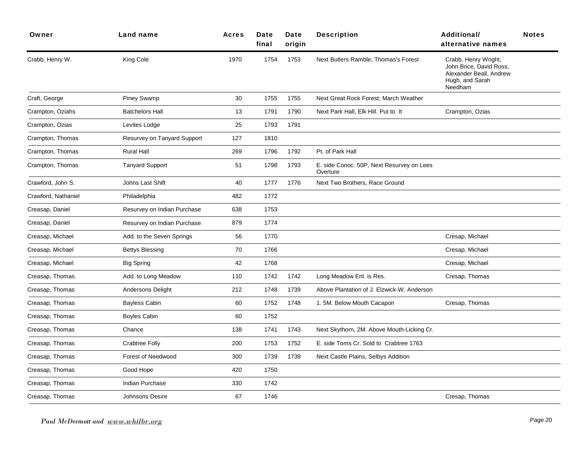| Owner               | Land name                   | Acres | Date<br>final | Date<br>origin | <b>Description</b>                                    | Additional/<br>alternative names                                                                         | <b>Notes</b> |
|---------------------|-----------------------------|-------|---------------|----------------|-------------------------------------------------------|----------------------------------------------------------------------------------------------------------|--------------|
| Crabb, Henry W.     | King Cole                   | 1970  | 1754          | 1753           | Next Butlers Ramble, Thomas's Forest                  | Crabb, Henry Wright,<br>John Brice, David Ross,<br>Alexander Beall, Andrew<br>Hugh, and Sarah<br>Needham |              |
| Craft, George       | <b>Piney Swamp</b>          | 30    | 1755          | 1755           | Next Great Rock Forest; March Weather                 |                                                                                                          |              |
| Crampton, Oziahs    | <b>Batchelors Hall</b>      | 13    | 1791          | 1790           | Next Park Hall, Elk Hill. Put to It                   | Crampton, Ozias                                                                                          |              |
| Crampton, Ozias     | Levites Lodge               | 25    | 1793          | 1791           |                                                       |                                                                                                          |              |
| Crampton, Thomas    | Resurvey on Tanyard Support | 127   | 1810          |                |                                                       |                                                                                                          |              |
| Crampton, Thomas    | <b>Rural Hall</b>           | 269   | 1796          | 1792           | Pt. of Park Hall                                      |                                                                                                          |              |
| Crampton, Thomas    | <b>Tanyard Support</b>      | 51    | 1798          | 1793           | E. side Conoc. 50P, Next Resurvey on Lees<br>Overture |                                                                                                          |              |
| Crawford, John S.   | Johns Last Shift            | 40    | 1777          | 1776           | Next Two Brothers, Race Ground                        |                                                                                                          |              |
| Crawford, Nathaniel | Philadelphia                | 482   | 1772          |                |                                                       |                                                                                                          |              |
| Creasap, Daniel     | Resurvey on Indian Purchase | 638   | 1753          |                |                                                       |                                                                                                          |              |
| Creasap, Daniel     | Resurvey on Indian Purchase | 879   | 1774          |                |                                                       |                                                                                                          |              |
| Creasap, Michael    | Add. to the Seven Springs   | 56    | 1770          |                |                                                       | Cresap, Michael                                                                                          |              |
| Creasap, Michael    | Bettys Blessing             | 70    | 1766          |                |                                                       | Cresap, Michael                                                                                          |              |
| Creasap, Michael    | <b>Big Spring</b>           | 42    | 1768          |                |                                                       | Cresap, Michael                                                                                          |              |
| Creasap, Thomas     | Add. to Long Meadow         | 110   | 1742          | 1742           | Long Meadow Enl. is Res.                              | Cresap, Thomas                                                                                           |              |
| Creasap, Thomas     | Andersons Delight           | 212   | 1748          | 1739           | Above Plantation of J. Elzwick-W. Anderson            |                                                                                                          |              |
| Creasap, Thomas     | <b>Bayless Cabin</b>        | 60    | 1752          | 1748           | 1. 5M. Below Mouth Cacapon                            | Cresap, Thomas                                                                                           |              |
| Creasap, Thomas     | Boyles Cabin                | 60    | 1752          |                |                                                       |                                                                                                          |              |
| Creasap, Thomas     | Chance                      | 138   | 1741          | 1743           | Next Skythorn, 2M. Above Mouth-Licking Cr.            |                                                                                                          |              |
| Creasap, Thomas     | Crabtree Folly              | 200   | 1753          | 1752           | E. side Toms Cr. Sold to Crabtree 1763                |                                                                                                          |              |
| Creasap, Thomas     | Forest of Needwood          | 300   | 1739          | 1739           | Next Castle Plains, Selbys Addition                   |                                                                                                          |              |
| Creasap, Thomas     | Good Hope                   | 420   | 1750          |                |                                                       |                                                                                                          |              |
| Creasap, Thomas     | <b>Indian Purchase</b>      | 330   | 1742          |                |                                                       |                                                                                                          |              |
| Creasap, Thomas     | Johnsons Desire             | 67    | 1746          |                |                                                       | Cresap, Thomas                                                                                           |              |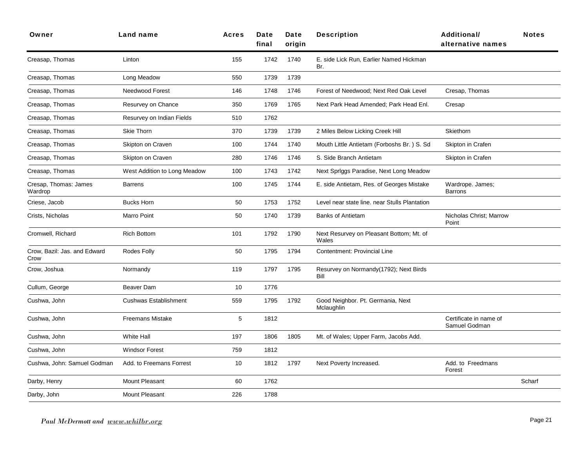| Owner                                | Land name                    | <b>Acres</b> | Date<br>final | Date<br>origin | <b>Description</b>                                | <b>Additional/</b><br>alternative names | <b>Notes</b> |
|--------------------------------------|------------------------------|--------------|---------------|----------------|---------------------------------------------------|-----------------------------------------|--------------|
| Creasap, Thomas                      | Linton                       | 155          | 1742          | 1740           | E. side Lick Run, Earlier Named Hickman<br>Br.    |                                         |              |
| Creasap, Thomas                      | Long Meadow                  | 550          | 1739          | 1739           |                                                   |                                         |              |
| Creasap, Thomas                      | Needwood Forest              | 146          | 1748          | 1746           | Forest of Needwood; Next Red Oak Level            | Cresap, Thomas                          |              |
| Creasap, Thomas                      | Resurvey on Chance           | 350          | 1769          | 1765           | Next Park Head Amended; Park Head Enl.            | Cresap                                  |              |
| Creasap, Thomas                      | Resurvey on Indian Fields    | 510          | 1762          |                |                                                   |                                         |              |
| Creasap, Thomas                      | Skie Thorn                   | 370          | 1739          | 1739           | 2 Miles Below Licking Creek Hill                  | Skiethorn                               |              |
| Creasap, Thomas                      | Skipton on Craven            | 100          | 1744          | 1740           | Mouth Little Antietam (Forboshs Br.) S. Sd.       | Skipton in Crafen                       |              |
| Creasap, Thomas                      | Skipton on Craven            | 280          | 1746          | 1746           | S. Side Branch Antietam                           | Skipton in Crafen                       |              |
| Creasap, Thomas                      | West Addition to Long Meadow | 100          | 1743          | 1742           | Next Spriggs Paradise, Next Long Meadow           |                                         |              |
| Cresap, Thomas: James<br>Wardrop     | <b>Barrens</b>               | 100          | 1745          | 1744           | E. side Antietam, Res. of Georges Mistake         | Wardrope. James;<br><b>Barrons</b>      |              |
| Criese, Jacob                        | <b>Bucks Horn</b>            | 50           | 1753          | 1752           | Level near state line, near Stulls Plantation     |                                         |              |
| Crists, Nicholas                     | <b>Marro Point</b>           | 50           | 1740          | 1739           | <b>Banks of Antietam</b>                          | Nicholas Christ; Marrow<br>Point        |              |
| Cromwell, Richard                    | <b>Rich Bottom</b>           | 101          | 1792          | 1790           | Next Resurvey on Pleasant Bottom; Mt. of<br>Wales |                                         |              |
| Crow, Bazil: Jas. and Edward<br>Crow | Rodes Folly                  | 50           | 1795          | 1794           | Contentment: Provincial Line                      |                                         |              |
| Crow, Joshua                         | Normandy                     | 119          | 1797          | 1795           | Resurvey on Normandy(1792); Next Birds<br>Bill    |                                         |              |
| Cullum, George                       | <b>Beaver Dam</b>            | 10           | 1776          |                |                                                   |                                         |              |
| Cushwa, John                         | <b>Cushwas Establishment</b> | 559          | 1795          | 1792           | Good Neighbor. Pt. Germania, Next<br>Mclaughlin   |                                         |              |
| Cushwa, John                         | <b>Freemans Mistake</b>      | 5            | 1812          |                |                                                   | Certificate in name of<br>Samuel Godman |              |
| Cushwa, John                         | <b>White Hall</b>            | 197          | 1806          | 1805           | Mt. of Wales; Upper Farm, Jacobs Add.             |                                         |              |
| Cushwa, John                         | <b>Windsor Forest</b>        | 759          | 1812          |                |                                                   |                                         |              |
| Cushwa, John: Samuel Godman          | Add. to Freemans Forrest     | 10           | 1812          | 1797           | Next Poverty Increased.                           | Add. to Freedmans<br>Forest             |              |
| Darby, Henry                         | <b>Mount Pleasant</b>        | 60           | 1762          |                |                                                   |                                         | Scharf       |
| Darby, John                          | <b>Mount Pleasant</b>        | 226          | 1788          |                |                                                   |                                         |              |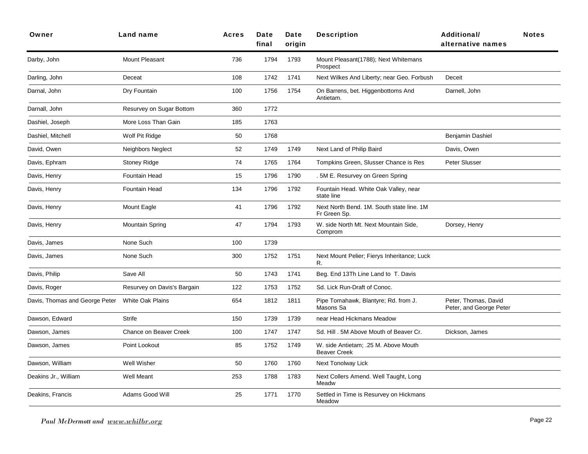| Owner                          | <b>Land name</b>            | <b>Acres</b> | Date<br>final | Date<br>origin | <b>Description</b>                                          | <b>Additional/</b><br>alternative names         | <b>Notes</b> |
|--------------------------------|-----------------------------|--------------|---------------|----------------|-------------------------------------------------------------|-------------------------------------------------|--------------|
| Darby, John                    | Mount Pleasant              | 736          | 1794          | 1793           | Mount Pleasant(1788); Next Whitemans<br>Prospect            |                                                 |              |
| Darling, John                  | Deceat                      | 108          | 1742          | 1741           | Next Wilkes And Liberty; near Geo. Forbush                  | Deceit                                          |              |
| Darnal, John                   | Dry Fountain                | 100          | 1756          | 1754           | On Barrens, bet. Higgenbottoms And<br>Antietam.             | Darnell, John                                   |              |
| Darnall, John                  | Resurvey on Sugar Bottom    | 360          | 1772          |                |                                                             |                                                 |              |
| Dashiel, Joseph                | More Loss Than Gain         | 185          | 1763          |                |                                                             |                                                 |              |
| Dashiel, Mitchell              | Wolf Pit Ridge              | 50           | 1768          |                |                                                             | Benjamin Dashiel                                |              |
| David, Owen                    | Neighbors Neglect           | 52           | 1749          | 1749           | Next Land of Philip Baird                                   | Davis, Owen                                     |              |
| Davis, Ephram                  | <b>Stoney Ridge</b>         | 74           | 1765          | 1764           | Tompkins Green, Slusser Chance is Res                       | Peter Slusser                                   |              |
| Davis, Henry                   | <b>Fountain Head</b>        | 15           | 1796          | 1790           | . 5M E. Resurvey on Green Spring                            |                                                 |              |
| Davis, Henry                   | Fountain Head               | 134          | 1796          | 1792           | Fountain Head. White Oak Valley, near<br>state line         |                                                 |              |
| Davis, Henry                   | Mount Eagle                 | 41           | 1796          | 1792           | Next North Bend. 1M. South state line. 1M<br>Fr Green Sp.   |                                                 |              |
| Davis, Henry                   | <b>Mountain Spring</b>      | 47           | 1794          | 1793           | W. side North Mt. Next Mountain Side,<br>Comprom            | Dorsey, Henry                                   |              |
| Davis, James                   | None Such                   | 100          | 1739          |                |                                                             |                                                 |              |
| Davis, James                   | None Such                   | 300          | 1752          | 1751           | Next Mount Pelier; Fierys Inheritance; Luck<br>R.           |                                                 |              |
| Davis, Philip                  | Save All                    | 50           | 1743          | 1741           | Beg. End 13Th Line Land to T. Davis                         |                                                 |              |
| Davis, Roger                   | Resurvey on Davis's Bargain | 122          | 1753          | 1752           | Sd. Lick Run-Draft of Conoc.                                |                                                 |              |
| Davis, Thomas and George Peter | <b>White Oak Plains</b>     | 654          | 1812          | 1811           | Pipe Tomahawk, Blantyre; Rd. from J.<br>Masons Sa           | Peter, Thomas, David<br>Peter, and George Peter |              |
| Dawson, Edward                 | <b>Strife</b>               | 150          | 1739          | 1739           | near Head Hickmans Meadow                                   |                                                 |              |
| Dawson, James                  | Chance on Beaver Creek      | 100          | 1747          | 1747           | Sd. Hill . 5M Above Mouth of Beaver Cr.                     | Dickson, James                                  |              |
| Dawson, James                  | Point Lookout               | 85           | 1752          | 1749           | W. side Antietam; .25 M. Above Mouth<br><b>Beaver Creek</b> |                                                 |              |
| Dawson, William                | Well Wisher                 | 50           | 1760          | 1760           | Next Tonolway Lick                                          |                                                 |              |
| Deakins Jr., William           | Well Meant                  | 253          | 1788          | 1783           | Next Collers Amend. Well Taught, Long<br>Meadw              |                                                 |              |
| Deakins, Francis               | Adams Good Will             | 25           | 1771          | 1770           | Settled in Time is Resurvey on Hickmans<br>Meadow           |                                                 |              |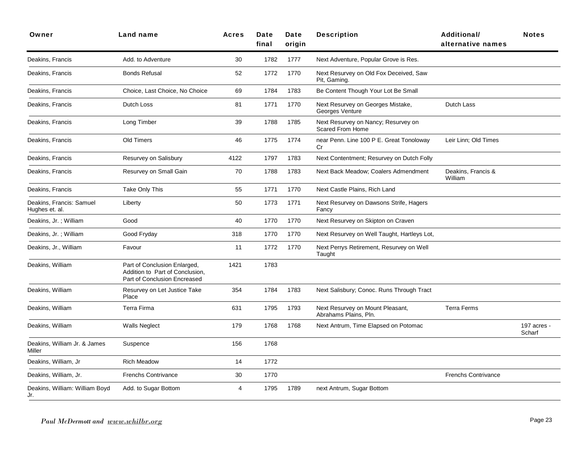| Owner                                      | Land name                                                                                       | Acres | Date<br>final | Date<br>origin | <b>Description</b>                                             | <b>Additional/</b><br>alternative names | <b>Notes</b>          |
|--------------------------------------------|-------------------------------------------------------------------------------------------------|-------|---------------|----------------|----------------------------------------------------------------|-----------------------------------------|-----------------------|
| Deakins, Francis                           | Add. to Adventure                                                                               | 30    | 1782          | 1777           | Next Adventure, Popular Grove is Res.                          |                                         |                       |
| Deakins, Francis                           | <b>Bonds Refusal</b>                                                                            | 52    | 1772          | 1770           | Next Resurvey on Old Fox Deceived, Saw<br>Pit, Gaming.         |                                         |                       |
| Deakins, Francis                           | Choice, Last Choice, No Choice                                                                  | 69    | 1784          | 1783           | Be Content Though Your Lot Be Small                            |                                         |                       |
| Deakins, Francis                           | Dutch Loss                                                                                      | 81    | 1771          | 1770           | Next Resurvey on Georges Mistake,<br>Georges Venture           | Dutch Lass                              |                       |
| Deakins, Francis                           | Long Timber                                                                                     | 39    | 1788          | 1785           | Next Resurvey on Nancy; Resurvey on<br><b>Scared From Home</b> |                                         |                       |
| Deakins, Francis                           | Old Timers                                                                                      | 46    | 1775          | 1774           | near Penn. Line 100 P E. Great Tonoloway<br>Cr                 | Leir Linn; Old Times                    |                       |
| Deakins, Francis                           | Resurvey on Salisbury                                                                           | 4122  | 1797          | 1783           | Next Contentment; Resurvey on Dutch Folly                      |                                         |                       |
| Deakins, Francis                           | Resurvey on Small Gain                                                                          | 70    | 1788          | 1783           | Next Back Meadow; Coalers Admendment                           | Deakins, Francis &<br>William           |                       |
| Deakins, Francis                           | Take Only This                                                                                  | 55    | 1771          | 1770           | Next Castle Plains, Rich Land                                  |                                         |                       |
| Deakins, Francis: Samuel<br>Hughes et. al. | Liberty                                                                                         | 50    | 1773          | 1771           | Next Resurvey on Dawsons Strife, Hagers<br>Fancy               |                                         |                       |
| Deakins, Jr.; William                      | Good                                                                                            | 40    | 1770          | 1770           | Next Resurvey on Skipton on Craven                             |                                         |                       |
| Deakins, Jr.; William                      | Good Fryday                                                                                     | 318   | 1770          | 1770           | Next Resurvey on Well Taught, Hartleys Lot,                    |                                         |                       |
| Deakins, Jr., William                      | Favour                                                                                          | 11    | 1772          | 1770           | Next Perrys Retirement, Resurvey on Well<br>Taught             |                                         |                       |
| Deakins, William                           | Part of Conclusion Enlarged,<br>Addition to Part of Conclusion,<br>Part of Conclusion Encreased | 1421  | 1783          |                |                                                                |                                         |                       |
| Deakins, William                           | Resurvey on Let Justice Take<br>Place                                                           | 354   | 1784          | 1783           | Next Salisbury; Conoc. Runs Through Tract                      |                                         |                       |
| Deakins, William                           | Terra Firma                                                                                     | 631   | 1795          | 1793           | Next Resurvey on Mount Pleasant,<br>Abrahams Plains, Pln.      | <b>Terra Ferms</b>                      |                       |
| Deakins, William                           | <b>Walls Neglect</b>                                                                            | 179   | 1768          | 1768           | Next Antrum, Time Elapsed on Potomac                           |                                         | 197 acres -<br>Scharf |
| Deakins, William Jr. & James<br>Miller     | Suspence                                                                                        | 156   | 1768          |                |                                                                |                                         |                       |
| Deakins, William, Jr                       | <b>Rich Meadow</b>                                                                              | 14    | 1772          |                |                                                                |                                         |                       |
| Deakins, William, Jr.                      | <b>Frenchs Contrivance</b>                                                                      | 30    | 1770          |                |                                                                | <b>Frenchs Contrivance</b>              |                       |
| Deakins, William: William Boyd<br>Jr.      | Add. to Sugar Bottom                                                                            | 4     | 1795          | 1789           | next Antrum, Sugar Bottom                                      |                                         |                       |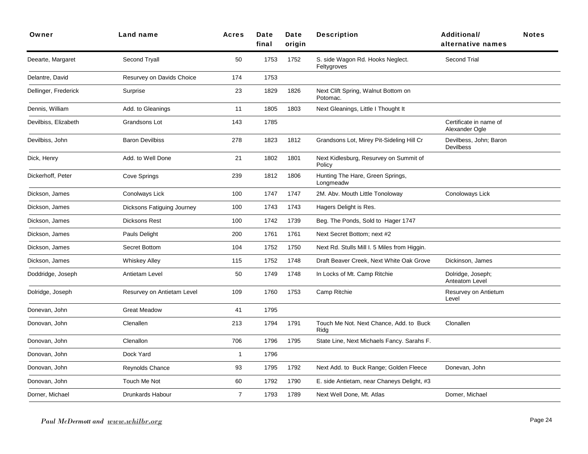| Owner                | Land name                  | <b>Acres</b>   | Date<br>final | Date<br>origin | <b>Description</b>                               | <b>Additional/</b><br>alternative names    | <b>Notes</b> |
|----------------------|----------------------------|----------------|---------------|----------------|--------------------------------------------------|--------------------------------------------|--------------|
| Deearte, Margaret    | Second Tryall              | 50             | 1753          | 1752           | S. side Wagon Rd. Hooks Neglect.<br>Feltygroves  | Second Trial                               |              |
| Delantre, David      | Resurvey on Davids Choice  | 174            | 1753          |                |                                                  |                                            |              |
| Dellinger, Frederick | Surprise                   | 23             | 1829          | 1826           | Next Clift Spring, Walnut Bottom on<br>Potomac.  |                                            |              |
| Dennis, William      | Add. to Gleanings          | 11             | 1805          | 1803           | Next Gleanings, Little I Thought It              |                                            |              |
| Devilbiss, Elizabeth | Grandsons Lot              | 143            | 1785          |                |                                                  | Certificate in name of<br>Alexander Ogle   |              |
| Devilbiss, John      | <b>Baron Devilbiss</b>     | 278            | 1823          | 1812           | Grandsons Lot, Mirey Pit-Sideling Hill Cr        | Devilbess, John; Baron<br><b>Devilbess</b> |              |
| Dick, Henry          | Add. to Well Done          | 21             | 1802          | 1801           | Next Kidlesburg, Resurvey on Summit of<br>Policy |                                            |              |
| Dickerhoff, Peter    | Cove Springs               | 239            | 1812          | 1806           | Hunting The Hare, Green Springs,<br>Longmeadw    |                                            |              |
| Dickson, James       | Conolways Lick             | 100            | 1747          | 1747           | 2M. Abv. Mouth Little Tonoloway                  | Conoloways Lick                            |              |
| Dickson, James       | Dicksons Fatiguing Journey | 100            | 1743          | 1743           | Hagers Delight is Res.                           |                                            |              |
| Dickson, James       | Dicksons Rest              | 100            | 1742          | 1739           | Beg. The Ponds, Sold to Hager 1747               |                                            |              |
| Dickson, James       | Pauls Delight              | 200            | 1761          | 1761           | Next Secret Bottom; next #2                      |                                            |              |
| Dickson, James       | Secret Bottom              | 104            | 1752          | 1750           | Next Rd. Stulls Mill I. 5 Miles from Higgin.     |                                            |              |
| Dickson, James       | <b>Whiskey Alley</b>       | 115            | 1752          | 1748           | Draft Beaver Creek, Next White Oak Grove         | Dickinson, James                           |              |
| Doddridge, Joseph    | Antietam Level             | 50             | 1749          | 1748           | In Locks of Mt. Camp Ritchie                     | Dolridge, Joseph;<br>Anteatom Level        |              |
| Dolridge, Joseph     | Resurvey on Antietam Level | 109            | 1760          | 1753           | Camp Ritchie                                     | Resurvey on Antietum<br>Level              |              |
| Donevan, John        | <b>Great Meadow</b>        | 41             | 1795          |                |                                                  |                                            |              |
| Donovan, John        | Clenallen                  | 213            | 1794          | 1791           | Touch Me Not. Next Chance, Add. to Buck<br>Ridg  | Clonallen                                  |              |
| Donovan, John        | Clenallon                  | 706            | 1796          | 1795           | State Line, Next Michaels Fancy. Sarahs F.       |                                            |              |
| Donovan, John        | Dock Yard                  | 1              | 1796          |                |                                                  |                                            |              |
| Donovan, John        | <b>Reynolds Chance</b>     | 93             | 1795          | 1792           | Next Add. to Buck Range; Golden Fleece           | Donevan, John                              |              |
| Donovan, John        | Touch Me Not               | 60             | 1792          | 1790           | E. side Antietam, near Chaneys Delight, #3       |                                            |              |
| Dorner, Michael      | Drunkards Habour           | $\overline{7}$ | 1793          | 1789           | Next Well Done, Mt. Atlas                        | Domer, Michael                             |              |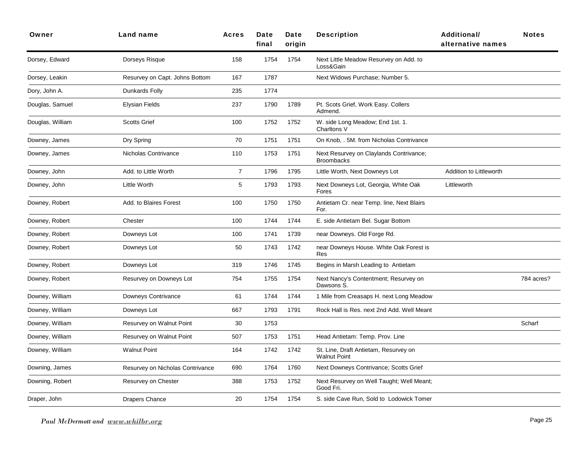| Owner            | Land name                        | <b>Acres</b>     | Date<br>final | Date<br>oriain | <b>Description</b>                                           | <b>Additional/</b><br>alternative names | <b>Notes</b> |
|------------------|----------------------------------|------------------|---------------|----------------|--------------------------------------------------------------|-----------------------------------------|--------------|
| Dorsey, Edward   | Dorseys Risque                   | 158              | 1754          | 1754           | Next Little Meadow Resurvey on Add. to<br>Loss&Gain          |                                         |              |
| Dorsey, Leakin   | Resurvey on Capt. Johns Bottom   | 167              | 1787          |                | Next Widows Purchase; Number 5.                              |                                         |              |
| Dory, John A.    | Dunkards Folly                   | 235              | 1774          |                |                                                              |                                         |              |
| Douglas, Samuel  | Elysian Fields                   | 237              | 1790          | 1789           | Pt. Scots Grief, Work Easy. Collers<br>Admend.               |                                         |              |
| Douglas, William | <b>Scotts Grief</b>              | 100              | 1752          | 1752           | W. side Long Meadow; End 1st. 1.<br>Charltons V              |                                         |              |
| Downey, James    | Dry Spring                       | 70               | 1751          | 1751           | On Knob, . 5M. from Nicholas Contrivance                     |                                         |              |
| Downey, James    | Nicholas Contrivance             | 110              | 1753          | 1751           | Next Resurvey on Claylands Contrivance;<br><b>Broombacks</b> |                                         |              |
| Downey, John     | Add. to Little Worth             | $\boldsymbol{7}$ | 1796          | 1795           | Little Worth, Next Downeys Lot                               | Addition to Littleworth                 |              |
| Downey, John     | Little Worth                     | 5                | 1793          | 1793           | Next Downeys Lot, Georgia, White Oak<br>Fores                | Littleworth                             |              |
| Downey, Robert   | Add. to Blaires Forest           | 100              | 1750          | 1750           | Antietam Cr. near Temp. line, Next Blairs<br>For.            |                                         |              |
| Downey, Robert   | Chester                          | 100              | 1744          | 1744           | E. side Antietam Bel. Sugar Bottom                           |                                         |              |
| Downey, Robert   | Downeys Lot                      | 100              | 1741          | 1739           | near Downeys. Old Forge Rd.                                  |                                         |              |
| Downey, Robert   | Downeys Lot                      | 50               | 1743          | 1742           | near Downeys House. White Oak Forest is<br><b>Res</b>        |                                         |              |
| Downey, Robert   | Downeys Lot                      | 319              | 1746          | 1745           | Begins in Marsh Leading to Antietam                          |                                         |              |
| Downey, Robert   | Resurvey on Downeys Lot          | 754              | 1755          | 1754           | Next Nancy's Contentment; Resurvey on<br>Dawsons S.          |                                         | 784 acres?   |
| Downey, William  | Downeys Contrivance              | 61               | 1744          | 1744           | 1 Mile from Creasaps H. next Long Meadow                     |                                         |              |
| Downey, William  | Downeys Lot                      | 667              | 1793          | 1791           | Rock Hall is Res. next 2nd Add. Well Meant                   |                                         |              |
| Downey, William  | Resurvey on Walnut Point         | 30               | 1753          |                |                                                              |                                         | Scharf       |
| Downey, William  | Resurvey on Walnut Point         | 507              | 1753          | 1751           | Head Antietam: Temp. Prov. Line                              |                                         |              |
| Downey, William  | <b>Walnut Point</b>              | 164              | 1742          | 1742           | St. Line, Draft Antietam, Resurvey on<br><b>Walnut Point</b> |                                         |              |
| Downing, James   | Resurvey on Nicholas Contrivance | 690              | 1764          | 1760           | Next Downeys Contrivance; Scotts Grief                       |                                         |              |
| Downing, Robert  | Resurvey on Chester              | 388              | 1753          | 1752           | Next Resurvey on Well Taught; Well Meant;<br>Good Fri.       |                                         |              |
| Draper, John     | <b>Drapers Chance</b>            | 20               | 1754          | 1754           | S. side Cave Run, Sold to Lodowick Tomer                     |                                         |              |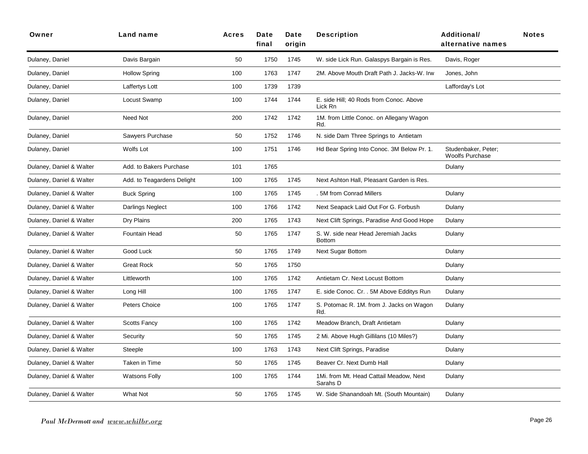| Owner                    | Land name                  | Acres | Date<br>final | Date<br>origin | <b>Description</b>                                   | Additional/<br>alternative names              | <b>Notes</b> |
|--------------------------|----------------------------|-------|---------------|----------------|------------------------------------------------------|-----------------------------------------------|--------------|
| Dulaney, Daniel          | Davis Bargain              | 50    | 1750          | 1745           | W. side Lick Run. Galaspys Bargain is Res.           | Davis, Roger                                  |              |
| Dulaney, Daniel          | <b>Hollow Spring</b>       | 100   | 1763          | 1747           | 2M. Above Mouth Draft Path J. Jacks-W. Irw           | Jones, John                                   |              |
| Dulaney, Daniel          | Laffertys Lott             | 100   | 1739          | 1739           |                                                      | Lafforday's Lot                               |              |
| Dulaney, Daniel          | Locust Swamp               | 100   | 1744          | 1744           | E. side Hill; 40 Rods from Conoc. Above<br>Lick Rn   |                                               |              |
| Dulaney, Daniel          | Need Not                   | 200   | 1742          | 1742           | 1M. from Little Conoc. on Allegany Wagon<br>Rd.      |                                               |              |
| Dulaney, Daniel          | Sawyers Purchase           | 50    | 1752          | 1746           | N. side Dam Three Springs to Antietam                |                                               |              |
| Dulaney, Daniel          | Wolfs Lot                  | 100   | 1751          | 1746           | Hd Bear Spring Into Conoc. 3M Below Pr. 1.           | Studenbaker, Peter;<br><b>Woolfs Purchase</b> |              |
| Dulaney, Daniel & Walter | Add. to Bakers Purchase    | 101   | 1765          |                |                                                      | Dulany                                        |              |
| Dulaney, Daniel & Walter | Add. to Teagardens Delight | 100   | 1765          | 1745           | Next Ashton Hall, Pleasant Garden is Res.            |                                               |              |
| Dulaney, Daniel & Walter | <b>Buck Spring</b>         | 100   | 1765          | 1745           | . 5M from Conrad Millers                             | Dulany                                        |              |
| Dulaney, Daniel & Walter | Darlings Neglect           | 100   | 1766          | 1742           | Next Seapack Laid Out For G. Forbush                 | Dulany                                        |              |
| Dulaney, Daniel & Walter | Dry Plains                 | 200   | 1765          | 1743           | Next Clift Springs, Paradise And Good Hope           | Dulany                                        |              |
| Dulaney, Daniel & Walter | <b>Fountain Head</b>       | 50    | 1765          | 1747           | S. W. side near Head Jeremiah Jacks<br><b>Bottom</b> | Dulany                                        |              |
| Dulaney, Daniel & Walter | Good Luck                  | 50    | 1765          | 1749           | <b>Next Sugar Bottom</b>                             | Dulany                                        |              |
| Dulaney, Daniel & Walter | <b>Great Rock</b>          | 50    | 1765          | 1750           |                                                      | Dulany                                        |              |
| Dulaney, Daniel & Walter | Littleworth                | 100   | 1765          | 1742           | Antietam Cr. Next Locust Bottom                      | Dulany                                        |              |
| Dulaney, Daniel & Walter | Long Hill                  | 100   | 1765          | 1747           | E. side Conoc. Cr. . 5M Above Edditys Run            | Dulany                                        |              |
| Dulaney, Daniel & Walter | Peters Choice              | 100   | 1765          | 1747           | S. Potomac R. 1M. from J. Jacks on Wagon<br>Rd.      | Dulany                                        |              |
| Dulaney, Daniel & Walter | <b>Scotts Fancy</b>        | 100   | 1765          | 1742           | Meadow Branch, Draft Antietam                        | Dulany                                        |              |
| Dulaney, Daniel & Walter | Security                   | 50    | 1765          | 1745           | 2 Mi. Above Hugh Gillilans (10 Miles?)               | Dulany                                        |              |
| Dulaney, Daniel & Walter | Steeple                    | 100   | 1763          | 1743           | Next Clift Springs, Paradise                         | Dulany                                        |              |
| Dulaney, Daniel & Walter | Taken in Time              | 50    | 1765          | 1745           | Beaver Cr. Next Dumb Hall                            | Dulany                                        |              |
| Dulaney, Daniel & Walter | <b>Watsons Folly</b>       | 100   | 1765          | 1744           | 1Mi. from Mt. Head Cattail Meadow, Next<br>Sarahs D  | Dulany                                        |              |
| Dulaney, Daniel & Walter | What Not                   | 50    | 1765          | 1745           | W. Side Shanandoah Mt. (South Mountain)              | Dulany                                        |              |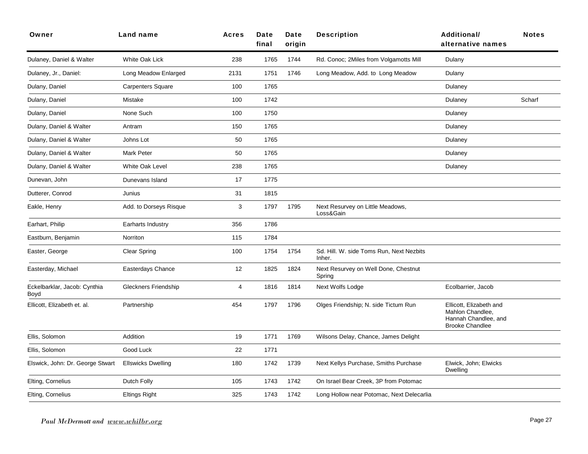| Owner                                | Land name                   | <b>Acres</b> | Date<br>final | Date<br>origin | <b>Description</b>                                 | Additional/<br>alternative names                                                              | <b>Notes</b> |
|--------------------------------------|-----------------------------|--------------|---------------|----------------|----------------------------------------------------|-----------------------------------------------------------------------------------------------|--------------|
| Dulaney, Daniel & Walter             | White Oak Lick              | 238          | 1765          | 1744           | Rd. Conoc; 2Miles from Volgamotts Mill             | Dulany                                                                                        |              |
| Dulaney, Jr., Daniel:                | Long Meadow Enlarged        | 2131         | 1751          | 1746           | Long Meadow, Add. to Long Meadow                   | Dulany                                                                                        |              |
| Dulany, Daniel                       | Carpenters Square           | 100          | 1765          |                |                                                    | Dulaney                                                                                       |              |
| Dulany, Daniel                       | Mistake                     | 100          | 1742          |                |                                                    | Dulaney                                                                                       | Scharf       |
| Dulany, Daniel                       | None Such                   | 100          | 1750          |                |                                                    | Dulaney                                                                                       |              |
| Dulany, Daniel & Walter              | Antram                      | 150          | 1765          |                |                                                    | Dulaney                                                                                       |              |
| Dulany, Daniel & Walter              | Johns Lot                   | 50           | 1765          |                |                                                    | Dulaney                                                                                       |              |
| Dulany, Daniel & Walter              | <b>Mark Peter</b>           | 50           | 1765          |                |                                                    | Dulaney                                                                                       |              |
| Dulany, Daniel & Walter              | White Oak Level             | 238          | 1765          |                |                                                    | Dulaney                                                                                       |              |
| Dunevan, John                        | Dunevans Island             | 17           | 1775          |                |                                                    |                                                                                               |              |
| Dutterer, Conrod                     | Junius                      | 31           | 1815          |                |                                                    |                                                                                               |              |
| Eakle, Henry                         | Add. to Dorseys Risque      | 3            | 1797          | 1795           | Next Resurvey on Little Meadows,<br>Loss&Gain      |                                                                                               |              |
| Earhart, Philip                      | Earharts Industry           | 356          | 1786          |                |                                                    |                                                                                               |              |
| Eastburn, Benjamin                   | Norriton                    | 115          | 1784          |                |                                                    |                                                                                               |              |
| Easter, George                       | <b>Clear Spring</b>         | 100          | 1754          | 1754           | Sd. Hill. W. side Toms Run, Next Nezbits<br>Inher. |                                                                                               |              |
| Easterday, Michael                   | Easterdays Chance           | 12           | 1825          | 1824           | Next Resurvey on Well Done, Chestnut<br>Spring     |                                                                                               |              |
| Eckelbarklar, Jacob: Cynthia<br>Boyd | <b>Gleckners Friendship</b> | 4            | 1816          | 1814           | Next Wolfs Lodge                                   | Ecolbarrier, Jacob                                                                            |              |
| Ellicott, Elizabeth et. al.          | Partnership                 | 454          | 1797          | 1796           | Olges Friendship; N. side Tictum Run               | Ellicott, Elizabeth and<br>Mahlon Chandlee,<br>Hannah Chandlee, and<br><b>Brooke Chandlee</b> |              |
| Ellis, Solomon                       | Addition                    | 19           | 1771          | 1769           | Wilsons Delay, Chance, James Delight               |                                                                                               |              |
| Ellis, Solomon                       | Good Luck                   | 22           | 1771          |                |                                                    |                                                                                               |              |
| Elswick, John: Dr. George Stwart     | <b>Ellswicks Dwelling</b>   | 180          | 1742          | 1739           | Next Kellys Purchase, Smiths Purchase              | Elwick, John; Elwicks<br>Dwelling                                                             |              |
| Elting, Cornelius                    | Dutch Folly                 | 105          | 1743          | 1742           | On Israel Bear Creek, 3P from Potomac              |                                                                                               |              |
| Elting, Cornelius                    | <b>Eltings Right</b>        | 325          | 1743          | 1742           | Long Hollow near Potomac, Next Delecarlia          |                                                                                               |              |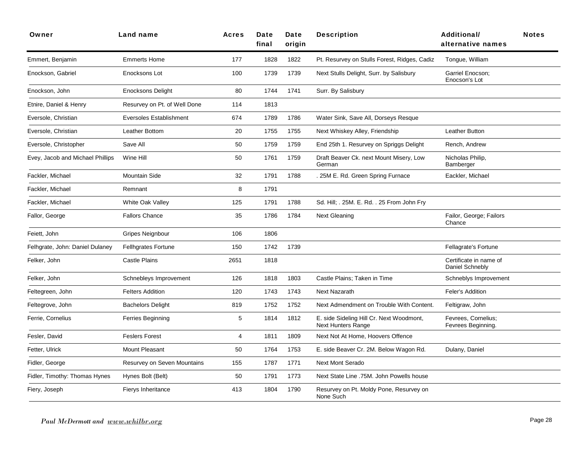| Owner                            | <b>Land name</b>               | Acres | Date<br>final | Date<br>origin | <b>Description</b>                                                    | Additional/<br>alternative names          | <b>Notes</b> |
|----------------------------------|--------------------------------|-------|---------------|----------------|-----------------------------------------------------------------------|-------------------------------------------|--------------|
| Emmert, Benjamin                 | <b>Emmerts Home</b>            | 177   | 1828          | 1822           | Pt. Resurvey on Stulls Forest, Ridges, Cadiz                          | Tongue, William                           |              |
| Enockson, Gabriel                | Enocksons Lot                  | 100   | 1739          | 1739           | Next Stulls Delight, Surr. by Salisbury                               | Garriel Enocson;<br>Enocson's Lot         |              |
| Enockson, John                   | <b>Enocksons Delight</b>       | 80    | 1744          | 1741           | Surr. By Salisbury                                                    |                                           |              |
| Etnire, Daniel & Henry           | Resurvey on Pt. of Well Done   | 114   | 1813          |                |                                                                       |                                           |              |
| Eversole, Christian              | <b>Eversoles Establishment</b> | 674   | 1789          | 1786           | Water Sink, Save All, Dorseys Resque                                  |                                           |              |
| Eversole, Christian              | Leather Bottom                 | 20    | 1755          | 1755           | Next Whiskey Alley, Friendship                                        | Leather Button                            |              |
| Eversole, Christopher            | Save All                       | 50    | 1759          | 1759           | End 25th 1. Resurvey on Spriggs Delight                               | Rench, Andrew                             |              |
| Evey, Jacob and Michael Phillips | Wine Hill                      | 50    | 1761          | 1759           | Draft Beaver Ck. next Mount Misery, Low<br>German                     | Nicholas Philip,<br>Bamberger             |              |
| Fackler, Michael                 | <b>Mountain Side</b>           | 32    | 1791          | 1788           | . 25M E. Rd. Green Spring Furnace                                     | Eackler, Michael                          |              |
| Fackler, Michael                 | Remnant                        | 8     | 1791          |                |                                                                       |                                           |              |
| Fackler, Michael                 | White Oak Valley               | 125   | 1791          | 1788           | Sd. Hill; . 25M. E. Rd. . 25 From John Fry                            |                                           |              |
| Fallor, George                   | <b>Fallors Chance</b>          | 35    | 1786          | 1784           | <b>Next Gleaning</b>                                                  | Failor, George; Failors<br>Chance         |              |
| Feiett, John                     | <b>Gripes Neignbour</b>        | 106   | 1806          |                |                                                                       |                                           |              |
| Felhgrate, John: Daniel Dulaney  | <b>Fellhgrates Fortune</b>     | 150   | 1742          | 1739           |                                                                       | Fellagrate's Fortune                      |              |
| Felker, John                     | <b>Castle Plains</b>           | 2651  | 1818          |                |                                                                       | Certificate in name of<br>Daniel Schnebly |              |
| Felker, John                     | Schnebleys Improvement         | 126   | 1818          | 1803           | Castle Plains; Taken in Time                                          | Schneblys Improvement                     |              |
| Feltegreen, John                 | <b>Felters Addition</b>        | 120   | 1743          | 1743           | <b>Next Nazarath</b>                                                  | Feler's Addition                          |              |
| Feltegrove, John                 | <b>Bachelors Delight</b>       | 819   | 1752          | 1752           | Next Admendment on Trouble With Content.                              | Feltigraw, John                           |              |
| Ferrie, Cornelius                | Ferries Beginning              | 5     | 1814          | 1812           | E. side Sideling Hill Cr. Next Woodmont,<br><b>Next Hunters Range</b> | Fevrees, Cornelius;<br>Fevrees Beginning. |              |
| Fesler, David                    | <b>Feslers Forest</b>          | 4     | 1811          | 1809           | Next Not At Home, Hoovers Offence                                     |                                           |              |
| Fetter, Ulrick                   | Mount Pleasant                 | 50    | 1764          | 1753           | E. side Beaver Cr. 2M. Below Wagon Rd.                                | Dulany, Daniel                            |              |
| Fidler, George                   | Resurvey on Seven Mountains    | 155   | 1787          | 1771           | <b>Next Mont Serado</b>                                               |                                           |              |
| Fidler, Timothy: Thomas Hynes    | Hynes Bolt (Belt)              | 50    | 1791          | 1773           | Next State Line .75M. John Powells house                              |                                           |              |
| Fiery, Joseph                    | Fierys Inheritance             | 413   | 1804          | 1790           | Resurvey on Pt. Moldy Pone, Resurvey on<br>None Such                  |                                           |              |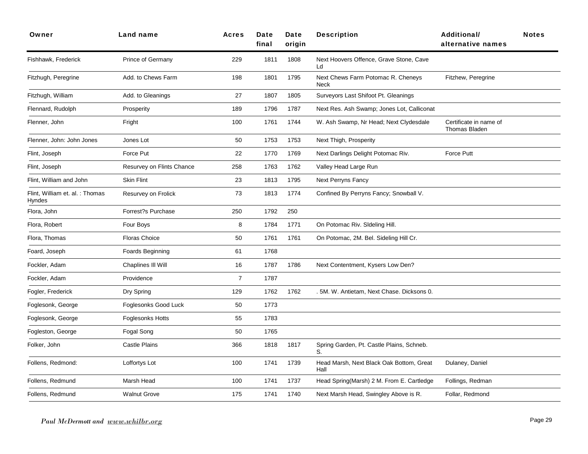| Owner                                     | Land name                 | <b>Acres</b>   | Date<br>final | Date<br>origin | <b>Description</b>                               | <b>Additional/</b><br>alternative names        | <b>Notes</b> |
|-------------------------------------------|---------------------------|----------------|---------------|----------------|--------------------------------------------------|------------------------------------------------|--------------|
| Fishhawk, Frederick                       | Prince of Germany         | 229            | 1811          | 1808           | Next Hoovers Offence, Grave Stone, Cave<br>Ld    |                                                |              |
| Fitzhugh, Peregrine                       | Add. to Chews Farm        | 198            | 1801          | 1795           | Next Chews Farm Potomac R. Cheneys<br>Neck       | Fitzhew, Peregrine                             |              |
| Fitzhugh, William                         | Add. to Gleanings         | 27             | 1807          | 1805           | Surveyors Last Shifoot Pt. Gleanings             |                                                |              |
| Flennard, Rudolph                         | Prosperity                | 189            | 1796          | 1787           | Next Res. Ash Swamp; Jones Lot, Calliconat       |                                                |              |
| Flenner, John                             | Fright                    | 100            | 1761          | 1744           | W. Ash Swamp, Nr Head; Next Clydesdale           | Certificate in name of<br><b>Thomas Bladen</b> |              |
| Flenner, John: John Jones                 | Jones Lot                 | 50             | 1753          | 1753           | Next Thigh, Prosperity                           |                                                |              |
| Flint, Joseph                             | Force Put                 | 22             | 1770          | 1769           | Next Darlings Delight Potomac Riv.               | Force Putt                                     |              |
| Flint, Joseph                             | Resurvey on Flints Chance | 258            | 1763          | 1762           | Valley Head Large Run                            |                                                |              |
| Flint, William and John                   | <b>Skin Flint</b>         | 23             | 1813          | 1795           | <b>Next Perryns Fancy</b>                        |                                                |              |
| Flint, William et. al. : Thomas<br>Hyndes | Resurvey on Frolick       | 73             | 1813          | 1774           | Confined By Perryns Fancy; Snowball V.           |                                                |              |
| Flora, John                               | Forrest?s Purchase        | 250            | 1792          | 250            |                                                  |                                                |              |
| Flora, Robert                             | Four Boys                 | 8              | 1784          | 1771           | On Potomac Riv. Sldeling Hill.                   |                                                |              |
| Flora, Thomas                             | <b>Floras Choice</b>      | 50             | 1761          | 1761           | On Potomac, 2M. Bel. Sideling Hill Cr.           |                                                |              |
| Foard, Joseph                             | Foards Beginning          | 61             | 1768          |                |                                                  |                                                |              |
| Fockler, Adam                             | Chaplines III Will        | 16             | 1787          | 1786           | Next Contentment, Kysers Low Den?                |                                                |              |
| Fockler, Adam                             | Providence                | $\overline{7}$ | 1787          |                |                                                  |                                                |              |
| Fogler, Frederick                         | Dry Spring                | 129            | 1762          | 1762           | . 5M. W. Antietam, Next Chase. Dicksons 0.       |                                                |              |
| Foglesonk, George                         | Foglesonks Good Luck      | 50             | 1773          |                |                                                  |                                                |              |
| Foglesonk, George                         | <b>Foglesonks Hotts</b>   | 55             | 1783          |                |                                                  |                                                |              |
| Fogleston, George                         | Fogal Song                | 50             | 1765          |                |                                                  |                                                |              |
| Folker, John                              | <b>Castle Plains</b>      | 366            | 1818          | 1817           | Spring Garden, Pt. Castle Plains, Schneb.<br>S.  |                                                |              |
| Follens, Redmond:                         | Loffortys Lot             | 100            | 1741          | 1739           | Head Marsh, Next Black Oak Bottom, Great<br>Hall | Dulaney, Daniel                                |              |
| Follens, Redmund                          | Marsh Head                | 100            | 1741          | 1737           | Head Spring(Marsh) 2 M. From E. Cartledge        | Follings, Redman                               |              |
| Follens, Redmund                          | <b>Walnut Grove</b>       | 175            | 1741          | 1740           | Next Marsh Head, Swingley Above is R.            | Follar, Redmond                                |              |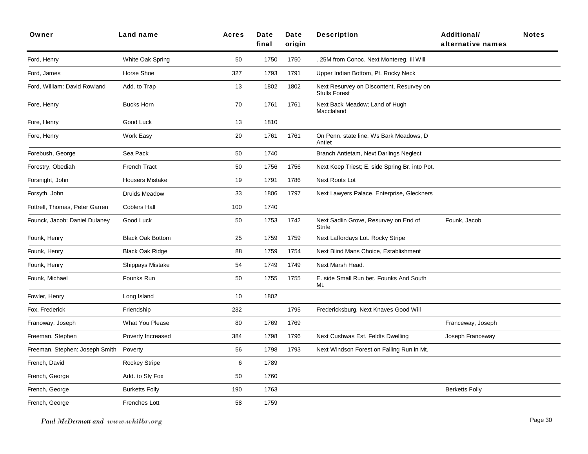| Owner                          | Land name               | <b>Acres</b> | Date<br>final | Date<br>origin | <b>Description</b>                                               | <b>Additional/</b><br>alternative names | <b>Notes</b> |
|--------------------------------|-------------------------|--------------|---------------|----------------|------------------------------------------------------------------|-----------------------------------------|--------------|
| Ford, Henry                    | White Oak Spring        | 50           | 1750          | 1750           | . 25M from Conoc. Next Montereg, Ill Will                        |                                         |              |
| Ford, James                    | Horse Shoe              | 327          | 1793          | 1791           | Upper Indian Bottom, Pt. Rocky Neck                              |                                         |              |
| Ford, William: David Rowland   | Add. to Trap            | 13           | 1802          | 1802           | Next Resurvey on Discontent, Resurvey on<br><b>Stulls Forest</b> |                                         |              |
| Fore, Henry                    | <b>Bucks Horn</b>       | 70           | 1761          | 1761           | Next Back Meadow; Land of Hugh<br>Macclaland                     |                                         |              |
| Fore, Henry                    | Good Luck               | 13           | 1810          |                |                                                                  |                                         |              |
| Fore, Henry                    | Work Easy               | 20           | 1761          | 1761           | On Penn. state line. Ws Bark Meadows, D<br>Antiet                |                                         |              |
| Forebush, George               | Sea Pack                | 50           | 1740          |                | Branch Antietam, Next Darlings Neglect                           |                                         |              |
| Forestry, Obediah              | <b>French Tract</b>     | 50           | 1756          | 1756           | Next Keep Triest; E. side Spring Br. into Pot.                   |                                         |              |
| Forsnight, John                | <b>Housers Mistake</b>  | 19           | 1791          | 1786           | Next Roots Lot                                                   |                                         |              |
| Forsyth, John                  | <b>Druids Meadow</b>    | 33           | 1806          | 1797           | Next Lawyers Palace, Enterprise, Gleckners                       |                                         |              |
| Fottrell, Thomas, Peter Garren | <b>Coblers Hall</b>     | 100          | 1740          |                |                                                                  |                                         |              |
| Founck, Jacob: Daniel Dulaney  | Good Luck               | 50           | 1753          | 1742           | Next Sadlin Grove, Resurvey on End of<br>Strife                  | Founk, Jacob                            |              |
| Founk, Henry                   | <b>Black Oak Bottom</b> | 25           | 1759          | 1759           | Next Laffordays Lot. Rocky Stripe                                |                                         |              |
| Founk, Henry                   | <b>Black Oak Ridge</b>  | 88           | 1759          | 1754           | Next Blind Mans Choice, Establishment                            |                                         |              |
| Founk, Henry                   | Shippays Mistake        | 54           | 1749          | 1749           | Next Marsh Head.                                                 |                                         |              |
| Founk, Michael                 | Founks Run              | 50           | 1755          | 1755           | E. side Small Run bet. Founks And South<br>Mt.                   |                                         |              |
| Fowler, Henry                  | Long Island             | 10           | 1802          |                |                                                                  |                                         |              |
| Fox, Frederick                 | Friendship              | 232          |               | 1795           | Fredericksburg, Next Knaves Good Will                            |                                         |              |
| Franoway, Joseph               | <b>What You Please</b>  | 80           | 1769          | 1769           |                                                                  | Franceway, Joseph                       |              |
| Freeman, Stephen               | Poverty Increased       | 384          | 1798          | 1796           | Next Cushwas Est. Feldts Dwelling                                | Joseph Franceway                        |              |
| Freeman, Stephen: Joseph Smith | Poverty                 | 56           | 1798          | 1793           | Next Windson Forest on Falling Run in Mt.                        |                                         |              |
| French, David                  | <b>Rockey Stripe</b>    | $\,6\,$      | 1789          |                |                                                                  |                                         |              |
| French, George                 | Add. to Sly Fox         | 50           | 1760          |                |                                                                  |                                         |              |
| French, George                 | <b>Burketts Folly</b>   | 190          | 1763          |                |                                                                  | <b>Berketts Folly</b>                   |              |
| French, George                 | Frenches Lott           | 58           | 1759          |                |                                                                  |                                         |              |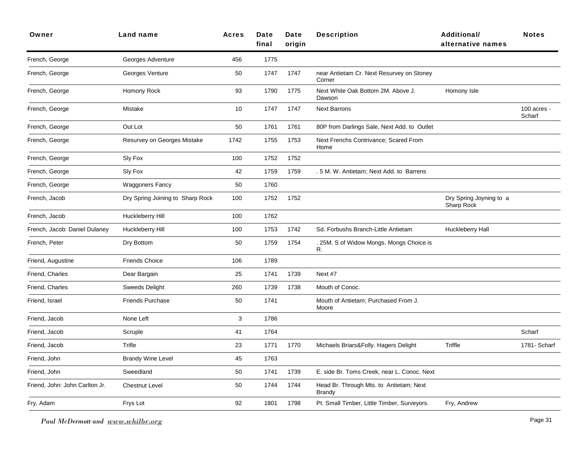| Owner                          | Land name                        | Acres | Date<br>final | Date<br>origin | <b>Description</b>                                       | <b>Additional/</b><br>alternative names | <b>Notes</b>          |
|--------------------------------|----------------------------------|-------|---------------|----------------|----------------------------------------------------------|-----------------------------------------|-----------------------|
| French, George                 | Georges Adventure                | 456   | 1775          |                |                                                          |                                         |                       |
| French, George                 | Georges Venture                  | 50    | 1747          | 1747           | near Antietam Cr. Next Resurvey on Stoney<br>Corner      |                                         |                       |
| French, George                 | Homony Rock                      | 93    | 1790          | 1775           | Next White Oak Bottom 2M. Above J.<br>Dawson             | Homony Isle                             |                       |
| French, George                 | Mistake                          | 10    | 1747          | 1747           | <b>Next Barrons</b>                                      |                                         | 100 acres -<br>Scharf |
| French, George                 | Out Lot                          | 50    | 1761          | 1761           | 80P from Darlings Sale, Next Add. to Outlet              |                                         |                       |
| French, George                 | Resurvey on Georges Mistake      | 1742  | 1755          | 1753           | Next Frenchs Contrivance; Scared From<br>Home            |                                         |                       |
| French, George                 | Sly Fox                          | 100   | 1752          | 1752           |                                                          |                                         |                       |
| French, George                 | Sly Fox                          | 42    | 1759          | 1759           | . 5 M. W. Antietam; Next Add. to Barrens                 |                                         |                       |
| French, George                 | <b>Waggoners Fancy</b>           | 50    | 1760          |                |                                                          |                                         |                       |
| French, Jacob                  | Dry Spring Joining to Sharp Rock | 100   | 1752          | 1752           |                                                          | Dry Spring Joyning to a<br>Sharp Rock   |                       |
| French, Jacob                  | Huckleberry Hill                 | 100   | 1762          |                |                                                          |                                         |                       |
| French, Jacob: Daniel Dulaney  | Huckleberry Hill                 | 100   | 1753          | 1742           | Sd. Forbushs Branch-Little Antietam                      | Huckleberry Hall                        |                       |
| French, Peter                  | Dry Bottom                       | 50    | 1759          | 1754           | . 25M. S of Widow Mongs. Mongs Choice is<br>R.           |                                         |                       |
| Friend, Augustine              | <b>Friends Choice</b>            | 106   | 1789          |                |                                                          |                                         |                       |
| Friend, Charles                | Dear Bargain                     | 25    | 1741          | 1739           | Next #7                                                  |                                         |                       |
| Friend, Charles                | <b>Sweeds Delight</b>            | 260   | 1739          | 1738           | Mouth of Conoc.                                          |                                         |                       |
| Friend, Israel                 | <b>Friends Purchase</b>          | 50    | 1741          |                | Mouth of Antietam; Purchased From J.<br>Moore            |                                         |                       |
| Friend, Jacob                  | None Left                        | 3     | 1786          |                |                                                          |                                         |                       |
| Friend, Jacob                  | Scruple                          | 41    | 1764          |                |                                                          |                                         | Scharf                |
| Friend, Jacob                  | Trifle                           | 23    | 1771          | 1770           | Michaels Briars&Folly. Hagers Delight                    | Triffle                                 | 1781- Scharf          |
| Friend, John                   | <b>Brandy Wine Level</b>         | 45    | 1763          |                |                                                          |                                         |                       |
| Friend, John                   | Sweedland                        | 50    | 1741          | 1739           | E. side Br. Toms Creek, near L. Conoc. Next              |                                         |                       |
| Friend, John: John Carlton Jr. | <b>Chestnut Level</b>            | 50    | 1744          | 1744           | Head Br. Through Mts. to Antietam; Next<br><b>Brandy</b> |                                         |                       |
| Fry, Adam                      | Frys Lot                         | 92    | 1801          | 1798           | Pt. Small Timber, Little Timber, Surveyors.              | Fry, Andrew                             |                       |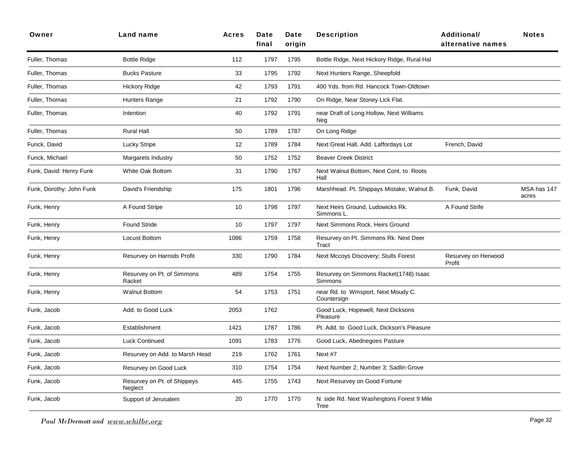| Owner                    | Land name                              | <b>Acres</b> | Date<br>final | Date<br>origin | <b>Description</b>                                 | <b>Additional/</b><br>alternative names | <b>Notes</b>         |
|--------------------------|----------------------------------------|--------------|---------------|----------------|----------------------------------------------------|-----------------------------------------|----------------------|
| Fuller, Thomas           | <b>Bottle Ridge</b>                    | 112          | 1797          | 1795           | Bottle Ridge, Next Hickory Ridge, Rural Hal        |                                         |                      |
| Fuller, Thomas           | <b>Bucks Pasture</b>                   | 33           | 1795          | 1792           | Next Hunters Range, Sheepfold                      |                                         |                      |
| Fuller, Thomas           | <b>Hickory Ridge</b>                   | 42           | 1793          | 1791           | 400 Yds. from Rd. Hancock Town-Oldtown             |                                         |                      |
| Fuller, Thomas           | Hunters Range                          | 21           | 1792          | 1790           | On Ridge, Near Stoney Lick Flat.                   |                                         |                      |
| Fuller, Thomas           | Intention                              | 40           | 1792          | 1791           | near Draft of Long Hollow, Next Williams<br>Neg    |                                         |                      |
| Fuller, Thomas           | <b>Rural Hall</b>                      | 50           | 1789          | 1787           | On Long Ridge                                      |                                         |                      |
| Funck, David             | Lucky Stripe                           | 12           | 1789          | 1784           | Next Great Hall, Add. Laffordays Lot               | French, David                           |                      |
| Funck, Michael           | Margarets Industry                     | 50           | 1752          | 1752           | <b>Beaver Creek District</b>                       |                                         |                      |
| Funk, David: Henry Funk  | White Oak Bottom                       | 31           | 1790          | 1767           | Next Walnut Bottom, Next Cont. to Roots<br>Hall    |                                         |                      |
| Funk, Dorothy: John Funk | David's Friendship                     | 175          | 1801          | 1796           | Marshhead. Pt. Shippays Mistake, Walnut B.         | Funk, David                             | MSA has 147<br>acres |
| Funk, Henry              | A Found Stripe                         | 10           | 1798          | 1797           | Next Heirs Ground, Ludowicks Rk.<br>Simmons L.     | A Found Strife                          |                      |
| Funk, Henry              | Found Stride                           | 10           | 1797          | 1797           | Next Simmons Rock, Heirs Ground                    |                                         |                      |
| Funk, Henry              | Locust Bottom                          | 1086         | 1759          | 1758           | Resurvey on Pt. Simmons Rk. Next Deer<br>Tract     |                                         |                      |
| Funk, Henry              | Resurvey on Harrods Profit             | 330          | 1790          | 1784           | Next Mccoys Discovery; Stulls Forest               | Resurvey on Herwood<br>Profit           |                      |
| Funk, Henry              | Resurvey on Pt. of Simmons<br>Racket   | 489          | 1754          | 1755           | Resurvey on Simmons Racket(1748) Isaac<br>Simmons  |                                         |                      |
| Funk, Henry              | <b>Walnut Bottom</b>                   | 54           | 1753          | 1751           | near Rd. to Wmsport, Next Moudy C.<br>Countersign  |                                         |                      |
| Funk, Jacob              | Add. to Good Luck                      | 2053         | 1762          |                | Good Luck, Hopewell, Next Dicksons<br>Pleasure     |                                         |                      |
| Funk, Jacob              | Establishment                          | 1421         | 1787          | 1786           | Pt. Add. to Good Luck, Dickson's Pleasure          |                                         |                      |
| Funk, Jacob              | <b>Luck Continued</b>                  | 1091         | 1783          | 1776           | Good Luck, Abednegoes Pasture                      |                                         |                      |
| Funk, Jacob              | Resurvey on Add. to Marsh Head         | 219          | 1762          | 1761           | Next #7                                            |                                         |                      |
| Funk, Jacob              | Resurvey on Good Luck                  | 310          | 1754          | 1754           | Next Number 2; Number 3; Sadlin Grove              |                                         |                      |
| Funk, Jacob              | Resurvey on Pt. of Shippeys<br>Neglect | 445          | 1755          | 1743           | Next Resurvey on Good Fortune                      |                                         |                      |
| Funk, Jacob              | Support of Jerusalem                   | 20           | 1770          | 1770           | N. side Rd. Next Washingtons Forest 9 Mile<br>Tree |                                         |                      |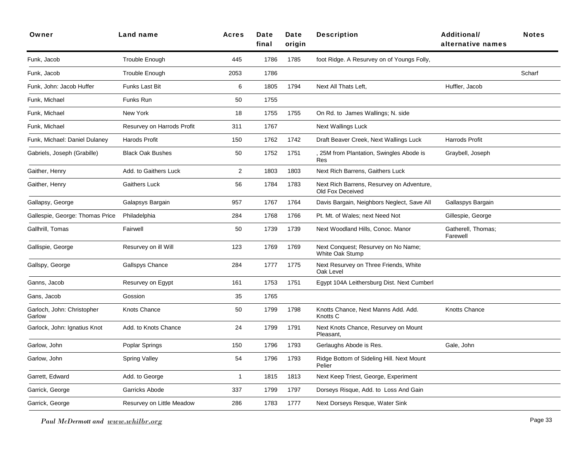| Owner                                | Land name                  | <b>Acres</b>   | Date<br>final | Date<br>origin | <b>Description</b>                                            | <b>Additional/</b><br>alternative names | <b>Notes</b> |
|--------------------------------------|----------------------------|----------------|---------------|----------------|---------------------------------------------------------------|-----------------------------------------|--------------|
| Funk, Jacob                          | Trouble Enough             | 445            | 1786          | 1785           | foot Ridge. A Resurvey on of Youngs Folly,                    |                                         |              |
| Funk, Jacob                          | Trouble Enough             | 2053           | 1786          |                |                                                               |                                         | Scharf       |
| Funk, John: Jacob Huffer             | Funks Last Bit             | 6              | 1805          | 1794           | Next All Thats Left,                                          | Huffler, Jacob                          |              |
| Funk, Michael                        | Funks Run                  | 50             | 1755          |                |                                                               |                                         |              |
| Funk, Michael                        | New York                   | 18             | 1755          | 1755           | On Rd. to James Wallings; N. side                             |                                         |              |
| Funk, Michael                        | Resurvey on Harrods Profit | 311            | 1767          |                | <b>Next Wallings Luck</b>                                     |                                         |              |
| Funk, Michael: Daniel Dulaney        | Harods Profit              | 150            | 1762          | 1742           | Draft Beaver Creek, Next Wallings Luck                        | Harrods Profit                          |              |
| Gabriels, Joseph (Grabille)          | <b>Black Oak Bushes</b>    | 50             | 1752          | 1751           | 25M from Plantation, Swingles Abode is<br>Res                 | Graybell, Joseph                        |              |
| Gaither, Henry                       | Add. to Gaithers Luck      | $\overline{c}$ | 1803          | 1803           | Next Rich Barrens, Gaithers Luck                              |                                         |              |
| Gaither, Henry                       | <b>Gaithers Luck</b>       | 56             | 1784          | 1783           | Next Rich Barrens, Resurvey on Adventure,<br>Old Fox Deceived |                                         |              |
| Gallapsy, George                     | Galapsys Bargain           | 957            | 1767          | 1764           | Davis Bargain, Neighbors Neglect, Save All                    | Gallaspys Bargain                       |              |
| Gallespie, George: Thomas Price      | Philadelphia               | 284            | 1768          | 1766           | Pt. Mt. of Wales; next Need Not                               | Gillespie, George                       |              |
| Gallhrill, Tomas                     | Fairwell                   | 50             | 1739          | 1739           | Next Woodland Hills, Conoc. Manor                             | Gatherell, Thomas;<br>Farewell          |              |
| Gallispie, George                    | Resurvey on ill Will       | 123            | 1769          | 1769           | Next Conquest; Resurvey on No Name;<br>White Oak Stump        |                                         |              |
| Gallspy, George                      | Gallspys Chance            | 284            | 1777          | 1775           | Next Resurvey on Three Friends, White<br>Oak Level            |                                         |              |
| Ganns, Jacob                         | Resurvey on Egypt          | 161            | 1753          | 1751           | Egypt 104A Leithersburg Dist. Next Cumberl                    |                                         |              |
| Gans, Jacob                          | Gossion                    | 35             | 1765          |                |                                                               |                                         |              |
| Garloch, John: Christopher<br>Garlow | Knots Chance               | 50             | 1799          | 1798           | Knotts Chance, Next Manns Add. Add.<br>Knotts C               | Knotts Chance                           |              |
| Garlock, John: Ignatius Knot         | Add. to Knots Chance       | 24             | 1799          | 1791           | Next Knots Chance, Resurvey on Mount<br>Pleasant,             |                                         |              |
| Garlow, John                         | Poplar Springs             | 150            | 1796          | 1793           | Gerlaughs Abode is Res.                                       | Gale, John                              |              |
| Garlow, John                         | <b>Spring Valley</b>       | 54             | 1796          | 1793           | Ridge Bottom of Sideling Hill. Next Mount<br>Pelier           |                                         |              |
| Garrett, Edward                      | Add. to George             | $\mathbf{1}$   | 1815          | 1813           | Next Keep Triest, George, Experiment                          |                                         |              |
| Garrick, George                      | Garricks Abode             | 337            | 1799          | 1797           | Dorseys Risque, Add. to Loss And Gain                         |                                         |              |
| Garrick, George                      | Resurvey on Little Meadow  | 286            | 1783          | 1777           | Next Dorseys Resque, Water Sink                               |                                         |              |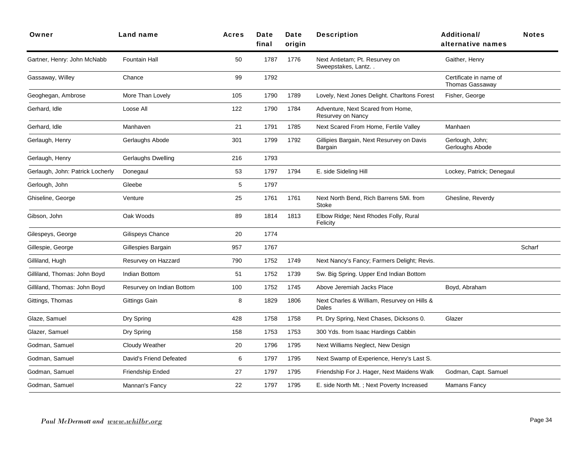| Owner                            | <b>Land name</b>          | <b>Acres</b> | Date<br>final | Date<br>origin | <b>Description</b>                                     | <b>Additional/</b><br>alternative names          | <b>Notes</b> |
|----------------------------------|---------------------------|--------------|---------------|----------------|--------------------------------------------------------|--------------------------------------------------|--------------|
| Gartner, Henry: John McNabb      | <b>Fountain Hall</b>      | 50           | 1787          | 1776           | Next Antietam; Pt. Resurvey on<br>Sweepstakes, Lantz   | Gaither, Henry                                   |              |
| Gassaway, Willey                 | Chance                    | 99           | 1792          |                |                                                        | Certificate in name of<br><b>Thomas Gassaway</b> |              |
| Geoghegan, Ambrose               | More Than Lovely          | 105          | 1790          | 1789           | Lovely, Next Jones Delight. Charltons Forest           | Fisher, George                                   |              |
| Gerhard, Idle                    | Loose All                 | 122          | 1790          | 1784           | Adventure, Next Scared from Home,<br>Resurvey on Nancy |                                                  |              |
| Gerhard, Idle                    | Manhaven                  | 21           | 1791          | 1785           | Next Scared From Home, Fertile Valley                  | Manhaen                                          |              |
| Gerlaugh, Henry                  | Gerlaughs Abode           | 301          | 1799          | 1792           | Gillipies Bargain, Next Resurvey on Davis<br>Bargain   | Gerlough, John;<br>Gerloughs Abode               |              |
| Gerlaugh, Henry                  | <b>Gerlaughs Dwelling</b> | 216          | 1793          |                |                                                        |                                                  |              |
| Gerlaugh, John: Patrick Locherly | Donegaul                  | 53           | 1797          | 1794           | E. side Sideling Hill                                  | Lockey, Patrick; Denegaul                        |              |
| Gerlough, John                   | Gleebe                    | 5            | 1797          |                |                                                        |                                                  |              |
| Ghiseline, George                | Venture                   | 25           | 1761          | 1761           | Next North Bend, Rich Barrens 5Mi. from<br>Stoke       | Ghesline, Reverdy                                |              |
| Gibson, John                     | Oak Woods                 | 89           | 1814          | 1813           | Elbow Ridge; Next Rhodes Folly, Rural<br>Felicity      |                                                  |              |
| Gilespeys, George                | Gilispeys Chance          | 20           | 1774          |                |                                                        |                                                  |              |
| Gillespie, George                | Gillespies Bargain        | 957          | 1767          |                |                                                        |                                                  | Scharf       |
| Gilliland, Hugh                  | Resurvey on Hazzard       | 790          | 1752          | 1749           | Next Nancy's Fancy; Farmers Delight; Revis.            |                                                  |              |
| Gilliland, Thomas: John Boyd     | Indian Bottom             | 51           | 1752          | 1739           | Sw. Big Spring. Upper End Indian Bottom                |                                                  |              |
| Gilliland, Thomas: John Boyd     | Resurvey on Indian Bottom | 100          | 1752          | 1745           | Above Jeremiah Jacks Place                             | Boyd, Abraham                                    |              |
| Gittings, Thomas                 | Gittings Gain             | 8            | 1829          | 1806           | Next Charles & William, Resurvey on Hills &<br>Dales   |                                                  |              |
| Glaze, Samuel                    | Dry Spring                | 428          | 1758          | 1758           | Pt. Dry Spring, Next Chases, Dicksons 0.               | Glazer                                           |              |
| Glazer, Samuel                   | Dry Spring                | 158          | 1753          | 1753           | 300 Yds. from Isaac Hardings Cabbin                    |                                                  |              |
| Godman, Samuel                   | Cloudy Weather            | 20           | 1796          | 1795           | Next Williams Neglect, New Design                      |                                                  |              |
| Godman, Samuel                   | David's Friend Defeated   | 6            | 1797          | 1795           | Next Swamp of Experience, Henry's Last S.              |                                                  |              |
| Godman, Samuel                   | Friendship Ended          | 27           | 1797          | 1795           | Friendship For J. Hager, Next Maidens Walk             | Godman, Capt. Samuel                             |              |
| Godman, Samuel                   | Mannan's Fancy            | 22           | 1797          | 1795           | E. side North Mt.; Next Poverty Increased              | Mamans Fancy                                     |              |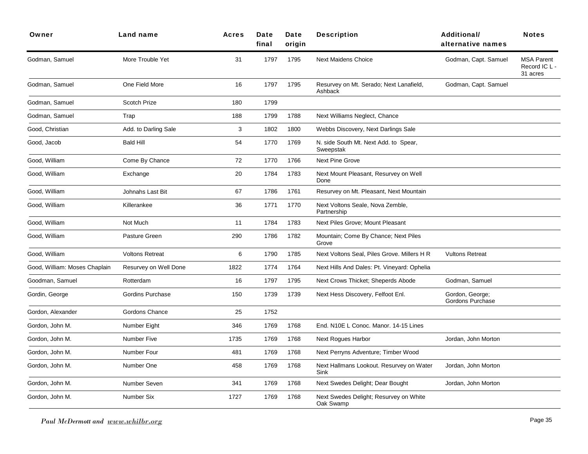| Owner                         | Land name              | <b>Acres</b> | Date<br>final | Date<br>origin | <b>Description</b>                                  | <b>Additional/</b><br>alternative names | <b>Notes</b>                                   |
|-------------------------------|------------------------|--------------|---------------|----------------|-----------------------------------------------------|-----------------------------------------|------------------------------------------------|
| Godman, Samuel                | More Trouble Yet       | 31           | 1797          | 1795           | <b>Next Maidens Choice</b>                          | Godman, Capt. Samuel                    | <b>MSA Parent</b><br>Record IC L -<br>31 acres |
| Godman, Samuel                | One Field More         | 16           | 1797          | 1795           | Resurvey on Mt. Serado; Next Lanafield,<br>Ashback  | Godman, Capt. Samuel                    |                                                |
| Godman, Samuel                | Scotch Prize           | 180          | 1799          |                |                                                     |                                         |                                                |
| Godman, Samuel                | Trap                   | 188          | 1799          | 1788           | Next Williams Neglect, Chance                       |                                         |                                                |
| Good, Christian               | Add. to Darling Sale   | 3            | 1802          | 1800           | Webbs Discovery, Next Darlings Sale                 |                                         |                                                |
| Good, Jacob                   | <b>Bald Hill</b>       | 54           | 1770          | 1769           | N. side South Mt. Next Add. to Spear,<br>Sweepstak  |                                         |                                                |
| Good, William                 | Come By Chance         | 72           | 1770          | 1766           | <b>Next Pine Grove</b>                              |                                         |                                                |
| Good, William                 | Exchange               | 20           | 1784          | 1783           | Next Mount Pleasant, Resurvey on Well<br>Done       |                                         |                                                |
| Good, William                 | Johnahs Last Bit       | 67           | 1786          | 1761           | Resurvey on Mt. Pleasant, Next Mountain             |                                         |                                                |
| Good, William                 | Killerankee            | 36           | 1771          | 1770           | Next Voltons Seale, Nova Zemble,<br>Partnership     |                                         |                                                |
| Good, William                 | Not Much               | 11           | 1784          | 1783           | Next Piles Grove; Mount Pleasant                    |                                         |                                                |
| Good, William                 | Pasture Green          | 290          | 1786          | 1782           | Mountain; Come By Chance; Next Piles<br>Grove       |                                         |                                                |
| Good, William                 | <b>Voltons Retreat</b> | 6            | 1790          | 1785           | Next Voltons Seal, Piles Grove. Millers H R         | <b>Vultons Retreat</b>                  |                                                |
| Good, William: Moses Chaplain | Resurvey on Well Done  | 1822         | 1774          | 1764           | Next Hills And Dales: Pt. Vineyard: Ophelia         |                                         |                                                |
| Goodman, Samuel               | Rotterdam              | 16           | 1797          | 1795           | Next Crows Thicket; Sheperds Abode                  | Godman, Samuel                          |                                                |
| Gordin, George                | Gordins Purchase       | 150          | 1739          | 1739           | Next Hess Discovery, Felfoot Enl.                   | Gordon, George;<br>Gordons Purchase     |                                                |
| Gordon, Alexander             | Gordons Chance         | 25           | 1752          |                |                                                     |                                         |                                                |
| Gordon, John M.               | Number Eight           | 346          | 1769          | 1768           | End. N10E L Conoc. Manor. 14-15 Lines               |                                         |                                                |
| Gordon, John M.               | <b>Number Five</b>     | 1735         | 1769          | 1768           | <b>Next Rogues Harbor</b>                           | Jordan, John Morton                     |                                                |
| Gordon, John M.               | Number Four            | 481          | 1769          | 1768           | Next Perryns Adventure; Timber Wood                 |                                         |                                                |
| Gordon, John M.               | Number One             | 458          | 1769          | 1768           | Next Hallmans Lookout. Resurvey on Water<br>Sink    | Jordan, John Morton                     |                                                |
| Gordon, John M.               | Number Seven           | 341          | 1769          | 1768           | Next Swedes Delight; Dear Bought                    | Jordan, John Morton                     |                                                |
| Gordon, John M.               | Number Six             | 1727         | 1769          | 1768           | Next Swedes Delight; Resurvey on White<br>Oak Swamp |                                         |                                                |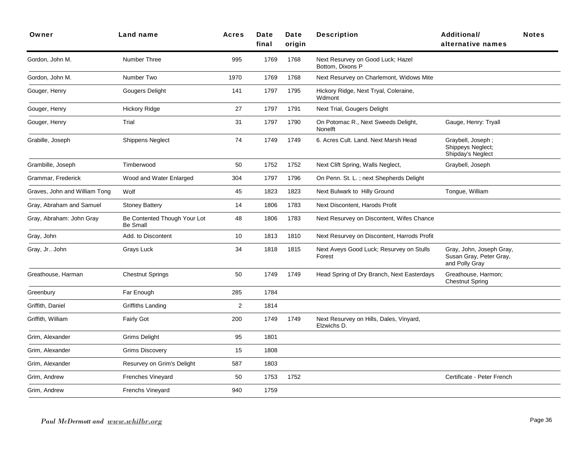| Owner                         | Land name                                       | <b>Acres</b> | Date<br>final | Date<br>origin | <b>Description</b>                                     | Additional/<br>alternative names                                      | <b>Notes</b> |
|-------------------------------|-------------------------------------------------|--------------|---------------|----------------|--------------------------------------------------------|-----------------------------------------------------------------------|--------------|
| Gordon, John M.               | Number Three                                    | 995          | 1769          | 1768           | Next Resurvey on Good Luck; Hazel<br>Bottom, Dixons P  |                                                                       |              |
| Gordon, John M.               | Number Two                                      | 1970         | 1769          | 1768           | Next Resurvey on Charlemont, Widows Mite               |                                                                       |              |
| Gouger, Henry                 | Gougers Delight                                 | 141          | 1797          | 1795           | Hickory Ridge, Next Tryal, Coleraine,<br>Wdmont        |                                                                       |              |
| Gouger, Henry                 | <b>Hickory Ridge</b>                            | 27           | 1797          | 1791           | Next Trial, Gougers Delight                            |                                                                       |              |
| Gouger, Henry                 | Trial                                           | 31           | 1797          | 1790           | On Potomac R., Next Sweeds Delight,<br>Nonelft         | Gauge, Henry: Tryall                                                  |              |
| Grabille, Joseph              | <b>Shippens Neglect</b>                         | 74           | 1749          | 1749           | 6. Acres Cult. Land. Next Marsh Head                   | Graybell, Joseph;<br>Shippeys Neglect;<br>Shipday's Neglect           |              |
| Grambille, Joseph             | Timberwood                                      | 50           | 1752          | 1752           | Next Clift Spring, Walls Neglect,                      | Graybell, Joseph                                                      |              |
| Grammar, Frederick            | Wood and Water Enlarged                         | 304          | 1797          | 1796           | On Penn. St. L.; next Shepherds Delight                |                                                                       |              |
| Graves, John and William Tong | Wolf                                            | 45           | 1823          | 1823           | Next Bulwark to Hilly Ground                           | Tongue, William                                                       |              |
| Gray, Abraham and Samuel      | <b>Stoney Battery</b>                           | 14           | 1806          | 1783           | Next Discontent, Harods Profit                         |                                                                       |              |
| Gray, Abraham: John Gray      | Be Contented Though Your Lot<br><b>Be Small</b> | 48           | 1806          | 1783           | Next Resurvey on Discontent, Wifes Chance              |                                                                       |              |
| Gray, John                    | Add. to Discontent                              | 10           | 1813          | 1810           | Next Resurvey on Discontent, Harrods Profit            |                                                                       |              |
| Gray, Jr John                 | Grays Luck                                      | 34           | 1818          | 1815           | Next Aveys Good Luck; Resurvey on Stulls<br>Forest     | Gray, John, Joseph Gray,<br>Susan Gray, Peter Gray,<br>and Polly Gray |              |
| Greathouse, Harman            | <b>Chestnut Springs</b>                         | 50           | 1749          | 1749           | Head Spring of Dry Branch, Next Easterdays             | Greathouse, Harmon;<br><b>Chestnut Spring</b>                         |              |
| Greenbury                     | Far Enough                                      | 285          | 1784          |                |                                                        |                                                                       |              |
| Griffith, Daniel              | Griffiths Landing                               | $\mathbf{2}$ | 1814          |                |                                                        |                                                                       |              |
| Griffith, William             | <b>Fairly Got</b>                               | 200          | 1749          | 1749           | Next Resurvey on Hills, Dales, Vinyard,<br>Elzwichs D. |                                                                       |              |
| Grim, Alexander               | <b>Grims Delight</b>                            | 95           | 1801          |                |                                                        |                                                                       |              |
| Grim, Alexander               | <b>Grims Discovery</b>                          | 15           | 1808          |                |                                                        |                                                                       |              |
| Grim, Alexander               | Resurvey on Grim's Delight                      | 587          | 1803          |                |                                                        |                                                                       |              |
| Grim, Andrew                  | <b>Frenches Vineyard</b>                        | 50           | 1753          | 1752           |                                                        | Certificate - Peter French                                            |              |
| Grim, Andrew                  | Frenchs Vineyard                                | 940          | 1759          |                |                                                        |                                                                       |              |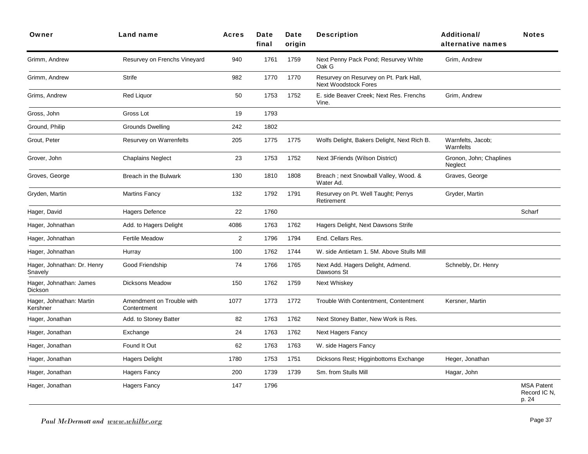| Owner                                  | <b>Land name</b>                         | <b>Acres</b>   | Date<br>final | Date<br>origin | <b>Description</b>                                             | Additional/<br>alternative names   | <b>Notes</b>                               |
|----------------------------------------|------------------------------------------|----------------|---------------|----------------|----------------------------------------------------------------|------------------------------------|--------------------------------------------|
| Grimm, Andrew                          | Resurvey on Frenchs Vineyard             | 940            | 1761          | 1759           | Next Penny Pack Pond; Resurvey White<br>Oak G                  | Grim, Andrew                       |                                            |
| Grimm, Andrew                          | Strife                                   | 982            | 1770          | 1770           | Resurvey on Resurvey on Pt. Park Hall,<br>Next Woodstock Fores |                                    |                                            |
| Grims, Andrew                          | <b>Red Liquor</b>                        | 50             | 1753          | 1752           | E. side Beaver Creek; Next Res. Frenchs<br>Vine.               | Grim, Andrew                       |                                            |
| Gross, John                            | Gross Lot                                | 19             | 1793          |                |                                                                |                                    |                                            |
| Ground, Philip                         | <b>Grounds Dwelling</b>                  | 242            | 1802          |                |                                                                |                                    |                                            |
| Grout, Peter                           | Resurvey on Warrenfelts                  | 205            | 1775          | 1775           | Wolfs Delight, Bakers Delight, Next Rich B.                    | Warnfelts, Jacob;<br>Warnfelts     |                                            |
| Grover, John                           | <b>Chaplains Neglect</b>                 | 23             | 1753          | 1752           | Next 3Friends (Wilson District)                                | Gronon, John; Chaplines<br>Neglect |                                            |
| Groves, George                         | Breach in the Bulwark                    | 130            | 1810          | 1808           | Breach; next Snowball Valley, Wood. &<br>Water Ad.             | Graves, George                     |                                            |
| Gryden, Martin                         | <b>Martins Fancy</b>                     | 132            | 1792          | 1791           | Resurvey on Pt. Well Taught; Perrys<br>Retirement              | Gryder, Martin                     |                                            |
| Hager, David                           | <b>Hagers Defence</b>                    | 22             | 1760          |                |                                                                |                                    | Scharf                                     |
| Hager, Johnathan                       | Add. to Hagers Delight                   | 4086           | 1763          | 1762           | Hagers Delight, Next Dawsons Strife                            |                                    |                                            |
| Hager, Johnathan                       | <b>Fertile Meadow</b>                    | $\overline{2}$ | 1796          | 1794           | End. Cellars Res.                                              |                                    |                                            |
| Hager, Johnathan                       | Hurray                                   | 100            | 1762          | 1744           | W. side Antietam 1, 5M. Above Stulls Mill                      |                                    |                                            |
| Hager, Johnathan: Dr. Henry<br>Snavely | Good Friendship                          | 74             | 1766          | 1765           | Next Add. Hagers Delight, Admend.<br>Dawsons St                | Schnebly, Dr. Henry                |                                            |
| Hager, Johnathan: James<br>Dickson     | <b>Dicksons Meadow</b>                   | 150            | 1762          | 1759           | Next Whiskey                                                   |                                    |                                            |
| Hager, Johnathan: Martin<br>Kershner   | Amendment on Trouble with<br>Contentment | 1077           | 1773          | 1772           | Trouble With Contentment, Contentment                          | Kersner, Martin                    |                                            |
| Hager, Jonathan                        | Add. to Stoney Batter                    | 82             | 1763          | 1762           | Next Stoney Batter, New Work is Res.                           |                                    |                                            |
| Hager, Jonathan                        | Exchange                                 | 24             | 1763          | 1762           | <b>Next Hagers Fancy</b>                                       |                                    |                                            |
| Hager, Jonathan                        | Found It Out                             | 62             | 1763          | 1763           | W. side Hagers Fancy                                           |                                    |                                            |
| Hager, Jonathan                        | <b>Hagers Delight</b>                    | 1780           | 1753          | 1751           | Dicksons Rest; Higginbottoms Exchange                          | Heger, Jonathan                    |                                            |
| Hager, Jonathan                        | Hagers Fancy                             | 200            | 1739          | 1739           | Sm. from Stulls Mill                                           | Hagar, John                        |                                            |
| Hager, Jonathan                        | <b>Hagers Fancy</b>                      | 147            | 1796          |                |                                                                |                                    | <b>MSA Patent</b><br>Record IC N.<br>p. 24 |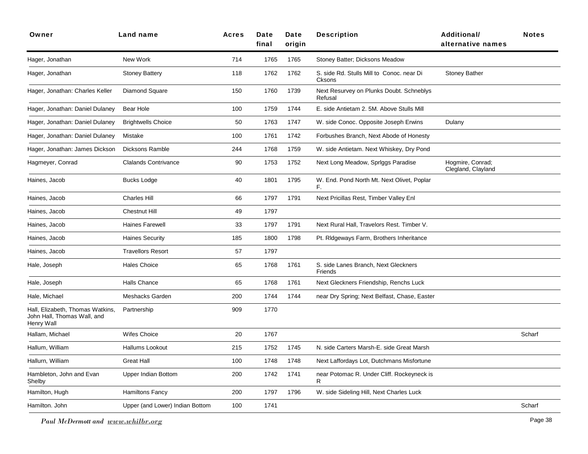| Owner                                                                         | <b>Land name</b>                | <b>Acres</b> | Date<br>final | Date<br>origin | <b>Description</b>                                  | <b>Additional/</b><br>alternative names | <b>Notes</b> |
|-------------------------------------------------------------------------------|---------------------------------|--------------|---------------|----------------|-----------------------------------------------------|-----------------------------------------|--------------|
| Hager, Jonathan                                                               | New Work                        | 714          | 1765          | 1765           | Stoney Batter; Dicksons Meadow                      |                                         |              |
| Hager, Jonathan                                                               | <b>Stoney Battery</b>           | 118          | 1762          | 1762           | S. side Rd. Stulls Mill to Conoc. near Di<br>Cksons | <b>Stoney Bather</b>                    |              |
| Hager, Jonathan: Charles Keller                                               | Diamond Square                  | 150          | 1760          | 1739           | Next Resurvey on Plunks Doubt. Schneblys<br>Refusal |                                         |              |
| Hager, Jonathan: Daniel Dulaney                                               | Bear Hole                       | 100          | 1759          | 1744           | E. side Antietam 2. 5M. Above Stulls Mill           |                                         |              |
| Hager, Jonathan: Daniel Dulaney                                               | <b>Brightwells Choice</b>       | 50           | 1763          | 1747           | W. side Conoc. Opposite Joseph Erwins               | Dulany                                  |              |
| Hager, Jonathan: Daniel Dulaney                                               | Mistake                         | 100          | 1761          | 1742           | Forbushes Branch, Next Abode of Honesty             |                                         |              |
| Hager, Jonathan: James Dickson                                                | Dicksons Ramble                 | 244          | 1768          | 1759           | W. side Antietam. Next Whiskey, Dry Pond            |                                         |              |
| Hagmeyer, Conrad                                                              | <b>Clalands Contrivance</b>     | 90           | 1753          | 1752           | Next Long Meadow, Spriggs Paradise                  | Hogmire, Conrad;<br>Clegland, Clayland  |              |
| Haines, Jacob                                                                 | <b>Bucks Lodge</b>              | 40           | 1801          | 1795           | W. End. Pond North Mt. Next Olivet, Poplar<br>F.    |                                         |              |
| Haines, Jacob                                                                 | Charles Hill                    | 66           | 1797          | 1791           | Next Pricillas Rest, Timber Valley Enl              |                                         |              |
| Haines, Jacob                                                                 | <b>Chestnut Hill</b>            | 49           | 1797          |                |                                                     |                                         |              |
| Haines, Jacob                                                                 | <b>Haines Farewell</b>          | 33           | 1797          | 1791           | Next Rural Hall, Travelors Rest. Timber V.          |                                         |              |
| Haines, Jacob                                                                 | <b>Haines Security</b>          | 185          | 1800          | 1798           | Pt. RIdgeways Farm, Brothers Inheritance            |                                         |              |
| Haines, Jacob                                                                 | <b>Travellors Resort</b>        | 57           | 1797          |                |                                                     |                                         |              |
| Hale, Joseph                                                                  | <b>Hales Choice</b>             | 65           | 1768          | 1761           | S. side Lanes Branch, Next Gleckners<br>Friends     |                                         |              |
| Hale, Joseph                                                                  | <b>Halls Chance</b>             | 65           | 1768          | 1761           | Next Gleckners Friendship, Renchs Luck              |                                         |              |
| Hale, Michael                                                                 | Meshacks Garden                 | 200          | 1744          | 1744           | near Dry Spring; Next Belfast, Chase, Easter        |                                         |              |
| Hall, Elizabeth, Thomas Watkins,<br>John Hall, Thomas Wall, and<br>Henry Wall | Partnership                     | 909          | 1770          |                |                                                     |                                         |              |
| Hallam, Michael                                                               | <b>Wifes Choice</b>             | 20           | 1767          |                |                                                     |                                         | Scharf       |
| Hallum, William                                                               | <b>Hallums Lookout</b>          | 215          | 1752          | 1745           | N. side Carters Marsh-E. side Great Marsh           |                                         |              |
| Hallurn, William                                                              | <b>Great Hall</b>               | 100          | 1748          | 1748           | Next Laffordays Lot, Dutchmans Misfortune           |                                         |              |
| Hambleton, John and Evan<br>Shelby                                            | <b>Upper Indian Bottom</b>      | 200          | 1742          | 1741           | near Potomac R. Under Cliff. Rockeyneck is<br>R.    |                                         |              |
| Hamilton, Hugh                                                                | Hamiltons Fancy                 | 200          | 1797          | 1796           | W. side Sideling Hill, Next Charles Luck            |                                         |              |
| Hamilton, John                                                                | Upper (and Lower) Indian Bottom | 100          | 1741          |                |                                                     |                                         | Scharf       |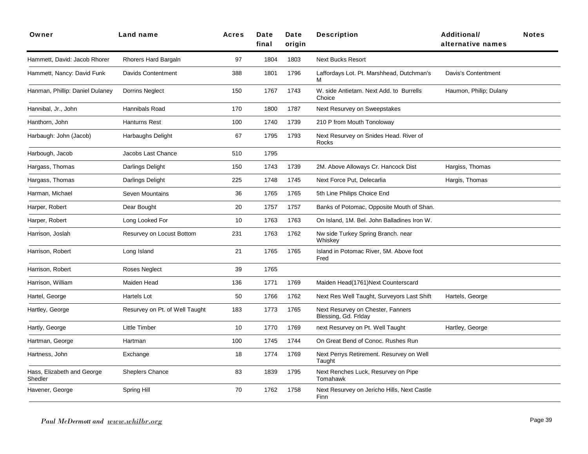| Owner                                 | Land name                      | Acres | Date<br>final | Date<br>origin | <b>Description</b>                                        | Additional/<br>alternative names | <b>Notes</b> |
|---------------------------------------|--------------------------------|-------|---------------|----------------|-----------------------------------------------------------|----------------------------------|--------------|
| Hammett, David: Jacob Rhorer          | Rhorers Hard Bargaln           | 97    | 1804          | 1803           | <b>Next Bucks Resort</b>                                  |                                  |              |
| Hammett, Nancy: David Funk            | <b>Davids Contentment</b>      | 388   | 1801          | 1796           | Laffordays Lot. Pt. Marshhead, Dutchman's<br>м            | Davis's Contentment              |              |
| Hanman, Phillip: Daniel Dulaney       | <b>Dorrins Neglect</b>         | 150   | 1767          | 1743           | W. side Antietam. Next Add. to Burrells<br>Choice         | Haumon, Philip; Dulany           |              |
| Hannibal, Jr., John                   | Hannibals Road                 | 170   | 1800          | 1787           | Next Resurvey on Sweepstakes                              |                                  |              |
| Hanthorn, John                        | <b>Hanturns Rest</b>           | 100   | 1740          | 1739           | 210 P from Mouth Tonoloway                                |                                  |              |
| Harbaugh: John (Jacob)                | Harbaughs Delight              | 67    | 1795          | 1793           | Next Resurvey on Snides Head. River of<br><b>Rocks</b>    |                                  |              |
| Harbough, Jacob                       | Jacobs Last Chance             | 510   | 1795          |                |                                                           |                                  |              |
| Hargass, Thomas                       | <b>Darlings Delight</b>        | 150   | 1743          | 1739           | 2M. Above Alloways Cr. Hancock Dist                       | Hargiss, Thomas                  |              |
| Hargass, Thomas                       | Darlings Delight               | 225   | 1748          | 1745           | Next Force Put, Delecarlia                                | Hargis, Thomas                   |              |
| Harman, Michael                       | Seven Mountains                | 36    | 1765          | 1765           | 5th Line Philips Choice End                               |                                  |              |
| Harper, Robert                        | Dear Bought                    | 20    | 1757          | 1757           | Banks of Potomac, Opposite Mouth of Shan.                 |                                  |              |
| Harper, Robert                        | Long Looked For                | 10    | 1763          | 1763           | On Island, 1M. Bel. John Balladines Iron W.               |                                  |              |
| Harrison, Joslah                      | Resurvey on Locust Bottom      | 231   | 1763          | 1762           | Nw side Turkey Spring Branch. near<br>Whiskey             |                                  |              |
| Harrison, Robert                      | Long Island                    | 21    | 1765          | 1765           | Island in Potomac River, 5M. Above foot<br>Fred           |                                  |              |
| Harrison, Robert                      | Roses Neglect                  | 39    | 1765          |                |                                                           |                                  |              |
| Harrison, William                     | Maiden Head                    | 136   | 1771          | 1769           | Maiden Head(1761)Next Counterscard                        |                                  |              |
| Hartel, George                        | Hartels Lot                    | 50    | 1766          | 1762           | Next Res Well Taught, Surveyors Last Shift                | Hartels, George                  |              |
| Hartley, George                       | Resurvey on Pt. of Well Taught | 183   | 1773          | 1765           | Next Resurvey on Chester, Fanners<br>Blessing, Gd. Frlday |                                  |              |
| Hartly, George                        | <b>Little Timber</b>           | 10    | 1770          | 1769           | next Resurvey on Pt. Well Taught                          | Hartley, George                  |              |
| Hartman, George                       | Hartman                        | 100   | 1745          | 1744           | On Great Bend of Conoc. Rushes Run                        |                                  |              |
| Hartness, John                        | Exchange                       | 18    | 1774          | 1769           | Next Perrys Retirement. Resurvey on Well<br>Taught        |                                  |              |
| Hass, Elizabeth and George<br>Shedler | <b>Sheplers Chance</b>         | 83    | 1839          | 1795           | Next Renches Luck, Resurvey on Pipe<br>Tomahawk           |                                  |              |
| Havener, George                       | Spring Hill                    | 70    | 1762          | 1758           | Next Resurvey on Jericho Hills, Next Castle<br>Finn       |                                  |              |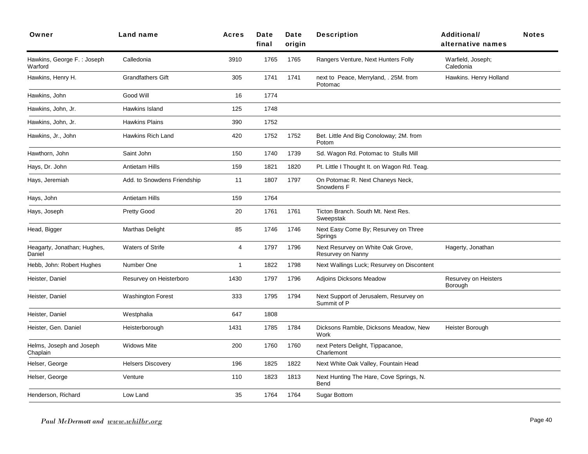| Owner                                 | <b>Land name</b>            | Acres          | Date<br>final | Date<br>origin | <b>Description</b>                                     | Additional/<br>alternative names | <b>Notes</b> |
|---------------------------------------|-----------------------------|----------------|---------------|----------------|--------------------------------------------------------|----------------------------------|--------------|
| Hawkins, George F.: Joseph<br>Warford | Calledonia                  | 3910           | 1765          | 1765           | Rangers Venture, Next Hunters Folly                    | Warfield, Joseph;<br>Caledonia   |              |
| Hawkins, Henry H.                     | <b>Grandfathers Gift</b>    | 305            | 1741          | 1741           | next to Peace, Merryland, . 25M. from<br>Potomac       | Hawkins. Henry Holland           |              |
| Hawkins, John                         | Good Will                   | 16             | 1774          |                |                                                        |                                  |              |
| Hawkins, John, Jr.                    | Hawkins Island              | 125            | 1748          |                |                                                        |                                  |              |
| Hawkins, John, Jr.                    | <b>Hawkins Plains</b>       | 390            | 1752          |                |                                                        |                                  |              |
| Hawkins, Jr., John                    | Hawkins Rich Land           | 420            | 1752          | 1752           | Bet. Little And Big Conoloway; 2M. from<br>Potom       |                                  |              |
| Hawthorn, John                        | Saint John                  | 150            | 1740          | 1739           | Sd. Wagon Rd. Potomac to Stulls Mill                   |                                  |              |
| Hays, Dr. John                        | <b>Antietam Hills</b>       | 159            | 1821          | 1820           | Pt. Little I Thought It. on Wagon Rd. Teag.            |                                  |              |
| Hays, Jeremiah                        | Add. to Snowdens Friendship | 11             | 1807          | 1797           | On Potomac R. Next Chaneys Neck,<br>Snowdens F         |                                  |              |
| Hays, John                            | <b>Antietam Hills</b>       | 159            | 1764          |                |                                                        |                                  |              |
| Hays, Joseph                          | <b>Pretty Good</b>          | 20             | 1761          | 1761           | Ticton Branch. South Mt. Next Res.<br>Sweepstak        |                                  |              |
| Head, Bigger                          | Marthas Delight             | 85             | 1746          | 1746           | Next Easy Come By; Resurvey on Three<br>Springs        |                                  |              |
| Heagarty, Jonathan; Hughes,<br>Daniel | <b>Waters of Strife</b>     | $\overline{4}$ | 1797          | 1796           | Next Resurvey on White Oak Grove,<br>Resurvey on Nanny | Hagerty, Jonathan                |              |
| Hebb, John: Robert Hughes             | Number One                  | $\overline{1}$ | 1822          | 1798           | Next Wallings Luck; Resurvey on Discontent             |                                  |              |
| Heister, Daniel                       | Resurvey on Heisterboro     | 1430           | 1797          | 1796           | Adjoins Dicksons Meadow                                | Resurvey on Heisters<br>Borough  |              |
| Heister, Daniel                       | <b>Washington Forest</b>    | 333            | 1795          | 1794           | Next Support of Jerusalem, Resurvey on<br>Summit of P  |                                  |              |
| Heister, Daniel                       | Westphalia                  | 647            | 1808          |                |                                                        |                                  |              |
| Heister, Gen. Daniel                  | Heisterborough              | 1431           | 1785          | 1784           | Dicksons Ramble, Dicksons Meadow, New<br>Work          | Heister Borough                  |              |
| Helms, Joseph and Joseph<br>Chaplain  | <b>Widows Mite</b>          | 200            | 1760          | 1760           | next Peters Delight, Tippacanoe,<br>Charlemont         |                                  |              |
| Helser, George                        | <b>Helsers Discovery</b>    | 196            | 1825          | 1822           | Next White Oak Valley, Fountain Head                   |                                  |              |
| Helser, George                        | Venture                     | 110            | 1823          | 1813           | Next Hunting The Hare, Cove Springs, N.<br>Bend        |                                  |              |
| Henderson, Richard                    | Low Land                    | 35             | 1764          | 1764           | <b>Sugar Bottom</b>                                    |                                  |              |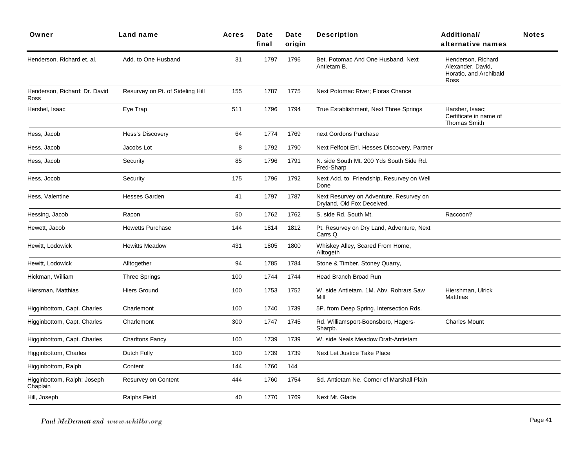| Owner                                   | Land name                        | <b>Acres</b> | <b>Date</b><br>final | Date<br>oriain | <b>Description</b>                                                    | <b>Additional</b><br>alternative names                                    | <b>Notes</b> |
|-----------------------------------------|----------------------------------|--------------|----------------------|----------------|-----------------------------------------------------------------------|---------------------------------------------------------------------------|--------------|
| Henderson, Richard et. al.              | Add. to One Husband              | 31           | 1797                 | 1796           | Bet. Potomac And One Husband, Next<br>Antietam B.                     | Henderson, Richard<br>Alexander, David,<br>Horatio, and Archibald<br>Ross |              |
| Henderson, Richard: Dr. David<br>Ross   | Resurvey on Pt. of Sideling Hill | 155          | 1787                 | 1775           | Next Potomac River; Floras Chance                                     |                                                                           |              |
| Hershel, Isaac                          | Eye Trap                         | 511          | 1796                 | 1794           | True Establishment, Next Three Springs                                | Harsher, Isaac;<br>Certificate in name of<br><b>Thomas Smith</b>          |              |
| Hess, Jacob                             | Hess's Discovery                 | 64           | 1774                 | 1769           | next Gordons Purchase                                                 |                                                                           |              |
| Hess, Jacob                             | Jacobs Lot                       | 8            | 1792                 | 1790           | Next Felfoot Enl. Hesses Discovery, Partner                           |                                                                           |              |
| Hess, Jacob                             | Security                         | 85           | 1796                 | 1791           | N. side South Mt. 200 Yds South Side Rd.<br>Fred-Sharp                |                                                                           |              |
| Hess, Jocob                             | Security                         | 175          | 1796                 | 1792           | Next Add. to Friendship, Resurvey on Well<br>Done                     |                                                                           |              |
| Hess, Valentine                         | <b>Hesses Garden</b>             | 41           | 1797                 | 1787           | Next Resurvey on Adventure, Resurvey on<br>Dryland, Old Fox Deceived. |                                                                           |              |
| Hessing, Jacob                          | Racon                            | 50           | 1762                 | 1762           | S. side Rd. South Mt.                                                 | Raccoon?                                                                  |              |
| Hewett, Jacob                           | <b>Hewetts Purchase</b>          | 144          | 1814                 | 1812           | Pt. Resurvey on Dry Land, Adventure, Next<br>Carrs Q.                 |                                                                           |              |
| Hewitt, Lodowick                        | <b>Hewitts Meadow</b>            | 431          | 1805                 | 1800           | Whiskey Alley, Scared From Home,<br>Alltogeth                         |                                                                           |              |
| Hewitt, Lodowlck                        | Alltogether                      | 94           | 1785                 | 1784           | Stone & Timber, Stoney Quarry,                                        |                                                                           |              |
| Hickman, William                        | <b>Three Springs</b>             | 100          | 1744                 | 1744           | Head Branch Broad Run                                                 |                                                                           |              |
| Hiersman, Matthias                      | <b>Hiers Ground</b>              | 100          | 1753                 | 1752           | W. side Antietam. 1M. Abv. Rohrars Saw<br>Mill                        | Hiershman, Ulrick<br>Matthias                                             |              |
| Higginbottom, Capt. Charles             | Charlemont                       | 100          | 1740                 | 1739           | 5P. from Deep Spring. Intersection Rds.                               |                                                                           |              |
| Higginbottom, Capt. Charles             | Charlemont                       | 300          | 1747                 | 1745           | Rd. Williamsport-Boonsboro, Hagers-<br>Sharpb.                        | <b>Charles Mount</b>                                                      |              |
| Higginbottom, Capt. Charles             | <b>Charltons Fancy</b>           | 100          | 1739                 | 1739           | W. side Neals Meadow Draft-Antietam                                   |                                                                           |              |
| Higginbottom, Charles                   | Dutch Folly                      | 100          | 1739                 | 1739           | Next Let Justice Take Place                                           |                                                                           |              |
| Higginbottom, Ralph                     | Content                          | 144          | 1760                 | 144            |                                                                       |                                                                           |              |
| Higginbottom, Ralph: Joseph<br>Chaplain | Resurvey on Content              | 444          | 1760                 | 1754           | Sd. Antietam Ne. Corner of Marshall Plain                             |                                                                           |              |
| Hill, Joseph                            | Ralphs Field                     | 40           | 1770                 | 1769           | Next Mt. Glade                                                        |                                                                           |              |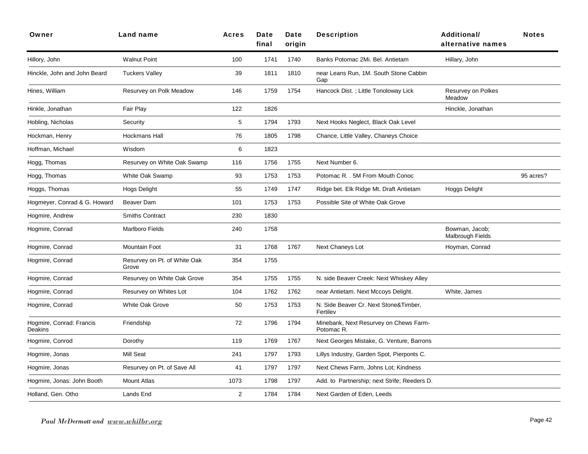| Owner                               | Land name                             | <b>Acres</b>   | Date<br>final | Date<br>origin | <b>Description</b>                                   | <b>Additional/</b><br>alternative names | <b>Notes</b> |
|-------------------------------------|---------------------------------------|----------------|---------------|----------------|------------------------------------------------------|-----------------------------------------|--------------|
| Hillory, John                       | <b>Walnut Point</b>                   | 100            | 1741          | 1740           | Banks Potomac 2Mi. Bel. Antietam                     | Hillary, John                           |              |
| Hinckle, John and John Beard        | <b>Tuckers Valley</b>                 | 39             | 1811          | 1810           | near Leans Run, 1M. South Stone Cabbin<br>Gap        |                                         |              |
| Hines, William                      | Resurvey on Polk Meadow               | 146            | 1759          | 1754           | Hancock Dist.; Little Tonoloway Lick                 | Resurvey on Polkes<br>Meadow            |              |
| Hinkle, Jonathan                    | Fair Play                             | 122            | 1826          |                |                                                      | Hinckle, Jonathan                       |              |
| Hobling, Nicholas                   | Security                              | 5              | 1794          | 1793           | Next Hooks Neglect, Black Oak Level                  |                                         |              |
| Hockman, Henry                      | Hockmans Hall                         | 76             | 1805          | 1798           | Chance, Little Valley, Chaneys Choice                |                                         |              |
| Hoffman, Michael                    | Wisdom                                | 6              | 1823          |                |                                                      |                                         |              |
| Hogg, Thomas                        | Resurvey on White Oak Swamp           | 116            | 1756          | 1755           | Next Number 6.                                       |                                         |              |
| Hogg, Thomas                        | White Oak Swamp                       | 93             | 1753          | 1753           | Potomac R. . 5M From Mouth Conoc                     |                                         | 95 acres?    |
| Hoggs, Thomas                       | Hogs Delight                          | 55             | 1749          | 1747           | Ridge bet. Elk Ridge Mt. Draft Antietam              | Hoggs Delight                           |              |
| Hogmeyer, Conrad & G. Howard        | <b>Beaver Dam</b>                     | 101            | 1753          | 1753           | Possible Site of White Oak Grove                     |                                         |              |
| Hogmire, Andrew                     | <b>Smiths Contract</b>                | 230            | 1830          |                |                                                      |                                         |              |
| Hogmire, Conrad                     | Marlboro Fields                       | 240            | 1758          |                |                                                      | Bowman, Jacob;<br>Malbrough Fields      |              |
| Hogmire, Conrad                     | <b>Mountain Foot</b>                  | 31             | 1768          | 1767           | Next Chaneys Lot                                     | Hoyman, Conrad                          |              |
| Hogmire, Conrad                     | Resurvey on Pt. of White Oak<br>Grove | 354            | 1755          |                |                                                      |                                         |              |
| Hogmire, Conrad                     | Resurvey on White Oak Grove           | 354            | 1755          | 1755           | N. side Beaver Creek: Next Whiskey Alley             |                                         |              |
| Hogmire, Conrad                     | Resurvey on Whites Lot                | 104            | 1762          | 1762           | near Antietam. Next Mccoys Delight.                  | White, James                            |              |
| Hogmire, Conrad                     | White Oak Grove                       | 50             | 1753          | 1753           | N. Side Beaver Cr. Next Stone&Timber,<br>Fertilev    |                                         |              |
| Hogmire, Conrad: Francis<br>Deakins | Friendship                            | 72             | 1796          | 1794           | Minebank, Next Resurvey on Chews Farm-<br>Potomac R. |                                         |              |
| Hogmire, Conrod                     | Dorothy                               | 119            | 1769          | 1767           | Next Georges Mistake, G. Venture, Barrons            |                                         |              |
| Hogmire, Jonas                      | <b>Mill Seat</b>                      | 241            | 1797          | 1793           | Lillys Industry, Garden Spot, Pierponts C.           |                                         |              |
| Hogmire, Jonas                      | Resurvey on Pt. of Save All           | 41             | 1797          | 1797           | Next Chews Farm, Johns Lot; Kindness                 |                                         |              |
| Hogmire, Jonas: John Booth          | <b>Mount Atlas</b>                    | 1073           | 1798          | 1797           | Add. to Partnership; next Strife; Reeders D.         |                                         |              |
| Holland, Gen. Otho                  | Lands End                             | $\overline{2}$ | 1784          | 1784           | Next Garden of Eden, Leeds                           |                                         |              |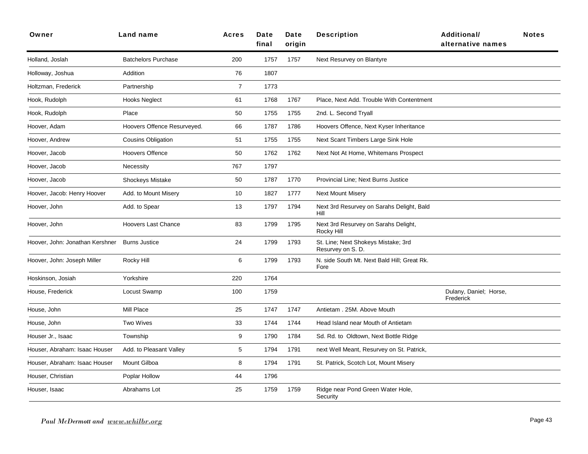| Owner                           | Land name                   | <b>Acres</b>   | Date<br>final | Date<br>origin | <b>Description</b>                                       | <b>Additional/</b><br>alternative names | <b>Notes</b> |
|---------------------------------|-----------------------------|----------------|---------------|----------------|----------------------------------------------------------|-----------------------------------------|--------------|
| Holland, Joslah                 | <b>Batchelors Purchase</b>  | 200            | 1757          | 1757           | Next Resurvey on Blantyre                                |                                         |              |
| Holloway, Joshua                | Addition                    | 76             | 1807          |                |                                                          |                                         |              |
| Holtzman, Frederick             | Partnership                 | $\overline{7}$ | 1773          |                |                                                          |                                         |              |
| Hook, Rudolph                   | <b>Hooks Neglect</b>        | 61             | 1768          | 1767           | Place, Next Add. Trouble With Contentment                |                                         |              |
| Hook, Rudolph                   | Place                       | 50             | 1755          | 1755           | 2nd. L. Second Tryall                                    |                                         |              |
| Hoover, Adam                    | Hoovers Offence Resurveyed. | 66             | 1787          | 1786           | Hoovers Offence, Next Kyser Inheritance                  |                                         |              |
| Hoover, Andrew                  | <b>Cousins Obligation</b>   | 51             | 1755          | 1755           | Next Scant Timbers Large Sink Hole                       |                                         |              |
| Hoover, Jacob                   | <b>Hoovers Offence</b>      | 50             | 1762          | 1762           | Next Not At Home, Whitemans Prospect                     |                                         |              |
| Hoover, Jacob                   | Necessity                   | 767            | 1797          |                |                                                          |                                         |              |
| Hoover, Jacob                   | Shockeys Mistake            | 50             | 1787          | 1770           | Provincial Line; Next Burns Justice                      |                                         |              |
| Hoover, Jacob: Henry Hoover     | Add. to Mount Misery        | 10             | 1827          | 1777           | <b>Next Mount Misery</b>                                 |                                         |              |
| Hoover, John                    | Add. to Spear               | 13             | 1797          | 1794           | Next 3rd Resurvey on Sarahs Delight, Bald<br>Hill        |                                         |              |
| Hoover, John                    | <b>Hoovers Last Chance</b>  | 83             | 1799          | 1795           | Next 3rd Resurvey on Sarahs Delight,<br>Rocky Hill       |                                         |              |
| Hoover, John: Jonathan Kershner | <b>Burns Justice</b>        | 24             | 1799          | 1793           | St. Line; Next Shokeys Mistake; 3rd<br>Resurvey on S. D. |                                         |              |
| Hoover, John: Joseph Miller     | Rocky Hill                  | 6              | 1799          | 1793           | N. side South Mt. Next Bald Hill; Great Rk.<br>Fore      |                                         |              |
| Hoskinson, Josiah               | Yorkshire                   | 220            | 1764          |                |                                                          |                                         |              |
| House, Frederick                | Locust Swamp                | 100            | 1759          |                |                                                          | Dulany, Daniel; Horse,<br>Frederick     |              |
| House, John                     | Mill Place                  | 25             | 1747          | 1747           | Antietam . 25M. Above Mouth                              |                                         |              |
| House, John                     | <b>Two Wives</b>            | 33             | 1744          | 1744           | Head Island near Mouth of Antietam                       |                                         |              |
| Houser Jr., Isaac               | Township                    | 9              | 1790          | 1784           | Sd. Rd. to Oldtown, Next Bottle Ridge                    |                                         |              |
| Houser, Abraham: Isaac Houser   | Add. to Pleasant Valley     | $\,$ 5 $\,$    | 1794          | 1791           | next Well Meant, Resurvey on St. Patrick,                |                                         |              |
| Houser, Abraham: Isaac Houser   | Mount Gilboa                | 8              | 1794          | 1791           | St. Patrick, Scotch Lot, Mount Misery                    |                                         |              |
| Houser, Christian               | Poplar Hollow               | 44             | 1796          |                |                                                          |                                         |              |
| Houser, Isaac                   | Abrahams Lot                | 25             | 1759          | 1759           | Ridge near Pond Green Water Hole,<br>Security            |                                         |              |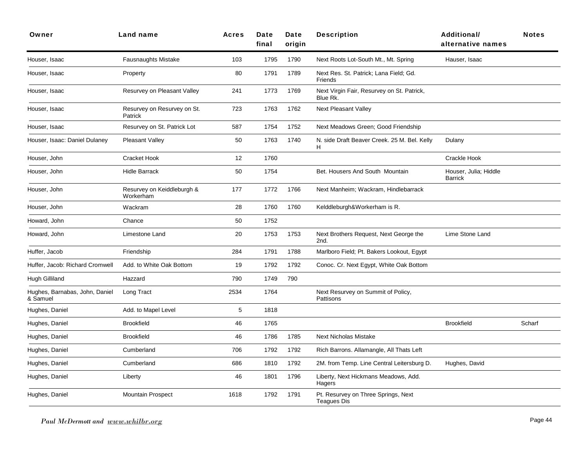| Owner                                      | <b>Land name</b>                        | Acres       | <b>Date</b><br>final | Date<br>origin | <b>Description</b>                                     | <b>Additional/</b><br>alternative names | <b>Notes</b> |
|--------------------------------------------|-----------------------------------------|-------------|----------------------|----------------|--------------------------------------------------------|-----------------------------------------|--------------|
| Houser, Isaac                              | Fausnaughts Mistake                     | 103         | 1795                 | 1790           | Next Roots Lot-South Mt., Mt. Spring                   | Hauser, Isaac                           |              |
| Houser, Isaac                              | Property                                | 80          | 1791                 | 1789           | Next Res. St. Patrick; Lana Field; Gd.<br>Friends      |                                         |              |
| Houser, Isaac                              | Resurvey on Pleasant Valley             | 241         | 1773                 | 1769           | Next Virgin Fair, Resurvey on St. Patrick,<br>Blue Rk. |                                         |              |
| Houser, Isaac                              | Resurvey on Resurvey on St.<br>Patrick  | 723         | 1763                 | 1762           | Next Pleasant Valley                                   |                                         |              |
| Houser, Isaac                              | Resurvey on St. Patrick Lot             | 587         | 1754                 | 1752           | Next Meadows Green; Good Friendship                    |                                         |              |
| Houser, Isaac: Daniel Dulaney              | <b>Pleasant Valley</b>                  | 50          | 1763                 | 1740           | N. side Draft Beaver Creek. 25 M. Bel. Kelly<br>H      | Dulany                                  |              |
| Houser, John                               | <b>Cracket Hook</b>                     | 12          | 1760                 |                |                                                        | Crackle Hook                            |              |
| Houser, John                               | <b>Hidle Barrack</b>                    | 50          | 1754                 |                | Bet. Housers And South Mountain                        | Houser, Julia; Hiddle<br><b>Barrick</b> |              |
| Houser, John                               | Resurvey on Keiddleburgh &<br>Workerham | 177         | 1772                 | 1766           | Next Manheim; Wackram, Hindlebarrack                   |                                         |              |
| Houser, John                               | Wackram                                 | 28          | 1760                 | 1760           | Kelddleburgh&Workerham is R.                           |                                         |              |
| Howard, John                               | Chance                                  | 50          | 1752                 |                |                                                        |                                         |              |
| Howard, John                               | Limestone Land                          | 20          | 1753                 | 1753           | Next Brothers Request, Next George the<br>2nd.         | Lime Stone Land                         |              |
| Huffer, Jacob                              | Friendship                              | 284         | 1791                 | 1788           | Marlboro Field; Pt. Bakers Lookout, Egypt              |                                         |              |
| Huffer, Jacob: Richard Cromwell            | Add. to White Oak Bottom                | 19          | 1792                 | 1792           | Conoc. Cr. Next Egypt, White Oak Bottom                |                                         |              |
| Hugh Gilliland                             | Hazzard                                 | 790         | 1749                 | 790            |                                                        |                                         |              |
| Hughes, Barnabas, John, Daniel<br>& Samuel | Long Tract                              | 2534        | 1764                 |                | Next Resurvey on Summit of Policy,<br>Pattisons        |                                         |              |
| Hughes, Daniel                             | Add. to Mapel Level                     | $\,$ 5 $\,$ | 1818                 |                |                                                        |                                         |              |
| Hughes, Daniel                             | <b>Brookfield</b>                       | 46          | 1765                 |                |                                                        | <b>Brookfield</b>                       | Scharf       |
| Hughes, Daniel                             | <b>Brookfield</b>                       | 46          | 1786                 | 1785           | <b>Next Nicholas Mistake</b>                           |                                         |              |
| Hughes, Daniel                             | Cumberland                              | 706         | 1792                 | 1792           | Rich Barrons. Allamangle, All Thats Left               |                                         |              |
| Hughes, Daniel                             | Cumberland                              | 686         | 1810                 | 1792           | 2M. from Temp. Line Central Leitersburg D.             | Hughes, David                           |              |
| Hughes, Daniel                             | Liberty                                 | 46          | 1801                 | 1796           | Liberty, Next Hickmans Meadows, Add.<br>Hagers         |                                         |              |
| Hughes, Daniel                             | <b>Mountain Prospect</b>                | 1618        | 1792                 | 1791           | Pt. Resurvey on Three Springs, Next<br>Teagues Dis     |                                         |              |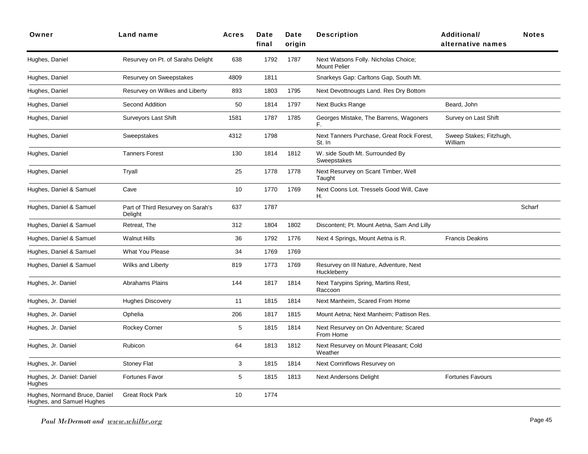| Owner                                                      | <b>Land name</b>                             | <b>Acres</b>     | Date<br>final | Date<br>oriain | <b>Description</b>                                          | Additional/<br>alternative names   | <b>Notes</b> |
|------------------------------------------------------------|----------------------------------------------|------------------|---------------|----------------|-------------------------------------------------------------|------------------------------------|--------------|
| Hughes, Daniel                                             | Resurvey on Pt. of Sarahs Delight            | 638              | 1792          | 1787           | Next Watsons Folly. Nicholas Choice;<br><b>Mount Pelier</b> |                                    |              |
| Hughes, Daniel                                             | Resurvey on Sweepstakes                      | 4809             | 1811          |                | Snarkeys Gap: Carltons Gap, South Mt.                       |                                    |              |
| Hughes, Daniel                                             | Resurvey on Wilkes and Liberty               | 893              | 1803          | 1795           | Next Devottnougts Land. Res Dry Bottom                      |                                    |              |
| Hughes, Daniel                                             | Second Addition                              | 50               | 1814          | 1797           | Next Bucks Range                                            | Beard, John                        |              |
| Hughes, Daniel                                             | <b>Surveyors Last Shift</b>                  | 1581             | 1787          | 1785           | Georges Mistake, The Barrens, Wagoners<br>F.                | Survey on Last Shift               |              |
| Hughes, Daniel                                             | Sweepstakes                                  | 4312             | 1798          |                | Next Tanners Purchase, Great Rock Forest,<br>St. In         | Sweep Stakes; Fitzhugh,<br>William |              |
| Hughes, Daniel                                             | <b>Tanners Forest</b>                        | 130              | 1814          | 1812           | W. side South Mt. Surrounded By<br>Sweepstakes              |                                    |              |
| Hughes, Daniel                                             | Tryall                                       | 25               | 1778          | 1778           | Next Resurvey on Scant Timber, Well<br>Taught               |                                    |              |
| Hughes, Daniel & Samuel                                    | Cave                                         | 10 <sup>10</sup> | 1770          | 1769           | Next Coons Lot. Tressels Good Will, Cave<br>Н.              |                                    |              |
| Hughes, Daniel & Samuel                                    | Part of Third Resurvey on Sarah's<br>Delight | 637              | 1787          |                |                                                             |                                    | Scharf       |
| Hughes, Daniel & Samuel                                    | Retreat, The                                 | 312              | 1804          | 1802           | Discontent; Pt. Mount Aetna, Sam And Lilly                  |                                    |              |
| Hughes, Daniel & Samuel                                    | Walnut Hills                                 | 36               | 1792          | 1776           | Next 4 Springs, Mount Aetna is R.                           | <b>Francis Deakins</b>             |              |
| Hughes, Daniel & Samuel                                    | <b>What You Please</b>                       | 34               | 1769          | 1769           |                                                             |                                    |              |
| Hughes, Daniel & Samuel                                    | Wilks and Liberty                            | 819              | 1773          | 1769           | Resurvey on III Nature, Adventure, Next<br>Huckleberry      |                                    |              |
| Hughes, Jr. Daniel                                         | <b>Abrahams Plains</b>                       | 144              | 1817          | 1814           | Next Tarypins Spring, Martins Rest,<br>Raccoon              |                                    |              |
| Hughes, Jr. Daniel                                         | <b>Hughes Discovery</b>                      | 11               | 1815          | 1814           | Next Manheim, Scared From Home                              |                                    |              |
| Hughes, Jr. Daniel                                         | Ophelia                                      | 206              | 1817          | 1815           | Mount Aetna; Next Manheim; Pattison Res.                    |                                    |              |
| Hughes, Jr. Daniel                                         | Rockey Corner                                | 5                | 1815          | 1814           | Next Resurvey on On Adventure; Scared<br>From Home          |                                    |              |
| Hughes, Jr. Daniel                                         | Rubicon                                      | 64               | 1813          | 1812           | Next Resurvey on Mount Pleasant; Cold<br>Weather            |                                    |              |
| Hughes, Jr. Daniel                                         | Stoney Flat                                  | 3                | 1815          | 1814           | Next Corrinflows Resurvey on                                |                                    |              |
| Hughes, Jr. Daniel: Daniel<br>Hughes                       | Fortunes Favor                               | 5                | 1815          | 1813           | <b>Next Andersons Delight</b>                               | <b>Fortunes Favours</b>            |              |
| Hughes, Normand Bruce, Daniel<br>Hughes, and Samuel Hughes | <b>Great Rock Park</b>                       | 10               | 1774          |                |                                                             |                                    |              |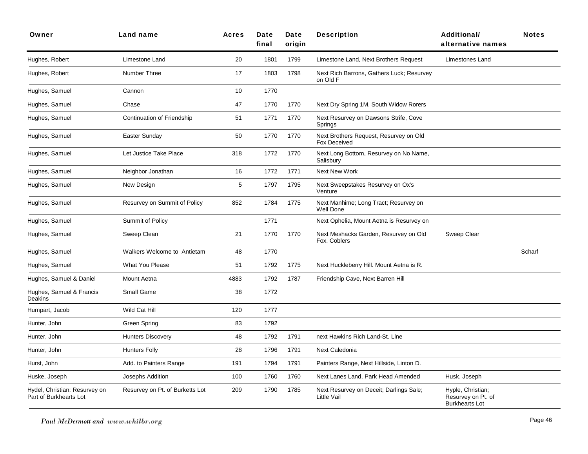| Owner                                                   | Land name                          | <b>Acres</b> | Date<br>final | Date<br>origin | <b>Description</b>                                        | <b>Additional/</b><br>alternative names                          | <b>Notes</b> |
|---------------------------------------------------------|------------------------------------|--------------|---------------|----------------|-----------------------------------------------------------|------------------------------------------------------------------|--------------|
| Hughes, Robert                                          | Limestone Land                     | 20           | 1801          | 1799           | Limestone Land, Next Brothers Request                     | Limestones Land                                                  |              |
| Hughes, Robert                                          | Number Three                       | 17           | 1803          | 1798           | Next Rich Barrons, Gathers Luck; Resurvey<br>on Old F     |                                                                  |              |
| Hughes, Samuel                                          | Cannon                             | 10           | 1770          |                |                                                           |                                                                  |              |
| Hughes, Samuel                                          | Chase                              | 47           | 1770          | 1770           | Next Dry Spring 1M. South Widow Rorers                    |                                                                  |              |
| Hughes, Samuel                                          | Continuation of Friendship         | 51           | 1771          | 1770           | Next Resurvey on Dawsons Strife, Cove<br>Springs          |                                                                  |              |
| Hughes, Samuel                                          | Easter Sunday                      | 50           | 1770          | 1770           | Next Brothers Request, Resurvey on Old<br>Fox Deceived    |                                                                  |              |
| Hughes, Samuel                                          | Let Justice Take Place             | 318          | 1772          | 1770           | Next Long Bottom, Resurvey on No Name,<br>Salisbury       |                                                                  |              |
| Hughes, Samuel                                          | Neighbor Jonathan                  | 16           | 1772          | 1771           | Next New Work                                             |                                                                  |              |
| Hughes, Samuel                                          | New Design                         | 5            | 1797          | 1795           | Next Sweepstakes Resurvey on Ox's<br>Venture              |                                                                  |              |
| Hughes, Samuel                                          | Resurvey on Summit of Policy       | 852          | 1784          | 1775           | Next Manhime; Long Tract; Resurvey on<br><b>Well Done</b> |                                                                  |              |
| Hughes, Samuel                                          | Summit of Policy                   |              | 1771          |                | Next Ophelia, Mount Aetna is Resurvey on                  |                                                                  |              |
| Hughes, Samuel                                          | Sweep Clean                        | 21           | 1770          | 1770           | Next Meshacks Garden, Resurvey on Old<br>Fox. Coblers     | Sweep Clear                                                      |              |
| Hughes, Samuel                                          | <b>Walkers Welcome to Antietam</b> | 48           | 1770          |                |                                                           |                                                                  | Scharf       |
| Hughes, Samuel                                          | <b>What You Please</b>             | 51           | 1792          | 1775           | Next Huckleberry Hill. Mount Aetna is R.                  |                                                                  |              |
| Hughes, Samuel & Daniel                                 | Mount Aetna                        | 4883         | 1792          | 1787           | Friendship Cave, Next Barren Hill                         |                                                                  |              |
| Hughes, Samuel & Francis<br>Deakins                     | Small Game                         | 38           | 1772          |                |                                                           |                                                                  |              |
| Humpart, Jacob                                          | Wild Cat Hill                      | 120          | 1777          |                |                                                           |                                                                  |              |
| Hunter, John                                            | Green Spring                       | 83           | 1792          |                |                                                           |                                                                  |              |
| Hunter, John                                            | <b>Hunters Discovery</b>           | 48           | 1792          | 1791           | next Hawkins Rich Land-St. Line                           |                                                                  |              |
| Hunter, John                                            | <b>Hunters Folly</b>               | 28           | 1796          | 1791           | Next Caledonia                                            |                                                                  |              |
| Hurst, John                                             | Add. to Painters Range             | 191          | 1794          | 1791           | Painters Range, Next Hillside, Linton D.                  |                                                                  |              |
| Huske, Joseph                                           | Josephs Addition                   | 100          | 1760          | 1760           | Next Lanes Land, Park Head Amended                        | Husk, Joseph                                                     |              |
| Hydel, Christian: Resurvey on<br>Part of Burkhearts Lot | Resurvey on Pt. of Burketts Lot    | 209          | 1790          | 1785           | Next Resurvey on Deceit; Darlings Sale;<br>Little Vail    | Hyple, Christian;<br>Resurvey on Pt. of<br><b>Burkhearts Lot</b> |              |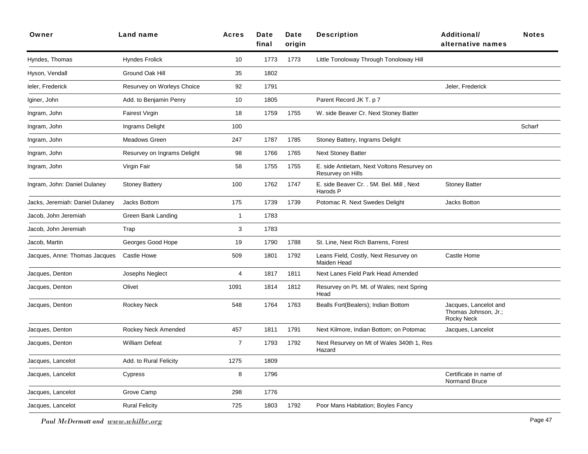| Owner                           | Land name                   | <b>Acres</b>   | Date<br>final | Date<br>origin | <b>Description</b>                                              | <b>Additional/</b><br>alternative names                            | <b>Notes</b> |
|---------------------------------|-----------------------------|----------------|---------------|----------------|-----------------------------------------------------------------|--------------------------------------------------------------------|--------------|
| Hyndes, Thomas                  | <b>Hyndes Frolick</b>       | 10             | 1773          | 1773           | Little Tonoloway Through Tonoloway Hill                         |                                                                    |              |
| Hyson, Vendall                  | Ground Oak Hill             | 35             | 1802          |                |                                                                 |                                                                    |              |
| leler, Frederick                | Resurvey on Worleys Choice  | 92             | 1791          |                |                                                                 | Jeler, Frederick                                                   |              |
| Iginer, John                    | Add. to Benjamin Penry      | 10             | 1805          |                | Parent Record JK T. p 7                                         |                                                                    |              |
| Ingram, John                    | Fairest Virgin              | 18             | 1759          | 1755           | W. side Beaver Cr. Next Stoney Batter                           |                                                                    |              |
| Ingram, John                    | Ingrams Delight             | 100            |               |                |                                                                 |                                                                    | Scharf       |
| Ingram, John                    | Meadows Green               | 247            | 1787          | 1785           | Stoney Battery, Ingrams Delight                                 |                                                                    |              |
| Ingram, John                    | Resurvey on Ingrams Delight | 98             | 1766          | 1765           | <b>Next Stoney Batter</b>                                       |                                                                    |              |
| Ingram, John                    | Virgin Fair                 | 58             | 1755          | 1755           | E. side Antietam, Next Voltons Resurvey on<br>Resurvey on Hills |                                                                    |              |
| Ingram, John: Daniel Dulaney    | <b>Stoney Battery</b>       | 100            | 1762          | 1747           | E. side Beaver Cr. . 5M. Bel. Mill, Next<br>Harods P            | <b>Stoney Batter</b>                                               |              |
| Jacks, Jeremiah: Daniel Dulaney | Jacks Bottom                | 175            | 1739          | 1739           | Potomac R. Next Swedes Delight                                  | <b>Jacks Botton</b>                                                |              |
| Jacob, John Jeremiah            | Green Bank Landing          | 1              | 1783          |                |                                                                 |                                                                    |              |
| Jacob, John Jeremiah            | Trap                        | 3              | 1783          |                |                                                                 |                                                                    |              |
| Jacob, Martin                   | Georges Good Hope           | 19             | 1790          | 1788           | St. Line, Next Rich Barrens, Forest                             |                                                                    |              |
| Jacques, Anne: Thomas Jacques   | Castle Howe                 | 509            | 1801          | 1792           | Leans Field, Costly, Next Resurvey on<br>Maiden Head            | Castle Home                                                        |              |
| Jacques, Denton                 | Josephs Neglect             | 4              | 1817          | 1811           | Next Lanes Field Park Head Amended                              |                                                                    |              |
| Jacques, Denton                 | Olivet                      | 1091           | 1814          | 1812           | Resurvey on Pt. Mt. of Wales; next Spring<br>Head               |                                                                    |              |
| Jacques, Denton                 | <b>Rockey Neck</b>          | 548            | 1764          | 1763           | Bealls Fort(Bealers); Indian Bottom                             | Jacques, Lancelot and<br>Thomas Johnson, Jr.;<br><b>Rocky Neck</b> |              |
| Jacques, Denton                 | Rockey Neck Amended         | 457            | 1811          | 1791           | Next Kilmore, Indian Bottom; on Potomac                         | Jacques, Lancelot                                                  |              |
| Jacques, Denton                 | <b>William Defeat</b>       | $\overline{7}$ | 1793          | 1792           | Next Resurvey on Mt of Wales 340th 1, Res<br>Hazard             |                                                                    |              |
| Jacques, Lancelot               | Add. to Rural Felicity      | 1275           | 1809          |                |                                                                 |                                                                    |              |
| Jacques, Lancelot               | Cypress                     | 8              | 1796          |                |                                                                 | Certificate in name of<br>Normand Bruce                            |              |
| Jacques, Lancelot               | Grove Camp                  | 298            | 1776          |                |                                                                 |                                                                    |              |
| Jacques, Lancelot               | <b>Rural Felicity</b>       | 725            | 1803          | 1792           | Poor Mans Habitation; Boyles Fancy                              |                                                                    |              |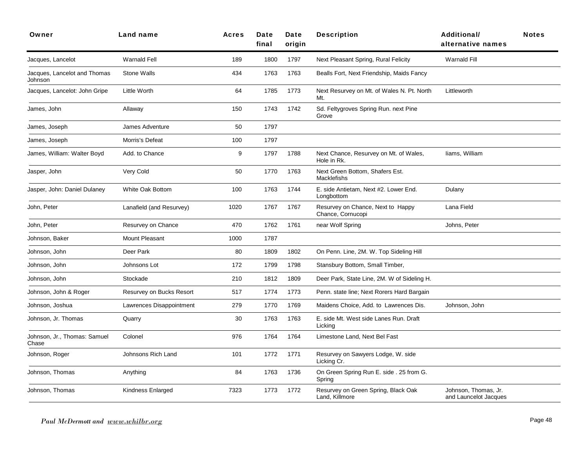| Owner                                   | Land name                | <b>Acres</b> | Date<br>final | Date<br>origin | <b>Description</b>                                     | <b>Additional/</b><br>alternative names       | <b>Notes</b> |
|-----------------------------------------|--------------------------|--------------|---------------|----------------|--------------------------------------------------------|-----------------------------------------------|--------------|
| Jacques, Lancelot                       | <b>Warnald Fell</b>      | 189          | 1800          | 1797           | Next Pleasant Spring, Rural Felicity                   | <b>Warnald Fill</b>                           |              |
| Jacques, Lancelot and Thomas<br>Johnson | <b>Stone Walls</b>       | 434          | 1763          | 1763           | Bealls Fort, Next Friendship, Maids Fancy              |                                               |              |
| Jacques, Lancelot: John Gripe           | Little Worth             | 64           | 1785          | 1773           | Next Resurvey on Mt. of Wales N. Pt. North<br>Mt.      | Littleworth                                   |              |
| James, John                             | Allaway                  | 150          | 1743          | 1742           | Sd. Feltygroves Spring Run. next Pine<br>Grove         |                                               |              |
| James, Joseph                           | James Adventure          | 50           | 1797          |                |                                                        |                                               |              |
| James, Joseph                           | Morris's Defeat          | 100          | 1797          |                |                                                        |                                               |              |
| James, William: Walter Boyd             | Add. to Chance           | 9            | 1797          | 1788           | Next Chance, Resurvey on Mt. of Wales,<br>Hole in Rk.  | liams, William                                |              |
| Jasper, John                            | Very Cold                | 50           | 1770          | 1763           | Next Green Bottom, Shafers Est.<br><b>Macklefishs</b>  |                                               |              |
| Jasper, John: Daniel Dulaney            | White Oak Bottom         | 100          | 1763          | 1744           | E. side Antietam, Next #2. Lower End.<br>Longbottom    | Dulany                                        |              |
| John, Peter                             | Lanafield (and Resurvey) | 1020         | 1767          | 1767           | Resurvey on Chance, Next to Happy<br>Chance, Cornucopi | Lana Field                                    |              |
| John, Peter                             | Resurvey on Chance       | 470          | 1762          | 1761           | near Wolf Spring                                       | Johns, Peter                                  |              |
| Johnson, Baker                          | Mount Pleasant           | 1000         | 1787          |                |                                                        |                                               |              |
| Johnson, John                           | Deer Park                | 80           | 1809          | 1802           | On Penn. Line, 2M. W. Top Sideling Hill                |                                               |              |
| Johnson, John                           | Johnsons Lot             | 172          | 1799          | 1798           | Stansbury Bottom, Small Timber,                        |                                               |              |
| Johnson, John                           | Stockade                 | 210          | 1812          | 1809           | Deer Park, State Line, 2M. W of Sideling H.            |                                               |              |
| Johnson, John & Roger                   | Resurvey on Bucks Resort | 517          | 1774          | 1773           | Penn. state line; Next Rorers Hard Bargain             |                                               |              |
| Johnson, Joshua                         | Lawrences Disappointment | 279          | 1770          | 1769           | Maidens Choice, Add. to Lawrences Dis.                 | Johnson, John                                 |              |
| Johnson, Jr. Thomas                     | Quarry                   | 30           | 1763          | 1763           | E. side Mt. West side Lanes Run. Draft<br>Licking      |                                               |              |
| Johnson, Jr., Thomas: Samuel<br>Chase   | Colonel                  | 976          | 1764          | 1764           | Limestone Land, Next Bel Fast                          |                                               |              |
| Johnson, Roger                          | Johnsons Rich Land       | 101          | 1772          | 1771           | Resurvey on Sawyers Lodge, W. side<br>Licking Cr.      |                                               |              |
| Johnson, Thomas                         | Anything                 | 84           | 1763          | 1736           | On Green Spring Run E. side . 25 from G.<br>Spring     |                                               |              |
| Johnson, Thomas                         | Kindness Enlarged        | 7323         | 1773          | 1772           | Resurvey on Green Spring, Black Oak<br>Land, Killmore  | Johnson, Thomas, Jr.<br>and Launcelot Jacques |              |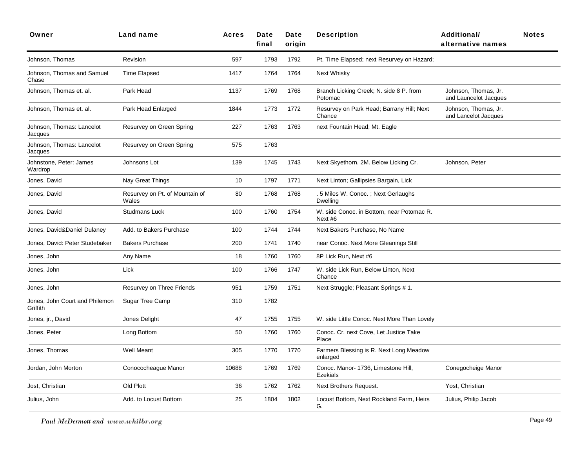| Owner                                      | Land name                               | <b>Acres</b> | Date<br>final | Date<br>origin | <b>Description</b>                                     | <b>Additional/</b><br>alternative names       | <b>Notes</b> |
|--------------------------------------------|-----------------------------------------|--------------|---------------|----------------|--------------------------------------------------------|-----------------------------------------------|--------------|
| Johnson, Thomas                            | Revision                                | 597          | 1793          | 1792           | Pt. Time Elapsed; next Resurvey on Hazard;             |                                               |              |
| Johnson, Thomas and Samuel<br>Chase        | Time Elapsed                            | 1417         | 1764          | 1764           | Next Whisky                                            |                                               |              |
| Johnson, Thomas et. al.                    | Park Head                               | 1137         | 1769          | 1768           | Branch Licking Creek; N. side 8 P. from<br>Potomac     | Johnson, Thomas, Jr.<br>and Launcelot Jacques |              |
| Johnson, Thomas et. al.                    | Park Head Enlarged                      | 1844         | 1773          | 1772           | Resurvey on Park Head; Barrany Hill; Next<br>Chance    | Johnson, Thomas, Jr.<br>and Lancelot Jacques  |              |
| Johnson, Thomas: Lancelot<br>Jacques       | Resurvey on Green Spring                | 227          | 1763          | 1763           | next Fountain Head; Mt. Eagle                          |                                               |              |
| Johnson, Thomas: Lancelot<br>Jacques       | Resurvey on Green Spring                | 575          | 1763          |                |                                                        |                                               |              |
| Johnstone, Peter: James<br>Wardrop         | Johnsons Lot                            | 139          | 1745          | 1743           | Next Skyethorn. 2M. Below Licking Cr.                  | Johnson, Peter                                |              |
| Jones, David                               | Nay Great Things                        | 10           | 1797          | 1771           | Next Linton; Gallipsies Bargain, Lick                  |                                               |              |
| Jones, David                               | Resurvey on Pt. of Mountain of<br>Wales | 80           | 1768          | 1768           | .5 Miles W. Conoc.; Next Gerlaughs<br><b>Dwelling</b>  |                                               |              |
| Jones, David                               | <b>Studmans Luck</b>                    | 100          | 1760          | 1754           | W. side Conoc. in Bottom, near Potomac R.<br>Next #6   |                                               |              |
| Jones, David&Daniel Dulaney                | Add. to Bakers Purchase                 | 100          | 1744          | 1744           | Next Bakers Purchase, No Name                          |                                               |              |
| Jones, David: Peter Studebaker             | <b>Bakers Purchase</b>                  | 200          | 1741          | 1740           | near Conoc. Next More Gleanings Still                  |                                               |              |
| Jones, John                                | Any Name                                | 18           | 1760          | 1760           | 8P Lick Run, Next #6                                   |                                               |              |
| Jones, John                                | Lick                                    | 100          | 1766          | 1747           | W. side Lick Run, Below Linton, Next<br>Chance         |                                               |              |
| Jones, John                                | Resurvey on Three Friends               | 951          | 1759          | 1751           | Next Struggle; Pleasant Springs # 1.                   |                                               |              |
| Jones, John Court and Philemon<br>Griffith | Sugar Tree Camp                         | 310          | 1782          |                |                                                        |                                               |              |
| Jones, jr., David                          | Jones Delight                           | 47           | 1755          | 1755           | W. side Little Conoc. Next More Than Lovely            |                                               |              |
| Jones, Peter                               | Long Bottom                             | 50           | 1760          | 1760           | Conoc. Cr. next Cove, Let Justice Take<br>Place        |                                               |              |
| Jones, Thomas                              | Well Meant                              | 305          | 1770          | 1770           | Farmers Blessing is R. Next Long Meadow<br>enlarged    |                                               |              |
| Jordan, John Morton                        | Conococheague Manor                     | 10688        | 1769          | 1769           | Conoc. Manor- 1736, Limestone Hill,<br><b>Ezekials</b> | Conegocheige Manor                            |              |
| Jost, Christian                            | Old Plott                               | 36           | 1762          | 1762           | Next Brothers Request.                                 | Yost, Christian                               |              |
| Julius, John                               | Add. to Locust Bottom                   | 25           | 1804          | 1802           | Locust Bottom, Next Rockland Farm, Heirs<br>G.         | Julius, Philip Jacob                          |              |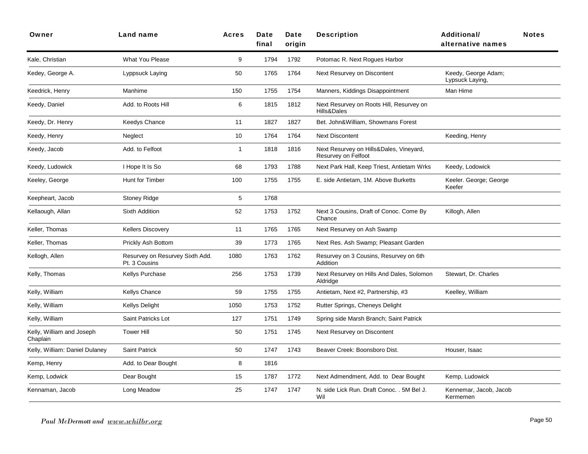| Owner                                 | Land name                                        | <b>Acres</b> | Date<br>final | Date<br>origin | <b>Description</b>                                             | <b>Additional/</b><br>alternative names | <b>Notes</b> |
|---------------------------------------|--------------------------------------------------|--------------|---------------|----------------|----------------------------------------------------------------|-----------------------------------------|--------------|
| Kale, Christian                       | <b>What You Please</b>                           | 9            | 1794          | 1792           | Potomac R. Next Rogues Harbor                                  |                                         |              |
| Kedey, George A.                      | Lyppsuck Laying                                  | 50           | 1765          | 1764           | Next Resurvey on Discontent                                    | Keedy, George Adam;<br>Lypsuck Laying,  |              |
| Keedrick, Henry                       | Manhime                                          | 150          | 1755          | 1754           | Manners, Kiddings Disappointment                               | Man Hime                                |              |
| Keedy, Daniel                         | Add. to Roots Hill                               | 6            | 1815          | 1812           | Next Resurvey on Roots Hill, Resurvey on<br>Hills&Dales        |                                         |              |
| Keedy, Dr. Henry                      | <b>Keedys Chance</b>                             | 11           | 1827          | 1827           | Bet. John&William, Showmans Forest                             |                                         |              |
| Keedy, Henry                          | Neglect                                          | 10           | 1764          | 1764           | <b>Next Discontent</b>                                         | Keeding, Henry                          |              |
| Keedy, Jacob                          | Add. to Felfoot                                  | $\mathbf{1}$ | 1818          | 1816           | Next Resurvey on Hills&Dales, Vineyard,<br>Resurvey on Felfoot |                                         |              |
| Keedy, Ludowick                       | I Hope It Is So                                  | 68           | 1793          | 1788           | Next Park Hall, Keep Triest, Antietam Wrks                     | Keedy, Lodowick                         |              |
| Keeley, George                        | Hunt for Timber                                  | 100          | 1755          | 1755           | E. side Antietam, 1M. Above Burketts                           | Keeler. George; George<br>Keefer        |              |
| Keepheart, Jacob                      | <b>Stoney Ridge</b>                              | 5            | 1768          |                |                                                                |                                         |              |
| Kellaough, Allan                      | Sixth Addition                                   | 52           | 1753          | 1752           | Next 3 Cousins, Draft of Conoc. Come By<br>Chance              | Killogh, Allen                          |              |
| Keller, Thomas                        | <b>Kellers Discovery</b>                         | 11           | 1765          | 1765           | Next Resurvey on Ash Swamp                                     |                                         |              |
| Keller, Thomas                        | Prickly Ash Bottom                               | 39           | 1773          | 1765           | Next Res. Ash Swamp; Pleasant Garden                           |                                         |              |
| Kellogh, Allen                        | Resurvey on Resurvey Sixth Add.<br>Pt. 3 Cousins | 1080         | 1763          | 1762           | Resurvey on 3 Cousins, Resurvey on 6th<br>Addition             |                                         |              |
| Kelly, Thomas                         | Kellys Purchase                                  | 256          | 1753          | 1739           | Next Resurvey on Hills And Dales, Solomon<br>Aldridge          | Stewart, Dr. Charles                    |              |
| Kelly, William                        | Kellys Chance                                    | 59           | 1755          | 1755           | Antietam, Next #2, Partnership, #3                             | Keelley, William                        |              |
| Kelly, William                        | Kellys Delight                                   | 1050         | 1753          | 1752           | Rutter Springs, Cheneys Delight                                |                                         |              |
| Kelly, William                        | Saint Patricks Lot                               | 127          | 1751          | 1749           | Spring side Marsh Branch; Saint Patrick                        |                                         |              |
| Kelly, William and Joseph<br>Chaplain | <b>Tower Hill</b>                                | 50           | 1751          | 1745           | Next Resurvey on Discontent                                    |                                         |              |
| Kelly, William: Daniel Dulaney        | Saint Patrick                                    | 50           | 1747          | 1743           | Beaver Creek: Boonsboro Dist.                                  | Houser, Isaac                           |              |
| Kemp, Henry                           | Add. to Dear Bought                              | 8            | 1816          |                |                                                                |                                         |              |
| Kemp, Lodwick                         | Dear Bought                                      | 15           | 1787          | 1772           | Next Admendment, Add. to Dear Bought                           | Kemp, Ludowick                          |              |
| Kennaman, Jacob                       | Long Meadow                                      | 25           | 1747          | 1747           | N. side Lick Run. Draft Conoc. . 5M Bel J.<br>Wil              | Kennemar, Jacob, Jacob<br>Kermemen      |              |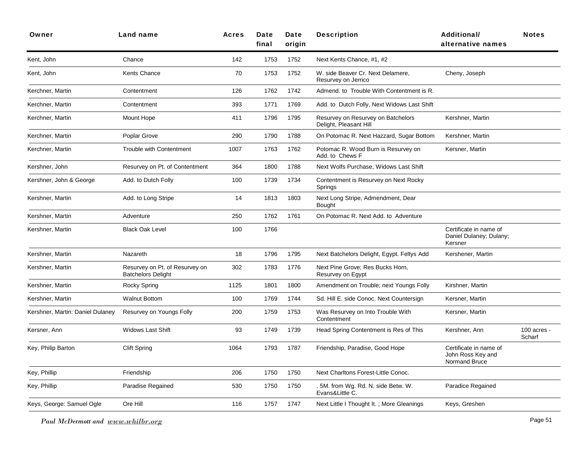| Owner                            | Land name                                                   | <b>Acres</b> | Date<br>final | Date<br>origin | <b>Description</b>                                           | <b>Additional/</b><br>alternative names                      | <b>Notes</b>          |
|----------------------------------|-------------------------------------------------------------|--------------|---------------|----------------|--------------------------------------------------------------|--------------------------------------------------------------|-----------------------|
| Kent, John                       | Chance                                                      | 142          | 1753          | 1752           | Next Kents Chance, #1, #2                                    |                                                              |                       |
| Kent, John                       | Kents Chance                                                | 70           | 1753          | 1752           | W. side Beaver Cr. Next Delamere,<br>Resurvey on Jerrico     | Cheny, Joseph                                                |                       |
| Kerchner, Martin                 | Contentment                                                 | 126          | 1762          | 1742           | Admend, to Trouble With Contentment is R.                    |                                                              |                       |
| Kerchner, Martin                 | Contentment                                                 | 393          | 1771          | 1769           | Add. to Dutch Folly, Next Widows Last Shift                  |                                                              |                       |
| Kerchner, Martin                 | Mount Hope                                                  | 411          | 1796          | 1795           | Resurvey on Resurvey on Batchelors<br>Delight, Pleasant Hill | Kershner, Martin                                             |                       |
| Kerchner, Martin                 | Poplar Grove                                                | 290          | 1790          | 1788           | On Potomac R. Next Hazzard, Sugar Bottom                     | Kershner, Martin                                             |                       |
| Kerchner, Martin                 | <b>Trouble with Contentment</b>                             | 1007         | 1763          | 1762           | Potomac R. Wood Burn is Resurvey on<br>Add. to Chews F       | Kersner, Martin                                              |                       |
| Kershner, John                   | Resurvey on Pt. of Contentment                              | 364          | 1800          | 1788           | Next Wolfs Purchase, Widows Last Shift                       |                                                              |                       |
| Kershner, John & George          | Add. to Dutch Folly                                         | 100          | 1739          | 1734           | Contentment is Resurvey on Next Rocky<br>Springs             |                                                              |                       |
| Kershner, Martin                 | Add. to Long Stripe                                         | 14           | 1813          | 1803           | Next Long Stripe, Admendment, Dear<br><b>Bought</b>          |                                                              |                       |
| Kershner, Martin                 | Adventure                                                   | 250          | 1762          | 1761           | On Potomac R. Next Add. to Adventure                         |                                                              |                       |
| Kershner, Martin                 | <b>Black Oak Level</b>                                      | 100          | 1766          |                |                                                              | Certificate in name of<br>Daniel Dulaney; Dulany;<br>Kersner |                       |
| Kershner, Martin                 | Nazareth                                                    | 18           | 1796          | 1795           | Next Batchelors Delight, Egypt. Feltys Add                   | Kershener, Martin                                            |                       |
| Kershner, Martin                 | Resurvey on Pt. of Resurvey on<br><b>Batchelors Delight</b> | 302          | 1783          | 1776           | Next Pine Grove; Res Bucks Horn,<br>Resurvey on Egypt        |                                                              |                       |
| Kershner, Martin                 | Rocky Spring                                                | 1125         | 1801          | 1800           | Amendment on Trouble; next Youngs Folly                      | Kirshner, Martin                                             |                       |
| Kershner, Martin                 | <b>Walnut Bottom</b>                                        | 100          | 1769          | 1744           | Sd. Hill E. side Conoc. Next Countersign                     | Kersner, Martin                                              |                       |
| Kershner, Martin: Daniel Dulaney | Resurvey on Youngs Folly                                    | 200          | 1759          | 1753           | Was Resurvey on Into Trouble With<br>Contentment             | Kersner, Martin                                              |                       |
| Kersner, Ann                     | <b>Widows Last Shift</b>                                    | 93           | 1749          | 1739           | Head Spring Contentment is Res of This                       | Kershner, Ann                                                | 100 acres -<br>Scharf |
| Key, Philip Barton               | <b>Clift Spring</b>                                         | 1064         | 1793          | 1787           | Friendship, Paradise, Good Hope                              | Certificate in name of<br>John Ross Key and<br>Normand Bruce |                       |
| Key, Phillip                     | Friendship                                                  | 206          | 1750          | 1750           | Next Charltons Forest-Little Conoc.                          |                                                              |                       |
| Key, Phillip                     | Paradise Regained                                           | 530          | 1750          | 1750           | 5M. from Wg. Rd. N. side Betw. W.<br>Evans&Little C.         | Paradice Regained                                            |                       |
| Keys, George: Samuel Ogle        | Ore Hill                                                    | 116          | 1757          | 1747           | Next Little I Thought It.; More Gleanings                    | Keys, Greshen                                                |                       |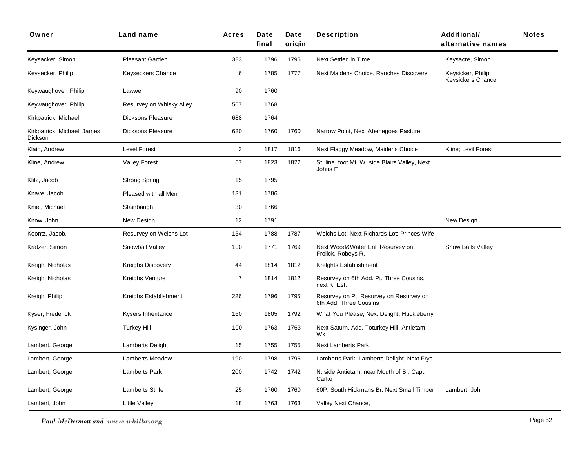| Owner                                  | Land name                | <b>Acres</b>   | Date<br>final | Date<br>origin | <b>Description</b>                                                | <b>Additional/</b><br>alternative names | <b>Notes</b> |
|----------------------------------------|--------------------------|----------------|---------------|----------------|-------------------------------------------------------------------|-----------------------------------------|--------------|
| Keysacker, Simon                       | Pleasant Garden          | 383            | 1796          | 1795           | Next Settled in Time                                              | Keysacre, Simon                         |              |
| Keysecker, Philip                      | <b>Keyseckers Chance</b> | 6              | 1785          | 1777           | Next Maidens Choice, Ranches Discovery                            | Keysicker, Philip;<br>Keysickers Chance |              |
| Keywaughover, Philip                   | Lawwell                  | 90             | 1760          |                |                                                                   |                                         |              |
| Keywaughover, Philip                   | Resurvey on Whisky Alley | 567            | 1768          |                |                                                                   |                                         |              |
| Kirkpatrick, Michael                   | <b>Dicksons Pleasure</b> | 688            | 1764          |                |                                                                   |                                         |              |
| Kirkpatrick, Michael: James<br>Dickson | <b>Dicksons Pleasure</b> | 620            | 1760          | 1760           | Narrow Point, Next Abenegoes Pasture                              |                                         |              |
| Klain, Andrew                          | <b>Level Forest</b>      | 3              | 1817          | 1816           | Next Flaggy Meadow, Maidens Choice                                | Kline; Levil Forest                     |              |
| Kline, Andrew                          | <b>Valley Forest</b>     | 57             | 1823          | 1822           | St. line. foot Mt. W. side Blairs Valley, Next<br>Johns F         |                                         |              |
| Klitz, Jacob                           | <b>Strong Spring</b>     | 15             | 1795          |                |                                                                   |                                         |              |
| Knave, Jacob                           | Pleased with all Men     | 131            | 1786          |                |                                                                   |                                         |              |
| Knief, Michael                         | Stainbaugh               | 30             | 1766          |                |                                                                   |                                         |              |
| Know, John                             | New Design               | 12             | 1791          |                |                                                                   | New Design                              |              |
| Koontz, Jacob.                         | Resurvey on Welchs Lot   | 154            | 1788          | 1787           | Welchs Lot: Next Richards Lot: Princes Wife                       |                                         |              |
| Kratzer, Simon                         | Snowball Valley          | 100            | 1771          | 1769           | Next Wood&Water Enl. Resurvey on<br>Frolick, Robeys R.            | Snow Balls Valley                       |              |
| Kreigh, Nicholas                       | <b>Kreighs Discovery</b> | 44             | 1814          | 1812           | Kreights Establishment                                            |                                         |              |
| Kreigh, Nicholas                       | <b>Kreighs Venture</b>   | $\overline{7}$ | 1814          | 1812           | Resurvey on 6th Add. Pt. Three Cousins,<br>next K. Est.           |                                         |              |
| Kreigh, Philip                         | Kreighs Establishment    | 226            | 1796          | 1795           | Resurvey on Pt. Resurvey on Resurvey on<br>6th Add. Three Cousins |                                         |              |
| Kyser, Frederick                       | Kysers Inheritance       | 160            | 1805          | 1792           | What You Please, Next Delight, Huckleberry                        |                                         |              |
| Kysinger, John                         | <b>Turkey Hill</b>       | 100            | 1763          | 1763           | Next Saturn, Add. Toturkey Hill, Antietam<br>Wk                   |                                         |              |
| Lambert, George                        | Lamberts Delight         | 15             | 1755          | 1755           | Next Lamberts Park,                                               |                                         |              |
| Lambert, George                        | <b>Lamberts Meadow</b>   | 190            | 1798          | 1796           | Lamberts Park, Lamberts Delight, Next Frys                        |                                         |              |
| Lambert, George                        | Lamberts Park            | 200            | 1742          | 1742           | N. side Antietam, near Mouth of Br. Capt.<br>Carlto               |                                         |              |
| Lambert, George                        | <b>Lamberts Strife</b>   | 25             | 1760          | 1760           | 60P. South Hickmans Br. Next Small Timber                         | Lambert, John                           |              |
| Lambert, John                          | Little Valley            | 18             | 1763          | 1763           | Valley Next Chance,                                               |                                         |              |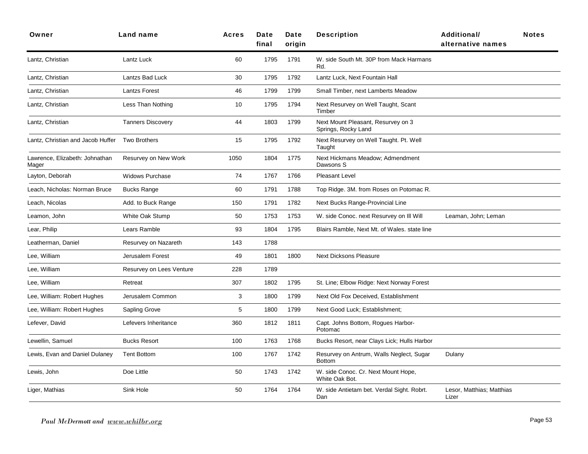| Owner                                   | Land name                | Acres | Date<br>final | Date<br>origin | <b>Description</b>                                        | <b>Additional/</b><br>alternative names | <b>Notes</b> |
|-----------------------------------------|--------------------------|-------|---------------|----------------|-----------------------------------------------------------|-----------------------------------------|--------------|
| Lantz, Christian                        | Lantz Luck               | 60    | 1795          | 1791           | W. side South Mt. 30P from Mack Harmans<br>Rd.            |                                         |              |
| Lantz, Christian                        | Lantzs Bad Luck          | 30    | 1795          | 1792           | Lantz Luck, Next Fountain Hall                            |                                         |              |
| Lantz, Christian                        | <b>Lantzs Forest</b>     | 46    | 1799          | 1799           | Small Timber, next Lamberts Meadow                        |                                         |              |
| Lantz, Christian                        | Less Than Nothing        | 10    | 1795          | 1794           | Next Resurvey on Well Taught, Scant<br>Timber             |                                         |              |
| Lantz, Christian                        | <b>Tanners Discovery</b> | 44    | 1803          | 1799           | Next Mount Pleasant, Resurvey on 3<br>Springs, Rocky Land |                                         |              |
| Lantz, Christian and Jacob Huffer       | <b>Two Brothers</b>      | 15    | 1795          | 1792           | Next Resurvey on Well Taught. Pt. Well<br>Taught          |                                         |              |
| Lawrence, Elizabeth: Johnathan<br>Mager | Resurvey on New Work     | 1050  | 1804          | 1775           | Next Hickmans Meadow; Admendment<br>Dawsons S             |                                         |              |
| Layton, Deborah                         | <b>Widows Purchase</b>   | 74    | 1767          | 1766           | Pleasant Level                                            |                                         |              |
| Leach, Nicholas: Norman Bruce           | <b>Bucks Range</b>       | 60    | 1791          | 1788           | Top Ridge. 3M. from Roses on Potomac R.                   |                                         |              |
| Leach, Nicolas                          | Add. to Buck Range       | 150   | 1791          | 1782           | Next Bucks Range-Provincial Line                          |                                         |              |
| Leamon, John                            | White Oak Stump          | 50    | 1753          | 1753           | W. side Conoc. next Resurvey on III Will                  | Leaman, John; Leman                     |              |
| Lear, Philip                            | Lears Ramble             | 93    | 1804          | 1795           | Blairs Ramble, Next Mt. of Wales. state line              |                                         |              |
| Leatherman, Daniel                      | Resurvey on Nazareth     | 143   | 1788          |                |                                                           |                                         |              |
| Lee, William                            | Jerusalem Forest         | 49    | 1801          | 1800           | <b>Next Dicksons Pleasure</b>                             |                                         |              |
| Lee, William                            | Resurvey on Lees Venture | 228   | 1789          |                |                                                           |                                         |              |
| Lee, William                            | Retreat                  | 307   | 1802          | 1795           | St. Line; Elbow Ridge: Next Norway Forest                 |                                         |              |
| Lee, William: Robert Hughes             | Jerusalem Common         | 3     | 1800          | 1799           | Next Old Fox Deceived, Establishment                      |                                         |              |
| Lee, William: Robert Hughes             | Sapling Grove            | 5     | 1800          | 1799           | Next Good Luck; Establishment;                            |                                         |              |
| Lefever, David                          | Lefevers Inheritance     | 360   | 1812          | 1811           | Capt. Johns Bottom, Rogues Harbor-<br>Potomac             |                                         |              |
| Lewellin, Samuel                        | <b>Bucks Resort</b>      | 100   | 1763          | 1768           | Bucks Resort, near Clays Lick; Hulls Harbor               |                                         |              |
| Lewis, Evan and Daniel Dulaney          | <b>Tent Bottom</b>       | 100   | 1767          | 1742           | Resurvey on Antrum, Walls Neglect, Sugar<br><b>Bottom</b> | Dulany                                  |              |
| Lewis, John                             | Doe Little               | 50    | 1743          | 1742           | W. side Conoc. Cr. Next Mount Hope,<br>White Oak Bot.     |                                         |              |
| Liger, Mathias                          | Sink Hole                | 50    | 1764          | 1764           | W. side Antietam bet. Verdal Sight. Robrt.<br>Dan         | Lesor, Matthias; Matthias<br>Lizer      |              |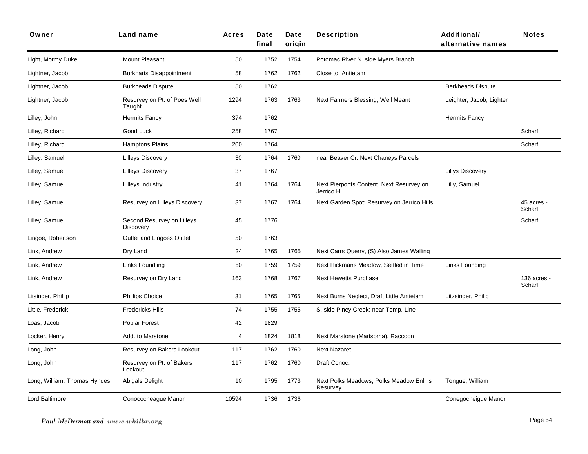| Owner                        | Land name                                      | <b>Acres</b> | Date<br>final | Date<br>origin | <b>Description</b>                                     | Additional/<br>alternative names | <b>Notes</b>          |
|------------------------------|------------------------------------------------|--------------|---------------|----------------|--------------------------------------------------------|----------------------------------|-----------------------|
| Light, Mormy Duke            | <b>Mount Pleasant</b>                          | 50           | 1752          | 1754           | Potomac River N. side Myers Branch                     |                                  |                       |
| Lightner, Jacob              | <b>Burkharts Disappointment</b>                | 58           | 1762          | 1762           | Close to Antietam                                      |                                  |                       |
| Lightner, Jacob              | <b>Burkheads Dispute</b>                       | 50           | 1762          |                |                                                        | <b>Berkheads Dispute</b>         |                       |
| Lightner, Jacob              | Resurvey on Pt. of Poes Well<br>Taught         | 1294         | 1763          | 1763           | Next Farmers Blessing; Well Meant                      | Leighter, Jacob, Lighter         |                       |
| Lilley, John                 | Hermits Fancy                                  | 374          | 1762          |                |                                                        | <b>Hermits Fancy</b>             |                       |
| Lilley, Richard              | Good Luck                                      | 258          | 1767          |                |                                                        |                                  | Scharf                |
| Lilley, Richard              | <b>Hamptons Plains</b>                         | 200          | 1764          |                |                                                        |                                  | Scharf                |
| Lilley, Samuel               | <b>Lilleys Discovery</b>                       | 30           | 1764          | 1760           | near Beaver Cr. Next Chaneys Parcels                   |                                  |                       |
| Lilley, Samuel               | <b>Lilleys Discovery</b>                       | 37           | 1767          |                |                                                        | <b>Lillys Discovery</b>          |                       |
| Lilley, Samuel               | Lilleys Industry                               | 41           | 1764          | 1764           | Next Pierponts Content. Next Resurvey on<br>Jerrico H. | Lilly, Samuel                    |                       |
| Lilley, Samuel               | Resurvey on Lilleys Discovery                  | 37           | 1767          | 1764           | Next Garden Spot; Resurvey on Jerrico Hills            |                                  | 45 acres -<br>Scharf  |
| Lilley, Samuel               | Second Resurvey on Lilleys<br><b>Discovery</b> | 45           | 1776          |                |                                                        |                                  | Scharf                |
| Lingoe, Robertson            | Outlet and Lingoes Outlet                      | 50           | 1763          |                |                                                        |                                  |                       |
| Link, Andrew                 | Dry Land                                       | 24           | 1765          | 1765           | Next Carrs Querry, (S) Also James Walling              |                                  |                       |
| Link, Andrew                 | Links Foundling                                | 50           | 1759          | 1759           | Next Hickmans Meadow, Settled in Time                  | <b>Links Founding</b>            |                       |
| Link, Andrew                 | Resurvey on Dry Land                           | 163          | 1768          | 1767           | <b>Next Hewetts Purchase</b>                           |                                  | 136 acres -<br>Scharf |
| Litsinger, Phillip           | <b>Phillips Choice</b>                         | 31           | 1765          | 1765           | Next Burns Neglect, Draft Little Antietam              | Litzsinger, Philip               |                       |
| Little, Frederick            | <b>Fredericks Hills</b>                        | 74           | 1755          | 1755           | S. side Piney Creek; near Temp. Line                   |                                  |                       |
| Loas, Jacob                  | Poplar Forest                                  | 42           | 1829          |                |                                                        |                                  |                       |
| Locker, Henry                | Add. to Marstone                               | 4            | 1824          | 1818           | Next Marstone (Martsoma), Raccoon                      |                                  |                       |
| Long, John                   | Resurvey on Bakers Lookout                     | 117          | 1762          | 1760           | <b>Next Nazaret</b>                                    |                                  |                       |
| Long, John                   | Resurvey on Pt. of Bakers<br>Lookout           | 117          | 1762          | 1760           | Draft Conoc.                                           |                                  |                       |
| Long, William: Thomas Hyndes | Abigals Delight                                | 10           | 1795          | 1773           | Next Polks Meadows, Polks Meadow Enl. is<br>Resurvey   | Tongue, William                  |                       |
| <b>Lord Baltimore</b>        | Conococheague Manor                            | 10594        | 1736          | 1736           |                                                        | Conegocheigue Manor              |                       |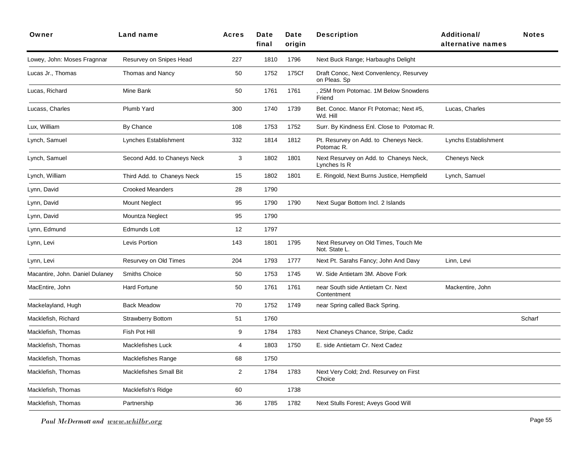| Owner                           | Land name                     | Acres | Date<br>final | Date<br>origin | <b>Description</b>                                      | <b>Additional/</b><br>alternative names | <b>Notes</b> |
|---------------------------------|-------------------------------|-------|---------------|----------------|---------------------------------------------------------|-----------------------------------------|--------------|
| Lowey, John: Moses Fragnnar     | Resurvey on Snipes Head       | 227   | 1810          | 1796           | Next Buck Range; Harbaughs Delight                      |                                         |              |
| Lucas Jr., Thomas               | Thomas and Nancy              | 50    | 1752          | 175Cf          | Draft Conoc, Next Convenlency, Resurvey<br>on Pleas. Sp |                                         |              |
| Lucas, Richard                  | Mine Bank                     | 50    | 1761          | 1761           | 25M from Potomac. 1M Below Snowdens<br>Friend           |                                         |              |
| Lucass, Charles                 | Plumb Yard                    | 300   | 1740          | 1739           | Bet. Conoc. Manor Ft Potomac; Next #5,<br>Wd. Hill      | Lucas, Charles                          |              |
| Lux, William                    | By Chance                     | 108   | 1753          | 1752           | Surr. By Kindness Enl. Close to Potomac R.              |                                         |              |
| Lynch, Samuel                   | Lynches Establishment         | 332   | 1814          | 1812           | Pt. Resurvey on Add. to Cheneys Neck.<br>Potomac R.     | <b>Lynchs Establishment</b>             |              |
| Lynch, Samuel                   | Second Add. to Chaneys Neck   | 3     | 1802          | 1801           | Next Resurvey on Add. to Chaneys Neck,<br>Lynches Is R  | <b>Cheneys Neck</b>                     |              |
| Lynch, William                  | Third Add. to Chaneys Neck    | 15    | 1802          | 1801           | E. Ringold, Next Burns Justice, Hempfield               | Lynch, Samuel                           |              |
| Lynn, David                     | <b>Crooked Meanders</b>       | 28    | 1790          |                |                                                         |                                         |              |
| Lynn, David                     | <b>Mount Neglect</b>          | 95    | 1790          | 1790           | Next Sugar Bottom Incl. 2 Islands                       |                                         |              |
| Lynn, David                     | Mountza Neglect               | 95    | 1790          |                |                                                         |                                         |              |
| Lynn, Edmund                    | Edmunds Lott                  | 12    | 1797          |                |                                                         |                                         |              |
| Lynn, Levi                      | Levis Portion                 | 143   | 1801          | 1795           | Next Resurvey on Old Times, Touch Me<br>Not. State L.   |                                         |              |
| Lynn, Levi                      | Resurvey on Old Times         | 204   | 1793          | 1777           | Next Pt. Sarahs Fancy; John And Davy                    | Linn, Levi                              |              |
| Macantire, John. Daniel Dulaney | Smiths Choice                 | 50    | 1753          | 1745           | W. Side Antietam 3M. Above Fork                         |                                         |              |
| MacEntire, John                 | <b>Hard Fortune</b>           | 50    | 1761          | 1761           | near South side Antietam Cr. Next<br>Contentment        | Mackentire, John                        |              |
| Mackelayland, Hugh              | <b>Back Meadow</b>            | 70    | 1752          | 1749           | near Spring called Back Spring.                         |                                         |              |
| Macklefish, Richard             | <b>Strawberry Bottom</b>      | 51    | 1760          |                |                                                         |                                         | Scharf       |
| Macklefish, Thomas              | Fish Pot Hill                 | 9     | 1784          | 1783           | Next Chaneys Chance, Stripe, Cadiz                      |                                         |              |
| Macklefish, Thomas              | Macklefishes Luck             | 4     | 1803          | 1750           | E. side Antietam Cr. Next Cadez                         |                                         |              |
| Macklefish, Thomas              | Macklefishes Range            | 68    | 1750          |                |                                                         |                                         |              |
| Macklefish, Thomas              | <b>Macklefishes Small Bit</b> | 2     | 1784          | 1783           | Next Very Cold; 2nd. Resurvey on First<br>Choice        |                                         |              |
| Macklefish, Thomas              | Macklefish's Ridge            | 60    |               | 1738           |                                                         |                                         |              |
| Macklefish, Thomas              | Partnership                   | 36    | 1785          | 1782           | Next Stulls Forest; Aveys Good Will                     |                                         |              |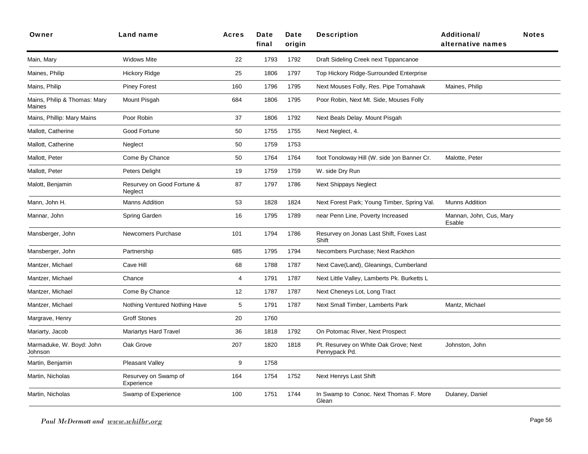| Owner                                  | Land name                             | <b>Acres</b> | Date<br>final | Date<br>origin | <b>Description</b>                                     | <b>Additional/</b><br>alternative names | <b>Notes</b> |
|----------------------------------------|---------------------------------------|--------------|---------------|----------------|--------------------------------------------------------|-----------------------------------------|--------------|
| Main, Mary                             | <b>Widows Mite</b>                    | 22           | 1793          | 1792           | Draft Sideling Creek next Tippancanoe                  |                                         |              |
| Maines, Philip                         | <b>Hickory Ridge</b>                  | 25           | 1806          | 1797           | Top Hickory Ridge-Surrounded Enterprise                |                                         |              |
| Mains, Philip                          | <b>Piney Forest</b>                   | 160          | 1796          | 1795           | Next Mouses Folly, Res. Pipe Tomahawk                  | Maines, Philip                          |              |
| Mains, Philip & Thomas: Mary<br>Maines | Mount Pisgah                          | 684          | 1806          | 1795           | Poor Robin, Next Mt. Side, Mouses Folly                |                                         |              |
| Mains, Phillip: Mary Mains             | Poor Robin                            | 37           | 1806          | 1792           | Next Beals Delay. Mount Pisgah                         |                                         |              |
| Mallott, Catherine                     | Good Fortune                          | 50           | 1755          | 1755           | Next Neglect, 4.                                       |                                         |              |
| Mallott, Catherine                     | Neglect                               | 50           | 1759          | 1753           |                                                        |                                         |              |
| Mallott, Peter                         | Come By Chance                        | 50           | 1764          | 1764           | foot Tonoloway Hill (W. side ) on Banner Cr.           | Malotte, Peter                          |              |
| Mallott, Peter                         | Peters Delight                        | 19           | 1759          | 1759           | W. side Dry Run                                        |                                         |              |
| Malott, Benjamin                       | Resurvey on Good Fortune &<br>Neglect | 87           | 1797          | 1786           | <b>Next Shippays Neglect</b>                           |                                         |              |
| Mann, John H.                          | <b>Manns Addition</b>                 | 53           | 1828          | 1824           | Next Forest Park; Young Timber, Spring Val.            | <b>Munns Addition</b>                   |              |
| Mannar, John                           | <b>Spring Garden</b>                  | 16           | 1795          | 1789           | near Penn Line, Poverty Increased                      | Mannan, John, Cus, Mary<br>Esable       |              |
| Mansberger, John                       | Newcomers Purchase                    | 101          | 1794          | 1786           | Resurvey on Jonas Last Shift, Foxes Last<br>Shift      |                                         |              |
| Mansberger, John                       | Partnership                           | 685          | 1795          | 1794           | Necombers Purchase; Next Rackhon                       |                                         |              |
| Mantzer, Michael                       | Cave Hill                             | 68           | 1788          | 1787           | Next Cave(Land), Gleanings, Cumberland                 |                                         |              |
| Mantzer, Michael                       | Chance                                | 4            | 1791          | 1787           | Next Little Valley, Lamberts Pk. Burketts L            |                                         |              |
| Mantzer, Michael                       | Come By Chance                        | 12           | 1787          | 1787           | Next Cheneys Lot, Long Tract                           |                                         |              |
| Mantzer, Michael                       | Nothing Ventured Nothing Have         | 5            | 1791          | 1787           | Next Small Timber, Lamberts Park                       | Mantz, Michael                          |              |
| Margrave, Henry                        | <b>Groff Stones</b>                   | 20           | 1760          |                |                                                        |                                         |              |
| Mariarty, Jacob                        | Mariartys Hard Travel                 | 36           | 1818          | 1792           | On Potomac River, Next Prospect                        |                                         |              |
| Marmaduke, W. Boyd: John<br>Johnson    | Oak Grove                             | 207          | 1820          | 1818           | Pt. Resurvey on White Oak Grove; Next<br>Pennypack Pd. | Johnston, John                          |              |
| Martin, Benjamin                       | <b>Pleasant Valley</b>                | 9            | 1758          |                |                                                        |                                         |              |
| Martin, Nicholas                       | Resurvey on Swamp of<br>Experience    | 164          | 1754          | 1752           | Next Henrys Last Shift                                 |                                         |              |
| Martin, Nicholas                       | Swamp of Experience                   | 100          | 1751          | 1744           | In Swamp to Conoc. Next Thomas F. More<br>Glean        | Dulaney, Daniel                         |              |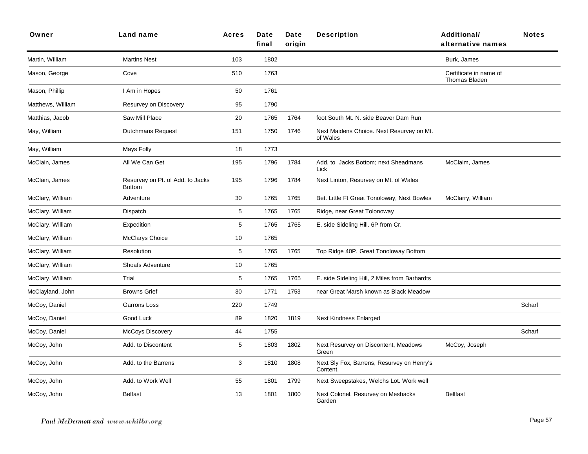| Owner             | Land name                                         | <b>Acres</b> | Date<br>final | Date<br>origin | <b>Description</b>                                     | <b>Additional/</b><br>alternative names        | <b>Notes</b> |
|-------------------|---------------------------------------------------|--------------|---------------|----------------|--------------------------------------------------------|------------------------------------------------|--------------|
| Martin, William   | <b>Martins Nest</b>                               | 103          | 1802          |                |                                                        | Burk, James                                    |              |
| Mason, George     | Cove                                              | 510          | 1763          |                |                                                        | Certificate in name of<br><b>Thomas Bladen</b> |              |
| Mason, Phillip    | I Am in Hopes                                     | 50           | 1761          |                |                                                        |                                                |              |
| Matthews, William | Resurvey on Discovery                             | 95           | 1790          |                |                                                        |                                                |              |
| Matthias, Jacob   | Saw Mill Place                                    | 20           | 1765          | 1764           | foot South Mt. N. side Beaver Dam Run                  |                                                |              |
| May, William      | <b>Dutchmans Request</b>                          | 151          | 1750          | 1746           | Next Maidens Choice. Next Resurvey on Mt.<br>of Wales  |                                                |              |
| May, William      | Mays Folly                                        | 18           | 1773          |                |                                                        |                                                |              |
| McClain, James    | All We Can Get                                    | 195          | 1796          | 1784           | Add. to Jacks Bottom; next Sheadmans<br>Lick           | McClaim, James                                 |              |
| McClain, James    | Resurvey on Pt. of Add. to Jacks<br><b>Bottom</b> | 195          | 1796          | 1784           | Next Linton, Resurvey on Mt. of Wales                  |                                                |              |
| McClary, William  | Adventure                                         | 30           | 1765          | 1765           | Bet. Little Ft Great Tonoloway, Next Bowles            | McClarry, William                              |              |
| McClary, William  | Dispatch                                          | 5            | 1765          | 1765           | Ridge, near Great Tolonoway                            |                                                |              |
| McClary, William  | Expedition                                        | 5            | 1765          | 1765           | E. side Sideling Hill. 6P from Cr.                     |                                                |              |
| McClary, William  | <b>McClarys Choice</b>                            | 10           | 1765          |                |                                                        |                                                |              |
| McClary, William  | Resolution                                        | $\mathbf 5$  | 1765          | 1765           | Top Ridge 40P. Great Tonoloway Bottom                  |                                                |              |
| McClary, William  | <b>Shoafs Adventure</b>                           | 10           | 1765          |                |                                                        |                                                |              |
| McClary, William  | Trial                                             | 5            | 1765          | 1765           | E. side Sideling Hill, 2 Miles from Barhardts          |                                                |              |
| McClayland, John  | <b>Browns Grief</b>                               | 30           | 1771          | 1753           | near Great Marsh known as Black Meadow                 |                                                |              |
| McCoy, Daniel     | Garrons Loss                                      | 220          | 1749          |                |                                                        |                                                | Scharf       |
| McCoy, Daniel     | Good Luck                                         | 89           | 1820          | 1819           | Next Kindness Enlarged                                 |                                                |              |
| McCoy, Daniel     | <b>McCoys Discovery</b>                           | 44           | 1755          |                |                                                        |                                                | Scharf       |
| McCoy, John       | Add. to Discontent                                | 5            | 1803          | 1802           | Next Resurvey on Discontent, Meadows<br>Green          | McCoy, Joseph                                  |              |
| McCoy, John       | Add. to the Barrens                               | 3            | 1810          | 1808           | Next Sly Fox, Barrens, Resurvey on Henry's<br>Content. |                                                |              |
| McCoy, John       | Add. to Work Well                                 | 55           | 1801          | 1799           | Next Sweepstakes, Welchs Lot. Work well                |                                                |              |
| McCoy, John       | <b>Belfast</b>                                    | 13           | 1801          | 1800           | Next Colonel, Resurvey on Meshacks<br>Garden           | <b>Bellfast</b>                                |              |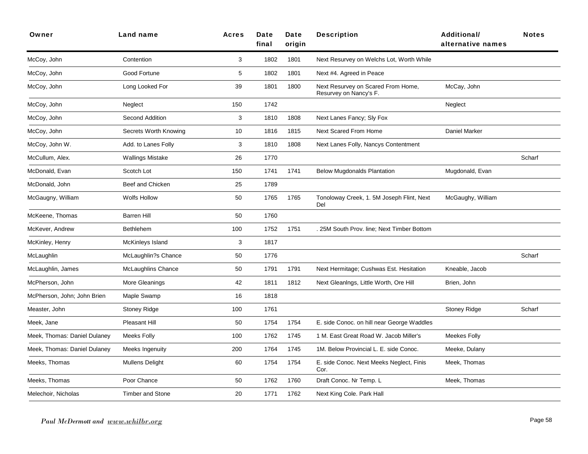| Owner                        | Land name                 | <b>Acres</b> | Date<br>final | Date<br>origin | <b>Description</b>                                           | <b>Additional/</b><br>alternative names | <b>Notes</b> |
|------------------------------|---------------------------|--------------|---------------|----------------|--------------------------------------------------------------|-----------------------------------------|--------------|
| McCoy, John                  | Contention                | 3            | 1802          | 1801           | Next Resurvey on Welchs Lot, Worth While                     |                                         |              |
| McCoy, John                  | Good Fortune              | 5            | 1802          | 1801           | Next #4. Agreed in Peace                                     |                                         |              |
| McCoy, John                  | Long Looked For           | 39           | 1801          | 1800           | Next Resurvey on Scared From Home,<br>Resurvey on Nancy's F. | McCay, John                             |              |
| McCoy, John                  | Neglect                   | 150          | 1742          |                |                                                              | Neglect                                 |              |
| McCoy, John                  | Second Addition           | 3            | 1810          | 1808           | Next Lanes Fancy; Sly Fox                                    |                                         |              |
| McCoy, John                  | Secrets Worth Knowing     | 10           | 1816          | 1815           | Next Scared From Home                                        | Daniel Marker                           |              |
| McCoy, John W.               | Add. to Lanes Folly       | 3            | 1810          | 1808           | Next Lanes Folly, Nancys Contentment                         |                                         |              |
| McCullum, Alex.              | <b>Wallings Mistake</b>   | 26           | 1770          |                |                                                              |                                         | Scharf       |
| McDonald, Evan               | Scotch Lot                | 150          | 1741          | 1741           | <b>Below Mugdonalds Plantation</b>                           | Mugdonald, Evan                         |              |
| McDonald, John               | Beef and Chicken          | 25           | 1789          |                |                                                              |                                         |              |
| McGaugny, William            | <b>Wolfs Hollow</b>       | 50           | 1765          | 1765           | Tonoloway Creek, 1. 5M Joseph Flint, Next<br>Del             | McGaughy, William                       |              |
| McKeene, Thomas              | <b>Barren Hill</b>        | 50           | 1760          |                |                                                              |                                         |              |
| McKever, Andrew              | <b>Bethlehem</b>          | 100          | 1752          | 1751           | . 25M South Prov. line; Next Timber Bottom                   |                                         |              |
| McKinley, Henry              | McKinleys Island          | 3            | 1817          |                |                                                              |                                         |              |
| McLaughlin                   | McLaughlin?s Chance       | 50           | 1776          |                |                                                              |                                         | Scharf       |
| McLaughlin, James            | <b>McLaughlins Chance</b> | 50           | 1791          | 1791           | Next Hermitage; Cushwas Est. Hesitation                      | Kneable, Jacob                          |              |
| McPherson, John              | More Gleanings            | 42           | 1811          | 1812           | Next Gleanings, Little Worth, Ore Hill                       | Brien, John                             |              |
| McPherson, John; John Brien  | Maple Swamp               | 16           | 1818          |                |                                                              |                                         |              |
| Measter, John                | <b>Stoney Ridge</b>       | 100          | 1761          |                |                                                              | <b>Stoney Ridge</b>                     | Scharf       |
| Meek, Jane                   | Pleasant Hill             | 50           | 1754          | 1754           | E. side Conoc. on hill near George Waddles                   |                                         |              |
| Meek, Thomas: Daniel Dulaney | <b>Meeks Folly</b>        | 100          | 1762          | 1745           | 1 M. East Great Road W. Jacob Miller's                       | Meekes Folly                            |              |
| Meek, Thomas: Daniel Dulaney | Meeks Ingenuity           | 200          | 1764          | 1745           | 1M. Below Provincial L. E. side Conoc.                       | Meeke, Dulany                           |              |
| Meeks, Thomas                | <b>Mullens Delight</b>    | 60           | 1754          | 1754           | E. side Conoc. Next Meeks Neglect, Finis<br>Cor.             | Meek, Thomas                            |              |
| Meeks, Thomas                | Poor Chance               | 50           | 1762          | 1760           | Draft Conoc. Nr Temp. L                                      | Meek, Thomas                            |              |
| Melechoir, Nicholas          | <b>Timber and Stone</b>   | 20           | 1771          | 1762           | Next King Cole. Park Hall                                    |                                         |              |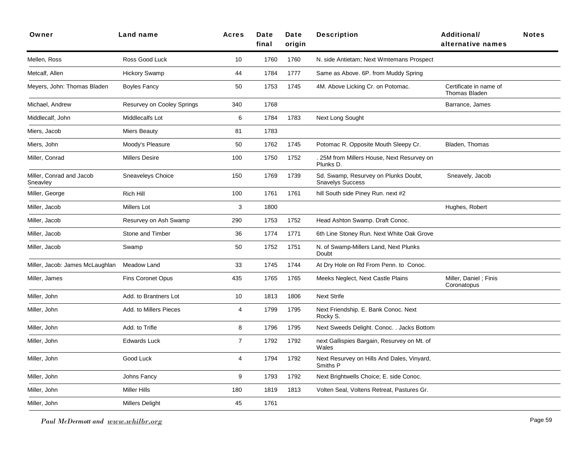| Owner                                | Land name                  | <b>Acres</b>   | Date<br>final | Date<br>origin | <b>Description</b>                                              | <b>Additional/</b><br>alternative names        | <b>Notes</b> |
|--------------------------------------|----------------------------|----------------|---------------|----------------|-----------------------------------------------------------------|------------------------------------------------|--------------|
| Mellen, Ross                         | Ross Good Luck             | 10             | 1760          | 1760           | N. side Antietam; Next Wmtemans Prospect                        |                                                |              |
| Metcalf, Allen                       | Hickory Swamp              | 44             | 1784          | 1777           | Same as Above. 6P. from Muddy Spring                            |                                                |              |
| Meyers, John: Thomas Bladen          | <b>Boyles Fancy</b>        | 50             | 1753          | 1745           | 4M. Above Licking Cr. on Potomac.                               | Certificate in name of<br><b>Thomas Bladen</b> |              |
| Michael, Andrew                      | Resurvey on Cooley Springs | 340            | 1768          |                |                                                                 | Barrance, James                                |              |
| Middlecalf, John                     | Middlecalfs Lot            | 6              | 1784          | 1783           | Next Long Sought                                                |                                                |              |
| Miers, Jacob                         | <b>Miers Beauty</b>        | 81             | 1783          |                |                                                                 |                                                |              |
| Miers, John                          | Moody's Pleasure           | 50             | 1762          | 1745           | Potomac R. Opposite Mouth Sleepy Cr.                            | Bladen. Thomas                                 |              |
| Miller, Conrad                       | <b>Millers Desire</b>      | 100            | 1750          | 1752           | . 25M from Millers House, Next Resurvey on<br>Plunks D.         |                                                |              |
| Miller, Conrad and Jacob<br>Sneavley | Sneaveleys Choice          | 150            | 1769          | 1739           | Sd. Swamp, Resurvey on Plunks Doubt,<br><b>Snavelys Success</b> | Sneavely, Jacob                                |              |
| Miller, George                       | Rich Hill                  | 100            | 1761          | 1761           | hill South side Piney Run. next #2                              |                                                |              |
| Miller, Jacob                        | <b>Millers Lot</b>         | 3              | 1800          |                |                                                                 | Hughes, Robert                                 |              |
| Miller, Jacob                        | Resurvey on Ash Swamp      | 290            | 1753          | 1752           | Head Ashton Swamp. Draft Conoc.                                 |                                                |              |
| Miller, Jacob                        | Stone and Timber           | 36             | 1774          | 1771           | 6th Line Stoney Run. Next White Oak Grove                       |                                                |              |
| Miller, Jacob                        | Swamp                      | 50             | 1752          | 1751           | N. of Swamp-Millers Land, Next Plunks<br>Doubt                  |                                                |              |
| Miller, Jacob: James McLaughlan      | Meadow Land                | 33             | 1745          | 1744           | At Dry Hole on Rd From Penn. to Conoc.                          |                                                |              |
| Miller, James                        | <b>Fins Coronet Opus</b>   | 435            | 1765          | 1765           | Meeks Neglect, Next Castle Plains                               | Miller, Daniel; Finis<br>Coronatopus           |              |
| Miller, John                         | Add. to Brantners Lot      | 10             | 1813          | 1806           | <b>Next Strife</b>                                              |                                                |              |
| Miller, John                         | Add. to Millers Pieces     | 4              | 1799          | 1795           | Next Friendship. E. Bank Conoc. Next<br>Rocky S.                |                                                |              |
| Miller, John                         | Add. to Trifle             | 8              | 1796          | 1795           | Next Sweeds Delight. Conoc. . Jacks Bottom                      |                                                |              |
| Miller, John                         | <b>Edwards Luck</b>        | $\overline{7}$ | 1792          | 1792           | next Gallispies Bargain, Resurvey on Mt. of<br>Wales            |                                                |              |
| Miller, John                         | Good Luck                  | 4              | 1794          | 1792           | Next Resurvey on Hills And Dales, Vinyard,<br>Smiths P          |                                                |              |
| Miller, John                         | Johns Fancy                | 9              | 1793          | 1792           | Next Brightwells Choice; E. side Conoc.                         |                                                |              |
| Miller, John                         | <b>Miller Hills</b>        | 180            | 1819          | 1813           | Volten Seal, Voltens Retreat, Pastures Gr.                      |                                                |              |
| Miller, John                         | <b>Millers Delight</b>     | 45             | 1761          |                |                                                                 |                                                |              |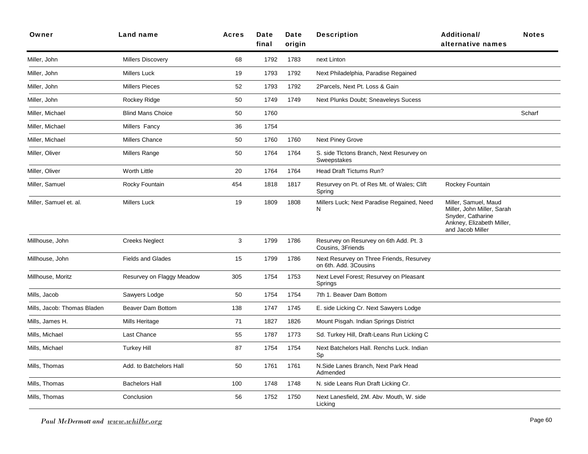| Owner                       | Land name                 | <b>Acres</b> | Date<br>final | Date<br>origin | <b>Description</b>                                                | Additional/<br>alternative names                                                                                         | <b>Notes</b> |
|-----------------------------|---------------------------|--------------|---------------|----------------|-------------------------------------------------------------------|--------------------------------------------------------------------------------------------------------------------------|--------------|
| Miller, John                | <b>Millers Discovery</b>  | 68           | 1792          | 1783           | next Linton                                                       |                                                                                                                          |              |
| Miller, John                | <b>Millers Luck</b>       | 19           | 1793          | 1792           | Next Philadelphia, Paradise Regained                              |                                                                                                                          |              |
| Miller, John                | <b>Millers Pieces</b>     | 52           | 1793          | 1792           | 2Parcels, Next Pt. Loss & Gain                                    |                                                                                                                          |              |
| Miller, John                | Rockey Ridge              | 50           | 1749          | 1749           | Next Plunks Doubt; Sneaveleys Sucess                              |                                                                                                                          |              |
| Miller, Michael             | <b>Blind Mans Choice</b>  | 50           | 1760          |                |                                                                   |                                                                                                                          | Scharf       |
| Miller, Michael             | Millers Fancy             | 36           | 1754          |                |                                                                   |                                                                                                                          |              |
| Miller, Michael             | <b>Millers Chance</b>     | 50           | 1760          | 1760           | <b>Next Piney Grove</b>                                           |                                                                                                                          |              |
| Miller, Oliver              | Millers Range             | 50           | 1764          | 1764           | S. side Tlctons Branch, Next Resurvey on<br>Sweepstakes           |                                                                                                                          |              |
| Miller, Oliver              | Worth Little              | 20           | 1764          | 1764           | Head Draft Tictums Run?                                           |                                                                                                                          |              |
| Miller, Samuel              | Rocky Fountain            | 454          | 1818          | 1817           | Resurvey on Pt. of Res Mt. of Wales; Clift<br>Spring              | Rockey Fountain                                                                                                          |              |
| Miller, Samuel et. al.      | Millers Luck              | 19           | 1809          | 1808           | Millers Luck; Next Paradise Regained, Need<br>N                   | Miller, Samuel, Maud<br>Miller, John Miller, Sarah<br>Snyder, Catharine<br>Ankney, Elizabeth Miller,<br>and Jacob Miller |              |
| Millhouse, John             | <b>Creeks Neglect</b>     | 3            | 1799          | 1786           | Resurvey on Resurvey on 6th Add. Pt. 3<br>Cousins, 3Friends       |                                                                                                                          |              |
| Millhouse, John             | <b>Fields and Glades</b>  | 15           | 1799          | 1786           | Next Resurvey on Three Friends, Resurvey<br>on 6th. Add. 3Cousins |                                                                                                                          |              |
| Millhouse, Moritz           | Resurvey on Flaggy Meadow | 305          | 1754          | 1753           | Next Level Forest; Resurvey on Pleasant<br>Springs                |                                                                                                                          |              |
| Mills, Jacob                | Sawyers Lodge             | 50           | 1754          | 1754           | 7th 1. Beaver Dam Bottom                                          |                                                                                                                          |              |
| Mills, Jacob: Thomas Bladen | <b>Beaver Dam Bottom</b>  | 138          | 1747          | 1745           | E. side Licking Cr. Next Sawyers Lodge                            |                                                                                                                          |              |
| Mills, James H.             | Mills Heritage            | 71           | 1827          | 1826           | Mount Pisgah. Indian Springs District                             |                                                                                                                          |              |
| Mills, Michael              | Last Chance               | 55           | 1787          | 1773           | Sd. Turkey Hill, Draft-Leans Run Licking C                        |                                                                                                                          |              |
| Mills, Michael              | <b>Turkey Hill</b>        | 87           | 1754          | 1754           | Next Batchelors Hall. Renchs Luck. Indian<br>Sp                   |                                                                                                                          |              |
| Mills, Thomas               | Add. to Batchelors Hall   | 50           | 1761          | 1761           | N.Side Lanes Branch, Next Park Head<br>Admended                   |                                                                                                                          |              |
| Mills, Thomas               | <b>Bachelors Hall</b>     | 100          | 1748          | 1748           | N. side Leans Run Draft Licking Cr.                               |                                                                                                                          |              |
| Mills, Thomas               | Conclusion                | 56           | 1752          | 1750           | Next Lanesfield, 2M. Abv. Mouth, W. side<br>Licking               |                                                                                                                          |              |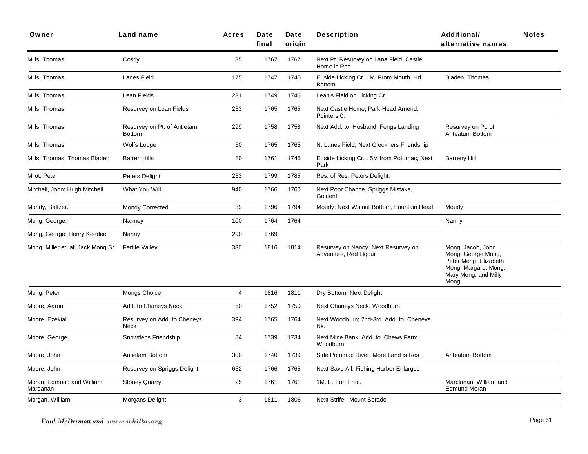| Owner                                 | Land name                                    | <b>Acres</b>   | Date<br>final | Date<br>origin | <b>Description</b>                                           | <b>Additional/</b><br>alternative names                                                                                  | <b>Notes</b> |
|---------------------------------------|----------------------------------------------|----------------|---------------|----------------|--------------------------------------------------------------|--------------------------------------------------------------------------------------------------------------------------|--------------|
| Mills, Thomas                         | Costly                                       | 35             | 1767          | 1767           | Next Pt. Resurvey on Lana Field, Castle<br>Home is Res       |                                                                                                                          |              |
| Mills, Thomas                         | Lanes Field                                  | 175            | 1747          | 1745           | E. side Licking Cr. 1M. From Mouth, Hd<br><b>Bottom</b>      | Bladen, Thomas                                                                                                           |              |
| Mills, Thomas                         | Lean Fields                                  | 231            | 1749          | 1746           | Lean's Field on Licking Cr.                                  |                                                                                                                          |              |
| Mills, Thomas                         | Resurvey on Lean Fields                      | 233            | 1765          | 1765           | Next Castle Home; Park Head Amend.<br>Pointers 0.            |                                                                                                                          |              |
| Mills, Thomas                         | Resurvey on Pt. of Antietam<br><b>Bottom</b> | 299            | 1758          | 1758           | Next Add. to Husband; Fengs Landing                          | Resurvey on Pt. of<br>Anteatum Bottom                                                                                    |              |
| Mills, Thomas                         | Wolfs Lodge                                  | 50             | 1765          | 1765           | N. Lanes Field; Next Gleckners Friendship                    |                                                                                                                          |              |
| Mills, Thomas: Thomas Bladen          | <b>Barren Hills</b>                          | 80             | 1761          | 1745           | E. side Licking Cr. . 5M from Potomac, Next<br>Park          | <b>Barreny Hill</b>                                                                                                      |              |
| Milot, Peter                          | Peters Delight                               | 233            | 1799          | 1785           | Res. of Res. Peters Delight.                                 |                                                                                                                          |              |
| Mitchell, John: Hugh Mitchell         | What You Will                                | 940            | 1766          | 1760           | Next Poor Chance, Spriggs Mistake,<br>Goldenf.               |                                                                                                                          |              |
| Mondy, Baltzer.                       | <b>Mondy Corrected</b>                       | 39             | 1796          | 1794           | Moudy; Next Walnut Bottom, Fountain Head                     | Moudy                                                                                                                    |              |
| Mong, George:                         | Nanney                                       | 100            | 1764          | 1764           |                                                              | Nanny                                                                                                                    |              |
| Mong, George: Henry Keedee            | Nanny                                        | 290            | 1769          |                |                                                              |                                                                                                                          |              |
| Mong, Miller et. al: Jack Mong Sr.    | <b>Fertile Valley</b>                        | 330            | 1816          | 1814           | Resurvey on Nancy, Next Resurvey on<br>Adventure, Red Llgour | Mong, Jacob, John<br>Mong, George Mong,<br>Peter Mong, Elizabeth<br>Mong, Margaret Mong,<br>Mary Mong, and Milly<br>Mong |              |
| Mong, Peter                           | Mongs Choice                                 | $\overline{4}$ | 1816          | 1811           | Dry Bottom, Next Delight                                     |                                                                                                                          |              |
| Moore, Aaron                          | Add. to Chaneys Neck                         | 50             | 1752          | 1750           | Next Chaneys Neck. Woodburn                                  |                                                                                                                          |              |
| Moore, Ezekial                        | Resurvey on Add. to Cheneys<br>Neck          | 394            | 1765          | 1764           | Next Woodburn; 2nd-3rd. Add. to Cheneys<br>Nk.               |                                                                                                                          |              |
| Moore, George                         | Snowdens Friendship                          | 84             | 1739          | 1734           | Next Mine Bank, Add. to Chews Farm.<br>Woodburn              |                                                                                                                          |              |
| Moore, John                           | Antietam Bottom                              | 300            | 1740          | 1739           | Side Potomac River. More Land is Res                         | Anteatum Bottom                                                                                                          |              |
| Moore, John                           | Resurvey on Spriggs Delight                  | 652            | 1766          | 1765           | Next Save All; Fishing Harbor Enlarged                       |                                                                                                                          |              |
| Moran, Edmund and William<br>Mardanan | <b>Stoney Quarry</b>                         | 25             | 1761          | 1761           | 1M. E. Fort Fred.                                            | Marclanan, William and<br><b>Edmund Moran</b>                                                                            |              |
| Morgan, William                       | Morgans Delight                              | 3              | 1811          | 1806           | Next Strife, Mount Serado                                    |                                                                                                                          |              |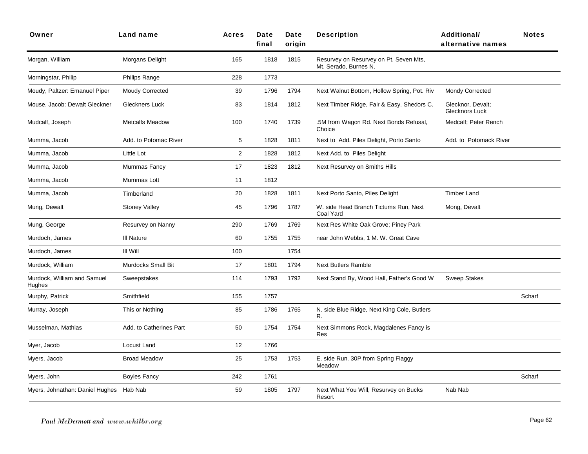| Owner                                   | Land name                 | Acres          | Date<br>final | Date<br>origin | <b>Description</b>                                              | Additional/<br>alternative names           | <b>Notes</b> |
|-----------------------------------------|---------------------------|----------------|---------------|----------------|-----------------------------------------------------------------|--------------------------------------------|--------------|
| Morgan, William                         | Morgans Delight           | 165            | 1818          | 1815           | Resurvey on Resurvey on Pt. Seven Mts,<br>Mt. Serado, Burnes N. |                                            |              |
| Morningstar, Philip                     | Philips Range             | 228            | 1773          |                |                                                                 |                                            |              |
| Moudy, Paltzer: Emanuel Piper           | <b>Moudy Corrected</b>    | 39             | 1796          | 1794           | Next Walnut Bottom, Hollow Spring, Pot. Riv                     | <b>Mondy Corrected</b>                     |              |
| Mouse, Jacob: Dewalt Gleckner           | Gleckners Luck            | 83             | 1814          | 1812           | Next Timber Ridge, Fair & Easy. Shedors C.                      | Glecknor, Devalt;<br><b>Glecknors Luck</b> |              |
| Mudcalf, Joseph                         | <b>Metcalfs Meadow</b>    | 100            | 1740          | 1739           | .5M from Wagon Rd. Next Bonds Refusal,<br>Choice                | Medcalf: Peter Rench                       |              |
| Mumma, Jacob                            | Add. to Potomac River     | 5              | 1828          | 1811           | Next to Add. Piles Delight, Porto Santo                         | Add, to Potomack River                     |              |
| Mumma, Jacob                            | Little Lot                | $\overline{2}$ | 1828          | 1812           | Next Add. to Piles Delight                                      |                                            |              |
| Mumma, Jacob                            | Mummas Fancy              | 17             | 1823          | 1812           | Next Resurvey on Smiths Hills                                   |                                            |              |
| Mumma, Jacob                            | Mummas Lott               | 11             | 1812          |                |                                                                 |                                            |              |
| Mumma, Jacob                            | Timberland                | 20             | 1828          | 1811           | Next Porto Santo, Piles Delight                                 | <b>Timber Land</b>                         |              |
| Mung, Dewalt                            | <b>Stoney Valley</b>      | 45             | 1796          | 1787           | W. side Head Branch Tictums Run, Next<br>Coal Yard              | Mong, Devalt                               |              |
| Mung, George                            | Resurvey on Nanny         | 290            | 1769          | 1769           | Next Res White Oak Grove; Piney Park                            |                                            |              |
| Murdoch, James                          | III Nature                | 60             | 1755          | 1755           | near John Webbs, 1 M. W. Great Cave                             |                                            |              |
| Murdoch, James                          | III Will                  | 100            |               | 1754           |                                                                 |                                            |              |
| Murdock, William                        | <b>Murdocks Small Bit</b> | 17             | 1801          | 1794           | <b>Next Butlers Ramble</b>                                      |                                            |              |
| Murdock, William and Samuel<br>Hughes   | Sweepstakes               | 114            | 1793          | 1792           | Next Stand By, Wood Hall, Father's Good W                       | <b>Sweep Stakes</b>                        |              |
| Murphy, Patrick                         | Smithfield                | 155            | 1757          |                |                                                                 |                                            | Scharf       |
| Murray, Joseph                          | This or Nothing           | 85             | 1786          | 1765           | N. side Blue Ridge, Next King Cole, Butlers<br>R.               |                                            |              |
| Musselman, Mathias                      | Add. to Catherines Part   | 50             | 1754          | 1754           | Next Simmons Rock, Magdalenes Fancy is<br>Res                   |                                            |              |
| Myer, Jacob                             | Locust Land               | 12             | 1766          |                |                                                                 |                                            |              |
| Myers, Jacob                            | <b>Broad Meadow</b>       | 25             | 1753          | 1753           | E. side Run. 30P from Spring Flaggy<br>Meadow                   |                                            |              |
| Myers, John                             | <b>Boyles Fancy</b>       | 242            | 1761          |                |                                                                 |                                            | Scharf       |
| Myers, Johnathan: Daniel Hughes Hab Nab |                           | 59             | 1805          | 1797           | Next What You Will, Resurvey on Bucks<br>Resort                 | Nab Nab                                    |              |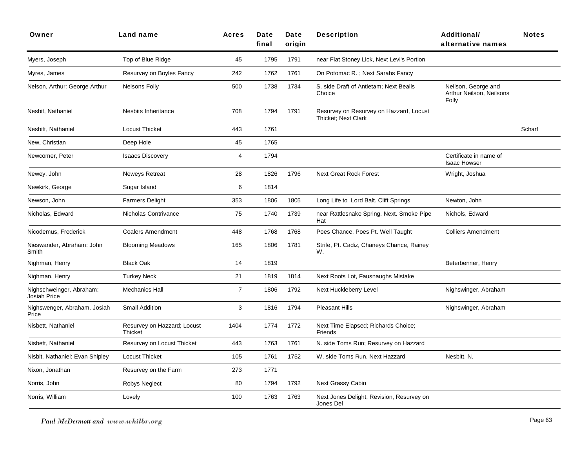| Owner                                    | Land name                              | <b>Acres</b>   | Date<br>final | Date<br>origin | <b>Description</b>                                                    | <b>Additional/</b><br>alternative names                  | <b>Notes</b> |
|------------------------------------------|----------------------------------------|----------------|---------------|----------------|-----------------------------------------------------------------------|----------------------------------------------------------|--------------|
| Myers, Joseph                            | Top of Blue Ridge                      | 45             | 1795          | 1791           | near Flat Stoney Lick, Next Levi's Portion                            |                                                          |              |
| Myres, James                             | Resurvey on Boyles Fancy               | 242            | 1762          | 1761           | On Potomac R.; Next Sarahs Fancy                                      |                                                          |              |
| Nelson, Arthur: George Arthur            | Nelsons Folly                          | 500            | 1738          | 1734           | S. side Draft of Antietam; Next Bealls<br>Choice                      | Neilson, George and<br>Arthur Neilson, Neilsons<br>Folly |              |
| Nesbit, Nathaniel                        | Nesbits Inheritance                    | 708            | 1794          | 1791           | Resurvey on Resurvey on Hazzard, Locust<br><b>Thicket: Next Clark</b> |                                                          |              |
| Nesbitt, Nathaniel                       | <b>Locust Thicket</b>                  | 443            | 1761          |                |                                                                       |                                                          | Scharf       |
| New, Christian                           | Deep Hole                              | 45             | 1765          |                |                                                                       |                                                          |              |
| Newcomer, Peter                          | <b>Isaacs Discovery</b>                | $\overline{4}$ | 1794          |                |                                                                       | Certificate in name of<br><b>Isaac Howser</b>            |              |
| Newey, John                              | Neweys Retreat                         | 28             | 1826          | 1796           | <b>Next Great Rock Forest</b>                                         | Wright, Joshua                                           |              |
| Newkirk, George                          | Sugar Island                           | 6              | 1814          |                |                                                                       |                                                          |              |
| Newson, John                             | <b>Farmers Delight</b>                 | 353            | 1806          | 1805           | Long Life to Lord Balt. Clift Springs                                 | Newton, John                                             |              |
| Nicholas, Edward                         | Nicholas Contrivance                   | 75             | 1740          | 1739           | near Rattlesnake Spring. Next. Smoke Pipe<br>Hat                      | Nichols, Edward                                          |              |
| Nicodemus, Frederick                     | <b>Coalers Amendment</b>               | 448            | 1768          | 1768           | Poes Chance, Poes Pt. Well Taught                                     | <b>Colliers Amendment</b>                                |              |
| Nieswander, Abraham: John<br>Smith       | <b>Blooming Meadows</b>                | 165            | 1806          | 1781           | Strife, Pt. Cadiz, Chaneys Chance, Rainey<br>W.                       |                                                          |              |
| Nighman, Henry                           | <b>Black Oak</b>                       | 14             | 1819          |                |                                                                       | Beterbenner, Henry                                       |              |
| Nighman, Henry                           | <b>Turkey Neck</b>                     | 21             | 1819          | 1814           | Next Roots Lot, Fausnaughs Mistake                                    |                                                          |              |
| Nighschweinger, Abraham:<br>Josiah Price | <b>Mechanics Hall</b>                  | $\overline{7}$ | 1806          | 1792           | Next Huckleberry Level                                                | Nighswinger, Abraham                                     |              |
| Nighswenger, Abraham. Josiah<br>Price    | <b>Small Addition</b>                  | $\mathsf 3$    | 1816          | 1794           | <b>Pleasant Hills</b>                                                 | Nighswinger, Abraham                                     |              |
| Nisbett, Nathaniel                       | Resurvey on Hazzard; Locust<br>Thicket | 1404           | 1774          | 1772           | Next Time Elapsed; Richards Choice;<br>Friends                        |                                                          |              |
| Nisbett, Nathaniel                       | Resurvey on Locust Thicket             | 443            | 1763          | 1761           | N. side Toms Run; Resurvey on Hazzard                                 |                                                          |              |
| Nisbit, Nathaniel: Evan Shipley          | <b>Locust Thicket</b>                  | 105            | 1761          | 1752           | W. side Toms Run, Next Hazzard                                        | Nesbitt, N.                                              |              |
| Nixon, Jonathan                          | Resurvey on the Farm                   | 273            | 1771          |                |                                                                       |                                                          |              |
| Norris, John                             | Robys Neglect                          | 80             | 1794          | 1792           | Next Grassy Cabin                                                     |                                                          |              |
| Norris, William                          | Lovely                                 | 100            | 1763          | 1763           | Next Jones Delight, Revision, Resurvey on<br>Jones Del                |                                                          |              |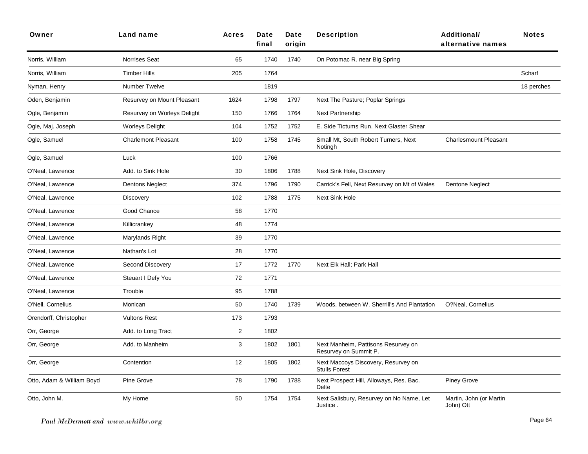| Owner                     | Land name                   | <b>Acres</b>   | Date<br>final | Date<br>origin | <b>Description</b>                                           | <b>Additional/</b><br>alternative names | <b>Notes</b> |
|---------------------------|-----------------------------|----------------|---------------|----------------|--------------------------------------------------------------|-----------------------------------------|--------------|
| Norris, William           | Norrises Seat               | 65             | 1740          | 1740           | On Potomac R. near Big Spring                                |                                         |              |
| Norris, William           | <b>Timber Hills</b>         | 205            | 1764          |                |                                                              |                                         | Scharf       |
| Nyman, Henry              | <b>Number Twelve</b>        |                | 1819          |                |                                                              |                                         | 18 perches   |
| Oden, Benjamin            | Resurvey on Mount Pleasant  | 1624           | 1798          | 1797           | Next The Pasture; Poplar Springs                             |                                         |              |
| Ogle, Benjamin            | Resurvey on Worleys Delight | 150            | 1766          | 1764           | <b>Next Partnership</b>                                      |                                         |              |
| Ogle, Maj. Joseph         | <b>Worleys Delight</b>      | 104            | 1752          | 1752           | E. Side Tictums Run. Next Glaster Shear                      |                                         |              |
| Ogle, Samuel              | <b>Charlemont Pleasant</b>  | 100            | 1758          | 1745           | Small Mt, South Robert Turners, Next<br>Notingh              | <b>Charlesmount Pleasant</b>            |              |
| Ogle, Samuel              | Luck                        | 100            | 1766          |                |                                                              |                                         |              |
| O'Neal, Lawrence          | Add. to Sink Hole           | 30             | 1806          | 1788           | Next Sink Hole, Discovery                                    |                                         |              |
| O'Neal, Lawrence          | <b>Dentons Neglect</b>      | 374            | 1796          | 1790           | Carrick's Fell, Next Resurvey on Mt of Wales                 | <b>Dentone Neglect</b>                  |              |
| O'Neal, Lawrence          | <b>Discovery</b>            | 102            | 1788          | 1775           | <b>Next Sink Hole</b>                                        |                                         |              |
| O'Neal, Lawrence          | Good Chance                 | 58             | 1770          |                |                                                              |                                         |              |
| O'Neal, Lawrence          | Killicrankey                | 48             | 1774          |                |                                                              |                                         |              |
| O'Neal, Lawrence          | Marylands Right             | 39             | 1770          |                |                                                              |                                         |              |
| O'Neal, Lawrence          | Nathan's Lot                | 28             | 1770          |                |                                                              |                                         |              |
| O'Neal, Lawrence          | Second Discovery            | 17             | 1772          | 1770           | Next Elk Hall; Park Hall                                     |                                         |              |
| O'Neal, Lawrence          | Steuart I Defy You          | 72             | 1771          |                |                                                              |                                         |              |
| O'Neal, Lawrence          | Trouble                     | 95             | 1788          |                |                                                              |                                         |              |
| O'Nell, Cornelius         | Monican                     | 50             | 1740          | 1739           | Woods, between W. Sherrill's And Plantation                  | O?Neal, Cornelius                       |              |
| Orendorff, Christopher    | <b>Vultons Rest</b>         | 173            | 1793          |                |                                                              |                                         |              |
| Orr, George               | Add. to Long Tract          | $\overline{2}$ | 1802          |                |                                                              |                                         |              |
| Orr, George               | Add. to Manheim             | 3              | 1802          | 1801           | Next Manheim, Pattisons Resurvey on<br>Resurvey on Summit P. |                                         |              |
| Orr, George               | Contention                  | 12             | 1805          | 1802           | Next Maccoys Discovery, Resurvey on<br><b>Stulls Forest</b>  |                                         |              |
| Otto, Adam & William Boyd | Pine Grove                  | 78             | 1790          | 1788           | Next Prospect Hill, Alloways, Res. Bac.<br>Delte             | <b>Piney Grove</b>                      |              |
| Otto, John M.             | My Home                     | 50             | 1754          | 1754           | Next Salisbury, Resurvey on No Name, Let<br>Justice.         | Martin, John (or Martin<br>John) Ott    |              |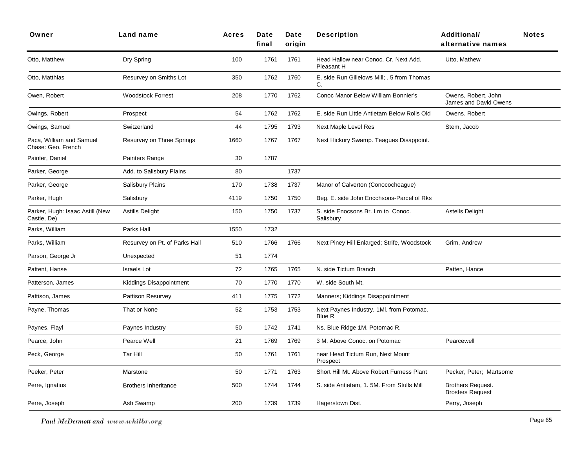| Owner                                          | Land name                     | <b>Acres</b> | Date<br>final | Date<br>origin | <b>Description</b>                                  | <b>Additional/</b><br>alternative names             | <b>Notes</b> |
|------------------------------------------------|-------------------------------|--------------|---------------|----------------|-----------------------------------------------------|-----------------------------------------------------|--------------|
| Otto, Matthew                                  | Dry Spring                    | 100          | 1761          | 1761           | Head Hallow near Conoc. Cr. Next Add.<br>Pleasant H | Utto, Mathew                                        |              |
| Otto, Matthias                                 | Resurvey on Smiths Lot        | 350          | 1762          | 1760           | E. side Run Gillelows Mill; . 5 from Thomas<br>C.   |                                                     |              |
| Owen, Robert                                   | <b>Woodstock Forrest</b>      | 208          | 1770          | 1762           | Conoc Manor Below William Bonnier's                 | Owens, Robert, John<br>James and David Owens        |              |
| Owings, Robert                                 | Prospect                      | 54           | 1762          | 1762           | E. side Run Little Antietam Below Rolls Old         | Owens. Robert                                       |              |
| Owings, Samuel                                 | Switzerland                   | 44           | 1795          | 1793           | Next Maple Level Res                                | Stem, Jacob                                         |              |
| Paca, William and Samuel<br>Chase: Geo. French | Resurvey on Three Springs     | 1660         | 1767          | 1767           | Next Hickory Swamp. Teagues Disappoint.             |                                                     |              |
| Painter, Daniel                                | Painters Range                | 30           | 1787          |                |                                                     |                                                     |              |
| Parker, George                                 | Add. to Salisbury Plains      | 80           |               | 1737           |                                                     |                                                     |              |
| Parker, George                                 | Salisbury Plains              | 170          | 1738          | 1737           | Manor of Calverton (Conococheague)                  |                                                     |              |
| Parker, Hugh                                   | Salisbury                     | 4119         | 1750          | 1750           | Beg. E. side John Encchsons-Parcel of Rks           |                                                     |              |
| Parker, Hugh: Isaac Astill (New<br>Castle, De) | <b>Astills Delight</b>        | 150          | 1750          | 1737           | S. side Enocsons Br. Lm to Conoc.<br>Salisbury      | <b>Astells Delight</b>                              |              |
| Parks, William                                 | Parks Hall                    | 1550         | 1732          |                |                                                     |                                                     |              |
| Parks, William                                 | Resurvey on Pt. of Parks Hall | 510          | 1766          | 1766           | Next Piney Hill Enlarged; Strife, Woodstock         | Grim, Andrew                                        |              |
| Parson, George Jr                              | Unexpected                    | 51           | 1774          |                |                                                     |                                                     |              |
| Pattent, Hanse                                 | <b>Israels</b> Lot            | 72           | 1765          | 1765           | N. side Tictum Branch                               | Patten, Hance                                       |              |
| Patterson, James                               | Kiddings Disappointment       | 70           | 1770          | 1770           | W. side South Mt.                                   |                                                     |              |
| Pattison, James                                | Pattison Resurvey             | 411          | 1775          | 1772           | Manners; Kiddings Disappointment                    |                                                     |              |
| Payne, Thomas                                  | That or None                  | 52           | 1753          | 1753           | Next Paynes Industry, 1MI. from Potomac.<br>Blue R  |                                                     |              |
| Paynes, Flayl                                  | Paynes Industry               | 50           | 1742          | 1741           | Ns. Blue Ridge 1M. Potomac R.                       |                                                     |              |
| Pearce, John                                   | Pearce Well                   | 21           | 1769          | 1769           | 3 M. Above Conoc. on Potomac                        | Pearcewell                                          |              |
| Peck, George                                   | Tar Hill                      | 50           | 1761          | 1761           | near Head Tictum Run, Next Mount<br>Prospect        |                                                     |              |
| Peeker, Peter                                  | Marstone                      | 50           | 1771          | 1763           | Short Hill Mt. Above Robert Furness Plant           | Pecker, Peter; Martsome                             |              |
| Perre, Ignatius                                | <b>Brothers Inheritance</b>   | 500          | 1744          | 1744           | S. side Antietam, 1. 5M. From Stulls Mill           | <b>Brothers Request.</b><br><b>Brosters Request</b> |              |
| Perre, Joseph                                  | Ash Swamp                     | 200          | 1739          | 1739           | Hagerstown Dist.                                    | Perry, Joseph                                       |              |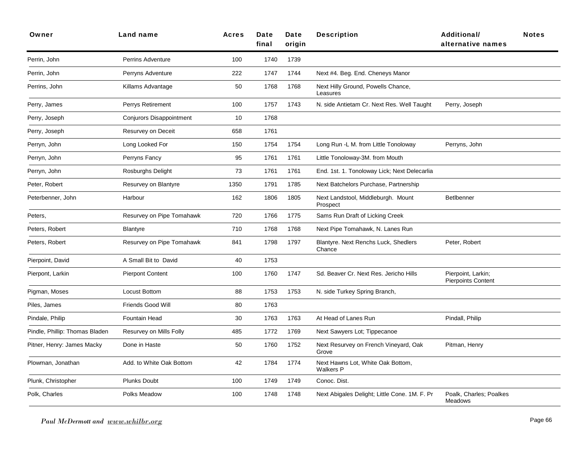| Owner                          | <b>Land name</b>          | <b>Acres</b> | Date<br>final | Date<br>origin | <b>Description</b>                                    | <b>Additional/</b><br>alternative names         | <b>Notes</b> |
|--------------------------------|---------------------------|--------------|---------------|----------------|-------------------------------------------------------|-------------------------------------------------|--------------|
| Perrin, John                   | <b>Perrins Adventure</b>  | 100          | 1740          | 1739           |                                                       |                                                 |              |
| Perrin, John                   | Perryns Adventure         | 222          | 1747          | 1744           | Next #4. Beg. End. Cheneys Manor                      |                                                 |              |
| Perrins, John                  | Killams Advantage         | 50           | 1768          | 1768           | Next Hilly Ground, Powells Chance,<br>Leasures        |                                                 |              |
| Perry, James                   | Perrys Retirement         | 100          | 1757          | 1743           | N. side Antietam Cr. Next Res. Well Taught            | Perry, Joseph                                   |              |
| Perry, Joseph                  | Conjurors Disappointment  | 10           | 1768          |                |                                                       |                                                 |              |
| Perry, Joseph                  | Resurvey on Deceit        | 658          | 1761          |                |                                                       |                                                 |              |
| Perryn, John                   | Long Looked For           | 150          | 1754          | 1754           | Long Run - L M. from Little Tonoloway                 | Perryns, John                                   |              |
| Perryn, John                   | Perryns Fancy             | 95           | 1761          | 1761           | Little Tonoloway-3M. from Mouth                       |                                                 |              |
| Perryn, John                   | Rosburghs Delight         | 73           | 1761          | 1761           | End. 1st. 1. Tonoloway Lick; Next Delecarlia          |                                                 |              |
| Peter, Robert                  | Resurvey on Blantyre      | 1350         | 1791          | 1785           | Next Batchelors Purchase, Partnership                 |                                                 |              |
| Peterbenner, John              | Harbour                   | 162          | 1806          | 1805           | Next Landstool, Middleburgh. Mount<br>Prospect        | <b>BetIbenner</b>                               |              |
| Peters,                        | Resurvey on Pipe Tomahawk | 720          | 1766          | 1775           | Sams Run Draft of Licking Creek                       |                                                 |              |
| Peters, Robert                 | <b>Blantyre</b>           | 710          | 1768          | 1768           | Next Pipe Tomahawk, N. Lanes Run                      |                                                 |              |
| Peters, Robert                 | Resurvey on Pipe Tomahawk | 841          | 1798          | 1797           | Blantyre. Next Renchs Luck, Shedlers<br>Chance        | Peter, Robert                                   |              |
| Pierpoint, David               | A Small Bit to David      | 40           | 1753          |                |                                                       |                                                 |              |
| Pierpont, Larkin               | <b>Pierpont Content</b>   | 100          | 1760          | 1747           | Sd. Beaver Cr. Next Res. Jericho Hills                | Pierpoint, Larkin;<br><b>Pierpoints Content</b> |              |
| Pigman, Moses                  | Locust Bottom             | 88           | 1753          | 1753           | N. side Turkey Spring Branch,                         |                                                 |              |
| Piles, James                   | Friends Good Will         | 80           | 1763          |                |                                                       |                                                 |              |
| Pindale, Philip                | Fountain Head             | 30           | 1763          | 1763           | At Head of Lanes Run                                  | Pindall, Philip                                 |              |
| Pindle, Phillip: Thomas Bladen | Resurvey on Mills Folly   | 485          | 1772          | 1769           | Next Sawyers Lot; Tippecanoe                          |                                                 |              |
| Pitner, Henry: James Macky     | Done in Haste             | 50           | 1760          | 1752           | Next Resurvey on French Vineyard, Oak<br>Grove        | Pitman, Henry                                   |              |
| Plowman, Jonathan              | Add. to White Oak Bottom  | 42           | 1784          | 1774           | Next Hawns Lot, White Oak Bottom,<br><b>Walkers P</b> |                                                 |              |
| Plunk, Christopher             | <b>Plunks Doubt</b>       | 100          | 1749          | 1749           | Conoc. Dist.                                          |                                                 |              |
| Polk, Charles                  | Polks Meadow              | 100          | 1748          | 1748           | Next Abigales Delight; Little Cone. 1M. F. Pr         | Poalk, Charles; Poalkes<br>Meadows              |              |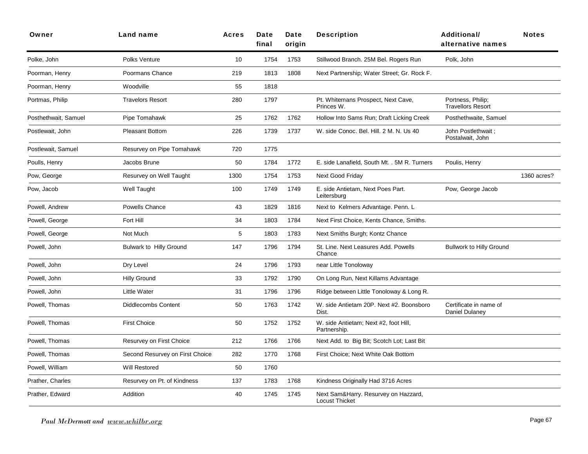| Owner                | Land name                       | <b>Acres</b> | Date<br>final | Date<br>origin | <b>Description</b>                                            | Additional/<br>alternative names              | <b>Notes</b> |
|----------------------|---------------------------------|--------------|---------------|----------------|---------------------------------------------------------------|-----------------------------------------------|--------------|
| Polke, John          | Polks Venture                   | 10           | 1754          | 1753           | Stillwood Branch. 25M Bel. Rogers Run                         | Polk, John                                    |              |
| Poorman, Henry       | Poormans Chance                 | 219          | 1813          | 1808           | Next Partnership; Water Street; Gr. Rock F.                   |                                               |              |
| Poorman, Henry       | Woodville                       | 55           | 1818          |                |                                                               |                                               |              |
| Portmas, Philip      | <b>Travelors Resort</b>         | 280          | 1797          |                | Pt. Whitemans Prospect, Next Cave,<br>Princes W.              | Portness, Philip;<br><b>Travellors Resort</b> |              |
| Posthethwait, Samuel | Pipe Tomahawk                   | 25           | 1762          | 1762           | Hollow Into Sams Run; Draft Licking Creek                     | Posthethwaite, Samuel                         |              |
| Postlewait, John     | <b>Pleasant Bottom</b>          | 226          | 1739          | 1737           | W. side Conoc. Bel. Hill. 2 M. N. Us 40                       | John Postlethwait ;<br>Postalwait, John       |              |
| Postlewait, Samuel   | Resurvey on Pipe Tomahawk       | 720          | 1775          |                |                                                               |                                               |              |
| Poulls, Henry        | Jacobs Brune                    | 50           | 1784          | 1772           | E. side Lanafield, South Mt. . 5M R. Turners                  | Poulis, Henry                                 |              |
| Pow, George          | Resurvey on Well Taught         | 1300         | 1754          | 1753           | <b>Next Good Friday</b>                                       |                                               | 1360 acres?  |
| Pow, Jacob           | Well Taught                     | 100          | 1749          | 1749           | E. side Antietam, Next Poes Part.<br>Leitersburg              | Pow, George Jacob                             |              |
| Powell, Andrew       | Powells Chance                  | 43           | 1829          | 1816           | Next to Kelmers Advantage. Penn. L                            |                                               |              |
| Powell, George       | Fort Hill                       | 34           | 1803          | 1784           | Next First Choice, Kents Chance, Smiths.                      |                                               |              |
| Powell, George       | Not Much                        | 5            | 1803          | 1783           | Next Smiths Burgh; Kontz Chance                               |                                               |              |
| Powell, John         | <b>Bulwark to Hilly Ground</b>  | 147          | 1796          | 1794           | St. Line. Next Leasures Add. Powells<br>Chance                | <b>Bullwork to Hilly Ground</b>               |              |
| Powell, John         | Dry Level                       | 24           | 1796          | 1793           | near Little Tonoloway                                         |                                               |              |
| Powell, John         | <b>Hilly Ground</b>             | 33           | 1792          | 1790           | On Long Run, Next Killams Advantage                           |                                               |              |
| Powell, John         | <b>Little Water</b>             | 31           | 1796          | 1796           | Ridge between Little Tonoloway & Long R.                      |                                               |              |
| Powell, Thomas       | <b>Diddlecombs Content</b>      | 50           | 1763          | 1742           | W. side Antietam 20P. Next #2. Boonsboro<br>Dist.             | Certificate in name of<br>Daniel Dulaney      |              |
| Powell, Thomas       | <b>First Choice</b>             | 50           | 1752          | 1752           | W. side Antietam; Next #2, foot Hill,<br>Partnership.         |                                               |              |
| Powell, Thomas       | Resurvey on First Choice        | 212          | 1766          | 1766           | Next Add. to Big Bit; Scotch Lot; Last Bit                    |                                               |              |
| Powell. Thomas       | Second Resurvey on First Choice | 282          | 1770          | 1768           | First Choice; Next White Oak Bottom                           |                                               |              |
| Powell, William      | <b>Will Restored</b>            | 50           | 1760          |                |                                                               |                                               |              |
| Prather, Charles     | Resurvey on Pt. of Kindness     | 137          | 1783          | 1768           | Kindness Originally Had 3716 Acres                            |                                               |              |
| Prather, Edward      | Addition                        | 40           | 1745          | 1745           | Next Sam&Harry. Resurvey on Hazzard,<br><b>Locust Thicket</b> |                                               |              |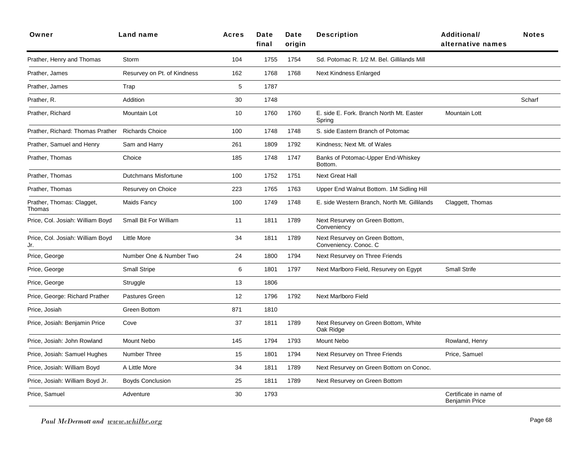| Owner                                   | Land name                   | <b>Acres</b> | Date<br>final | Date<br>origin | <b>Description</b>                                      | <b>Additional/</b><br>alternative names         | <b>Notes</b> |
|-----------------------------------------|-----------------------------|--------------|---------------|----------------|---------------------------------------------------------|-------------------------------------------------|--------------|
| Prather, Henry and Thomas               | Storm                       | 104          | 1755          | 1754           | Sd. Potomac R. 1/2 M. Bel. Gillilands Mill              |                                                 |              |
| Prather, James                          | Resurvey on Pt. of Kindness | 162          | 1768          | 1768           | <b>Next Kindness Enlarged</b>                           |                                                 |              |
| Prather, James                          | Trap                        | 5            | 1787          |                |                                                         |                                                 |              |
| Prather, R.                             | Addition                    | 30           | 1748          |                |                                                         |                                                 | Scharf       |
| Prather, Richard                        | <b>Mountain Lot</b>         | 10           | 1760          | 1760           | E. side E. Fork. Branch North Mt. Easter<br>Spring      | <b>Mountain Lott</b>                            |              |
| Prather, Richard: Thomas Prather        | <b>Richards Choice</b>      | 100          | 1748          | 1748           | S. side Eastern Branch of Potomac                       |                                                 |              |
| Prather, Samuel and Henry               | Sam and Harry               | 261          | 1809          | 1792           | Kindness; Next Mt. of Wales                             |                                                 |              |
| Prather, Thomas                         | Choice                      | 185          | 1748          | 1747           | Banks of Potomac-Upper End-Whiskey<br>Bottom.           |                                                 |              |
| Prather, Thomas                         | Dutchmans Misfortune        | 100          | 1752          | 1751           | Next Great Hall                                         |                                                 |              |
| Prather, Thomas                         | Resurvey on Choice          | 223          | 1765          | 1763           | Upper End Walnut Bottom. 1M Sidling Hill                |                                                 |              |
| Prather, Thomas: Clagget,<br>Thomas     | <b>Maids Fancy</b>          | 100          | 1749          | 1748           | E. side Western Branch, North Mt. Gillilands            | Claggett, Thomas                                |              |
| Price, Col. Josiah: William Boyd        | Small Bit For William       | 11           | 1811          | 1789           | Next Resurvey on Green Bottom,<br>Conveniency           |                                                 |              |
| Price, Col. Josiah: William Boyd<br>Jr. | <b>Little More</b>          | 34           | 1811          | 1789           | Next Resurvey on Green Bottom,<br>Conveniency. Conoc. C |                                                 |              |
| Price, George                           | Number One & Number Two     | 24           | 1800          | 1794           | Next Resurvey on Three Friends                          |                                                 |              |
| Price, George                           | <b>Small Stripe</b>         | 6            | 1801          | 1797           | Next Marlboro Field, Resurvey on Egypt                  | <b>Small Strife</b>                             |              |
| Price, George                           | Struggle                    | 13           | 1806          |                |                                                         |                                                 |              |
| Price, George: Richard Prather          | Pastures Green              | 12           | 1796          | 1792           | Next Marlboro Field                                     |                                                 |              |
| Price, Josiah                           | <b>Green Bottom</b>         | 871          | 1810          |                |                                                         |                                                 |              |
| Price, Josiah: Benjamin Price           | Cove                        | 37           | 1811          | 1789           | Next Resurvey on Green Bottom, White<br>Oak Ridge       |                                                 |              |
| Price, Josiah: John Rowland             | Mount Nebo                  | 145          | 1794          | 1793           | Mount Nebo                                              | Rowland, Henry                                  |              |
| Price, Josiah: Samuel Hughes            | Number Three                | 15           | 1801          | 1794           | Next Resurvey on Three Friends                          | Price, Samuel                                   |              |
| Price, Josiah: William Boyd             | A Little More               | 34           | 1811          | 1789           | Next Resurvey on Green Bottom on Conoc.                 |                                                 |              |
| Price, Josiah: William Boyd Jr.         | <b>Boyds Conclusion</b>     | 25           | 1811          | 1789           | Next Resurvey on Green Bottom                           |                                                 |              |
| Price, Samuel                           | Adventure                   | 30           | 1793          |                |                                                         | Certificate in name of<br><b>Benjamin Price</b> |              |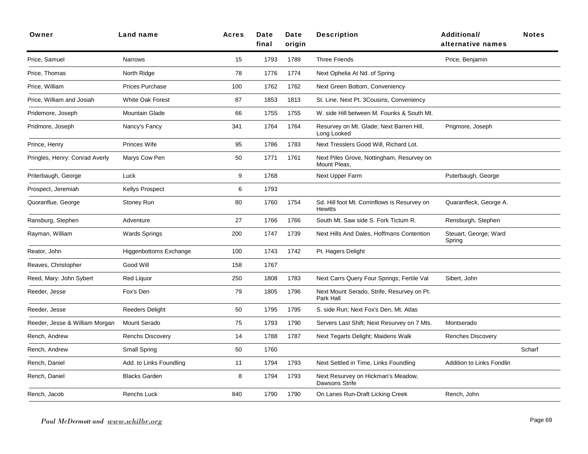| Owner                          | <b>Land name</b>              | <b>Acres</b> | Date<br>final | Date<br>origin | <b>Description</b>                                             | <b>Additional/</b><br>alternative names | <b>Notes</b> |
|--------------------------------|-------------------------------|--------------|---------------|----------------|----------------------------------------------------------------|-----------------------------------------|--------------|
| Price, Samuel                  | <b>Narrows</b>                | 15           | 1793          | 1789           | <b>Three Friends</b>                                           | Price, Benjamin                         |              |
| Price, Thomas                  | North Ridge                   | 78           | 1776          | 1774           | Next Ophelia At Nd. of Spring                                  |                                         |              |
| Price, William                 | Prices Purchase               | 100          | 1762          | 1762           | Next Green Bottom, Conveniency                                 |                                         |              |
| Price, William and Josiah      | <b>White Oak Forest</b>       | 87           | 1853          | 1813           | St. Line, Next Pt. 3Cousins, Conveniency                       |                                         |              |
| Pridemore, Joseph              | <b>Mountain Glade</b>         | 66           | 1755          | 1755           | W. side Hill between M. Founks & South Mt.                     |                                         |              |
| Pridmore, Joseph               | Nancy's Fancy                 | 341          | 1764          | 1764           | Resurvey on Mt. Glade; Next Barren Hill,<br>Long Looked        | Prigmore, Joseph                        |              |
| Prince, Henry                  | <b>Princes Wife</b>           | 95           | 1786          | 1783           | Next Tresslers Good Will, Richard Lot.                         |                                         |              |
| Pringles, Henry: Conrad Averly | Marys Cow Pen                 | 50           | 1771          | 1761           | Next Piles Grove, Nottingham, Resurvey on<br>Mount Pleas,      |                                         |              |
| Priterbaugh, George            | Luck                          | 9            | 1768          |                | Next Upper Farm                                                | Puterbaugh, George                      |              |
| Prospect, Jeremiah             | <b>Kellys Prospect</b>        | 6            | 1793          |                |                                                                |                                         |              |
| Quoranflue, George             | Stoney Run                    | 80           | 1760          | 1754           | Sd. Hill foot Mt. Corrinflows is Resurvey on<br><b>Hewitts</b> | Quaranfleck, George A.                  |              |
| Ransburg, Stephen              | Adventure                     | 27           | 1766          | 1766           | South Mt. Saw side S. Fork Tictum R.                           | Rensburgh, Stephen                      |              |
| Rayman, William                | <b>Wards Springs</b>          | 200          | 1747          | 1739           | Next Hills And Dales, Hoffmans Contention                      | Steuart, George; Ward<br>Spring         |              |
| Reator, John                   | <b>Higgenbottoms Exchange</b> | 100          | 1743          | 1742           | Pt. Hagers Delight                                             |                                         |              |
| Reaves, Christopher            | Good Will                     | 158          | 1767          |                |                                                                |                                         |              |
| Reed, Mary: John Sybert        | <b>Red Liquor</b>             | 250          | 1808          | 1783           | Next Carrs Query Four Springs; Fertile Val                     | Sibert, John                            |              |
| Reeder, Jesse                  | Fox's Den                     | 79           | 1805          | 1796           | Next Mount Serado, Strife, Resurvey on Pt.<br>Park Hall        |                                         |              |
| Reeder, Jesse                  | <b>Reeders Delight</b>        | 50           | 1795          | 1795           | S. side Run; Next Fox's Den, Mt. Atlas                         |                                         |              |
| Reeder, Jesse & William Morgan | <b>Mount Serado</b>           | 75           | 1793          | 1790           | Servers Last Shift; Next Resurvey on 7 Mts.                    | Montserado                              |              |
| Rench, Andrew                  | <b>Renchs Discovery</b>       | 14           | 1788          | 1787           | Next Tegarts Delight; Maidens Walk                             | Renches Discovery                       |              |
| Rench, Andrew                  | <b>Small Spring</b>           | 50           | 1760          |                |                                                                |                                         | Scharf       |
| Rench, Daniel                  | Add. to Links Foundling       | 11           | 1794          | 1793           | Next Settled in Time, Links Foundling                          | Addition to Links Fondlin               |              |
| Rench, Daniel                  | <b>Blacks Garden</b>          | 8            | 1794          | 1793           | Next Resurvey on Hickman's Meadow,<br>Dawsons Strife           |                                         |              |
| Rench, Jacob                   | <b>Renchs Luck</b>            | 840          | 1790          | 1790           | On Lanes Run-Draft Licking Creek                               | Rench, John                             |              |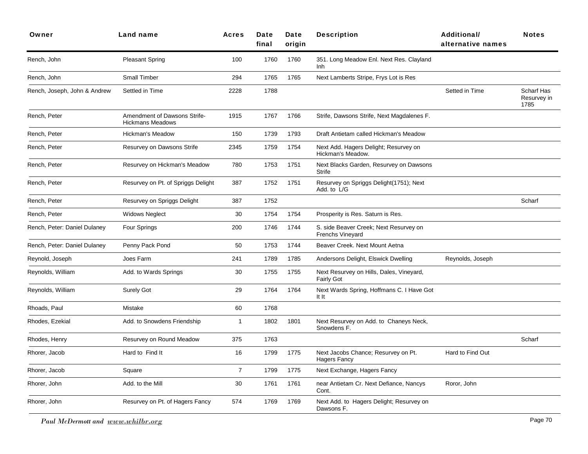| Owner                        | Land name                                               | <b>Acres</b>   | Date<br>final | Date<br>origin | <b>Description</b>                                                | <b>Additional/</b><br>alternative names | <b>Notes</b>                      |
|------------------------------|---------------------------------------------------------|----------------|---------------|----------------|-------------------------------------------------------------------|-----------------------------------------|-----------------------------------|
| Rench, John                  | <b>Pleasant Spring</b>                                  | 100            | 1760          | 1760           | 351. Long Meadow Enl. Next Res. Clayland<br>Inh                   |                                         |                                   |
| Rench, John                  | Small Timber                                            | 294            | 1765          | 1765           | Next Lamberts Stripe, Frys Lot is Res                             |                                         |                                   |
| Rench, Joseph, John & Andrew | Settled in Time                                         | 2228           | 1788          |                |                                                                   | Setted in Time                          | Scharf Has<br>Resurvey in<br>1785 |
| Rench, Peter                 | Amendment of Dawsons Strife-<br><b>Hickmans Meadows</b> | 1915           | 1767          | 1766           | Strife, Dawsons Strife, Next Magdalenes F.                        |                                         |                                   |
| Rench, Peter                 | <b>Hickman's Meadow</b>                                 | 150            | 1739          | 1793           | Draft Antietam called Hickman's Meadow                            |                                         |                                   |
| Rench, Peter                 | Resurvey on Dawsons Strife                              | 2345           | 1759          | 1754           | Next Add. Hagers Delight; Resurvey on<br>Hickman's Meadow.        |                                         |                                   |
| Rench, Peter                 | Resurvey on Hickman's Meadow                            | 780            | 1753          | 1751           | Next Blacks Garden, Resurvey on Dawsons<br><b>Strife</b>          |                                         |                                   |
| Rench, Peter                 | Resurvey on Pt. of Spriggs Delight                      | 387            | 1752          | 1751           | Resurvey on Spriggs Delight(1751); Next<br>Add. to L/G            |                                         |                                   |
| Rench, Peter                 | Resurvey on Spriggs Delight                             | 387            | 1752          |                |                                                                   |                                         | Scharf                            |
| Rench, Peter                 | <b>Widows Neglect</b>                                   | 30             | 1754          | 1754           | Prosperity is Res. Saturn is Res.                                 |                                         |                                   |
| Rench, Peter: Daniel Dulaney | Four Springs                                            | 200            | 1746          | 1744           | S. side Beaver Creek; Next Resurvey on<br><b>Frenchs Vineyard</b> |                                         |                                   |
| Rench, Peter: Daniel Dulaney | Penny Pack Pond                                         | 50             | 1753          | 1744           | Beaver Creek. Next Mount Aetna                                    |                                         |                                   |
| Reynold, Joseph              | Joes Farm                                               | 241            | 1789          | 1785           | Andersons Delight, Elswick Dwelling                               | Reynolds, Joseph                        |                                   |
| Reynolds, William            | Add. to Wards Springs                                   | 30             | 1755          | 1755           | Next Resurvey on Hills, Dales, Vineyard,<br><b>Fairly Got</b>     |                                         |                                   |
| Reynolds, William            | <b>Surely Got</b>                                       | 29             | 1764          | 1764           | Next Wards Spring, Hoffmans C. I Have Got<br>It It                |                                         |                                   |
| Rhoads, Paul                 | Mistake                                                 | 60             | 1768          |                |                                                                   |                                         |                                   |
| Rhodes, Ezekial              | Add. to Snowdens Friendship                             | $\mathbf{1}$   | 1802          | 1801           | Next Resurvey on Add. to Chaneys Neck,<br>Snowdens F.             |                                         |                                   |
| Rhodes, Henry                | Resurvey on Round Meadow                                | 375            | 1763          |                |                                                                   |                                         | Scharf                            |
| Rhorer, Jacob                | Hard to Find It                                         | 16             | 1799          | 1775           | Next Jacobs Chance; Resurvey on Pt.<br><b>Hagers Fancy</b>        | Hard to Find Out                        |                                   |
| Rhorer, Jacob                | Square                                                  | $\overline{7}$ | 1799          | 1775           | Next Exchange, Hagers Fancy                                       |                                         |                                   |
| Rhorer, John                 | Add. to the Mill                                        | 30             | 1761          | 1761           | near Antietam Cr. Next Defiance, Nancys<br>Cont.                  | Roror, John                             |                                   |
| Rhorer, John                 | Resurvey on Pt. of Hagers Fancy                         | 574            | 1769          | 1769           | Next Add. to Hagers Delight; Resurvey on<br>Dawsons F.            |                                         |                                   |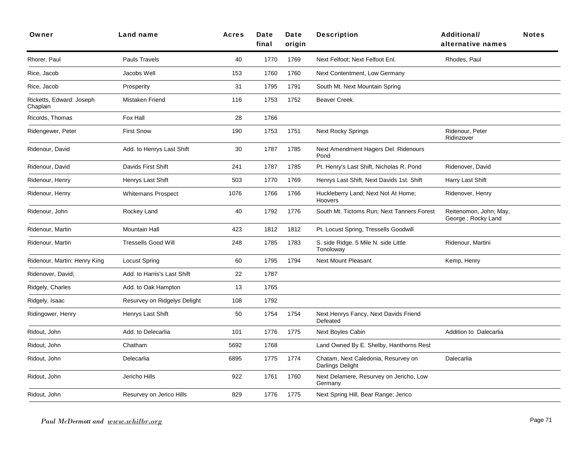| Owner                                | <b>Land name</b>             | <b>Acres</b> | Date<br>final | Date<br>origin | <b>Description</b>                                      | <b>Additional/</b><br>alternative names       | <b>Notes</b> |
|--------------------------------------|------------------------------|--------------|---------------|----------------|---------------------------------------------------------|-----------------------------------------------|--------------|
| Rhorer, Paul                         | Pauls Travels                | 40           | 1770          | 1769           | Next Felfoot; Next Felfoot Enl.                         | Rhodes, Paul                                  |              |
| Rice, Jacob                          | Jacobs Well                  | 153          | 1760          | 1760           | Next Contentment, Low Germany                           |                                               |              |
| Rice, Jacob                          | Prosperity                   | 31           | 1795          | 1791           | South Mt. Next Mountain Spring                          |                                               |              |
| Ricketts, Edward: Joseph<br>Chaplain | Mistaken Friend              | 116          | 1753          | 1752           | Beaver Creek.                                           |                                               |              |
| Ricords, Thomas                      | Fox Hall                     | 28           | 1766          |                |                                                         |                                               |              |
| Ridengewer, Peter                    | <b>First Snow</b>            | 190          | 1753          | 1751           | <b>Next Rocky Springs</b>                               | Ridenour, Peter<br>Ridinzover                 |              |
| Ridenour, David                      | Add. to Henrys Last Shift    | 30           | 1787          | 1785           | Next Amendment Hagers Del. Ridenours<br>Pond            |                                               |              |
| Ridenour, David                      | Davids First Shift           | 241          | 1787          | 1785           | Pt. Henry's Last Shift, Nicholas R. Pond                | Ridenover, David                              |              |
| Ridenour, Henry                      | Henrys Last Shift            | 503          | 1770          | 1769           | Henrys Last Shift, Next Davids 1st. Shift               | Harry Last Shift                              |              |
| Ridenour, Henry                      | <b>Whitemans Prospect</b>    | 1076         | 1766          | 1766           | Huckleberry Land; Next Not At Home;<br>Hoovers          | Ridenover, Henry                              |              |
| Ridenour, John                       | Rockey Land                  | 40           | 1792          | 1776           | South Mt. Tictoms Run; Next Tanners Forest              | Reitenomon, John; May,<br>George ; Rocky Land |              |
| Ridenour, Martin                     | <b>Mountain Hall</b>         | 423          | 1812          | 1812           | Pt. Locust Spring, Tressells Goodwill                   |                                               |              |
| Ridenour, Martin                     | <b>Tressells Good Will</b>   | 248          | 1785          | 1783           | S. side Ridge. 5 Mile N. side Little<br>Tonoloway       | Ridenour, Martini                             |              |
| Ridenour, Martin: Henry King         | <b>Locust Spring</b>         | 60           | 1795          | 1794           | Next Mount Pleasant                                     | Kemp, Henry                                   |              |
| Ridenover, David;                    | Add. to Harris's Last Shift  | 22           | 1787          |                |                                                         |                                               |              |
| Ridgely, Charles                     | Add. to Oak Hampton          | 13           | 1765          |                |                                                         |                                               |              |
| Ridgely, Isaac                       | Resurvey on Ridgelys Delight | 108          | 1792          |                |                                                         |                                               |              |
| Ridingower, Henry                    | Henrys Last Shift            | 50           | 1754          | 1754           | Next Henrys Fancy, Next Davids Friend<br>Defeated       |                                               |              |
| Ridout, John                         | Add. to Delecarlia           | 101          | 1776          | 1775           | <b>Next Boyles Cabin</b>                                | Addition to Dalecarlia                        |              |
| Ridout, John                         | Chatham                      | 5692         | 1768          |                | Land Owned By E. Shelby, Hanthorns Rest                 |                                               |              |
| Ridout, John                         | Delecarlia                   | 6895         | 1775          | 1774           | Chatam, Next Caledonia, Resurvey on<br>Darlings Delight | Dalecarlia                                    |              |
| Ridout, John                         | Jericho Hills                | 922          | 1761          | 1760           | Next Delamere, Resurvey on Jericho, Low<br>Germany      |                                               |              |
| Ridout, John                         | Resurvey on Jerico Hills     | 829          | 1776          | 1775           | Next Spring Hill, Bear Range; Jerico                    |                                               |              |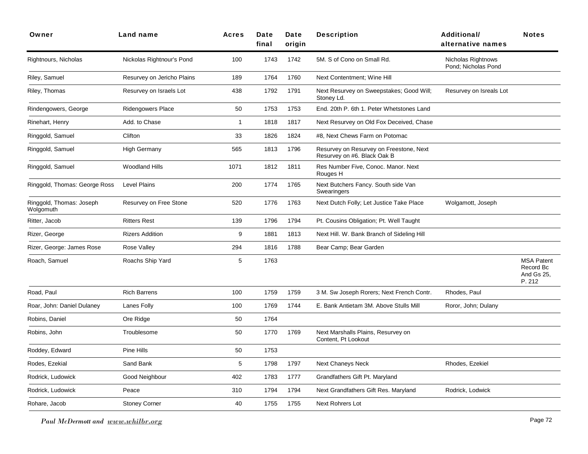| Owner                                 | Land name                  | <b>Acres</b> | Date<br>final | Date<br>origin | <b>Description</b>                                                     | <b>Additional/</b><br>alternative names   | <b>Notes</b>                                           |
|---------------------------------------|----------------------------|--------------|---------------|----------------|------------------------------------------------------------------------|-------------------------------------------|--------------------------------------------------------|
| Rightnours, Nicholas                  | Nickolas Rightnour's Pond  | 100          | 1743          | 1742           | 5M. S of Cono on Small Rd.                                             | Nicholas Rightnows<br>Pond: Nicholas Pond |                                                        |
| Riley, Samuel                         | Resurvey on Jericho Plains | 189          | 1764          | 1760           | Next Contentment: Wine Hill                                            |                                           |                                                        |
| Riley, Thomas                         | Resurvey on Israels Lot    | 438          | 1792          | 1791           | Next Resurvey on Sweepstakes; Good Will;<br>Stoney Ld.                 | Resurvey on Isreals Lot                   |                                                        |
| Rindengowers, George                  | <b>Ridengowers Place</b>   | 50           | 1753          | 1753           | End. 20th P. 6th 1. Peter Whetstones Land                              |                                           |                                                        |
| Rinehart, Henry                       | Add. to Chase              | $\mathbf{1}$ | 1818          | 1817           | Next Resurvey on Old Fox Deceived, Chase                               |                                           |                                                        |
| Ringgold, Samuel                      | Clifton                    | 33           | 1826          | 1824           | #8, Next Chews Farm on Potomac                                         |                                           |                                                        |
| Ringgold, Samuel                      | <b>High Germany</b>        | 565          | 1813          | 1796           | Resurvey on Resurvey on Freestone, Next<br>Resurvey on #6. Black Oak B |                                           |                                                        |
| Ringgold, Samuel                      | <b>Woodland Hills</b>      | 1071         | 1812          | 1811           | Res Number Five, Conoc. Manor. Next<br>Rouges H                        |                                           |                                                        |
| Ringgold, Thomas: George Ross         | <b>Level Plains</b>        | 200          | 1774          | 1765           | Next Butchers Fancy. South side Van<br>Swearingers                     |                                           |                                                        |
| Ringgold, Thomas: Joseph<br>Wolgomuth | Resurvey on Free Stone     | 520          | 1776          | 1763           | Next Dutch Folly; Let Justice Take Place                               | Wolgamott, Joseph                         |                                                        |
| Ritter, Jacob                         | <b>Ritters Rest</b>        | 139          | 1796          | 1794           | Pt. Cousins Obligation; Pt. Well Taught                                |                                           |                                                        |
| Rizer, George                         | <b>Rizers Addition</b>     | 9            | 1881          | 1813           | Next Hill. W. Bank Branch of Sideling Hill                             |                                           |                                                        |
| Rizer, George: James Rose             | Rose Valley                | 294          | 1816          | 1788           | Bear Camp; Bear Garden                                                 |                                           |                                                        |
| Roach, Samuel                         | Roachs Ship Yard           | 5            | 1763          |                |                                                                        |                                           | <b>MSA Patent</b><br>Record Bc<br>And Gs 25,<br>P. 212 |
| Road, Paul                            | <b>Rich Barrens</b>        | 100          | 1759          | 1759           | 3 M. Sw Joseph Rorers; Next French Contr.                              | Rhodes, Paul                              |                                                        |
| Roar, John: Daniel Dulaney            | Lanes Folly                | 100          | 1769          | 1744           | E. Bank Antietam 3M. Above Stulls Mill                                 | Roror, John; Dulany                       |                                                        |
| Robins, Daniel                        | Ore Ridge                  | 50           | 1764          |                |                                                                        |                                           |                                                        |
| Robins, John                          | Troublesome                | 50           | 1770          | 1769           | Next Marshalls Plains, Resurvey on<br>Content, Pt Lookout              |                                           |                                                        |
| Roddey, Edward                        | Pine Hills                 | 50           | 1753          |                |                                                                        |                                           |                                                        |
| Rodes, Ezekial                        | Sand Bank                  | 5            | 1798          | 1797           | <b>Next Chaneys Neck</b>                                               | Rhodes, Ezekiel                           |                                                        |
| Rodrick, Ludowick                     | Good Neighbour             | 402          | 1783          | 1777           | Grandfathers Gift Pt. Maryland                                         |                                           |                                                        |
| Rodrick, Ludowick                     | Peace                      | 310          | 1794          | 1794           | Next Grandfathers Gift Res. Maryland                                   | Rodrick, Lodwick                          |                                                        |
| Rohare, Jacob                         | <b>Stoney Corner</b>       | 40           | 1755          | 1755           | Next Rohrers Lot                                                       |                                           |                                                        |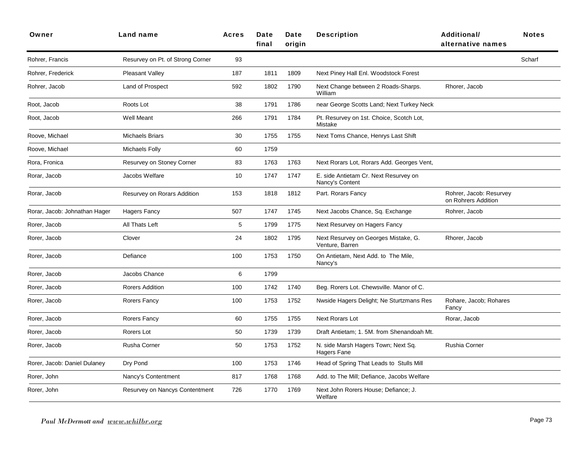| Owner                         | Land name                        | Acres | Date<br>final | Date<br>origin | <b>Description</b>                                       | <b>Additional/</b><br>alternative names        | <b>Notes</b> |
|-------------------------------|----------------------------------|-------|---------------|----------------|----------------------------------------------------------|------------------------------------------------|--------------|
| Rohrer, Francis               | Resurvey on Pt. of Strong Corner | 93    |               |                |                                                          |                                                | Scharf       |
| Rohrer, Frederick             | Pleasant Valley                  | 187   | 1811          | 1809           | Next Piney Hall Enl. Woodstock Forest                    |                                                |              |
| Rohrer, Jacob                 | Land of Prospect                 | 592   | 1802          | 1790           | Next Change between 2 Roads-Sharps.<br>William           | Rhorer, Jacob                                  |              |
| Root, Jacob                   | Roots Lot                        | 38    | 1791          | 1786           | near George Scotts Land; Next Turkey Neck                |                                                |              |
| Root, Jacob                   | <b>Well Meant</b>                | 266   | 1791          | 1784           | Pt. Resurvey on 1st. Choice, Scotch Lot,<br>Mistake      |                                                |              |
| Roove, Michael                | <b>Michaels Briars</b>           | 30    | 1755          | 1755           | Next Toms Chance, Henrys Last Shift                      |                                                |              |
| Roove, Michael                | Michaels Folly                   | 60    | 1759          |                |                                                          |                                                |              |
| Rora, Fronica                 | Resurvey on Stoney Corner        | 83    | 1763          | 1763           | Next Rorars Lot, Rorars Add. Georges Vent,               |                                                |              |
| Rorar, Jacob                  | Jacobs Welfare                   | 10    | 1747          | 1747           | E. side Antietam Cr. Next Resurvey on<br>Nancy's Content |                                                |              |
| Rorar, Jacob                  | Resurvey on Rorars Addition      | 153   | 1818          | 1812           | Part. Rorars Fancy                                       | Rohrer, Jacob: Resurvey<br>on Rohrers Addition |              |
| Rorar, Jacob: Johnathan Hager | <b>Hagers Fancy</b>              | 507   | 1747          | 1745           | Next Jacobs Chance, Sq. Exchange                         | Rohrer, Jacob                                  |              |
| Rorer, Jacob                  | All Thats Left                   | 5     | 1799          | 1775           | Next Resurvey on Hagers Fancy                            |                                                |              |
| Rorer, Jacob                  | Clover                           | 24    | 1802          | 1795           | Next Resurvey on Georges Mistake, G.<br>Venture, Barren  | Rhorer, Jacob                                  |              |
| Rorer, Jacob                  | Defiance                         | 100   | 1753          | 1750           | On Antietam, Next Add. to The Mile,<br>Nancy's           |                                                |              |
| Rorer, Jacob                  | Jacobs Chance                    | 6     | 1799          |                |                                                          |                                                |              |
| Rorer, Jacob                  | Rorers Addition                  | 100   | 1742          | 1740           | Beg. Rorers Lot. Chewsville. Manor of C.                 |                                                |              |
| Rorer, Jacob                  | Rorers Fancy                     | 100   | 1753          | 1752           | Nwside Hagers Delight; Ne Sturtzmans Res                 | Rohare, Jacob; Rohares<br>Fancy                |              |
| Rorer, Jacob                  | Rorers Fancy                     | 60    | 1755          | 1755           | <b>Next Rorars Lot</b>                                   | Rorar, Jacob                                   |              |
| Rorer, Jacob                  | Rorers Lot                       | 50    | 1739          | 1739           | Draft Antietam; 1. 5M. from Shenandoah Mt.               |                                                |              |
| Rorer, Jacob                  | Rusha Corner                     | 50    | 1753          | 1752           | N. side Marsh Hagers Town; Next Sq.<br>Hagers Fane       | Rushia Corner                                  |              |
| Rorer, Jacob: Daniel Dulaney  | Dry Pond                         | 100   | 1753          | 1746           | Head of Spring That Leads to Stulls Mill                 |                                                |              |
| Rorer, John                   | Nancy's Contentment              | 817   | 1768          | 1768           | Add. to The Mill; Defiance, Jacobs Welfare               |                                                |              |
| Rorer, John                   | Resurvey on Nancys Contentment   | 726   | 1770          | 1769           | Next John Rorers House; Defiance; J.<br>Welfare          |                                                |              |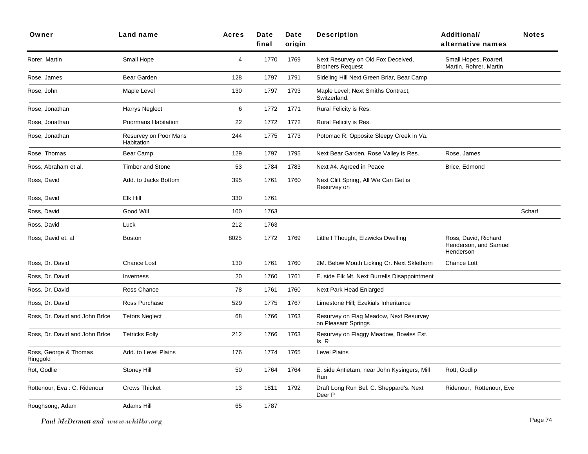| Owner                             | Land name                           | Acres | Date<br>final | Date<br>origin | <b>Description</b>                                            | <b>Additional/</b><br>alternative names                    | <b>Notes</b> |
|-----------------------------------|-------------------------------------|-------|---------------|----------------|---------------------------------------------------------------|------------------------------------------------------------|--------------|
| Rorer, Martin                     | Small Hope                          | 4     | 1770          | 1769           | Next Resurvey on Old Fox Deceived,<br><b>Brothers Request</b> | Small Hopes, Roareri,<br>Martin, Rohrer, Martin            |              |
| Rose, James                       | Bear Garden                         | 128   | 1797          | 1791           | Sideling Hill Next Green Briar, Bear Camp                     |                                                            |              |
| Rose, John                        | Maple Level                         | 130   | 1797          | 1793           | Maple Level; Next Smiths Contract,<br>Switzerland.            |                                                            |              |
| Rose, Jonathan                    | <b>Harrys Neglect</b>               | 6     | 1772          | 1771           | Rural Felicity is Res.                                        |                                                            |              |
| Rose, Jonathan                    | Poormans Habitation                 | 22    | 1772          | 1772           | Rural Felicity is Res.                                        |                                                            |              |
| Rose, Jonathan                    | Resurvey on Poor Mans<br>Habitation | 244   | 1775          | 1773           | Potomac R. Opposite Sleepy Creek in Va.                       |                                                            |              |
| Rose, Thomas                      | Bear Camp                           | 129   | 1797          | 1795           | Next Bear Garden. Rose Valley is Res.                         | Rose, James                                                |              |
| Ross, Abraham et al.              | <b>Timber and Stone</b>             | 53    | 1784          | 1783           | Next #4. Agreed in Peace                                      | Brice, Edmond                                              |              |
| Ross, David                       | Add. to Jacks Bottom                | 395   | 1761          | 1760           | Next Clift Spring, All We Can Get is<br>Resurvey on           |                                                            |              |
| Ross, David                       | Elk Hill                            | 330   | 1761          |                |                                                               |                                                            |              |
| Ross, David                       | Good Will                           | 100   | 1763          |                |                                                               |                                                            | Scharf       |
| Ross, David                       | Luck                                | 212   | 1763          |                |                                                               |                                                            |              |
| Ross, David et. al                | <b>Boston</b>                       | 8025  | 1772          | 1769           | Little I Thought, Elzwicks Dwelling                           | Ross, David, Richard<br>Henderson, and Samuel<br>Henderson |              |
| Ross, Dr. David                   | <b>Chance Lost</b>                  | 130   | 1761          | 1760           | 2M. Below Mouth Licking Cr. Next Sklethorn                    | Chance Lott                                                |              |
| Ross, Dr. David                   | Inverness                           | 20    | 1760          | 1761           | E. side Elk Mt. Next Burrells Disappointment                  |                                                            |              |
| Ross, Dr. David                   | Ross Chance                         | 78    | 1761          | 1760           | Next Park Head Enlarged                                       |                                                            |              |
| Ross, Dr. David                   | Ross Purchase                       | 529   | 1775          | 1767           | Limestone Hill; Ezekials Inheritance                          |                                                            |              |
| Ross, Dr. David and John Brice    | <b>Tetors Neglect</b>               | 68    | 1766          | 1763           | Resurvey on Flag Meadow, Next Resurvey<br>on Pleasant Springs |                                                            |              |
| Ross, Dr. David and John Brice    | <b>Tetricks Folly</b>               | 212   | 1766          | 1763           | Resurvey on Flaggy Meadow, Bowles Est.<br>Is. R               |                                                            |              |
| Ross, George & Thomas<br>Ringgold | Add. to Level Plains                | 176   | 1774          | 1765           | <b>Level Plains</b>                                           |                                                            |              |
| Rot, Godlie                       | Stoney Hill                         | 50    | 1764          | 1764           | E. side Antietam, near John Kysingers, Mill<br>Run            | Rott, Godlip                                               |              |
| Rottenour, Eva: C. Ridenour       | <b>Crows Thicket</b>                | 13    | 1811          | 1792           | Draft Long Run Bel. C. Sheppard's. Next<br>Deer P             | Ridenour, Rottenour, Eve                                   |              |
| Roughsong, Adam                   | Adams Hill                          | 65    | 1787          |                |                                                               |                                                            |              |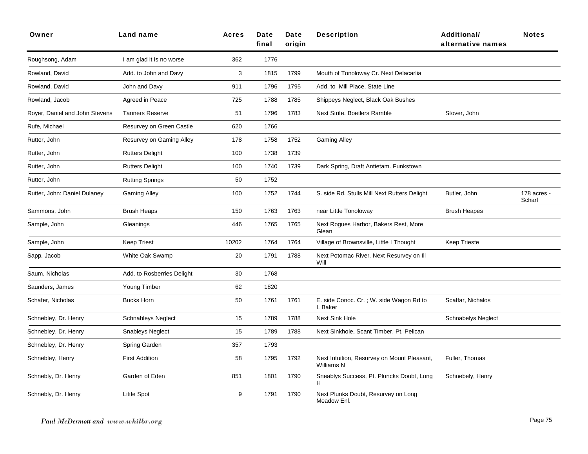| Owner                          | Land name                  | <b>Acres</b> | <b>Date</b><br>final | Date<br>origin | <b>Description</b>                                        | <b>Additional/</b><br>alternative names | <b>Notes</b>          |
|--------------------------------|----------------------------|--------------|----------------------|----------------|-----------------------------------------------------------|-----------------------------------------|-----------------------|
| Roughsong, Adam                | I am glad it is no worse   | 362          | 1776                 |                |                                                           |                                         |                       |
| Rowland, David                 | Add. to John and Davy      | 3            | 1815                 | 1799           | Mouth of Tonoloway Cr. Next Delacarlia                    |                                         |                       |
| Rowland, David                 | John and Davy              | 911          | 1796                 | 1795           | Add. to Mill Place, State Line                            |                                         |                       |
| Rowland, Jacob                 | Agreed in Peace            | 725          | 1788                 | 1785           | Shippeys Neglect, Black Oak Bushes                        |                                         |                       |
| Royer, Daniel and John Stevens | <b>Tanners Reserve</b>     | 51           | 1796                 | 1783           | Next Strife. Boetlers Ramble                              | Stover, John                            |                       |
| Rufe, Michael                  | Resurvey on Green Castle   | 620          | 1766                 |                |                                                           |                                         |                       |
| Rutter, John                   | Resurvey on Gaming Alley   | 178          | 1758                 | 1752           | <b>Gaming Alley</b>                                       |                                         |                       |
| Rutter, John                   | <b>Rutters Delight</b>     | 100          | 1738                 | 1739           |                                                           |                                         |                       |
| Rutter, John                   | <b>Rutters Delight</b>     | 100          | 1740                 | 1739           | Dark Spring, Draft Antietam. Funkstown                    |                                         |                       |
| Rutter, John                   | <b>Rutting Springs</b>     | 50           | 1752                 |                |                                                           |                                         |                       |
| Rutter, John: Daniel Dulaney   | <b>Gaming Alley</b>        | 100          | 1752                 | 1744           | S. side Rd. Stulls Mill Next Rutters Delight              | Butler, John                            | 178 acres -<br>Scharf |
| Sammons, John                  | Brush Heaps                | 150          | 1763                 | 1763           | near Little Tonoloway                                     | <b>Brush Heapes</b>                     |                       |
| Sample, John                   | Gleanings                  | 446          | 1765                 | 1765           | Next Rogues Harbor, Bakers Rest, More<br>Glean            |                                         |                       |
| Sample, John                   | <b>Keep Triest</b>         | 10202        | 1764                 | 1764           | Village of Brownsville, Little I Thought                  | <b>Keep Trieste</b>                     |                       |
| Sapp, Jacob                    | White Oak Swamp            | 20           | 1791                 | 1788           | Next Potomac River. Next Resurvey on III<br>Will          |                                         |                       |
| Saum, Nicholas                 | Add. to Rosberries Delight | 30           | 1768                 |                |                                                           |                                         |                       |
| Saunders, James                | Young Timber               | 62           | 1820                 |                |                                                           |                                         |                       |
| Schafer, Nicholas              | <b>Bucks Horn</b>          | 50           | 1761                 | 1761           | E. side Conoc. Cr.; W. side Wagon Rd to<br>I. Baker       | Scaffar, Nichalos                       |                       |
| Schnebley, Dr. Henry           | <b>Schnableys Neglect</b>  | 15           | 1789                 | 1788           | Next Sink Hole                                            | <b>Schnabelys Neglect</b>               |                       |
| Schnebley, Dr. Henry           | <b>Snableys Neglect</b>    | 15           | 1789                 | 1788           | Next Sinkhole, Scant Timber. Pt. Pelican                  |                                         |                       |
| Schnebley, Dr. Henry           | Spring Garden              | 357          | 1793                 |                |                                                           |                                         |                       |
| Schnebley, Henry               | <b>First Addition</b>      | 58           | 1795                 | 1792           | Next Intuition, Resurvey on Mount Pleasant,<br>Williams N | Fuller, Thomas                          |                       |
| Schnebly, Dr. Henry            | Garden of Eden             | 851          | 1801                 | 1790           | Sneablys Success, Pt. Pluncks Doubt, Long<br>H            | Schnebely, Henry                        |                       |
| Schnebly, Dr. Henry            | <b>Little Spot</b>         | 9            | 1791                 | 1790           | Next Plunks Doubt, Resurvey on Long<br>Meadow Enl.        |                                         |                       |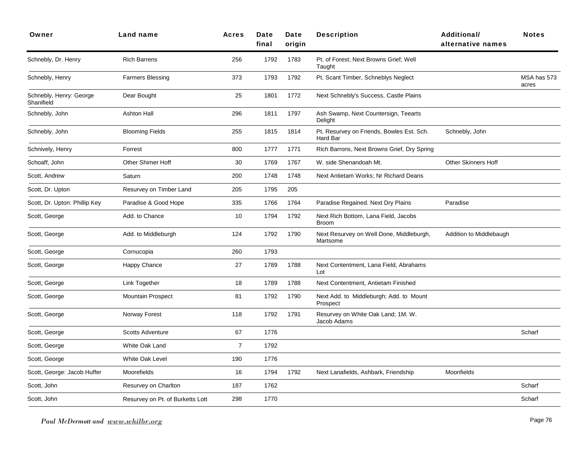| Owner                                 | Land name                        | <b>Acres</b>   | Date<br>final | Date<br>origin | <b>Description</b>                                    | <b>Additional/</b><br>alternative names | <b>Notes</b>         |
|---------------------------------------|----------------------------------|----------------|---------------|----------------|-------------------------------------------------------|-----------------------------------------|----------------------|
| Schnebly, Dr. Henry                   | <b>Rich Barrens</b>              | 256            | 1792          | 1783           | Pt. of Forest; Next Browns Grief; Well<br>Taught      |                                         |                      |
| Schnebly, Henry                       | <b>Farmers Blessing</b>          | 373            | 1793          | 1792           | Pt. Scant Timber, Schneblys Neglect                   |                                         | MSA has 573<br>acres |
| Schnebly, Henry: George<br>Shanifield | Dear Bought                      | 25             | 1801          | 1772           | Next Schnebly's Success, Castle Plains                |                                         |                      |
| Schnebly, John                        | Ashton Hall                      | 296            | 1811          | 1797           | Ash Swamp, Next Countersign, Teearts<br>Delight       |                                         |                      |
| Schnebly, John                        | <b>Blooming Fields</b>           | 255            | 1815          | 1814           | Pt. Resurvey on Friends, Bowles Est. Sch.<br>Hard Bar | Schnebly, John                          |                      |
| Schnively, Henry                      | Forrest                          | 800            | 1777          | 1771           | Rich Barrons, Next Browns Grief, Dry Spring           |                                         |                      |
| Schoaff, John                         | <b>Other Shimer Hoff</b>         | 30             | 1769          | 1767           | W. side Shenandoah Mt.                                | <b>Other Skinners Hoff</b>              |                      |
| Scott, Andrew                         | Saturn                           | 200            | 1748          | 1748           | Next Antietam Works; Nr Richard Deans                 |                                         |                      |
| Scott, Dr. Upton                      | Resurvey on Timber Land          | 205            | 1795          | 205            |                                                       |                                         |                      |
| Scott, Dr. Upton: Phillip Key         | Paradise & Good Hope             | 335            | 1766          | 1764           | Paradise Regained. Next Dry Plains                    | Paradise                                |                      |
| Scott, George                         | Add. to Chance                   | 10             | 1794          | 1792           | Next Rich Bottom, Lana Field, Jacobs<br><b>Broom</b>  |                                         |                      |
| Scott, George                         | Add. to Middleburgh              | 124            | 1792          | 1790           | Next Resurvey on Well Done, Middleburgh,<br>Martsome  | Addition to Middlebaugh                 |                      |
| Scott, George                         | Cornucopia                       | 260            | 1793          |                |                                                       |                                         |                      |
| Scott, George                         | Happy Chance                     | 27             | 1789          | 1788           | Next Contentment, Lana Field, Abrahams<br>Lot         |                                         |                      |
| Scott, George                         | Link Together                    | 18             | 1789          | 1788           | Next Contentment, Antietam Finished                   |                                         |                      |
| Scott, George                         | <b>Mountain Prospect</b>         | 81             | 1792          | 1790           | Next Add. to Middleburgh; Add. to Mount<br>Prospect   |                                         |                      |
| Scott, George                         | Norway Forest                    | 118            | 1792          | 1791           | Resurvey on White Oak Land; 1M. W.<br>Jacob Adams     |                                         |                      |
| Scott, George                         | <b>Scotts Adventure</b>          | 67             | 1776          |                |                                                       |                                         | Scharf               |
| Scott, George                         | White Oak Land                   | $\overline{7}$ | 1792          |                |                                                       |                                         |                      |
| Scott, George                         | <b>White Oak Level</b>           | 190            | 1776          |                |                                                       |                                         |                      |
| Scott, George: Jacob Huffer           | Moorefields                      | 16             | 1794          | 1792           | Next Lanafields, Ashbark, Friendship                  | Moonfields                              |                      |
| Scott, John                           | Resurvey on Charlton             | 187            | 1762          |                |                                                       |                                         | Scharf               |
| Scott, John                           | Resurvey on Pt. of Burketts Lott | 298            | 1770          |                |                                                       |                                         | Scharf               |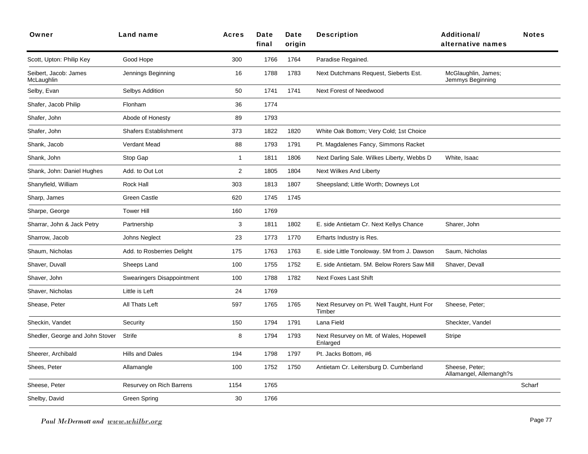| Owner                               | <b>Land name</b>             | <b>Acres</b>   | Date<br>final | Date<br>origin | <b>Description</b>                                   | <b>Additional/</b><br>alternative names   | <b>Notes</b> |
|-------------------------------------|------------------------------|----------------|---------------|----------------|------------------------------------------------------|-------------------------------------------|--------------|
| Scott, Upton: Philip Key            | Good Hope                    | 300            | 1766          | 1764           | Paradise Regained.                                   |                                           |              |
| Seibert, Jacob: James<br>McLaughlin | Jennings Beginning           | 16             | 1788          | 1783           | Next Dutchmans Request, Sieberts Est.                | McGlaughlin, James;<br>Jemmys Beginning   |              |
| Selby, Evan                         | Selbys Addition              | 50             | 1741          | 1741           | Next Forest of Needwood                              |                                           |              |
| Shafer, Jacob Philip                | Flonham                      | 36             | 1774          |                |                                                      |                                           |              |
| Shafer, John                        | Abode of Honesty             | 89             | 1793          |                |                                                      |                                           |              |
| Shafer, John                        | <b>Shafers Establishment</b> | 373            | 1822          | 1820           | White Oak Bottom; Very Cold; 1st Choice              |                                           |              |
| Shank, Jacob                        | Verdant Mead                 | 88             | 1793          | 1791           | Pt. Magdalenes Fancy, Simmons Racket                 |                                           |              |
| Shank, John                         | Stop Gap                     | $\mathbf{1}$   | 1811          | 1806           | Next Darling Sale. Wilkes Liberty, Webbs D           | White, Isaac                              |              |
| Shank, John: Daniel Hughes          | Add. to Out Lot              | $\overline{2}$ | 1805          | 1804           | Next Wilkes And Liberty                              |                                           |              |
| Shanyfield, William                 | Rock Hall                    | 303            | 1813          | 1807           | Sheepsland; Little Worth; Downeys Lot                |                                           |              |
| Sharp, James                        | <b>Green Castle</b>          | 620            | 1745          | 1745           |                                                      |                                           |              |
| Sharpe, George                      | <b>Tower Hill</b>            | 160            | 1769          |                |                                                      |                                           |              |
| Sharrar, John & Jack Petry          | Partnership                  | 3              | 1811          | 1802           | E. side Antietam Cr. Next Kellys Chance              | Sharer, John                              |              |
| Sharrow, Jacob                      | Johns Neglect                | 23             | 1773          | 1770           | Erharts Industry is Res.                             |                                           |              |
| Shaum, Nicholas                     | Add. to Rosberries Delight   | 175            | 1763          | 1763           | E. side Little Tonoloway. 5M from J. Dawson          | Saum, Nicholas                            |              |
| Shaver, Duvall                      | Sheeps Land                  | 100            | 1755          | 1752           | E. side Antietam. 5M. Below Rorers Saw Mill          | Shaver, Devall                            |              |
| Shaver, John                        | Swearingers Disappointment   | 100            | 1788          | 1782           | <b>Next Foxes Last Shift</b>                         |                                           |              |
| Shaver, Nicholas                    | Little is Left               | 24             | 1769          |                |                                                      |                                           |              |
| Shease, Peter                       | All Thats Left               | 597            | 1765          | 1765           | Next Resurvey on Pt. Well Taught, Hunt For<br>Timber | Sheese, Peter:                            |              |
| Sheckin, Vandet                     | Security                     | 150            | 1794          | 1791           | Lana Field                                           | Sheckter, Vandel                          |              |
| Shedler, George and John Stover     | Strife                       | 8              | 1794          | 1793           | Next Resurvey on Mt. of Wales, Hopewell<br>Enlarged  | Stripe                                    |              |
| Sheerer, Archibald                  | Hills and Dales              | 194            | 1798          | 1797           | Pt. Jacks Bottom, #6                                 |                                           |              |
| Shees, Peter                        | Allamangle                   | 100            | 1752          | 1750           | Antietam Cr. Leitersburg D. Cumberland               | Sheese, Peter:<br>Allamangel, Allemangh?s |              |
| Sheese, Peter                       | Resurvey on Rich Barrens     | 1154           | 1765          |                |                                                      |                                           | Scharf       |
| Shelby, David                       | Green Spring                 | 30             | 1766          |                |                                                      |                                           |              |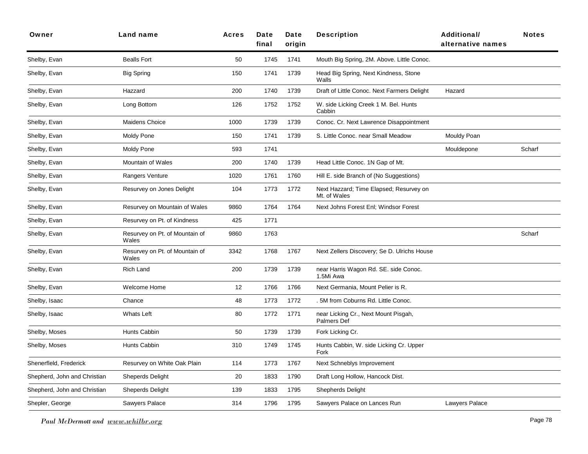| Owner                        | Land name                               | <b>Acres</b> | Date<br>final | Date<br>origin | <b>Description</b>                                      | <b>Additional/</b><br>alternative names | <b>Notes</b> |
|------------------------------|-----------------------------------------|--------------|---------------|----------------|---------------------------------------------------------|-----------------------------------------|--------------|
| Shelby, Evan                 | <b>Bealls Fort</b>                      | 50           | 1745          | 1741           | Mouth Big Spring, 2M. Above. Little Conoc.              |                                         |              |
| Shelby, Evan                 | <b>Big Spring</b>                       | 150          | 1741          | 1739           | Head Big Spring, Next Kindness, Stone<br>Walls          |                                         |              |
| Shelby, Evan                 | Hazzard                                 | 200          | 1740          | 1739           | Draft of Little Conoc. Next Farmers Delight             | Hazard                                  |              |
| Shelby, Evan                 | Long Bottom                             | 126          | 1752          | 1752           | W. side Licking Creek 1 M. Bel. Hunts<br>Cabbin         |                                         |              |
| Shelby, Evan                 | Maidens Choice                          | 1000         | 1739          | 1739           | Conoc. Cr. Next Lawrence Disappointment                 |                                         |              |
| Shelby, Evan                 | <b>Moldy Pone</b>                       | 150          | 1741          | 1739           | S. Little Conoc. near Small Meadow                      | Mouldy Poan                             |              |
| Shelby, Evan                 | Moldy Pone                              | 593          | 1741          |                |                                                         | Mouldepone                              | Scharf       |
| Shelby, Evan                 | Mountain of Wales                       | 200          | 1740          | 1739           | Head Little Conoc. 1N Gap of Mt.                        |                                         |              |
| Shelby, Evan                 | Rangers Venture                         | 1020         | 1761          | 1760           | Hill E. side Branch of (No Suggestions)                 |                                         |              |
| Shelby, Evan                 | Resurvey on Jones Delight               | 104          | 1773          | 1772           | Next Hazzard; Time Elapsed; Resurvey on<br>Mt. of Wales |                                         |              |
| Shelby, Evan                 | Resurvey on Mountain of Wales           | 9860         | 1764          | 1764           | Next Johns Forest Enl; Windsor Forest                   |                                         |              |
| Shelby, Evan                 | Resurvey on Pt. of Kindness             | 425          | 1771          |                |                                                         |                                         |              |
| Shelby, Evan                 | Resurvey on Pt. of Mountain of<br>Wales | 9860         | 1763          |                |                                                         |                                         | Scharf       |
| Shelby, Evan                 | Resurvey on Pt. of Mountain of<br>Wales | 3342         | 1768          | 1767           | Next Zellers Discovery; Se D. Ulrichs House             |                                         |              |
| Shelby, Evan                 | <b>Rich Land</b>                        | 200          | 1739          | 1739           | near Harris Wagon Rd. SE. side Conoc.<br>1.5Mi Awa      |                                         |              |
| Shelby, Evan                 | Welcome Home                            | 12           | 1766          | 1766           | Next Germania, Mount Pelier is R.                       |                                         |              |
| Shelby, Isaac                | Chance                                  | 48           | 1773          | 1772           | 5M from Coburns Rd. Little Conoc.                       |                                         |              |
| Shelby, Isaac                | <b>Whats Left</b>                       | 80           | 1772          | 1771           | near Licking Cr., Next Mount Pisgah,<br>Palmers Def     |                                         |              |
| Shelby, Moses                | Hunts Cabbin                            | 50           | 1739          | 1739           | Fork Licking Cr.                                        |                                         |              |
| Shelby, Moses                | Hunts Cabbin                            | 310          | 1749          | 1745           | Hunts Cabbin, W. side Licking Cr. Upper<br>Fork         |                                         |              |
| Shenerfleld, Frederick       | Resurvey on White Oak Plain             | 114          | 1773          | 1767           | Next Schneblys Improvement                              |                                         |              |
| Shepherd, John and Christian | Sheperds Delight                        | 20           | 1833          | 1790           | Draft Long Hollow, Hancock Dist.                        |                                         |              |
| Shepherd, John and Christian | <b>Sheperds Delight</b>                 | 139          | 1833          | 1795           | <b>Shepherds Delight</b>                                |                                         |              |
| Shepler, George              | Sawyers Palace                          | 314          | 1796          | 1795           | Sawyers Palace on Lances Run                            | Lawyers Palace                          |              |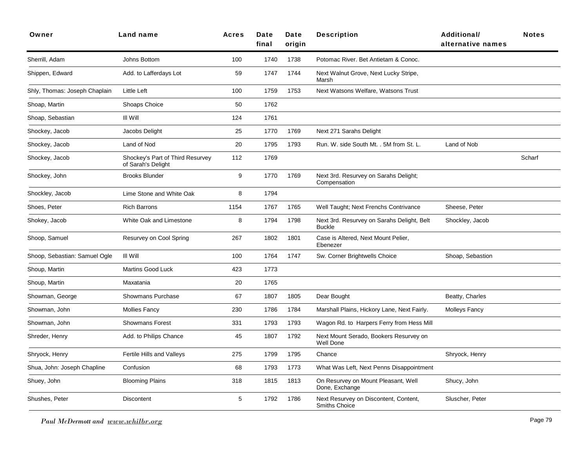| Owner                         | Land name                                              | <b>Acres</b> | Date<br>final | Date<br>origin | <b>Description</b>                                          | <b>Additional/</b><br>alternative names | <b>Notes</b> |
|-------------------------------|--------------------------------------------------------|--------------|---------------|----------------|-------------------------------------------------------------|-----------------------------------------|--------------|
| Sherrill, Adam                | Johns Bottom                                           | 100          | 1740          | 1738           | Potomac River. Bet Antietam & Conoc.                        |                                         |              |
| Shippen, Edward               | Add. to Lafferdays Lot                                 | 59           | 1747          | 1744           | Next Walnut Grove, Next Lucky Stripe,<br>Marsh              |                                         |              |
| Shly, Thomas: Joseph Chaplain | Little Left                                            | 100          | 1759          | 1753           | Next Watsons Welfare, Watsons Trust                         |                                         |              |
| Shoap, Martin                 | Shoaps Choice                                          | 50           | 1762          |                |                                                             |                                         |              |
| Shoap, Sebastian              | III Will                                               | 124          | 1761          |                |                                                             |                                         |              |
| Shockey, Jacob                | Jacobs Delight                                         | 25           | 1770          | 1769           | Next 271 Sarahs Delight                                     |                                         |              |
| Shockey, Jacob                | Land of Nod                                            | 20           | 1795          | 1793           | Run. W. side South Mt. . 5M from St. L.                     | Land of Nob                             |              |
| Shockey, Jacob                | Shockey's Part of Third Resurvey<br>of Sarah's Delight | 112          | 1769          |                |                                                             |                                         | Scharf       |
| Shockey, John                 | <b>Brooks Blunder</b>                                  | 9            | 1770          | 1769           | Next 3rd. Resurvey on Sarahs Delight;<br>Compensation       |                                         |              |
| Shockley, Jacob               | Lime Stone and White Oak                               | 8            | 1794          |                |                                                             |                                         |              |
| Shoes, Peter                  | <b>Rich Barrons</b>                                    | 1154         | 1767          | 1765           | Well Taught; Next Frenchs Contrivance                       | Sheese, Peter                           |              |
| Shokey, Jacob                 | White Oak and Limestone                                | 8            | 1794          | 1798           | Next 3rd. Resurvey on Sarahs Delight, Belt<br><b>Buckle</b> | Shockley, Jacob                         |              |
| Shoop, Samuel                 | Resurvey on Cool Spring                                | 267          | 1802          | 1801           | Case is Altered, Next Mount Pelier,<br>Ebenezer             |                                         |              |
| Shoop, Sebastian: Samuel Ogle | III Will                                               | 100          | 1764          | 1747           | Sw. Corner Brightwells Choice                               | Shoap, Sebastion                        |              |
| Shoup, Martin                 | <b>Martins Good Luck</b>                               | 423          | 1773          |                |                                                             |                                         |              |
| Shoup, Martin                 | Maxatania                                              | 20           | 1765          |                |                                                             |                                         |              |
| Showman, George               | Showmans Purchase                                      | 67           | 1807          | 1805           | Dear Bought                                                 | Beatty, Charles                         |              |
| Showman, John                 | <b>Mollies Fancy</b>                                   | 230          | 1786          | 1784           | Marshall Plains, Hickory Lane, Next Fairly.                 | Molleys Fancy                           |              |
| Showman, John                 | <b>Showmans Forest</b>                                 | 331          | 1793          | 1793           | Wagon Rd. to Harpers Ferry from Hess Mill                   |                                         |              |
| Shreder, Henry                | Add. to Philips Chance                                 | 45           | 1807          | 1792           | Next Mount Serado, Bookers Resurvey on<br>Well Done         |                                         |              |
| Shryock, Henry                | Fertile Hills and Valleys                              | 275          | 1799          | 1795           | Chance                                                      | Shryock, Henry                          |              |
| Shua, John: Joseph Chapline   | Confusion                                              | 68           | 1793          | 1773           | What Was Left, Next Penns Disappointment                    |                                         |              |
| Shuey, John                   | <b>Blooming Plains</b>                                 | 318          | 1815          | 1813           | On Resurvey on Mount Pleasant, Well<br>Done, Exchange       | Shucy, John                             |              |
| Shushes, Peter                | <b>Discontent</b>                                      | 5            | 1792          | 1786           | Next Resurvey on Discontent, Content,<br>Smiths Choice      | Sluscher, Peter                         |              |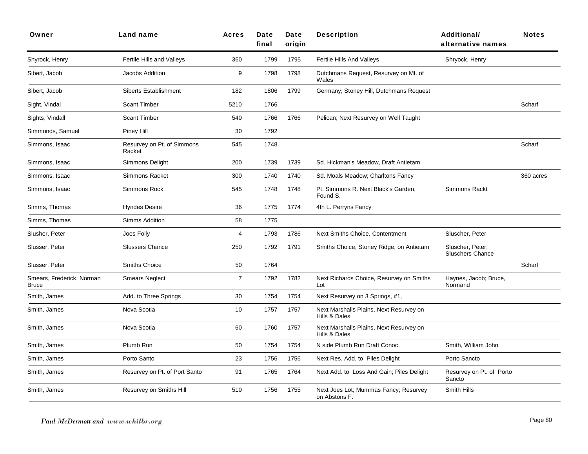| Owner                                     | <b>Land name</b>                     | <b>Acres</b>   | <b>Date</b><br>final | Date<br>origin | <b>Description</b>                                       | Additional/<br>alternative names            | <b>Notes</b> |
|-------------------------------------------|--------------------------------------|----------------|----------------------|----------------|----------------------------------------------------------|---------------------------------------------|--------------|
| Shyrock, Henry                            | Fertile Hills and Valleys            | 360            | 1799                 | 1795           | Fertile Hills And Valleys                                | Shryock, Henry                              |              |
| Sibert, Jacob                             | Jacobs Addition                      | 9              | 1798                 | 1798           | Dutchmans Request, Resurvey on Mt. of<br>Wales           |                                             |              |
| Sibert, Jacob                             | <b>Siberts Establishment</b>         | 182            | 1806                 | 1799           | Germany; Stoney Hill, Dutchmans Request                  |                                             |              |
| Sight, Vindal                             | <b>Scant Timber</b>                  | 5210           | 1766                 |                |                                                          |                                             | Scharf       |
| Sights, Vindall                           | <b>Scant Timber</b>                  | 540            | 1766                 | 1766           | Pelican; Next Resurvey on Well Taught                    |                                             |              |
| Simmonds, Samuel                          | Piney Hill                           | 30             | 1792                 |                |                                                          |                                             |              |
| Simmons, Isaac                            | Resurvey on Pt. of Simmons<br>Racket | 545            | 1748                 |                |                                                          |                                             | Scharf       |
| Simmons, Isaac                            | Simmons Delight                      | 200            | 1739                 | 1739           | Sd. Hickman's Meadow, Draft Antietam                     |                                             |              |
| Simmons, Isaac                            | Simmons Racket                       | 300            | 1740                 | 1740           | Sd. Moals Meadow; Charltons Fancy                        |                                             | 360 acres    |
| Simmons, Isaac                            | Simmons Rock                         | 545            | 1748                 | 1748           | Pt. Simmons R. Next Black's Garden,<br>Found S.          | Simmons Rackt                               |              |
| Simms, Thomas                             | <b>Hyndes Desire</b>                 | 36             | 1775                 | 1774           | 4th L. Perryns Fancy                                     |                                             |              |
| Simms, Thomas                             | <b>Simms Addition</b>                | 58             | 1775                 |                |                                                          |                                             |              |
| Slusher, Peter                            | Joes Folly                           | $\overline{4}$ | 1793                 | 1786           | <b>Next Smiths Choice, Contentment</b>                   | Sluscher, Peter                             |              |
| Slusser, Peter                            | <b>Slussers Chance</b>               | 250            | 1792                 | 1791           | Smiths Choice, Stoney Ridge, on Antietam                 | Sluscher, Peter;<br><b>Sluschers Chance</b> |              |
| Slusser, Peter                            | Smiths Choice                        | 50             | 1764                 |                |                                                          |                                             | Scharf       |
| Smears, Frederick, Norman<br><b>Bruce</b> | <b>Smears Neglect</b>                | $\overline{7}$ | 1792                 | 1782           | Next Richards Choice, Resurvey on Smiths<br>Lot          | Haynes, Jacob; Bruce,<br>Normand            |              |
| Smith, James                              | Add. to Three Springs                | 30             | 1754                 | 1754           | Next Resurvey on 3 Springs, #1,                          |                                             |              |
| Smith, James                              | Nova Scotia                          | 10             | 1757                 | 1757           | Next Marshalls Plains, Next Resurvey on<br>Hills & Dales |                                             |              |
| Smith, James                              | Nova Scotia                          | 60             | 1760                 | 1757           | Next Marshalls Plains, Next Resurvey on<br>Hills & Dales |                                             |              |
| Smith, James                              | Plumb Run                            | 50             | 1754                 | 1754           | N side Plumb Run Draft Conoc.                            | Smith, William John                         |              |
| Smith, James                              | Porto Santo                          | 23             | 1756                 | 1756           | Next Res. Add. to Piles Delight                          | Porto Sancto                                |              |
| Smith, James                              | Resurvey on Pt. of Port Santo        | 91             | 1765                 | 1764           | Next Add. to Loss And Gain; Piles Delight                | Resurvey on Pt. of Porto<br>Sancto          |              |
| Smith, James                              | Resurvey on Smiths Hill              | 510            | 1756                 | 1755           | Next Joes Lot; Mummas Fancy; Resurvey<br>on Abstons F.   | Smith Hills                                 |              |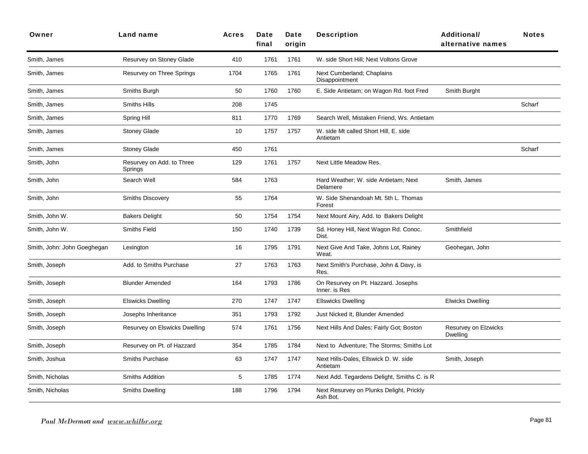| Owner                       | <b>Land name</b>                     | <b>Acres</b> | Date<br>final | Date<br>origin | <b>Description</b>                                   | Additional/<br>alternative names | <b>Notes</b> |
|-----------------------------|--------------------------------------|--------------|---------------|----------------|------------------------------------------------------|----------------------------------|--------------|
| Smith, James                | Resurvey on Stoney Glade             | 410          | 1761          | 1761           | W. side Short Hill; Next Voltons Grove               |                                  |              |
| Smith, James                | Resurvey on Three Springs            | 1704         | 1765          | 1761           | Next Cumberland; Chaplains<br>Disappointment         |                                  |              |
| Smith, James                | Smiths Burgh                         | 50           | 1760          | 1760           | E. Side Antietam; on Wagon Rd. foot Fred             | Smith Burght                     |              |
| Smith, James                | <b>Smiths Hills</b>                  | 208          | 1745          |                |                                                      |                                  | Scharf       |
| Smith, James                | Spring Hill                          | 811          | 1770          | 1769           | Search Well, Mistaken Friend, Ws. Antietam           |                                  |              |
| Smith, James                | <b>Stoney Glade</b>                  | 10           | 1757          | 1757           | W. side Mt called Short Hill, E. side<br>Antietam    |                                  |              |
| Smith, James                | <b>Stoney Glade</b>                  | 450          | 1761          |                |                                                      |                                  | Scharf       |
| Smith, John                 | Resurvey on Add. to Three<br>Springs | 129          | 1761          | 1757           | Next Little Meadow Res.                              |                                  |              |
| Smith, John                 | Search Well                          | 584          | 1763          |                | Hard Weather; W. side Antietam; Next<br>Delamere     | Smith, James                     |              |
| Smith, John                 | <b>Smiths Discovery</b>              | 55           | 1764          |                | W. Side Shenandoah Mt. 5th L. Thomas<br>Forest       |                                  |              |
| Smith, John W.              | <b>Bakers Delight</b>                | 50           | 1754          | 1754           | Next Mount Airy, Add. to Bakers Delight              |                                  |              |
| Smith, John W.              | <b>Smiths Field</b>                  | 150          | 1740          | 1739           | Sd. Honey Hill, Next Wagon Rd. Conoc.<br>Dist.       | Smithfield                       |              |
| Smith, John: John Goeghegan | Lexington                            | 16           | 1795          | 1791           | Next Give And Take, Johns Lot, Rainey<br>Weat.       | Geohegan, John                   |              |
| Smith, Joseph               | Add. to Smiths Purchase              | 27           | 1763          | 1763           | Next Smith's Purchase, John & Davy, is<br>Res.       |                                  |              |
| Smith, Joseph               | <b>Blunder Amended</b>               | 164          | 1793          | 1786           | On Resurvey on Pt. Hazzard. Josephs<br>Inner. is Res |                                  |              |
| Smith, Joseph               | <b>Elswicks Dwelling</b>             | 270          | 1747          | 1747           | <b>Ellswicks Dwelling</b>                            | <b>Elwicks Dwelling</b>          |              |
| Smith, Joseph               | Josephs Inheritance                  | 351          | 1793          | 1792           | Just Nicked It, Blunder Amended                      |                                  |              |
| Smith, Joseph               | Resurvey on Elswicks Dwelling        | 574          | 1761          | 1756           | Next Hills And Dales; Fairly Got; Boston             | Resurvey on Elzwicks<br>Dwelling |              |
| Smith, Joseph               | Resurvey on Pt. of Hazzard           | 354          | 1785          | 1784           | Next to Adventure; The Storms; Smiths Lot            |                                  |              |
| Smith, Joshua               | Smiths Purchase                      | 63           | 1747          | 1747           | Next Hills-Dales, Ellswick D. W. side<br>Antietam    | Smith, Joseph                    |              |
| Smith, Nicholas             | Smiths Addition                      | $\sqrt{5}$   | 1785          | 1774           | Next Add. Tegardens Delight, Smiths C. is R          |                                  |              |
| Smith, Nicholas             | <b>Smiths Dwelling</b>               | 188          | 1796          | 1794           | Next Resurvey on Plunks Delight, Prickly<br>Ash Bot. |                                  |              |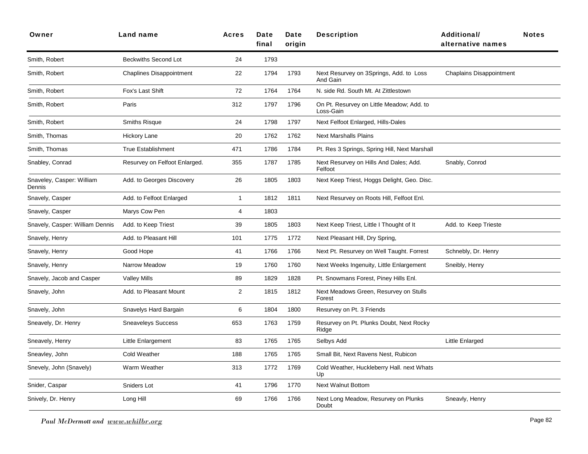| Owner                               | Land name                       | <b>Acres</b>   | <b>Date</b><br>final | Date<br>origin | <b>Description</b>                                     | <b>Additional/</b><br>alternative names | <b>Notes</b> |
|-------------------------------------|---------------------------------|----------------|----------------------|----------------|--------------------------------------------------------|-----------------------------------------|--------------|
| Smith, Robert                       | <b>Beckwiths Second Lot</b>     | 24             | 1793                 |                |                                                        |                                         |              |
| Smith, Robert                       | <b>Chaplines Disappointment</b> | 22             | 1794                 | 1793           | Next Resurvey on 3Springs, Add. to Loss<br>And Gain    | <b>Chaplains Disappointment</b>         |              |
| Smith, Robert                       | Fox's Last Shift                | 72             | 1764                 | 1764           | N. side Rd. South Mt. At Zittlestown                   |                                         |              |
| Smith, Robert                       | Paris                           | 312            | 1797                 | 1796           | On Pt. Resurvey on Little Meadow; Add. to<br>Loss-Gain |                                         |              |
| Smith, Robert                       | <b>Smiths Risque</b>            | 24             | 1798                 | 1797           | Next Felfoot Enlarged, Hills-Dales                     |                                         |              |
| Smith, Thomas                       | <b>Hickory Lane</b>             | 20             | 1762                 | 1762           | <b>Next Marshalls Plains</b>                           |                                         |              |
| Smith, Thomas                       | <b>True Establishment</b>       | 471            | 1786                 | 1784           | Pt. Res 3 Springs, Spring Hill, Next Marshall          |                                         |              |
| Snabley, Conrad                     | Resurvey on Felfoot Enlarged.   | 355            | 1787                 | 1785           | Next Resurvey on Hills And Dales; Add.<br>Felfoot      | Snably, Conrod                          |              |
| Snaveley, Casper: William<br>Dennis | Add. to Georges Discovery       | 26             | 1805                 | 1803           | Next Keep Triest, Hoggs Delight, Geo. Disc.            |                                         |              |
| Snavely, Casper                     | Add. to Felfoot Enlarged        | $\mathbf{1}$   | 1812                 | 1811           | Next Resurvey on Roots Hill, Felfoot Enl.              |                                         |              |
| Snavely, Casper                     | Marys Cow Pen                   | 4              | 1803                 |                |                                                        |                                         |              |
| Snavely, Casper: William Dennis     | Add. to Keep Triest             | 39             | 1805                 | 1803           | Next Keep Triest, Little I Thought of It               | Add. to Keep Trieste                    |              |
| Snavely, Henry                      | Add. to Pleasant Hill           | 101            | 1775                 | 1772           | Next Pleasant Hill, Dry Spring,                        |                                         |              |
| Snavely, Henry                      | Good Hope                       | 41             | 1766                 | 1766           | Next Pt. Resurvey on Well Taught. Forrest              | Schnebly, Dr. Henry                     |              |
| Snavely, Henry                      | Narrow Meadow                   | 19             | 1760                 | 1760           | Next Weeks Ingenuity, Little Enlargement               | Sneibly, Henry                          |              |
| Snavely, Jacob and Casper           | <b>Valley Mills</b>             | 89             | 1829                 | 1828           | Pt. Snowmans Forest, Piney Hills Enl.                  |                                         |              |
| Snavely, John                       | Add. to Pleasant Mount          | $\overline{2}$ | 1815                 | 1812           | Next Meadows Green, Resurvey on Stulls<br>Forest       |                                         |              |
| Snavely, John                       | Snavelys Hard Bargain           | 6              | 1804                 | 1800           | Resurvey on Pt. 3 Friends                              |                                         |              |
| Sneavely, Dr. Henry                 | <b>Sneaveleys Success</b>       | 653            | 1763                 | 1759           | Resurvey on Pt. Plunks Doubt, Next Rocky<br>Ridge      |                                         |              |
| Sneavely, Henry                     | Little Enlargement              | 83             | 1765                 | 1765           | Selbys Add                                             | Little Enlarged                         |              |
| Sneavley, John                      | Cold Weather                    | 188            | 1765                 | 1765           | Small Bit, Next Ravens Nest, Rubicon                   |                                         |              |
| Snevely, John (Snavely)             | Warm Weather                    | 313            | 1772                 | 1769           | Cold Weather, Huckleberry Hall. next Whats<br>Up       |                                         |              |
| Snider, Caspar                      | Sniders Lot                     | 41             | 1796                 | 1770           | <b>Next Walnut Bottom</b>                              |                                         |              |
| Snively, Dr. Henry                  | Long Hill                       | 69             | 1766                 | 1766           | Next Long Meadow, Resurvey on Plunks<br>Doubt          | Sneavly, Henry                          |              |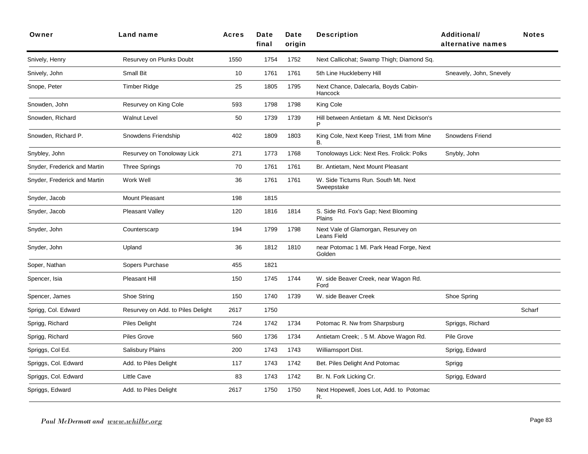| Owner                        | Land name                         | <b>Acres</b> | Date<br>final | Date<br>origin | <b>Description</b>                                 | <b>Additional/</b><br>alternative names | <b>Notes</b> |
|------------------------------|-----------------------------------|--------------|---------------|----------------|----------------------------------------------------|-----------------------------------------|--------------|
| Snively, Henry               | Resurvey on Plunks Doubt          | 1550         | 1754          | 1752           | Next Callicohat; Swamp Thigh; Diamond Sq.          |                                         |              |
| Snively, John                | Small Bit                         | 10           | 1761          | 1761           | 5th Line Huckleberry Hill                          | Sneavely, John, Snevely                 |              |
| Snope, Peter                 | <b>Timber Ridge</b>               | 25           | 1805          | 1795           | Next Chance, Dalecarla, Boyds Cabin-<br>Hancock    |                                         |              |
| Snowden, John                | Resurvey on King Cole             | 593          | 1798          | 1798           | King Cole                                          |                                         |              |
| Snowden, Richard             | <b>Walnut Level</b>               | 50           | 1739          | 1739           | Hill between Antietam & Mt. Next Dickson's<br>P    |                                         |              |
| Snowden, Richard P.          | Snowdens Friendship               | 402          | 1809          | 1803           | King Cole, Next Keep Triest, 1Mi from Mine<br>В.   | Snowdens Friend                         |              |
| Snybley, John                | Resurvey on Tonoloway Lick        | 271          | 1773          | 1768           | Tonoloways Lick: Next Res. Frolick: Polks          | Snybly, John                            |              |
| Snyder, Frederick and Martin | <b>Three Springs</b>              | 70           | 1761          | 1761           | Br. Antietam, Next Mount Pleasant                  |                                         |              |
| Snyder, Frederick and Martin | Work Well                         | 36           | 1761          | 1761           | W. Side Tictums Run. South Mt. Next<br>Sweepstake  |                                         |              |
| Snyder, Jacob                | Mount Pleasant                    | 198          | 1815          |                |                                                    |                                         |              |
| Snyder, Jacob                | Pleasant Valley                   | 120          | 1816          | 1814           | S. Side Rd. Fox's Gap; Next Blooming<br>Plains     |                                         |              |
| Snyder, John                 | Counterscarp                      | 194          | 1799          | 1798           | Next Vale of Glamorgan, Resurvey on<br>Leans Field |                                         |              |
| Snyder, John                 | Upland                            | 36           | 1812          | 1810           | near Potomac 1 Ml. Park Head Forge, Next<br>Golden |                                         |              |
| Soper, Nathan                | Sopers Purchase                   | 455          | 1821          |                |                                                    |                                         |              |
| Spencer, Isia                | <b>Pleasant Hill</b>              | 150          | 1745          | 1744           | W. side Beaver Creek, near Wagon Rd.<br>Ford       |                                         |              |
| Spencer, James               | Shoe String                       | 150          | 1740          | 1739           | W. side Beaver Creek                               | Shoe Spring                             |              |
| Sprigg, Col. Edward          | Resurvey on Add. to Piles Delight | 2617         | 1750          |                |                                                    |                                         | Scharf       |
| Sprigg, Richard              | <b>Piles Delight</b>              | 724          | 1742          | 1734           | Potomac R. Nw from Sharpsburg                      | Spriggs, Richard                        |              |
| Sprigg, Richard              | <b>Piles Grove</b>                | 560          | 1736          | 1734           | Antietam Creek; . 5 M. Above Wagon Rd.             | Pile Grove                              |              |
| Spriggs, Col Ed.             | Salisbury Plains                  | 200          | 1743          | 1743           | Williamsport Dist.                                 | Sprigg, Edward                          |              |
| Spriggs, Col. Edward         | Add. to Piles Delight             | 117          | 1743          | 1742           | Bet. Piles Delight And Potomac                     | Sprigg                                  |              |
| Spriggs, Col. Edward         | <b>Little Cave</b>                | 83           | 1743          | 1742           | Br. N. Fork Licking Cr.                            | Sprigg, Edward                          |              |
| Spriggs, Edward              | Add. to Piles Delight             | 2617         | 1750          | 1750           | Next Hopewell, Joes Lot, Add. to Potomac<br>R.     |                                         |              |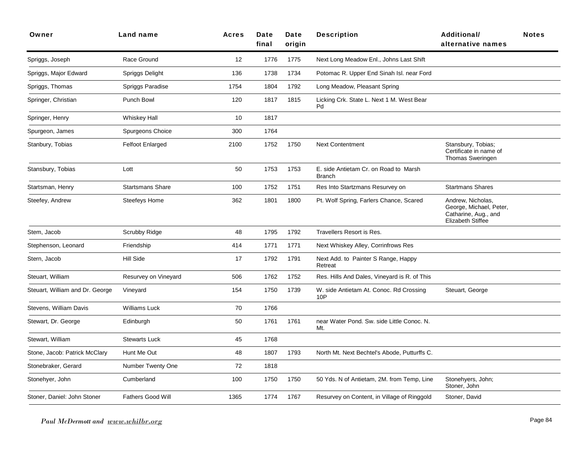| Owner                           | Land name                | <b>Acres</b> | Date<br>final | Date<br>origin | <b>Description</b>                                     | Additional/<br>alternative names                                                                 | <b>Notes</b> |
|---------------------------------|--------------------------|--------------|---------------|----------------|--------------------------------------------------------|--------------------------------------------------------------------------------------------------|--------------|
| Spriggs, Joseph                 | Race Ground              | 12           | 1776          | 1775           | Next Long Meadow Enl., Johns Last Shift                |                                                                                                  |              |
| Spriggs, Major Edward           | Spriggs Delight          | 136          | 1738          | 1734           | Potomac R. Upper End Sinah Isl. near Ford              |                                                                                                  |              |
| Spriggs, Thomas                 | Spriggs Paradise         | 1754         | 1804          | 1792           | Long Meadow, Pleasant Spring                           |                                                                                                  |              |
| Springer, Christian             | Punch Bowl               | 120          | 1817          | 1815           | Licking Crk. State L. Next 1 M. West Bear<br>Pd        |                                                                                                  |              |
| Springer, Henry                 | <b>Whiskey Hall</b>      | 10           | 1817          |                |                                                        |                                                                                                  |              |
| Spurgeon, James                 | Spurgeons Choice         | 300          | 1764          |                |                                                        |                                                                                                  |              |
| Stanbury, Tobias                | <b>Felfoot Enlarged</b>  | 2100         | 1752          | 1750           | <b>Next Contentment</b>                                | Stansbury, Tobias;<br>Certificate in name of<br>Thomas Sweringen                                 |              |
| Stansbury, Tobias               | Lott                     | 50           | 1753          | 1753           | E. side Antietam Cr. on Road to Marsh<br><b>Branch</b> |                                                                                                  |              |
| Startsman, Henry                | <b>Startsmans Share</b>  | 100          | 1752          | 1751           | Res Into Startzmans Resurvey on                        | <b>Startmans Shares</b>                                                                          |              |
| Steefey, Andrew                 | Steefeys Home            | 362          | 1801          | 1800           | Pt. Wolf Spring, Farlers Chance, Scared                | Andrew, Nicholas,<br>George, Michael, Peter,<br>Catharine, Aug., and<br><b>Elizabeth Stiffee</b> |              |
| Stem, Jacob                     | Scrubby Ridge            | 48           | 1795          | 1792           | Travellers Resort is Res.                              |                                                                                                  |              |
| Stephenson, Leonard             | Friendship               | 414          | 1771          | 1771           | Next Whiskey Alley, Corrinfrows Res                    |                                                                                                  |              |
| Stern, Jacob                    | Hill Side                | 17           | 1792          | 1791           | Next Add. to Painter S Range, Happy<br>Retreat         |                                                                                                  |              |
| Steuart, William                | Resurvey on Vineyard     | 506          | 1762          | 1752           | Res. Hills And Dales, Vineyard is R. of This           |                                                                                                  |              |
| Steuart, William and Dr. George | Vineyard                 | 154          | 1750          | 1739           | W. side Antietam At. Conoc. Rd Crossing<br>10P         | Steuart, George                                                                                  |              |
| Stevens, William Davis          | <b>Williams Luck</b>     | 70           | 1766          |                |                                                        |                                                                                                  |              |
| Stewart, Dr. George             | Edinburgh                | 50           | 1761          | 1761           | near Water Pond. Sw. side Little Conoc. N.<br>Mt.      |                                                                                                  |              |
| Stewart, William                | <b>Stewarts Luck</b>     | 45           | 1768          |                |                                                        |                                                                                                  |              |
| Stone, Jacob: Patrick McClary   | Hunt Me Out              | 48           | 1807          | 1793           | North Mt. Next Bechtel's Abode, Putturffs C.           |                                                                                                  |              |
| Stonebraker, Gerard             | <b>Number Twenty One</b> | 72           | 1818          |                |                                                        |                                                                                                  |              |
| Stonehyer, John                 | Cumberland               | 100          | 1750          | 1750           | 50 Yds. N of Antietam, 2M. from Temp, Line             | Stonehyers, John;<br>Stoner, John                                                                |              |
| Stoner, Daniel: John Stoner     | <b>Fathers Good Will</b> | 1365         | 1774          | 1767           | Resurvey on Content, in Village of Ringgold            | Stoner, David                                                                                    |              |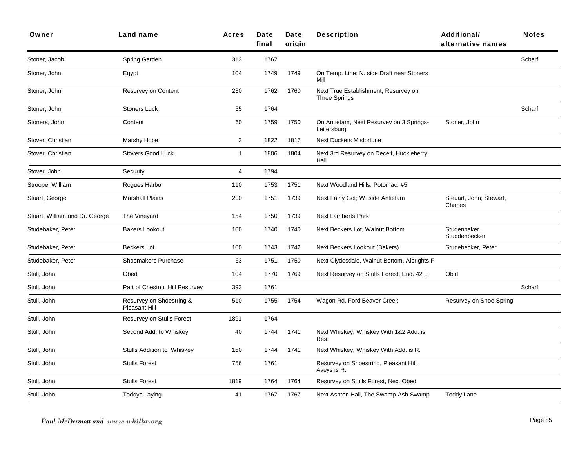| Owner                          | Land name                                 | Acres        | Date<br>final | Date<br>origin | <b>Description</b>                                           | Additional/<br>alternative names   | <b>Notes</b> |
|--------------------------------|-------------------------------------------|--------------|---------------|----------------|--------------------------------------------------------------|------------------------------------|--------------|
| Stoner, Jacob                  | Spring Garden                             | 313          | 1767          |                |                                                              |                                    | Scharf       |
| Stoner, John                   | Egypt                                     | 104          | 1749          | 1749           | On Temp. Line; N. side Draft near Stoners<br>Mill            |                                    |              |
| Stoner, John                   | Resurvey on Content                       | 230          | 1762          | 1760           | Next True Establishment; Resurvey on<br><b>Three Springs</b> |                                    |              |
| Stoner, John                   | <b>Stoners Luck</b>                       | 55           | 1764          |                |                                                              |                                    | Scharf       |
| Stoners, John                  | Content                                   | 60           | 1759          | 1750           | On Antietam, Next Resurvey on 3 Springs-<br>Leitersburg      | Stoner, John                       |              |
| Stover, Christian              | Marshy Hope                               | 3            | 1822          | 1817           | <b>Next Duckets Misfortune</b>                               |                                    |              |
| Stover, Christian              | <b>Stovers Good Luck</b>                  | $\mathbf{1}$ | 1806          | 1804           | Next 3rd Resurvey on Deceit, Huckleberry<br>Hall             |                                    |              |
| Stover, John                   | Security                                  | 4            | 1794          |                |                                                              |                                    |              |
| Stroope, William               | Rogues Harbor                             | 110          | 1753          | 1751           | Next Woodland Hills; Potomac; #5                             |                                    |              |
| Stuart, George                 | <b>Marshall Plains</b>                    | 200          | 1751          | 1739           | Next Fairly Got; W. side Antietam                            | Steuart, John; Stewart,<br>Charles |              |
| Stuart, William and Dr. George | The Vineyard                              | 154          | 1750          | 1739           | <b>Next Lamberts Park</b>                                    |                                    |              |
| Studebaker, Peter              | <b>Bakers Lookout</b>                     | 100          | 1740          | 1740           | Next Beckers Lot, Walnut Bottom                              | Studenbaker,<br>Studdenbecker      |              |
| Studebaker, Peter              | <b>Beckers Lot</b>                        | 100          | 1743          | 1742           | Next Beckers Lookout (Bakers)                                | Studebecker, Peter                 |              |
| Studebaker, Peter              | Shoemakers Purchase                       | 63           | 1751          | 1750           | Next Clydesdale, Walnut Bottom, Albrights F                  |                                    |              |
| Stull, John                    | Obed                                      | 104          | 1770          | 1769           | Next Resurvey on Stulls Forest, End. 42 L.                   | Obid                               |              |
| Stull, John                    | Part of Chestnut Hill Resurvey            | 393          | 1761          |                |                                                              |                                    | Scharf       |
| Stull, John                    | Resurvey on Shoestring &<br>Pleasant Hill | 510          | 1755          | 1754           | Wagon Rd. Ford Beaver Creek                                  | Resurvey on Shoe Spring            |              |
| Stull, John                    | Resurvey on Stulls Forest                 | 1891         | 1764          |                |                                                              |                                    |              |
| Stull, John                    | Second Add. to Whiskey                    | 40           | 1744          | 1741           | Next Whiskey. Whiskey With 1&2 Add. is<br>Res.               |                                    |              |
| Stull, John                    | Stulls Addition to Whiskey                | 160          | 1744          | 1741           | Next Whiskey, Whiskey With Add. is R.                        |                                    |              |
| Stull, John                    | <b>Stulls Forest</b>                      | 756          | 1761          |                | Resurvey on Shoestring, Pleasant Hill,<br>Aveys is R.        |                                    |              |
| Stull, John                    | <b>Stulls Forest</b>                      | 1819         | 1764          | 1764           | Resurvey on Stulls Forest, Next Obed                         |                                    |              |
| Stull, John                    | <b>Toddys Laying</b>                      | 41           | 1767          | 1767           | Next Ashton Hall, The Swamp-Ash Swamp                        | <b>Toddy Lane</b>                  |              |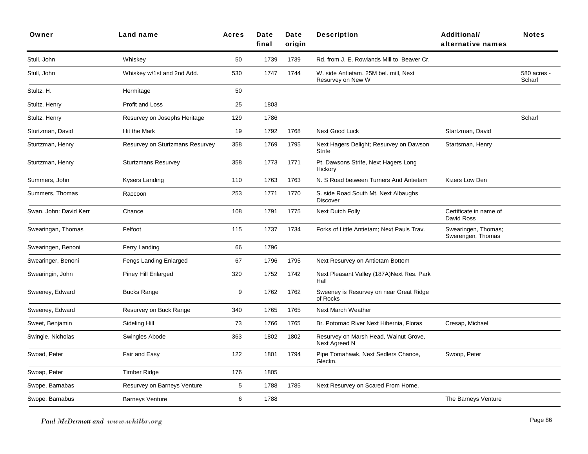| Owner                  | Land name                       | <b>Acres</b> | Date<br>final | Date<br>origin | <b>Description</b>                                         | <b>Additional/</b><br>alternative names  | <b>Notes</b>          |
|------------------------|---------------------------------|--------------|---------------|----------------|------------------------------------------------------------|------------------------------------------|-----------------------|
| Stull, John            | Whiskey                         | 50           | 1739          | 1739           | Rd. from J. E. Rowlands Mill to Beaver Cr.                 |                                          |                       |
| Stull, John            | Whiskey w/1st and 2nd Add.      | 530          | 1747          | 1744           | W. side Antietam. 25M bel. mill, Next<br>Resurvey on New W |                                          | 580 acres -<br>Scharf |
| Stultz, H.             | Hermitage                       | 50           |               |                |                                                            |                                          |                       |
| Stultz, Henry          | Profit and Loss                 | 25           | 1803          |                |                                                            |                                          |                       |
| Stultz, Henry          | Resurvey on Josephs Heritage    | 129          | 1786          |                |                                                            |                                          | Scharf                |
| Sturtzman, David       | Hit the Mark                    | 19           | 1792          | 1768           | Next Good Luck                                             | Startzman, David                         |                       |
| Sturtzman, Henry       | Resurvey on Sturtzmans Resurvey | 358          | 1769          | 1795           | Next Hagers Delight; Resurvey on Dawson<br><b>Strife</b>   | Startsman, Henry                         |                       |
| Sturtzman, Henry       | <b>Sturtzmans Resurvey</b>      | 358          | 1773          | 1771           | Pt. Dawsons Strife, Next Hagers Long<br>Hickory            |                                          |                       |
| Summers, John          | Kysers Landing                  | 110          | 1763          | 1763           | N. S Road between Turners And Antietam                     | Kizers Low Den                           |                       |
| Summers, Thomas        | Raccoon                         | 253          | 1771          | 1770           | S. side Road South Mt. Next Albaughs<br><b>Discover</b>    |                                          |                       |
| Swan, John: David Kerr | Chance                          | 108          | 1791          | 1775           | Next Dutch Folly                                           | Certificate in name of<br>David Ross     |                       |
| Swearingan, Thomas     | Felfoot                         | 115          | 1737          | 1734           | Forks of Little Antietam; Next Pauls Trav.                 | Swearingen, Thomas;<br>Swerengen, Thomas |                       |
| Swearingen, Benoni     | Ferry Landing                   | 66           | 1796          |                |                                                            |                                          |                       |
| Swearinger, Benoni     | Fengs Landing Enlarged          | 67           | 1796          | 1795           | Next Resurvey on Antietam Bottom                           |                                          |                       |
| Swearingin, John       | Piney Hill Enlarged             | 320          | 1752          | 1742           | Next Pleasant Valley (187A) Next Res. Park<br>Hall         |                                          |                       |
| Sweeney, Edward        | <b>Bucks Range</b>              | 9            | 1762          | 1762           | Sweeney is Resurvey on near Great Ridge<br>of Rocks        |                                          |                       |
| Sweeney, Edward        | Resurvey on Buck Range          | 340          | 1765          | 1765           | <b>Next March Weather</b>                                  |                                          |                       |
| Sweet, Benjamin        | Sideling Hill                   | 73           | 1766          | 1765           | Br. Potomac River Next Hibernia, Floras                    | Cresap, Michael                          |                       |
| Swingle, Nicholas      | Swingles Abode                  | 363          | 1802          | 1802           | Resurvey on Marsh Head, Walnut Grove,<br>Next Agreed N     |                                          |                       |
| Swoad, Peter           | Fair and Easy                   | 122          | 1801          | 1794           | Pipe Tomahawk, Next Sedlers Chance,<br>Gleckn.             | Swoop, Peter                             |                       |
| Swoap, Peter           | <b>Timber Ridge</b>             | 176          | 1805          |                |                                                            |                                          |                       |
| Swope, Barnabas        | Resurvey on Barneys Venture     | 5            | 1788          | 1785           | Next Resurvey on Scared From Home.                         |                                          |                       |
| Swope, Barnabus        | <b>Barneys Venture</b>          | 6            | 1788          |                |                                                            | The Barneys Venture                      |                       |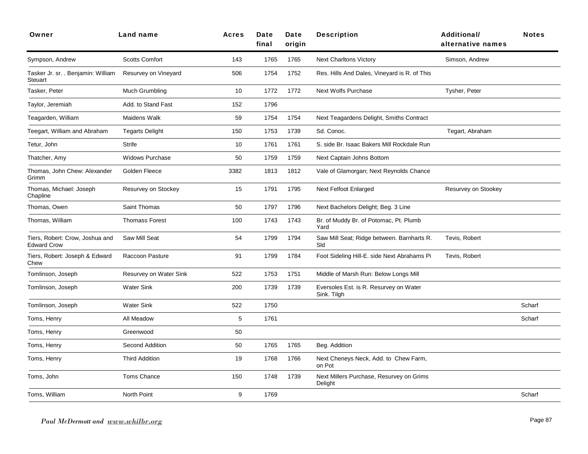| Owner                                                 | <b>Land name</b>       | <b>Acres</b> | Date<br>final | Date<br>origin | <b>Description</b>                                    | <b>Additional/</b><br>alternative names | <b>Notes</b> |
|-------------------------------------------------------|------------------------|--------------|---------------|----------------|-------------------------------------------------------|-----------------------------------------|--------------|
| Sympson, Andrew                                       | <b>Scotts Comfort</b>  | 143          | 1765          | 1765           | <b>Next Charltons Victory</b>                         | Simson, Andrew                          |              |
| Tasker Jr. sr. . Benjamin: William<br><b>Steuart</b>  | Resurvey on Vineyard   | 506          | 1754          | 1752           | Res. Hills And Dales, Vineyard is R. of This          |                                         |              |
| Tasker, Peter                                         | Much Grumbling         | 10           | 1772          | 1772           | <b>Next Wolfs Purchase</b>                            | Tysher, Peter                           |              |
| Taylor, Jeremiah                                      | Add. to Stand Fast     | 152          | 1796          |                |                                                       |                                         |              |
| Teagarden, William                                    | Maidens Walk           | 59           | 1754          | 1754           | Next Teagardens Delight, Smiths Contract              |                                         |              |
| Teegart, William and Abraham                          | <b>Tegarts Delight</b> | 150          | 1753          | 1739           | Sd. Conoc.                                            | Tegart, Abraham                         |              |
| Tetur, John                                           | Strife                 | 10           | 1761          | 1761           | S. side Br. Isaac Bakers Mill Rockdale Run            |                                         |              |
| Thatcher, Amy                                         | <b>Widows Purchase</b> | 50           | 1759          | 1759           | Next Captain Johns Bottom                             |                                         |              |
| Thomas, John Chew: Alexander<br>Grimm                 | Golden Fleece          | 3382         | 1813          | 1812           | Vale of Glamorgan; Next Reynolds Chance               |                                         |              |
| Thomas, Michael: Joseph<br>Chapline                   | Resurvey on Stockey    | 15           | 1791          | 1795           | Next Felfoot Enlarged                                 | Resurvey on Stookey                     |              |
| Thomas, Owen                                          | Saint Thomas           | 50           | 1797          | 1796           | Next Bachelors Delight; Beg. 3 Line                   |                                         |              |
| Thomas, William                                       | <b>Thomass Forest</b>  | 100          | 1743          | 1743           | Br. of Muddy Br. of Potomac, Pt. Plumb<br>Yard        |                                         |              |
| Tiers, Robert: Crow, Joshua and<br><b>Edward Crow</b> | Saw Mill Seat          | 54           | 1799          | 1794           | Saw Mill Seat; Ridge between. Barnharts R.<br>Sld     | Tevis, Robert                           |              |
| Tiers, Robert: Joseph & Edward<br>Chew                | Raccoon Pasture        | 91           | 1799          | 1784           | Foot Sideling Hill-E. side Next Abrahams Pi           | Tevis, Robert                           |              |
| Tomlinson, Joseph                                     | Resurvey on Water Sink | 522          | 1753          | 1751           | Middle of Marsh Run: Below Longs Mill                 |                                         |              |
| Tomlinson, Joseph                                     | <b>Water Sink</b>      | 200          | 1739          | 1739           | Eversoles Est. is R. Resurvey on Water<br>Sink. Tilgh |                                         |              |
| Tomlinson, Joseph                                     | <b>Water Sink</b>      | 522          | 1750          |                |                                                       |                                         | Scharf       |
| Toms, Henry                                           | All Meadow             | 5            | 1761          |                |                                                       |                                         | Scharf       |
| Toms, Henry                                           | Greenwood              | 50           |               |                |                                                       |                                         |              |
| Toms, Henry                                           | Second Addition        | 50           | 1765          | 1765           | Beg. Addition                                         |                                         |              |
| Toms, Henry                                           | <b>Third Addition</b>  | 19           | 1768          | 1766           | Next Cheneys Neck, Add. to Chew Farm,<br>on Pot       |                                         |              |
| Toms, John                                            | Toms Chance            | 150          | 1748          | 1739           | Next Millers Purchase, Resurvey on Grims<br>Delight   |                                         |              |
| Toms, William                                         | North Point            | 9            | 1769          |                |                                                       |                                         | Scharf       |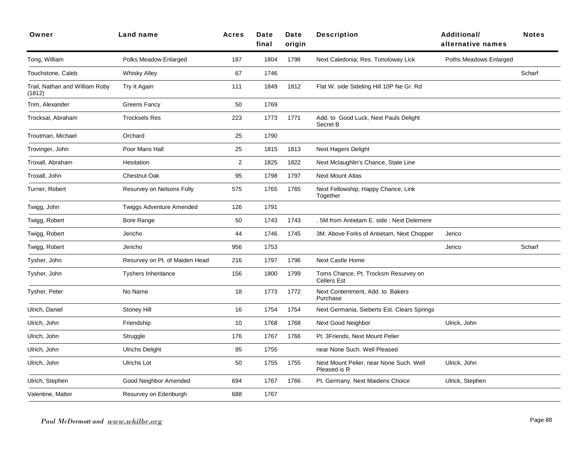| Owner                                    | Land name                       | <b>Acres</b>   | Date<br>final | Date<br>origin | <b>Description</b>                                         | <b>Additional/</b><br>alternative names | <b>Notes</b> |
|------------------------------------------|---------------------------------|----------------|---------------|----------------|------------------------------------------------------------|-----------------------------------------|--------------|
| Tong, William                            | Polks Meadow Enlarged           | 187            | 1804          | 1798           | Next Caledonia; Res. Tonoloway Lick                        | Poths Meadows Enlarged                  |              |
| Touchstone, Caleb                        | <b>Whisky Alley</b>             | 67             | 1746          |                |                                                            |                                         | Scharf       |
| Trail, Nathan and William Roby<br>(1812) | Try It Again                    | 111            | 1849          | 1812           | Flat W. side Sideling Hill 10P Ne Gr. Rd                   |                                         |              |
| Trim, Alexander                          | Greens Fancy                    | 50             | 1769          |                |                                                            |                                         |              |
| Trocksal, Abraham                        | <b>Trocksels Res</b>            | 223            | 1773          | 1771           | Add. to Good Luck, Next Pauls Delight<br>Secret B          |                                         |              |
| Troutman, Michael                        | Orchard                         | 25             | 1790          |                |                                                            |                                         |              |
| Trovinger, John                          | Poor Mans Hall                  | 25             | 1815          | 1813           | Next Hagers Delight                                        |                                         |              |
| Troxall, Abraham                         | Hesitation                      | $\overline{2}$ | 1825          | 1822           | Next Mclaughlin's Chance, State Line                       |                                         |              |
| Troxall, John                            | <b>Chestnut Oak</b>             | 95             | 1798          | 1797           | <b>Next Mount Atlas</b>                                    |                                         |              |
| Turner, Robert                           | Resurvey on Nelsons Folly       | 575            | 1765          | 1765           | Next Fellowship; Happy Chance; Link<br>Together            |                                         |              |
| Twigg, John                              | <b>Twiggs Adventure Amended</b> | 126            | 1791          |                |                                                            |                                         |              |
| Twigg, Robert                            | Bore Range                      | 50             | 1743          | 1743           | . 5M from Antietam E. side; Next Delemere                  |                                         |              |
| Twigg, Robert                            | Jericho                         | 44             | 1746          | 1745           | 3M. Above Forks of Antietam, Next Chopper                  | Jerico                                  |              |
| Twigg, Robert                            | Jericho                         | 956            | 1753          |                |                                                            | Jerico                                  | Scharf       |
| Tysher, John                             | Resurvey on Pt. of Maiden Head  | 216            | 1797          | 1796           | <b>Next Castle Home</b>                                    |                                         |              |
| Tysher, John                             | <b>Tyshers Inheritance</b>      | 156            | 1800          | 1799           | Toms Chance, Pt. Trocksm Resurvey on<br><b>Cellers Est</b> |                                         |              |
| Tysher, Peter                            | No Name                         | 18             | 1773          | 1772           | Next Contentment, Add. to Bakers<br>Purchase               |                                         |              |
| Ulrich, Daniel                           | Stoney Hill                     | 16             | 1754          | 1754           | Next Germania, Sieberts Est. Clears Springs                |                                         |              |
| Ulrich, John                             | Friendship                      | 10             | 1768          | 1768           | Next Good Neighbor                                         | Ulrick, John                            |              |
| Ulrich, John                             | Struggle                        | 176            | 1767          | 1766           | Pt. 3Friends, Next Mount Pelier                            |                                         |              |
| Ulrich, John                             | <b>Ulrichs Delight</b>          | 95             | 1755          |                | near None Such. Well Pleased                               |                                         |              |
| Ulrich, John                             | <b>Ulrichs Lot</b>              | 50             | 1755          | 1755           | Next Mount Pelier, near None Such. Well<br>Pleased is R    | Ulrick, John                            |              |
| Ulrich, Stephen                          | Good Neighbor Amended           | 694            | 1767          | 1766           | Pt. Germany. Next Maidens Choice                           | Ulrick, Stephen                         |              |
| Valentine, Matter                        | Resurvey on Edenburgh           | 688            | 1767          |                |                                                            |                                         |              |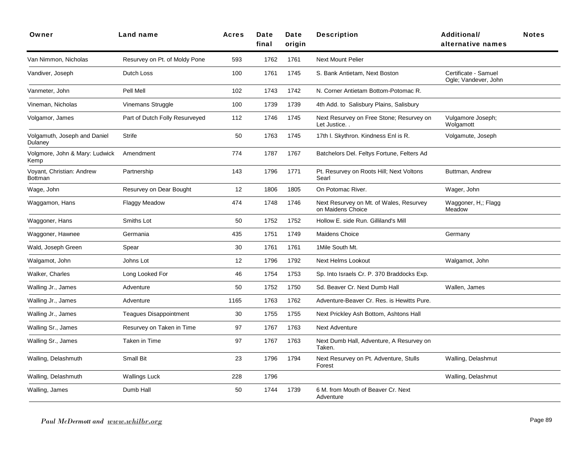| Owner                                   | <b>Land name</b>               | <b>Acres</b> | Date<br>final | Date<br>origin | <b>Description</b>                                           | <b>Additional/</b><br>alternative names      | <b>Notes</b> |
|-----------------------------------------|--------------------------------|--------------|---------------|----------------|--------------------------------------------------------------|----------------------------------------------|--------------|
| Van Nimmon, Nicholas                    | Resurvey on Pt. of Moldy Pone  | 593          | 1762          | 1761           | <b>Next Mount Pelier</b>                                     |                                              |              |
| Vandiver, Joseph                        | Dutch Loss                     | 100          | 1761          | 1745           | S. Bank Antietam, Next Boston                                | Certificate - Samuel<br>Ogle; Vandever, John |              |
| Vanmeter, John                          | Pell Mell                      | 102          | 1743          | 1742           | N. Corner Antietam Bottom-Potomac R.                         |                                              |              |
| Vineman, Nicholas                       | Vinemans Struggle              | 100          | 1739          | 1739           | 4th Add. to Salisbury Plains, Salisbury                      |                                              |              |
| Volgamor, James                         | Part of Dutch Folly Resurveyed | 112          | 1746          | 1745           | Next Resurvey on Free Stone; Resurvey on<br>Let Justice      | Vulgamore Joseph;<br>Wolgamott               |              |
| Volgamuth, Joseph and Daniel<br>Dulaney | <b>Strife</b>                  | 50           | 1763          | 1745           | 17th I. Skythron. Kindness Enl is R.                         | Volgamute, Joseph                            |              |
| Volgmore, John & Mary: Ludwick<br>Kemp  | Amendment                      | 774          | 1787          | 1767           | Batchelors Del. Feltys Fortune, Felters Ad                   |                                              |              |
| Voyant, Christian: Andrew<br>Bottman    | Partnership                    | 143          | 1796          | 1771           | Pt. Resurvey on Roots Hill; Next Voltons<br>Searl            | Buttman, Andrew                              |              |
| Wage, John                              | Resurvey on Dear Bought        | 12           | 1806          | 1805           | On Potomac River.                                            | Wager, John                                  |              |
| Waggamon, Hans                          | <b>Flaggy Meadow</b>           | 474          | 1748          | 1746           | Next Resurvey on Mt. of Wales, Resurvey<br>on Maidens Choice | Waggoner, H.; Flagg<br>Meadow                |              |
| Waggoner, Hans                          | Smiths Lot                     | 50           | 1752          | 1752           | Hollow E. side Run. Gilliland's Mill                         |                                              |              |
| Waggoner, Hawnee                        | Germania                       | 435          | 1751          | 1749           | <b>Maidens Choice</b>                                        | Germany                                      |              |
| Wald, Joseph Green                      | Spear                          | 30           | 1761          | 1761           | 1Mile South Mt.                                              |                                              |              |
| Walgamot, John                          | Johns Lot                      | 12           | 1796          | 1792           | <b>Next Helms Lookout</b>                                    | Walgamot, John                               |              |
| Walker, Charles                         | Long Looked For                | 46           | 1754          | 1753           | Sp. Into Israels Cr. P. 370 Braddocks Exp.                   |                                              |              |
| Walling Jr., James                      | Adventure                      | 50           | 1752          | 1750           | Sd. Beaver Cr. Next Dumb Hall                                | Wallen, James                                |              |
| Walling Jr., James                      | Adventure                      | 1165         | 1763          | 1762           | Adventure-Beaver Cr. Res. is Hewitts Pure.                   |                                              |              |
| Walling Jr., James                      | <b>Teagues Disappointment</b>  | 30           | 1755          | 1755           | Next Prickley Ash Bottom, Ashtons Hall                       |                                              |              |
| Walling Sr., James                      | Resurvey on Taken in Time      | 97           | 1767          | 1763           | <b>Next Adventure</b>                                        |                                              |              |
| Walling Sr., James                      | Taken in Time                  | 97           | 1767          | 1763           | Next Dumb Hall, Adventure, A Resurvey on<br>Taken.           |                                              |              |
| Walling, Delashmuth                     | Small Bit                      | 23           | 1796          | 1794           | Next Resurvey on Pt. Adventure, Stulls<br>Forest             | Walling, Delashmut                           |              |
| Walling, Delashmuth                     | <b>Wallings Luck</b>           | 228          | 1796          |                |                                                              | Walling, Delashmut                           |              |
| Walling, James                          | Dumb Hall                      | 50           | 1744          | 1739           | 6 M. from Mouth of Beaver Cr. Next<br>Adventure              |                                              |              |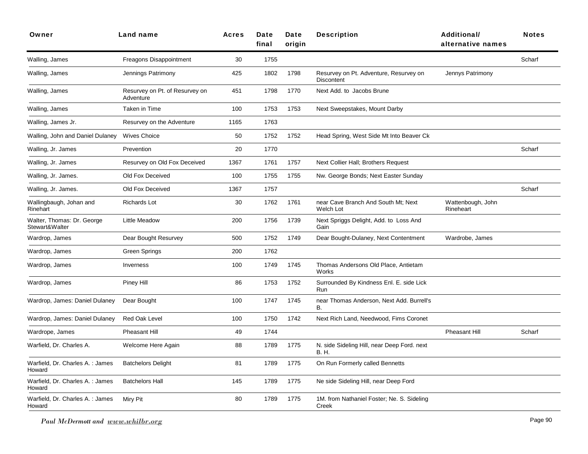| Owner                                        | Land name                                   | <b>Acres</b> | Date<br>final | Date<br>origin | <b>Description</b>                                   | <b>Additional/</b><br>alternative names | <b>Notes</b> |
|----------------------------------------------|---------------------------------------------|--------------|---------------|----------------|------------------------------------------------------|-----------------------------------------|--------------|
| Walling, James                               | Freagons Disappointment                     | 30           | 1755          |                |                                                      |                                         | Scharf       |
| Walling, James                               | Jennings Patrimony                          | 425          | 1802          | 1798           | Resurvey on Pt. Adventure, Resurvey on<br>Discontent | Jennys Patrimony                        |              |
| Walling, James                               | Resurvey on Pt. of Resurvey on<br>Adventure | 451          | 1798          | 1770           | Next Add. to Jacobs Brune                            |                                         |              |
| Walling, James                               | Taken in Time                               | 100          | 1753          | 1753           | Next Sweepstakes, Mount Darby                        |                                         |              |
| Walling, James Jr.                           | Resurvey on the Adventure                   | 1165         | 1763          |                |                                                      |                                         |              |
| Walling, John and Daniel Dulaney             | <b>Wives Choice</b>                         | 50           | 1752          | 1752           | Head Spring, West Side Mt Into Beaver Ck             |                                         |              |
| Walling, Jr. James                           | Prevention                                  | 20           | 1770          |                |                                                      |                                         | Scharf       |
| Walling, Jr. James                           | Resurvey on Old Fox Deceived                | 1367         | 1761          | 1757           | Next Collier Hall; Brothers Request                  |                                         |              |
| Walling, Jr. James.                          | Old Fox Deceived                            | 100          | 1755          | 1755           | Nw. George Bonds; Next Easter Sunday                 |                                         |              |
| Walling, Jr. James.                          | Old Fox Deceived                            | 1367         | 1757          |                |                                                      |                                         | Scharf       |
| Wallingbaugh, Johan and<br>Rinehart          | Richards Lot                                | 30           | 1762          | 1761           | near Cave Branch And South Mt; Next<br>Welch Lot     | Wattenbough, John<br>Rineheart          |              |
| Walter, Thomas: Dr. George<br>Stewart&Walter | Little Meadow                               | 200          | 1756          | 1739           | Next Spriggs Delight, Add. to Loss And<br>Gain       |                                         |              |
| Wardrop, James                               | Dear Bought Resurvey                        | 500          | 1752          | 1749           | Dear Bought-Dulaney, Next Contentment                | Wardrobe, James                         |              |
| Wardrop, James                               | Green Springs                               | 200          | 1762          |                |                                                      |                                         |              |
| Wardrop, James                               | Inverness                                   | 100          | 1749          | 1745           | Thomas Andersons Old Place, Antietam<br>Works        |                                         |              |
| Wardrop, James                               | Piney Hill                                  | 86           | 1753          | 1752           | Surrounded By Kindness Enl. E. side Lick<br>Run      |                                         |              |
| Wardrop, James: Daniel Dulaney               | Dear Bought                                 | 100          | 1747          | 1745           | near Thomas Anderson, Next Add. Burrell's<br>В.      |                                         |              |
| Wardrop, James: Daniel Dulaney               | Red Oak Level                               | 100          | 1750          | 1742           | Next Rich Land, Needwood, Fims Coronet               |                                         |              |
| Wardrope, James                              | <b>Pheasant Hill</b>                        | 49           | 1744          |                |                                                      | Pheasant Hill                           | Scharf       |
| Warfield, Dr. Charles A.                     | Welcome Here Again                          | 88           | 1789          | 1775           | N. side Sideling Hill, near Deep Ford. next<br>B. H. |                                         |              |
| Warfield, Dr. Charles A. : James<br>Howard   | <b>Batchelors Delight</b>                   | 81           | 1789          | 1775           | On Run Formerly called Bennetts                      |                                         |              |
| Warfield, Dr. Charles A. : James<br>Howard   | <b>Batchelors Hall</b>                      | 145          | 1789          | 1775           | Ne side Sideling Hill, near Deep Ford                |                                         |              |
| Warfield, Dr. Charles A. : James<br>Howard   | Miry Pit                                    | 80           | 1789          | 1775           | 1M. from Nathaniel Foster; Ne. S. Sideling<br>Creek  |                                         |              |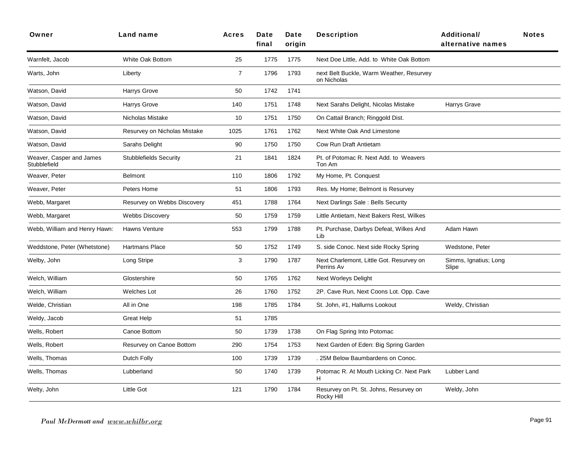| Owner                                    | Land name                     | <b>Acres</b>   | Date<br>final | Date<br>origin | <b>Description</b>                                      | <b>Additional/</b><br>alternative names | <b>Notes</b> |
|------------------------------------------|-------------------------------|----------------|---------------|----------------|---------------------------------------------------------|-----------------------------------------|--------------|
| Warnfelt, Jacob                          | White Oak Bottom              | 25             | 1775          | 1775           | Next Doe Little, Add. to White Oak Bottom               |                                         |              |
| Warts, John                              | Liberty                       | $\overline{7}$ | 1796          | 1793           | next Belt Buckle, Warm Weather, Resurvey<br>on Nicholas |                                         |              |
| Watson, David                            | Harrys Grove                  | 50             | 1742          | 1741           |                                                         |                                         |              |
| Watson, David                            | Harrys Grove                  | 140            | 1751          | 1748           | Next Sarahs Delight, Nicolas Mistake                    | Harrys Grave                            |              |
| Watson, David                            | Nicholas Mistake              | 10             | 1751          | 1750           | On Cattail Branch; Ringgold Dist.                       |                                         |              |
| Watson, David                            | Resurvey on Nicholas Mistake  | 1025           | 1761          | 1762           | Next White Oak And Limestone                            |                                         |              |
| Watson, David                            | Sarahs Delight                | 90             | 1750          | 1750           | Cow Run Draft Antietam                                  |                                         |              |
| Weaver, Casper and James<br>Stubblefield | <b>Stubblefields Security</b> | 21             | 1841          | 1824           | Pt. of Potomac R. Next Add. to Weavers<br>Ton Am        |                                         |              |
| Weaver, Peter                            | <b>Belmont</b>                | 110            | 1806          | 1792           | My Home, Pt. Conquest                                   |                                         |              |
| Weaver, Peter                            | Peters Home                   | 51             | 1806          | 1793           | Res. My Home; Belmont is Resurvey                       |                                         |              |
| Webb, Margaret                           | Resurvey on Webbs Discovery   | 451            | 1788          | 1764           | Next Darlings Sale: Bells Security                      |                                         |              |
| Webb, Margaret                           | <b>Webbs Discovery</b>        | 50             | 1759          | 1759           | Little Antietam, Next Bakers Rest, Wilkes               |                                         |              |
| Webb, William and Henry Hawn:            | Hawns Venture                 | 553            | 1799          | 1788           | Pt. Purchase, Darbys Defeat, Wilkes And<br>Lib          | Adam Hawn                               |              |
| Weddstone, Peter (Whetstone)             | <b>Hartmans Place</b>         | 50             | 1752          | 1749           | S. side Conoc. Next side Rocky Spring                   | Wedstone, Peter                         |              |
| Welby, John                              | Long Stripe                   | 3              | 1790          | 1787           | Next Charlemont, Little Got. Resurvey on<br>Perrins Av  | Simms, Ignatius; Long<br>Slipe          |              |
| Welch, William                           | Glostershire                  | 50             | 1765          | 1762           | Next Worleys Delight                                    |                                         |              |
| Welch, William                           | <b>Welches Lot</b>            | 26             | 1760          | 1752           | 2P. Cave Run, Next Coons Lot. Opp. Cave                 |                                         |              |
| Welde, Christian                         | All in One                    | 198            | 1785          | 1784           | St. John, #1, Hallurns Lookout                          | Weldy, Christian                        |              |
| Weldy, Jacob                             | Great Help                    | 51             | 1785          |                |                                                         |                                         |              |
| Wells, Robert                            | Canoe Bottom                  | 50             | 1739          | 1738           | On Flag Spring Into Potomac                             |                                         |              |
| Wells, Robert                            | Resurvey on Canoe Bottom      | 290            | 1754          | 1753           | Next Garden of Eden: Big Spring Garden                  |                                         |              |
| Wells, Thomas                            | Dutch Folly                   | 100            | 1739          | 1739           | . 25M Below Baumbardens on Conoc.                       |                                         |              |
| Wells, Thomas                            | Lubberland                    | 50             | 1740          | 1739           | Potomac R. At Mouth Licking Cr. Next Park<br>H          | Lubber Land                             |              |
| Welty, John                              | <b>Little Got</b>             | 121            | 1790          | 1784           | Resurvey on Pt. St. Johns, Resurvey on<br>Rocky Hill    | Weldy, John                             |              |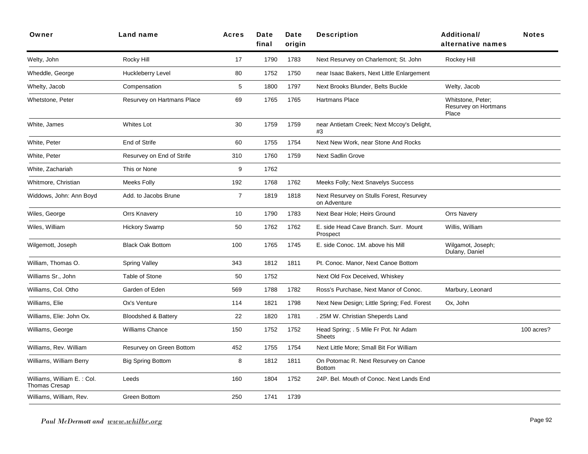| Owner                                              | <b>Land name</b>               | <b>Acres</b>   | Date<br>final | Date<br>origin | <b>Description</b>                                       | <b>Additional/</b><br>alternative names            | <b>Notes</b> |
|----------------------------------------------------|--------------------------------|----------------|---------------|----------------|----------------------------------------------------------|----------------------------------------------------|--------------|
| Welty, John                                        | Rocky Hill                     | 17             | 1790          | 1783           | Next Resurvey on Charlemont; St. John                    | Rockey Hill                                        |              |
| Wheddle, George                                    | Huckleberry Level              | 80             | 1752          | 1750           | near Isaac Bakers, Next Little Enlargement               |                                                    |              |
| Whelty, Jacob                                      | Compensation                   | 5              | 1800          | 1797           | Next Brooks Blunder, Belts Buckle                        | Welty, Jacob                                       |              |
| Whetstone, Peter                                   | Resurvey on Hartmans Place     | 69             | 1765          | 1765           | Hartmans Place                                           | Whitstone, Peter;<br>Resurvey on Hortmans<br>Place |              |
| White, James                                       | Whites Lot                     | 30             | 1759          | 1759           | near Antietam Creek; Next Mccoy's Delight,<br>#3         |                                                    |              |
| White, Peter                                       | End of Strife                  | 60             | 1755          | 1754           | Next New Work, near Stone And Rocks                      |                                                    |              |
| White, Peter                                       | Resurvey on End of Strife      | 310            | 1760          | 1759           | <b>Next Sadlin Grove</b>                                 |                                                    |              |
| White, Zachariah                                   | This or None                   | 9              | 1762          |                |                                                          |                                                    |              |
| Whitmore, Christian                                | <b>Meeks Folly</b>             | 192            | 1768          | 1762           | Meeks Folly; Next Snavelys Success                       |                                                    |              |
| Widdows, John: Ann Boyd                            | Add. to Jacobs Brune           | $\overline{7}$ | 1819          | 1818           | Next Resurvey on Stulls Forest, Resurvey<br>on Adventure |                                                    |              |
| Wiles, George                                      | <b>Orrs Knavery</b>            | 10             | 1790          | 1783           | Next Bear Hole; Heirs Ground                             | <b>Orrs Navery</b>                                 |              |
| Wiles, William                                     | <b>Hickory Swamp</b>           | 50             | 1762          | 1762           | E. side Head Cave Branch. Surr. Mount<br>Prospect        | Willis, William                                    |              |
| Wilgemott, Joseph                                  | <b>Black Oak Bottom</b>        | 100            | 1765          | 1745           | E. side Conoc. 1M. above his Mill                        | Wilgamot, Joseph;<br>Dulany, Daniel                |              |
| William, Thomas O.                                 | <b>Spring Valley</b>           | 343            | 1812          | 1811           | Pt. Conoc. Manor, Next Canoe Bottom                      |                                                    |              |
| Williams Sr., John                                 | Table of Stone                 | 50             | 1752          |                | Next Old Fox Deceived, Whiskey                           |                                                    |              |
| Williams, Col. Otho                                | Garden of Eden                 | 569            | 1788          | 1782           | Ross's Purchase, Next Manor of Conoc.                    | Marbury, Leonard                                   |              |
| Williams, Elie                                     | Ox's Venture                   | 114            | 1821          | 1798           | Next New Design; Little Spring; Fed. Forest              | Ox, John                                           |              |
| Williams, Elie: John Ox.                           | <b>Bloodshed &amp; Battery</b> | 22             | 1820          | 1781           | . 25M W. Christian Sheperds Land                         |                                                    |              |
| Williams, George                                   | Williams Chance                | 150            | 1752          | 1752           | Head Spring; . 5 Mile Fr Pot. Nr Adam<br><b>Sheets</b>   |                                                    | 100 acres?   |
| Williams, Rev. William                             | Resurvey on Green Bottom       | 452            | 1755          | 1754           | Next Little More; Small Bit For William                  |                                                    |              |
| Williams, William Berry                            | <b>Big Spring Bottom</b>       | 8              | 1812          | 1811           | On Potomac R. Next Resurvey on Canoe<br><b>Bottom</b>    |                                                    |              |
| Williams, William E.: Col.<br><b>Thomas Cresap</b> | Leeds                          | 160            | 1804          | 1752           | 24P. Bel. Mouth of Conoc. Next Lands End                 |                                                    |              |
| Williams, William, Rev.                            | <b>Green Bottom</b>            | 250            | 1741          | 1739           |                                                          |                                                    |              |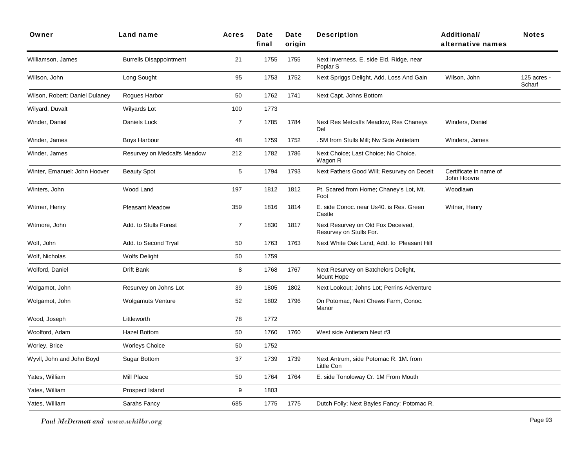| Owner                          | Land name                      | <b>Acres</b>   | Date<br>final | Date<br>origin | <b>Description</b>                                              | <b>Additional/</b><br>alternative names | <b>Notes</b>          |
|--------------------------------|--------------------------------|----------------|---------------|----------------|-----------------------------------------------------------------|-----------------------------------------|-----------------------|
| Williamson, James              | <b>Burrells Disappointment</b> | 21             | 1755          | 1755           | Next Inverness. E. side Eld. Ridge, near<br>Poplar <sub>S</sub> |                                         |                       |
| Willson, John                  | Long Sought                    | 95             | 1753          | 1752           | Next Spriggs Delight, Add. Loss And Gain                        | Wilson, John                            | 125 acres -<br>Scharf |
| Wilson, Robert: Daniel Dulaney | Rogues Harbor                  | 50             | 1762          | 1741           | Next Capt. Johns Bottom                                         |                                         |                       |
| Wilyard, Duvalt                | Wilyards Lot                   | 100            | 1773          |                |                                                                 |                                         |                       |
| Winder, Daniel                 | Daniels Luck                   | $\overline{7}$ | 1785          | 1784           | Next Res Metcalfs Meadow, Res Chaneys<br>Del                    | Winders, Daniel                         |                       |
| Winder, James                  | Boys Harbour                   | 48             | 1759          | 1752           | . 5M from Stulls Mill; Nw Side Antietam                         | Winders, James                          |                       |
| Winder, James                  | Resurvey on Medcalfs Meadow    | 212            | 1782          | 1786           | Next Choice; Last Choice; No Choice.<br>Wagon R                 |                                         |                       |
| Winter, Emanuel: John Hoover   | <b>Beauty Spot</b>             | 5              | 1794          | 1793           | Next Fathers Good Will; Resurvey on Deceit                      | Certificate in name of<br>John Hoovre   |                       |
| Winters, John                  | Wood Land                      | 197            | 1812          | 1812           | Pt. Scared from Home; Chaney's Lot, Mt.<br>Foot                 | Woodlawn                                |                       |
| Witmer, Henry                  | <b>Pleasant Meadow</b>         | 359            | 1816          | 1814           | E. side Conoc. near Us40. is Res. Green<br>Castle               | Witner, Henry                           |                       |
| Witmore, John                  | Add. to Stulls Forest          | $\overline{7}$ | 1830          | 1817           | Next Resurvey on Old Fox Deceived,<br>Resurvey on Stulls For.   |                                         |                       |
| Wolf, John                     | Add. to Second Tryal           | 50             | 1763          | 1763           | Next White Oak Land, Add. to Pleasant Hill                      |                                         |                       |
| Wolf, Nicholas                 | <b>Wolfs Delight</b>           | 50             | 1759          |                |                                                                 |                                         |                       |
| Wolford, Daniel                | Drift Bank                     | 8              | 1768          | 1767           | Next Resurvey on Batchelors Delight,<br>Mount Hope              |                                         |                       |
| Wolgamot, John                 | Resurvey on Johns Lot          | 39             | 1805          | 1802           | Next Lookout; Johns Lot; Perrins Adventure                      |                                         |                       |
| Wolgamot, John                 | <b>Wolgamuts Venture</b>       | 52             | 1802          | 1796           | On Potomac, Next Chews Farm, Conoc.<br>Manor                    |                                         |                       |
| Wood, Joseph                   | Littleworth                    | 78             | 1772          |                |                                                                 |                                         |                       |
| Woolford, Adam                 | Hazel Bottom                   | 50             | 1760          | 1760           | West side Antietam Next #3                                      |                                         |                       |
| Worley, Brice                  | <b>Worleys Choice</b>          | 50             | 1752          |                |                                                                 |                                         |                       |
| Wyvll, John and John Boyd      | <b>Sugar Bottom</b>            | 37             | 1739          | 1739           | Next Antrum, side Potomac R. 1M. from<br>Little Con             |                                         |                       |
| Yates, William                 | Mill Place                     | 50             | 1764          | 1764           | E. side Tonoloway Cr. 1M From Mouth                             |                                         |                       |
| Yates, William                 | Prospect Island                | 9              | 1803          |                |                                                                 |                                         |                       |
| Yates, William                 | Sarahs Fancy                   | 685            | 1775          | 1775           | Dutch Folly; Next Bayles Fancy: Potomac R.                      |                                         |                       |